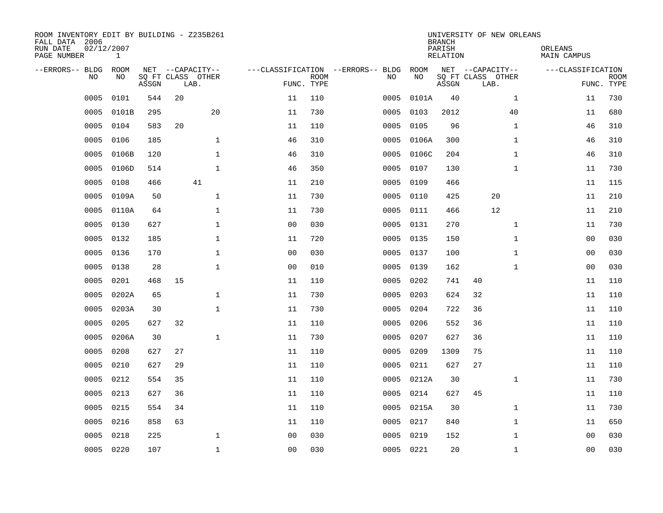| ROOM INVENTORY EDIT BY BUILDING - Z235B261<br>FALL DATA 2006<br>RUN DATE<br>PAGE NUMBER | 02/12/2007<br>$\mathbf{1}$ |       |                                               |              |                                   |                           |           |            | <b>BRANCH</b><br>PARISH<br><b>RELATION</b> | UNIVERSITY OF NEW ORLEANS                     |              | ORLEANS<br>MAIN CAMPUS |                           |
|-----------------------------------------------------------------------------------------|----------------------------|-------|-----------------------------------------------|--------------|-----------------------------------|---------------------------|-----------|------------|--------------------------------------------|-----------------------------------------------|--------------|------------------------|---------------------------|
| --ERRORS-- BLDG<br>NO                                                                   | ROOM<br>NO                 | ASSGN | NET --CAPACITY--<br>SQ FT CLASS OTHER<br>LAB. |              | ---CLASSIFICATION --ERRORS-- BLDG | <b>ROOM</b><br>FUNC. TYPE | NO        | ROOM<br>NO | ASSGN                                      | NET --CAPACITY--<br>SQ FT CLASS OTHER<br>LAB. |              | ---CLASSIFICATION      | <b>ROOM</b><br>FUNC. TYPE |
| 0005                                                                                    | 0101                       | 544   | 20                                            |              | 11                                | 110                       | 0005      | 0101A      | 40                                         |                                               | $\mathbf{1}$ | 11                     | 730                       |
| 0005                                                                                    | 0101B                      | 295   |                                               | 20           | 11                                | 730                       | 0005      | 0103       | 2012                                       |                                               | 40           | 11                     | 680                       |
| 0005                                                                                    | 0104                       | 583   | 20                                            |              | 11                                | 110                       | 0005      | 0105       | 96                                         |                                               | $\mathbf{1}$ | 46                     | 310                       |
| 0005                                                                                    | 0106                       | 185   |                                               | $\mathbf{1}$ | 46                                | 310                       | 0005      | 0106A      | 300                                        |                                               | $\mathbf{1}$ | 46                     | 310                       |
| 0005                                                                                    | 0106B                      | 120   |                                               | $\mathbf{1}$ | 46                                | 310                       | 0005      | 0106C      | 204                                        |                                               | $\mathbf{1}$ | 46                     | 310                       |
| 0005                                                                                    | 0106D                      | 514   |                                               | $\mathbf{1}$ | 46                                | 350                       | 0005      | 0107       | 130                                        |                                               | $\mathbf{1}$ | 11                     | 730                       |
| 0005                                                                                    | 0108                       | 466   |                                               | 41           | 11                                | 210                       | 0005      | 0109       | 466                                        |                                               |              | 11                     | 115                       |
| 0005                                                                                    | 0109A                      | 50    |                                               | $\mathbf{1}$ | 11                                | 730                       | 0005      | 0110       | 425                                        | 20                                            |              | 11                     | 210                       |
| 0005                                                                                    | 0110A                      | 64    |                                               | $\mathbf{1}$ | 11                                | 730                       | 0005      | 0111       | 466                                        | 12                                            |              | 11                     | 210                       |
| 0005                                                                                    | 0130                       | 627   |                                               | $\mathbf{1}$ | 0 <sub>0</sub>                    | 030                       | 0005      | 0131       | 270                                        |                                               | $\mathbf{1}$ | 11                     | 730                       |
| 0005                                                                                    | 0132                       | 185   |                                               | $\mathbf{1}$ | 11                                | 720                       | 0005      | 0135       | 150                                        |                                               | $\mathbf{1}$ | 00                     | 030                       |
| 0005                                                                                    | 0136                       | 170   |                                               | $\mathbf{1}$ | 0 <sub>0</sub>                    | 030                       | 0005      | 0137       | 100                                        |                                               | $\mathbf{1}$ | 0 <sub>0</sub>         | 030                       |
| 0005                                                                                    | 0138                       | 28    |                                               | $\mathbf 1$  | 0 <sub>0</sub>                    | 010                       | 0005      | 0139       | 162                                        |                                               | $\mathbf{1}$ | 0 <sub>0</sub>         | 030                       |
| 0005                                                                                    | 0201                       | 468   | 15                                            |              | 11                                | 110                       | 0005      | 0202       | 741                                        | 40                                            |              | 11                     | 110                       |
| 0005                                                                                    | 0202A                      | 65    |                                               | $\mathbf 1$  | 11                                | 730                       | 0005      | 0203       | 624                                        | 32                                            |              | 11                     | 110                       |
| 0005                                                                                    | 0203A                      | 30    |                                               | $\mathbf{1}$ | 11                                | 730                       | 0005      | 0204       | 722                                        | 36                                            |              | 11                     | 110                       |
| 0005                                                                                    | 0205                       | 627   | 32                                            |              | 11                                | 110                       | 0005      | 0206       | 552                                        | 36                                            |              | 11                     | 110                       |
| 0005                                                                                    | 0206A                      | 30    |                                               | $\mathbf 1$  | 11                                | 730                       | 0005      | 0207       | 627                                        | 36                                            |              | 11                     | 110                       |
| 0005                                                                                    | 0208                       | 627   | 27                                            |              | 11                                | 110                       | 0005      | 0209       | 1309                                       | 75                                            |              | 11                     | 110                       |
| 0005                                                                                    | 0210                       | 627   | 29                                            |              | 11                                | 110                       | 0005      | 0211       | 627                                        | 27                                            |              | 11                     | 110                       |
| 0005                                                                                    | 0212                       | 554   | 35                                            |              | 11                                | 110                       | 0005      | 0212A      | 30                                         |                                               | $\mathbf{1}$ | 11                     | 730                       |
| 0005                                                                                    | 0213                       | 627   | 36                                            |              | 11                                | 110                       | 0005      | 0214       | 627                                        | 45                                            |              | 11                     | 110                       |
| 0005                                                                                    | 0215                       | 554   | 34                                            |              | 11                                | 110                       | 0005      | 0215A      | 30                                         |                                               | $\mathbf{1}$ | 11                     | 730                       |
| 0005                                                                                    | 0216                       | 858   | 63                                            |              | 11                                | 110                       | 0005      | 0217       | 840                                        |                                               | $\mathbf{1}$ | 11                     | 650                       |
| 0005                                                                                    | 0218                       | 225   |                                               | $\mathbf 1$  | 0 <sub>0</sub>                    | 030                       | 0005      | 0219       | 152                                        |                                               | $\mathbf{1}$ | 00                     | 030                       |
| 0005                                                                                    | 0220                       | 107   |                                               | $\mathbf{1}$ | 00                                | 030                       | 0005 0221 |            | 20                                         |                                               | $\mathbf{1}$ | 0 <sub>0</sub>         | 030                       |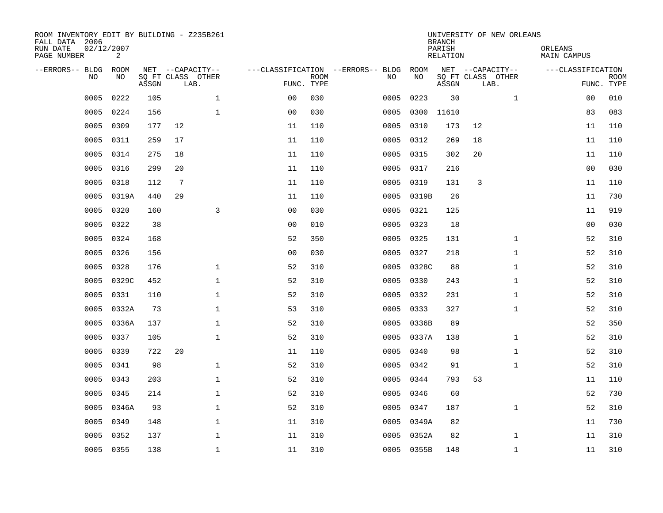| ROOM INVENTORY EDIT BY BUILDING - Z235B261<br>FALL DATA 2006<br>RUN DATE<br>PAGE NUMBER | 02/12/2007<br>2 |       |                           |              |                                   |                           |           |            | <b>BRANCH</b><br>PARISH<br><b>RELATION</b> |                           | UNIVERSITY OF NEW ORLEANS | ORLEANS<br><b>MAIN CAMPUS</b> |                           |
|-----------------------------------------------------------------------------------------|-----------------|-------|---------------------------|--------------|-----------------------------------|---------------------------|-----------|------------|--------------------------------------------|---------------------------|---------------------------|-------------------------------|---------------------------|
| --ERRORS-- BLDG                                                                         | ROOM            |       | NET --CAPACITY--          |              | ---CLASSIFICATION --ERRORS-- BLDG |                           |           | ROOM       |                                            | NET --CAPACITY--          |                           | ---CLASSIFICATION             |                           |
| N <sub>O</sub>                                                                          | NO.             | ASSGN | SO FT CLASS OTHER<br>LAB. |              |                                   | <b>ROOM</b><br>FUNC. TYPE | NO.       | NO         | ASSGN                                      | SQ FT CLASS OTHER<br>LAB. |                           |                               | <b>ROOM</b><br>FUNC. TYPE |
| 0005                                                                                    | 0222            | 105   | $\mathbf 1$               |              | 0 <sub>0</sub>                    | 030                       | 0005      | 0223       | 30                                         |                           | $\mathbf{1}$              | 00                            | 010                       |
| 0005                                                                                    | 0224            | 156   | $\mathbf 1$               |              | 0 <sub>0</sub>                    | 030                       | 0005      | 0300       | 11610                                      |                           |                           | 83                            | 083                       |
| 0005                                                                                    | 0309            | 177   | 12                        |              | 11                                | 110                       | 0005      | 0310       | 173                                        | 12                        |                           | 11                            | 110                       |
| 0005                                                                                    | 0311            | 259   | 17                        |              | 11                                | 110                       | 0005      | 0312       | 269                                        | 18                        |                           | 11                            | 110                       |
| 0005                                                                                    | 0314            | 275   | 18                        |              | 11                                | 110                       | 0005      | 0315       | 302                                        | 20                        |                           | 11                            | 110                       |
| 0005                                                                                    | 0316            | 299   | 20                        |              | 11                                | 110                       | 0005      | 0317       | 216                                        |                           |                           | 0 <sub>0</sub>                | 030                       |
| 0005                                                                                    | 0318            | 112   | $7\phantom{.0}$           |              | 11                                | 110                       | 0005      | 0319       | 131                                        | 3                         |                           | 11                            | 110                       |
| 0005                                                                                    | 0319A           | 440   | 29                        |              | 11                                | 110                       | 0005      | 0319B      | 26                                         |                           |                           | 11                            | 730                       |
| 0005                                                                                    | 0320            | 160   |                           | 3            | 0 <sub>0</sub>                    | 030                       | 0005      | 0321       | 125                                        |                           |                           | 11                            | 919                       |
| 0005                                                                                    | 0322            | 38    |                           |              | 0 <sub>0</sub>                    | 010                       | 0005      | 0323       | 18                                         |                           |                           | 0 <sub>0</sub>                | 030                       |
| 0005                                                                                    | 0324            | 168   |                           |              | 52                                | 350                       | 0005      | 0325       | 131                                        |                           | $\mathbf{1}$              | 52                            | 310                       |
| 0005                                                                                    | 0326            | 156   |                           |              | 0 <sub>0</sub>                    | 030                       | 0005      | 0327       | 218                                        |                           | $\mathbf{1}$              | 52                            | 310                       |
| 0005                                                                                    | 0328            | 176   | $\mathbf 1$               |              | 52                                | 310                       | 0005      | 0328C      | 88                                         |                           | $\mathbf{1}$              | 52                            | 310                       |
| 0005                                                                                    | 0329C           | 452   |                           | $\mathbf 1$  | 52                                | 310                       | 0005      | 0330       | 243                                        |                           | $\mathbf{1}$              | 52                            | 310                       |
| 0005                                                                                    | 0331            | 110   | $\mathbf 1$               |              | 52                                | 310                       | 0005      | 0332       | 231                                        |                           | $\mathbf{1}$              | 52                            | 310                       |
| 0005                                                                                    | 0332A           | 73    |                           | $\mathbf 1$  | 53                                | 310                       | 0005      | 0333       | 327                                        |                           | $\mathbf{1}$              | 52                            | 310                       |
| 0005                                                                                    | 0336A           | 137   | $\mathbf{1}$              |              | 52                                | 310                       | 0005      | 0336B      | 89                                         |                           |                           | 52                            | 350                       |
| 0005                                                                                    | 0337            | 105   |                           | $\mathbf{1}$ | 52                                | 310                       | 0005      | 0337A      | 138                                        |                           | $\mathbf{1}$              | 52                            | 310                       |
| 0005                                                                                    | 0339            | 722   | 20                        |              | 11                                | 110                       | 0005      | 0340       | 98                                         |                           | $\mathbf{1}$              | 52                            | 310                       |
| 0005                                                                                    | 0341            | 98    | $\mathbf 1$               |              | 52                                | 310                       | 0005      | 0342       | 91                                         |                           | $\mathbf{1}$              | 52                            | 310                       |
| 0005                                                                                    | 0343            | 203   | $\mathbf{1}$              |              | 52                                | 310                       | 0005      | 0344       | 793                                        | 53                        |                           | 11                            | 110                       |
| 0005                                                                                    | 0345            | 214   | $\mathbf{1}$              |              | 52                                | 310                       | 0005      | 0346       | 60                                         |                           |                           | 52                            | 730                       |
| 0005                                                                                    | 0346A           | 93    | $\mathbf{1}$              |              | 52                                | 310                       | 0005 0347 |            | 187                                        |                           | $\mathbf{1}$              | 52                            | 310                       |
| 0005                                                                                    | 0349            | 148   | $\mathbf 1$               |              | 11                                | 310                       | 0005      | 0349A      | 82                                         |                           |                           | 11                            | 730                       |
| 0005                                                                                    | 0352            | 137   | $\mathbf{1}$              |              | 11                                | 310                       | 0005      | 0352A      | 82                                         |                           | $\mathbf{1}$              | 11                            | 310                       |
|                                                                                         | 0005 0355       | 138   | $\mathbf 1$               |              | 11                                | 310                       |           | 0005 0355B | 148                                        |                           | $\mathbf{1}$              | 11                            | 310                       |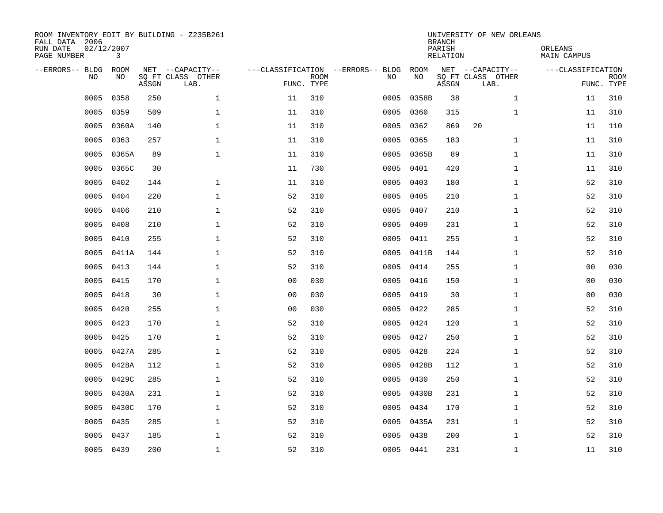| ROOM INVENTORY EDIT BY BUILDING - Z235B261<br>FALL DATA 2006<br>RUN DATE<br>PAGE NUMBER | 02/12/2007<br>3 |       |                                               |                |             |                                         |            | <b>BRANCH</b><br>PARISH<br><b>RELATION</b> | UNIVERSITY OF NEW ORLEANS                     | ORLEANS<br><b>MAIN CAMPUS</b> |                           |
|-----------------------------------------------------------------------------------------|-----------------|-------|-----------------------------------------------|----------------|-------------|-----------------------------------------|------------|--------------------------------------------|-----------------------------------------------|-------------------------------|---------------------------|
| --ERRORS-- BLDG<br>NO.                                                                  | ROOM<br>NO      | ASSGN | NET --CAPACITY--<br>SQ FT CLASS OTHER<br>LAB. | FUNC. TYPE     | <b>ROOM</b> | ---CLASSIFICATION --ERRORS-- BLDG<br>NO | ROOM<br>NO | ASSGN                                      | NET --CAPACITY--<br>SQ FT CLASS OTHER<br>LAB. | ---CLASSIFICATION             | <b>ROOM</b><br>FUNC. TYPE |
| 0005                                                                                    | 0358            | 250   | $\mathbf 1$                                   | 11             | 310         | 0005                                    | 0358B      | 38                                         | $\mathbf{1}$                                  | 11                            | 310                       |
| 0005                                                                                    | 0359            | 509   | $\mathbf 1$                                   | 11             | 310         | 0005                                    | 0360       | 315                                        | $\mathbf{1}$                                  | 11                            | 310                       |
| 0005                                                                                    | 0360A           | 140   | $\mathbf 1$                                   | 11             | 310         | 0005                                    | 0362       | 869                                        | 20                                            | 11                            | 110                       |
| 0005                                                                                    | 0363            | 257   | $\mathbf 1$                                   | 11             | 310         | 0005                                    | 0365       | 183                                        | $\mathbf{1}$                                  | 11                            | 310                       |
| 0005                                                                                    | 0365A           | 89    | $\mathbf{1}$                                  | 11             | 310         | 0005                                    | 0365B      | 89                                         | $\mathbf{1}$                                  | 11                            | 310                       |
| 0005                                                                                    | 0365C           | 30    |                                               | 11             | 730         |                                         | 0005 0401  | 420                                        | $\mathbf{1}$                                  | 11                            | 310                       |
| 0005                                                                                    | 0402            | 144   | $\mathbf{1}$                                  | 11             | 310         | 0005                                    | 0403       | 180                                        | $\mathbf{1}$                                  | 52                            | 310                       |
| 0005                                                                                    | 0404            | 220   | $\mathbf{1}$                                  | 52             | 310         | 0005                                    | 0405       | 210                                        | $\mathbf{1}$                                  | 52                            | 310                       |
| 0005                                                                                    | 0406            | 210   | $\mathbf{1}$                                  | 52             | 310         | 0005                                    | 0407       | 210                                        | $\mathbf{1}$                                  | 52                            | 310                       |
| 0005                                                                                    | 0408            | 210   | $\mathbf{1}$                                  | 52             | 310         | 0005                                    | 0409       | 231                                        | $\mathbf{1}$                                  | 52                            | 310                       |
| 0005                                                                                    | 0410            | 255   | $\mathbf 1$                                   | 52             | 310         | 0005                                    | 0411       | 255                                        | $\mathbf{1}$                                  | 52                            | 310                       |
| 0005                                                                                    | 0411A           | 144   | $\mathbf 1$                                   | 52             | 310         |                                         | 0005 0411B | 144                                        | $\mathbf{1}$                                  | 52                            | 310                       |
| 0005                                                                                    | 0413            | 144   | $\mathbf{1}$                                  | 52             | 310         | 0005                                    | 0414       | 255                                        | $\mathbf{1}$                                  | 0 <sub>0</sub>                | 030                       |
| 0005                                                                                    | 0415            | 170   | $\mathbf 1$                                   | 0 <sub>0</sub> | 030         | 0005                                    | 0416       | 150                                        | $\mathbf{1}$                                  | 00                            | 030                       |
| 0005                                                                                    | 0418            | 30    | $\mathbf{1}$                                  | 0 <sub>0</sub> | 030         | 0005                                    | 0419       | 30                                         | $\mathbf{1}$                                  | 00                            | 030                       |
| 0005                                                                                    | 0420            | 255   | $\mathbf 1$                                   | 00             | 030         | 0005                                    | 0422       | 285                                        | $\mathbf{1}$                                  | 52                            | 310                       |
| 0005                                                                                    | 0423            | 170   | $\mathbf{1}$                                  | 52             | 310         | 0005                                    | 0424       | 120                                        | $\mathbf{1}$                                  | 52                            | 310                       |
| 0005                                                                                    | 0425            | 170   | $\mathbf 1$                                   | 52             | 310         | 0005                                    | 0427       | 250                                        | $\mathbf{1}$                                  | 52                            | 310                       |
| 0005                                                                                    | 0427A           | 285   | $\mathbf 1$                                   | 52             | 310         | 0005                                    | 0428       | 224                                        | $\mathbf{1}$                                  | 52                            | 310                       |
| 0005                                                                                    | 0428A           | 112   | $\mathbf 1$                                   | 52             | 310         |                                         | 0005 0428B | 112                                        | $\mathbf{1}$                                  | 52                            | 310                       |
| 0005                                                                                    | 0429C           | 285   | $\mathbf{1}$                                  | 52             | 310         |                                         | 0005 0430  | 250                                        | $\mathbf{1}$                                  | 52                            | 310                       |
| 0005                                                                                    | 0430A           | 231   | $\mathbf{1}$                                  | 52             | 310         | 0005                                    | 0430B      | 231                                        | $\mathbf{1}$                                  | 52                            | 310                       |
| 0005                                                                                    | 0430C           | 170   | $\mathbf{1}$                                  | 52             | 310         |                                         | 0005 0434  | 170                                        | $\mathbf{1}$                                  | 52                            | 310                       |
| 0005                                                                                    | 0435            | 285   | $\mathbf 1$                                   | 52             | 310         |                                         | 0005 0435A | 231                                        | $\mathbf{1}$                                  | 52                            | 310                       |
| 0005                                                                                    | 0437            | 185   | $\mathbf{1}$                                  | 52             | 310         | 0005                                    | 0438       | 200                                        | $\mathbf{1}$                                  | 52                            | 310                       |
|                                                                                         | 0005 0439       | 200   | $\mathbf 1$                                   | 52             | 310         |                                         | 0005 0441  | 231                                        | $\mathbf{1}$                                  | 11                            | 310                       |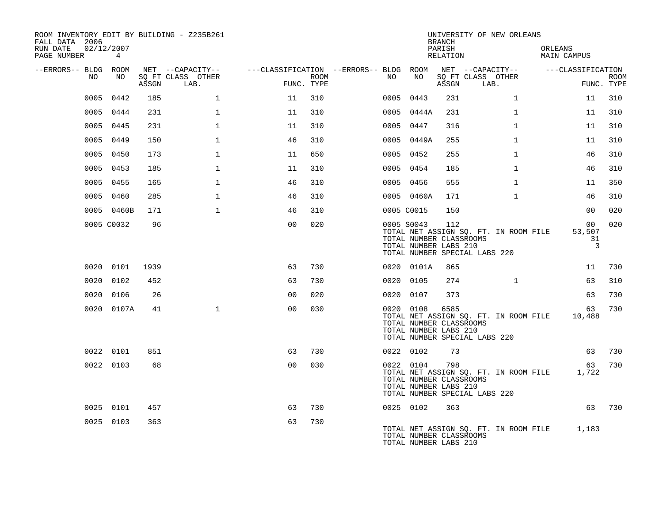| ROOM INVENTORY EDIT BY BUILDING - Z235B261<br>FALL DATA 2006 |                 |       |                           |                                        |      |    |                                                                | <b>BRANCH</b>      | UNIVERSITY OF NEW ORLEANS                                              |                                      |                           |
|--------------------------------------------------------------|-----------------|-------|---------------------------|----------------------------------------|------|----|----------------------------------------------------------------|--------------------|------------------------------------------------------------------------|--------------------------------------|---------------------------|
| RUN DATE<br>02/12/2007<br>PAGE NUMBER                        | $4\overline{ }$ |       |                           |                                        |      |    |                                                                | PARISH<br>RELATION |                                                                        | ORLEANS<br>MAIN CAMPUS               |                           |
| --ERRORS-- BLDG ROOM                                         |                 |       | NET --CAPACITY--          | ---CLASSIFICATION --ERRORS-- BLDG ROOM |      |    |                                                                |                    | NET --CAPACITY--                                                       | ---CLASSIFICATION                    |                           |
| NO.                                                          | NO.             | ASSGN | SO FT CLASS OTHER<br>LAB. | FUNC. TYPE                             | ROOM | NO | NO                                                             | ASSGN              | SQ FT CLASS OTHER<br>LAB.                                              |                                      | <b>ROOM</b><br>FUNC. TYPE |
| 0005                                                         | 0442            | 185   | $\mathbf{1}$              | 11                                     | 310  |    | 0005 0443                                                      | 231                | $\mathbf{1}$                                                           | 11                                   | 310                       |
| 0005                                                         | 0444            | 231   | $\mathbf{1}$              | 11                                     | 310  |    | 0005 0444A                                                     | 231                | $\mathbf{1}$                                                           | 11                                   | 310                       |
| 0005                                                         | 0445            | 231   | $\mathbf 1$               | 11                                     | 310  |    | 0005 0447                                                      | 316                | $\mathbf{1}$                                                           | 11                                   | 310                       |
| 0005                                                         | 0449            | 150   | $\mathbf{1}$              | 46                                     | 310  |    | 0005 0449A                                                     | 255                | $\mathbf{1}$                                                           | 11                                   | 310                       |
| 0005                                                         | 0450            | 173   | $\mathbf{1}$              | 11                                     | 650  |    | 0005 0452                                                      | 255                | $\mathbf{1}$                                                           | 46                                   | 310                       |
|                                                              | 0005 0453       | 185   | $\mathbf{1}$              | 11                                     | 310  |    | 0005 0454                                                      | 185                | $\mathbf{1}$                                                           | 46                                   | 310                       |
|                                                              | 0005 0455       | 165   | $\mathbf{1}$              | 46                                     | 310  |    | 0005 0456                                                      | 555                | $\mathbf{1}$                                                           | 11                                   | 350                       |
| 0005                                                         | 0460            | 285   | $\mathbf{1}$              | 46                                     | 310  |    | 0005 0460A                                                     | 171                | $\mathbf{1}$                                                           | 46                                   | 310                       |
|                                                              | 0005 0460B      | 171   | $\mathbf{1}$              | 46                                     | 310  |    | 0005 C0015                                                     | 150                |                                                                        | 00                                   | 020                       |
|                                                              | 0005 C0032      | 96    |                           | 0 <sub>0</sub>                         | 020  |    | 0005 S0043<br>TOTAL NUMBER CLASSROOMS<br>TOTAL NUMBER LABS 210 | 112                | TOTAL NET ASSIGN SQ. FT. IN ROOM FILE<br>TOTAL NUMBER SPECIAL LABS 220 | 00 <sub>o</sub><br>53,507<br>31<br>3 | 020                       |
|                                                              | 0020 0101       | 1939  |                           | 63                                     | 730  |    | 0020 0101A                                                     | 865                |                                                                        | 11                                   | 730                       |
|                                                              | 0020 0102       | 452   |                           | 63                                     | 730  |    | 0020 0105                                                      | 274                | $\mathbf{1}$                                                           | 63                                   | 310                       |
|                                                              | 0020 0106       | 26    |                           | 0 <sub>0</sub>                         | 020  |    | 0020 0107                                                      | 373                |                                                                        | 63                                   | 730                       |
|                                                              | 0020 0107A      | 41    | $\mathbf{1}$              | 0 <sub>0</sub>                         | 030  |    | 0020 0108<br>TOTAL NUMBER CLASSROOMS<br>TOTAL NUMBER LABS 210  | 6585               | TOTAL NET ASSIGN SQ. FT. IN ROOM FILE<br>TOTAL NUMBER SPECIAL LABS 220 | 63<br>10,488                         | 730                       |
|                                                              | 0022 0101       | 851   |                           | 63                                     | 730  |    | 0022 0102                                                      | 73                 |                                                                        | 63                                   | 730                       |
|                                                              | 0022 0103       | 68    |                           | 0 <sub>0</sub>                         | 030  |    | 0022 0104<br>TOTAL NUMBER CLASSROOMS<br>TOTAL NUMBER LABS 210  | 798                | TOTAL NET ASSIGN SQ. FT. IN ROOM FILE<br>TOTAL NUMBER SPECIAL LABS 220 | 63<br>1,722                          | 730                       |
|                                                              | 0025 0101       | 457   |                           | 63                                     | 730  |    | 0025 0102                                                      | 363                |                                                                        | 63                                   | 730                       |
|                                                              | 0025 0103       | 363   |                           | 63                                     | 730  |    | TOTAL NUMBER CLASSROOMS<br>TOTAL NUMBER LABS 210               |                    | TOTAL NET ASSIGN SQ. FT. IN ROOM FILE                                  | 1,183                                |                           |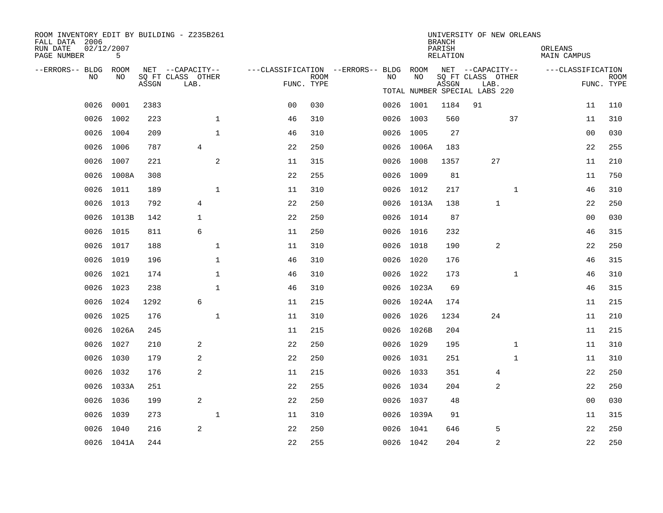| ROOM INVENTORY EDIT BY BUILDING - Z235B261<br>FALL DATA 2006<br>RUN DATE | 02/12/2007 |       |      |                           |              |                                        |             |      |            | <b>BRANCH</b><br>PARISH | UNIVERSITY OF NEW ORLEANS     |              | ORLEANS            |                           |
|--------------------------------------------------------------------------|------------|-------|------|---------------------------|--------------|----------------------------------------|-------------|------|------------|-------------------------|-------------------------------|--------------|--------------------|---------------------------|
| PAGE NUMBER                                                              | 5          |       |      |                           |              |                                        |             |      |            | RELATION                |                               |              | <b>MAIN CAMPUS</b> |                           |
| --ERRORS-- BLDG ROOM<br>NO.                                              | NO.        |       |      | NET --CAPACITY--          |              | ---CLASSIFICATION --ERRORS-- BLDG ROOM | <b>ROOM</b> | NO   | NO         |                         | NET --CAPACITY--              |              | ---CLASSIFICATION  |                           |
|                                                                          |            | ASSGN |      | SQ FT CLASS OTHER<br>LAB. |              |                                        | FUNC. TYPE  |      |            | ASSGN                   | SQ FT CLASS OTHER<br>LAB.     |              |                    | <b>ROOM</b><br>FUNC. TYPE |
|                                                                          |            |       |      |                           |              |                                        |             |      |            |                         | TOTAL NUMBER SPECIAL LABS 220 |              |                    |                           |
| 0026                                                                     | 0001       |       | 2383 |                           |              | 0 <sub>0</sub>                         | 030         |      | 0026 1001  | 1184                    | 91                            |              | 11                 | 110                       |
| 0026                                                                     | 1002       |       | 223  |                           | $\mathbf 1$  | 46                                     | 310         |      | 0026 1003  | 560                     |                               | 37           | 11                 | 310                       |
| 0026                                                                     | 1004       |       | 209  |                           | 1            | 46                                     | 310         |      | 0026 1005  | 27                      |                               |              | 00                 | 030                       |
|                                                                          | 0026 1006  |       | 787  | $\overline{4}$            |              | 22                                     | 250         |      | 0026 1006A | 183                     |                               |              | 22                 | 255                       |
| 0026                                                                     | 1007       |       | 221  |                           | 2            | 11                                     | 315         |      | 0026 1008  | 1357                    | 27                            |              | 11                 | 210                       |
|                                                                          | 0026 1008A |       | 308  |                           |              | 22                                     | 255         |      | 0026 1009  | 81                      |                               |              | 11                 | 750                       |
|                                                                          | 0026 1011  |       | 189  |                           | $\mathbf 1$  | 11                                     | 310         |      | 0026 1012  | 217                     |                               | $\mathbf{1}$ | 46                 | 310                       |
|                                                                          | 0026 1013  |       | 792  | 4                         |              | 22                                     | 250         |      | 0026 1013A | 138                     | $\mathbf{1}$                  |              | 22                 | 250                       |
| 0026                                                                     | 1013B      |       | 142  | $\mathbf{1}$              |              | 22                                     | 250         |      | 0026 1014  | 87                      |                               |              | 0 <sub>0</sub>     | 030                       |
|                                                                          | 0026 1015  |       | 811  | 6                         |              | 11                                     | 250         |      | 0026 1016  | 232                     |                               |              | 46                 | 315                       |
| 0026                                                                     | 1017       |       | 188  |                           | $\mathbf{1}$ | 11                                     | 310         |      | 0026 1018  | 190                     | 2                             |              | 22                 | 250                       |
|                                                                          | 0026 1019  |       | 196  |                           | $\mathbf{1}$ | 46                                     | 310         |      | 0026 1020  | 176                     |                               |              | 46                 | 315                       |
| 0026                                                                     | 1021       |       | 174  |                           | $\mathbf{1}$ | 46                                     | 310         |      | 0026 1022  | 173                     |                               | $\mathbf{1}$ | 46                 | 310                       |
|                                                                          | 0026 1023  |       | 238  |                           | $\mathbf 1$  | 46                                     | 310         |      | 0026 1023A | 69                      |                               |              | 46                 | 315                       |
| 0026                                                                     | 1024       |       | 1292 | 6                         |              | 11                                     | 215         |      | 0026 1024A | 174                     |                               |              | 11                 | 215                       |
|                                                                          | 0026 1025  |       | 176  |                           | $\mathbf 1$  | 11                                     | 310         | 0026 | 1026       | 1234                    | 24                            |              | 11                 | 210                       |
| 0026                                                                     | 1026A      |       | 245  |                           |              | 11                                     | 215         |      | 0026 1026B | 204                     |                               |              | 11                 | 215                       |
|                                                                          | 0026 1027  |       | 210  | 2                         |              | 22                                     | 250         |      | 0026 1029  | 195                     |                               | $\mathbf{1}$ | 11                 | 310                       |
| 0026                                                                     | 1030       |       | 179  | 2                         |              | 22                                     | 250         |      | 0026 1031  | 251                     |                               | $\mathbf{1}$ | 11                 | 310                       |
|                                                                          | 0026 1032  |       | 176  | 2                         |              | 11                                     | 215         |      | 0026 1033  | 351                     | 4                             |              | 22                 | 250                       |
|                                                                          | 0026 1033A |       | 251  |                           |              | 22                                     | 255         |      | 0026 1034  | 204                     | 2                             |              | 22                 | 250                       |
|                                                                          | 0026 1036  |       | 199  | 2                         |              | 22                                     | 250         |      | 0026 1037  | 48                      |                               |              | 0 <sub>0</sub>     | 030                       |
| 0026                                                                     | 1039       |       | 273  |                           | 1            | 11                                     | 310         |      | 0026 1039A | 91                      |                               |              | 11                 | 315                       |
|                                                                          | 0026 1040  |       | 216  | 2                         |              | 22                                     | 250         |      | 0026 1041  | 646                     | 5                             |              | 22                 | 250                       |
|                                                                          | 0026 1041A |       | 244  |                           |              | 22                                     | 255         |      | 0026 1042  | 204                     | 2                             |              | 22                 | 250                       |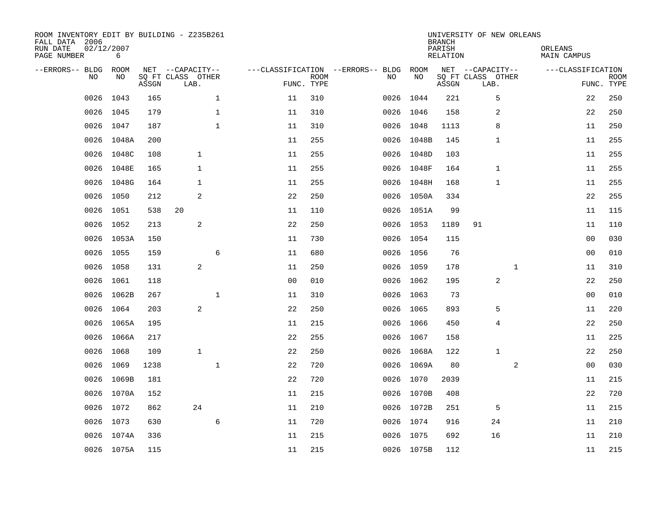| ROOM INVENTORY EDIT BY BUILDING - Z235B261<br>FALL DATA 2006<br>RUN DATE<br>PAGE NUMBER | 02/12/2007<br>6 |       |                                               |                |                           |                                         |            | <b>BRANCH</b><br>PARISH<br><b>RELATION</b> | UNIVERSITY OF NEW ORLEANS                     | ORLEANS<br>MAIN CAMPUS |                           |
|-----------------------------------------------------------------------------------------|-----------------|-------|-----------------------------------------------|----------------|---------------------------|-----------------------------------------|------------|--------------------------------------------|-----------------------------------------------|------------------------|---------------------------|
| --ERRORS-- BLDG<br>NO                                                                   | ROOM<br>NO.     | ASSGN | NET --CAPACITY--<br>SQ FT CLASS OTHER<br>LAB. |                | <b>ROOM</b><br>FUNC. TYPE | ---CLASSIFICATION --ERRORS-- BLDG<br>NO | ROOM<br>NO | ASSGN                                      | NET --CAPACITY--<br>SQ FT CLASS OTHER<br>LAB. | ---CLASSIFICATION      | <b>ROOM</b><br>FUNC. TYPE |
| 0026                                                                                    | 1043            | 165   | $\mathbf 1$                                   | 11             | 310                       | 0026                                    | 1044       | 221                                        | 5                                             | 22                     | 250                       |
| 0026                                                                                    | 1045            | 179   | $\mathbf 1$                                   | 11             | 310                       | 0026                                    | 1046       | 158                                        | 2                                             | 22                     | 250                       |
| 0026                                                                                    | 1047            | 187   | $\mathbf{1}$                                  | 11             | 310                       | 0026                                    | 1048       | 1113                                       | 8                                             | 11                     | 250                       |
| 0026                                                                                    | 1048A           | 200   |                                               | 11             | 255                       | 0026                                    | 1048B      | 145                                        | $\mathbf{1}$                                  | 11                     | 255                       |
| 0026                                                                                    | 1048C           | 108   | $\mathbf{1}$                                  | 11             | 255                       | 0026                                    | 1048D      | 103                                        |                                               | 11                     | 255                       |
| 0026                                                                                    | 1048E           | 165   | $\mathbf{1}$                                  | 11             | 255                       |                                         | 0026 1048F | 164                                        | $\mathbf{1}$                                  | 11                     | 255                       |
| 0026                                                                                    | 1048G           | 164   | $\mathbf{1}$                                  | 11             | 255                       |                                         | 0026 1048H | 168                                        | 1                                             | 11                     | 255                       |
| 0026                                                                                    | 1050            | 212   | 2                                             | 22             | 250                       |                                         | 0026 1050A | 334                                        |                                               | 22                     | 255                       |
| 0026                                                                                    | 1051            | 538   | 20                                            | 11             | 110                       | 0026                                    | 1051A      | 99                                         |                                               | 11                     | 115                       |
| 0026                                                                                    | 1052            | 213   | 2                                             | 22             | 250                       |                                         | 0026 1053  | 1189                                       | 91                                            | 11                     | 110                       |
| 0026                                                                                    | 1053A           | 150   |                                               | 11             | 730                       |                                         | 0026 1054  | 115                                        |                                               | 0 <sub>0</sub>         | 030                       |
| 0026                                                                                    | 1055            | 159   | 6                                             | 11             | 680                       |                                         | 0026 1056  | 76                                         |                                               | 00                     | 010                       |
| 0026                                                                                    | 1058            | 131   | 2                                             | 11             | 250                       | 0026                                    | 1059       | 178                                        | $\mathbf{1}$                                  | 11                     | 310                       |
| 0026                                                                                    | 1061            | 118   |                                               | 0 <sub>0</sub> | 010                       |                                         | 0026 1062  | 195                                        | 2                                             | 22                     | 250                       |
| 0026                                                                                    | 1062B           | 267   | $\mathbf 1$                                   | 11             | 310                       |                                         | 0026 1063  | 73                                         |                                               | 00                     | 010                       |
| 0026                                                                                    | 1064            | 203   | 2                                             | 22             | 250                       |                                         | 0026 1065  | 893                                        | 5                                             | 11                     | 220                       |
| 0026                                                                                    | 1065A           | 195   |                                               | 11             | 215                       | 0026                                    | 1066       | 450                                        | 4                                             | 22                     | 250                       |
| 0026                                                                                    | 1066A           | 217   |                                               | 22             | 255                       |                                         | 0026 1067  | 158                                        |                                               | 11                     | 225                       |
| 0026                                                                                    | 1068            | 109   | $\mathbf{1}$                                  | 22             | 250                       |                                         | 0026 1068A | 122                                        | $\mathbf{1}$                                  | 22                     | 250                       |
| 0026                                                                                    | 1069            | 1238  | $\mathbf{1}$                                  | 22             | 720                       |                                         | 0026 1069A | 80                                         | 2                                             | 0 <sub>0</sub>         | 030                       |
| 0026                                                                                    | 1069B           | 181   |                                               | 22             | 720                       |                                         | 0026 1070  | 2039                                       |                                               | 11                     | 215                       |
| 0026                                                                                    | 1070A           | 152   |                                               | 11             | 215                       |                                         | 0026 1070B | 408                                        |                                               | 22                     | 720                       |
| 0026                                                                                    | 1072            | 862   | 24                                            | 11             | 210                       |                                         | 0026 1072B | 251                                        | 5                                             | 11                     | 215                       |
| 0026                                                                                    | 1073            | 630   | 6                                             | 11             | 720                       |                                         | 0026 1074  | 916                                        | 24                                            | 11                     | 210                       |
|                                                                                         | 0026 1074A      | 336   |                                               | 11             | 215                       |                                         | 0026 1075  | 692                                        | 16                                            | 11                     | 210                       |
|                                                                                         | 0026 1075A      | 115   |                                               | 11             | 215                       |                                         | 0026 1075B | 112                                        |                                               | 11                     | 215                       |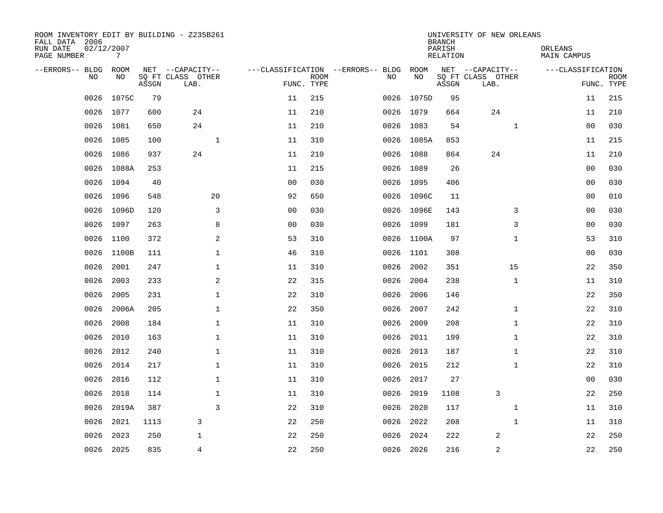| ROOM INVENTORY EDIT BY BUILDING - Z235B261<br>FALL DATA 2006<br>RUN DATE<br>PAGE NUMBER | 02/12/2007<br>7 |       |                           |                                   |             |           |            | <b>BRANCH</b><br>PARISH<br>RELATION | UNIVERSITY OF NEW ORLEANS | ORLEANS<br>MAIN CAMPUS |                           |
|-----------------------------------------------------------------------------------------|-----------------|-------|---------------------------|-----------------------------------|-------------|-----------|------------|-------------------------------------|---------------------------|------------------------|---------------------------|
| --ERRORS-- BLDG ROOM                                                                    |                 |       | NET --CAPACITY--          | ---CLASSIFICATION --ERRORS-- BLDG |             |           | ROOM       |                                     | NET --CAPACITY--          | ---CLASSIFICATION      |                           |
| NO.                                                                                     | NO.             | ASSGN | SQ FT CLASS OTHER<br>LAB. | FUNC. TYPE                        | <b>ROOM</b> | NO.       | NO         | ASSGN                               | SQ FT CLASS OTHER<br>LAB. |                        | <b>ROOM</b><br>FUNC. TYPE |
| 0026                                                                                    | 1075C           | 79    |                           | 11                                | 215         | 0026      | 1075D      | 95                                  |                           | 11                     | 215                       |
|                                                                                         | 0026 1077       | 600   | 24                        | 11                                | 210         | 0026 1079 |            | 664                                 | 24                        | 11                     | 210                       |
| 0026                                                                                    | 1081            | 650   | 24                        | 11                                | 210         | 0026 1083 |            | 54                                  | $\mathbf{1}$              | 0 <sub>0</sub>         | 030                       |
|                                                                                         | 0026 1085       | 100   | $\mathbf{1}$              | 11                                | 310         |           | 0026 1085A | 853                                 |                           | 11                     | 215                       |
| 0026                                                                                    | 1086            | 937   | 24                        | 11                                | 210         | 0026 1088 |            | 864                                 | 24                        | 11                     | 210                       |
|                                                                                         | 0026 1088A      | 253   |                           | 11                                | 215         | 0026 1089 |            | 26                                  |                           | 00                     | 030                       |
| 0026                                                                                    | 1094            | 40    |                           | 0 <sub>0</sub>                    | 030         | 0026      | 1095       | 406                                 |                           | 0 <sub>0</sub>         | 030                       |
| 0026                                                                                    | 1096            | 548   | 20                        | 92                                | 650         |           | 0026 1096C | 11                                  |                           | 00                     | 010                       |
| 0026                                                                                    | 1096D           | 120   | 3                         | 0 <sub>0</sub>                    | 030         |           | 0026 1096E | 143                                 | 3                         | 0 <sub>0</sub>         | 030                       |
|                                                                                         | 0026 1097       | 263   | 8                         | 0 <sub>0</sub>                    | 030         | 0026 1099 |            | 181                                 | 3                         | 0 <sub>0</sub>         | 030                       |
| 0026                                                                                    | 1100            | 372   | 2                         | 53                                | 310         | 0026      | 1100A      | 97                                  | $\mathbf{1}$              | 53                     | 310                       |
| 0026                                                                                    | 1100B           | 111   | 1                         | 46                                | 310         | 0026      | 1101       | 308                                 |                           | 00                     | 030                       |
| 0026                                                                                    | 2001            | 247   | $\mathbf 1$               | 11                                | 310         | 0026      | 2002       | 351                                 | 15                        | 22                     | 350                       |
| 0026                                                                                    | 2003            | 233   | 2                         | 22                                | 315         | 0026      | 2004       | 238                                 | $\mathbf{1}$              | 11                     | 310                       |
| 0026                                                                                    | 2005            | 231   | $\mathbf 1$               | 22                                | 310         | 0026      | 2006       | 146                                 |                           | 22                     | 350                       |
| 0026                                                                                    | 2006A           | 205   | $\mathbf{1}$              | 22                                | 350         | 0026      | 2007       | 242                                 | $\mathbf{1}$              | 22                     | 310                       |
| 0026                                                                                    | 2008            | 184   | $\mathbf 1$               | 11                                | 310         | 0026      | 2009       | 208                                 | $\mathbf{1}$              | 22                     | 310                       |
| 0026                                                                                    | 2010            | 163   | $\mathbf 1$               | 11                                | 310         | 0026      | 2011       | 199                                 | $\mathbf{1}$              | 22                     | 310                       |
| 0026                                                                                    | 2012            | 240   | $\mathbf 1$               | 11                                | 310         | 0026      | 2013       | 187                                 | $\mathbf{1}$              | 22                     | 310                       |
| 0026                                                                                    | 2014            | 217   | $\mathbf{1}$              | 11                                | 310         | 0026      | 2015       | 212                                 | $\mathbf{1}$              | 22                     | 310                       |
| 0026                                                                                    | 2016            | 112   | $\mathbf{1}$              | 11                                | 310         | 0026      | 2017       | 27                                  |                           | 0 <sub>0</sub>         | 030                       |
| 0026                                                                                    | 2018            | 114   | $\mathbf 1$               | 11                                | 310         | 0026      | 2019       | 1108                                | 3                         | 22                     | 250                       |
| 0026                                                                                    | 2019A           | 387   | 3                         | 22                                | 310         | 0026      | 2020       | 117                                 | $\mathbf{1}$              | 11                     | 310                       |
| 0026                                                                                    | 2021            | 1113  | 3                         | 22                                | 250         | 0026      | 2022       | 208                                 | $\mathbf{1}$              | 11                     | 310                       |
| 0026                                                                                    | 2023            | 250   | $\mathbf 1$               | 22                                | 250         | 0026      | 2024       | 222                                 | 2                         | 22                     | 250                       |
|                                                                                         | 0026 2025       | 835   | $\overline{4}$            | 22                                | 250         | 0026 2026 |            | 216                                 | $\sqrt{2}$                | 22                     | 250                       |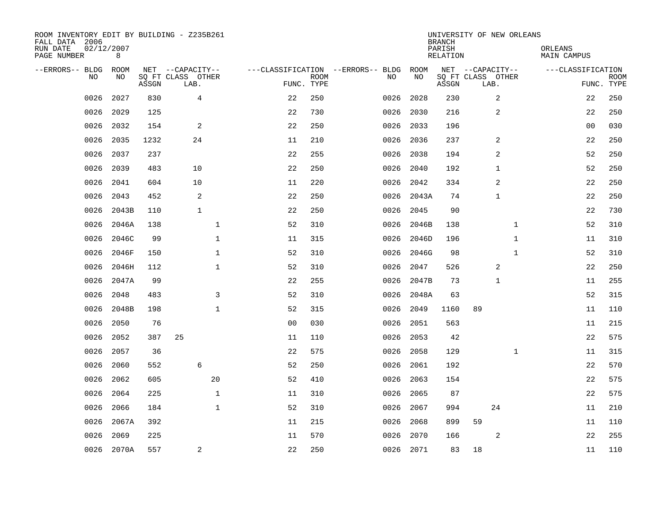| ROOM INVENTORY EDIT BY BUILDING - Z235B261<br>FALL DATA 2006<br>RUN DATE<br>PAGE NUMBER | 02/12/2007<br>8 |       |                           |                |             |                                   |           | <b>BRANCH</b><br>PARISH<br>RELATION | UNIVERSITY OF NEW ORLEANS | ORLEANS<br>MAIN CAMPUS |                           |
|-----------------------------------------------------------------------------------------|-----------------|-------|---------------------------|----------------|-------------|-----------------------------------|-----------|-------------------------------------|---------------------------|------------------------|---------------------------|
| --ERRORS-- BLDG                                                                         | ROOM            |       | NET --CAPACITY--          |                |             | ---CLASSIFICATION --ERRORS-- BLDG | ROOM      |                                     | NET --CAPACITY--          | ---CLASSIFICATION      |                           |
| N <sub>O</sub>                                                                          | NO.             | ASSGN | SO FT CLASS OTHER<br>LAB. | FUNC. TYPE     | <b>ROOM</b> | NO.                               | NO        | ASSGN                               | SQ FT CLASS OTHER<br>LAB. |                        | <b>ROOM</b><br>FUNC. TYPE |
| 0026                                                                                    | 2027            | 830   | $\overline{4}$            | 22             | 250         | 0026                              | 2028      | 230                                 | 2                         | 22                     | 250                       |
| 0026                                                                                    | 2029            | 125   |                           | 22             | 730         | 0026                              | 2030      | 216                                 | 2                         | 22                     | 250                       |
| 0026                                                                                    | 2032            | 154   | 2                         | 22             | 250         | 0026                              | 2033      | 196                                 |                           | 0 <sub>0</sub>         | 030                       |
| 0026                                                                                    | 2035            | 1232  | 24                        | 11             | 210         | 0026                              | 2036      | 237                                 | 2                         | 22                     | 250                       |
| 0026                                                                                    | 2037            | 237   |                           | 22             | 255         | 0026                              | 2038      | 194                                 | 2                         | 52                     | 250                       |
| 0026                                                                                    | 2039            | 483   | 10                        | 22             | 250         | 0026                              | 2040      | 192                                 | 1                         | 52                     | 250                       |
| 0026                                                                                    | 2041            | 604   | 10                        | 11             | 220         | 0026                              | 2042      | 334                                 | 2                         | 22                     | 250                       |
| 0026                                                                                    | 2043            | 452   | $\overline{2}$            | 22             | 250         | 0026                              | 2043A     | 74                                  | $\mathbf{1}$              | 22                     | 250                       |
| 0026                                                                                    | 2043B           | 110   | $\mathbf{1}$              | 22             | 250         | 0026                              | 2045      | 90                                  |                           | 22                     | 730                       |
| 0026                                                                                    | 2046A           | 138   | $\mathbf 1$               | 52             | 310         | 0026                              | 2046B     | 138                                 | $\mathbf{1}$              | 52                     | 310                       |
| 0026                                                                                    | 2046C           | 99    | $\mathbf{1}$              | 11             | 315         | 0026                              | 2046D     | 196                                 | $\mathbf{1}$              | 11                     | 310                       |
| 0026                                                                                    | 2046F           | 150   | $\mathbf{1}$              | 52             | 310         | 0026                              | 2046G     | 98                                  | $\mathbf{1}$              | 52                     | 310                       |
| 0026                                                                                    | 2046H           | 112   | $\mathbf 1$               | 52             | 310         | 0026                              | 2047      | 526                                 | 2                         | 22                     | 250                       |
| 0026                                                                                    | 2047A           | 99    |                           | 22             | 255         | 0026                              | 2047B     | 73                                  | 1                         | 11                     | 255                       |
| 0026                                                                                    | 2048            | 483   | 3                         | 52             | 310         | 0026                              | 2048A     | 63                                  |                           | 52                     | 315                       |
| 0026                                                                                    | 2048B           | 198   | $\mathbf{1}$              | 52             | 315         | 0026                              | 2049      | 1160                                | 89                        | 11                     | 110                       |
| 0026                                                                                    | 2050            | 76    |                           | 0 <sub>0</sub> | 030         | 0026                              | 2051      | 563                                 |                           | 11                     | 215                       |
| 0026                                                                                    | 2052            | 387   | 25                        | 11             | 110         | 0026                              | 2053      | 42                                  |                           | 22                     | 575                       |
| 0026                                                                                    | 2057            | 36    |                           | 22             | 575         | 0026                              | 2058      | 129                                 | $\mathbf{1}$              | 11                     | 315                       |
| 0026                                                                                    | 2060            | 552   | 6                         | 52             | 250         | 0026                              | 2061      | 192                                 |                           | 22                     | 570                       |
| 0026                                                                                    | 2062            | 605   | 20                        | 52             | 410         | 0026                              | 2063      | 154                                 |                           | 22                     | 575                       |
| 0026                                                                                    | 2064            | 225   | $\mathbf 1$               | 11             | 310         | 0026                              | 2065      | 87                                  |                           | 22                     | 575                       |
| 0026                                                                                    | 2066            | 184   | $\mathbf{1}$              | 52             | 310         | 0026                              | 2067      | 994                                 | 24                        | 11                     | 210                       |
| 0026                                                                                    | 2067A           | 392   |                           | 11             | 215         | 0026                              | 2068      | 899                                 | 59                        | 11                     | 110                       |
| 0026                                                                                    | 2069            | 225   |                           | 11             | 570         | 0026                              | 2070      | 166                                 | 2                         | 22                     | 255                       |
|                                                                                         | 0026 2070A      | 557   | 2                         | 22             | 250         |                                   | 0026 2071 | 83                                  | 18                        | 11                     | 110                       |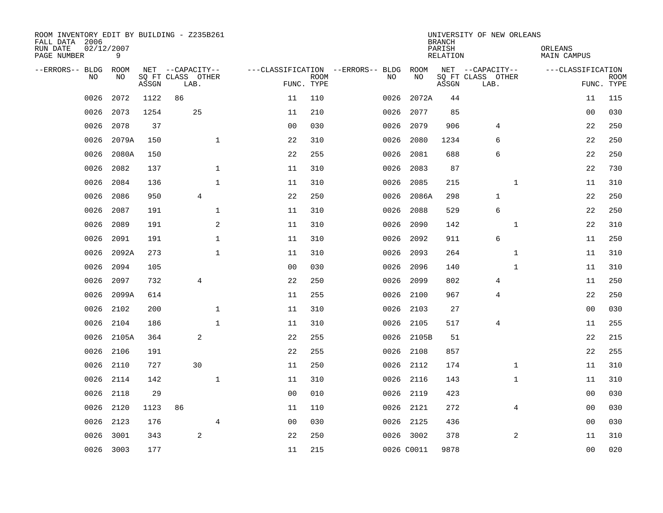| ROOM INVENTORY EDIT BY BUILDING - Z235B261<br>FALL DATA 2006<br>RUN DATE<br>PAGE NUMBER | 02/12/2007<br>9 |       |                           |                                  |                           |                                   |            | <b>BRANCH</b><br>PARISH<br><b>RELATION</b> | UNIVERSITY OF NEW ORLEANS | ORLEANS<br><b>MAIN CAMPUS</b> |                           |
|-----------------------------------------------------------------------------------------|-----------------|-------|---------------------------|----------------------------------|---------------------------|-----------------------------------|------------|--------------------------------------------|---------------------------|-------------------------------|---------------------------|
| --ERRORS-- BLDG                                                                         | ROOM            |       | NET --CAPACITY--          |                                  |                           | ---CLASSIFICATION --ERRORS-- BLDG | ROOM       |                                            | NET --CAPACITY--          | ---CLASSIFICATION             |                           |
| <b>NO</b>                                                                               | NO              | ASSGN | SQ FT CLASS OTHER<br>LAB. |                                  | <b>ROOM</b><br>FUNC. TYPE | NO.                               | NO         | ASSGN                                      | SQ FT CLASS OTHER<br>LAB. |                               | <b>ROOM</b><br>FUNC. TYPE |
| 0026                                                                                    | 2072            | 1122  | 86                        | 11                               | 110                       | 0026                              | 2072A      | 44                                         |                           | 11                            | 115                       |
| 0026                                                                                    | 2073            | 1254  | 25                        | 11                               | 210                       | 0026                              | 2077       | 85                                         |                           | 00                            | 030                       |
| 0026                                                                                    | 2078            | 37    |                           | 0 <sub>0</sub>                   | 030                       | 0026                              | 2079       | 906                                        | 4                         | 22                            | 250                       |
| 0026                                                                                    | 2079A           | 150   |                           | $\mathbf{1}$<br>22               | 310                       | 0026                              | 2080       | 1234                                       | 6                         | 22                            | 250                       |
| 0026                                                                                    | 2080A           | 150   |                           | 22                               | 255                       | 0026                              | 2081       | 688                                        | 6                         | 22                            | 250                       |
| 0026                                                                                    | 2082            | 137   |                           | $\mathbf{1}$<br>11               | 310                       | 0026                              | 2083       | 87                                         |                           | 22                            | 730                       |
| 0026                                                                                    | 2084            | 136   |                           | $\mathbf{1}$<br>11               | 310                       | 0026                              | 2085       | 215                                        | $\mathbf{1}$              | 11                            | 310                       |
| 0026                                                                                    | 2086            | 950   | 4                         | 22                               | 250                       | 0026                              | 2086A      | 298                                        | 1                         | 22                            | 250                       |
| 0026                                                                                    | 2087            | 191   |                           | $\mathbf 1$<br>11                | 310                       | 0026                              | 2088       | 529                                        | 6                         | 22                            | 250                       |
| 0026                                                                                    | 2089            | 191   |                           | 2<br>11                          | 310                       | 0026                              | 2090       | 142                                        | $\mathbf{1}$              | 22                            | 310                       |
| 0026                                                                                    | 2091            | 191   |                           | $\mathbf{1}$<br>11               | 310                       | 0026                              | 2092       | 911                                        | 6                         | 11                            | 250                       |
| 0026                                                                                    | 2092A           | 273   |                           | $\mathbf{1}$<br>11               | 310                       | 0026                              | 2093       | 264                                        | $\mathbf{1}$              | 11                            | 310                       |
| 0026                                                                                    | 2094            | 105   |                           | 0 <sub>0</sub>                   | 030                       | 0026                              | 2096       | 140                                        | $\mathbf{1}$              | 11                            | 310                       |
| 0026                                                                                    | 2097            | 732   | $\overline{4}$            | 22                               | 250                       | 0026                              | 2099       | 802                                        | 4                         | 11                            | 250                       |
| 0026                                                                                    | 2099A           | 614   |                           | 11                               | 255                       | 0026                              | 2100       | 967                                        | 4                         | 22                            | 250                       |
| 0026                                                                                    | 2102            | 200   |                           | $\mathbf{1}$<br>11               | 310                       | 0026                              | 2103       | 27                                         |                           | 0 <sub>0</sub>                | 030                       |
| 0026                                                                                    | 2104            | 186   |                           | $\mathbf{1}$<br>11               | 310                       | 0026                              | 2105       | 517                                        | 4                         | 11                            | 255                       |
| 0026                                                                                    | 2105A           | 364   | 2                         | 22                               | 255                       |                                   | 0026 2105B | 51                                         |                           | 22                            | 215                       |
| 0026                                                                                    | 2106            | 191   |                           | 22                               | 255                       | 0026                              | 2108       | 857                                        |                           | 22                            | 255                       |
| 0026                                                                                    | 2110            | 727   | 30                        | 11                               | 250                       | 0026                              | 2112       | 174                                        | $\mathbf{1}$              | 11                            | 310                       |
| 0026                                                                                    | 2114            | 142   |                           | $\mathbf 1$<br>11                | 310                       | 0026                              | 2116       | 143                                        | $\mathbf{1}$              | 11                            | 310                       |
| 0026                                                                                    | 2118            | 29    |                           | 0 <sub>0</sub>                   | 010                       |                                   | 0026 2119  | 423                                        |                           | 0 <sub>0</sub>                | 030                       |
| 0026                                                                                    | 2120            | 1123  | 86                        | 11                               | 110                       | 0026                              | 2121       | 272                                        | $\overline{4}$            | 00                            | 030                       |
| 0026                                                                                    | 2123            | 176   |                           | $\overline{4}$<br>0 <sub>0</sub> | 030                       | 0026                              | 2125       | 436                                        |                           | 0 <sub>0</sub>                | 030                       |
| 0026                                                                                    | 3001            | 343   | $\sqrt{2}$                | 22                               | 250                       |                                   | 0026 3002  | 378                                        | 2                         | 11                            | 310                       |
|                                                                                         | 0026 3003       | 177   |                           | 11                               | 215                       |                                   | 0026 C0011 | 9878                                       |                           | 0 <sub>0</sub>                | 020                       |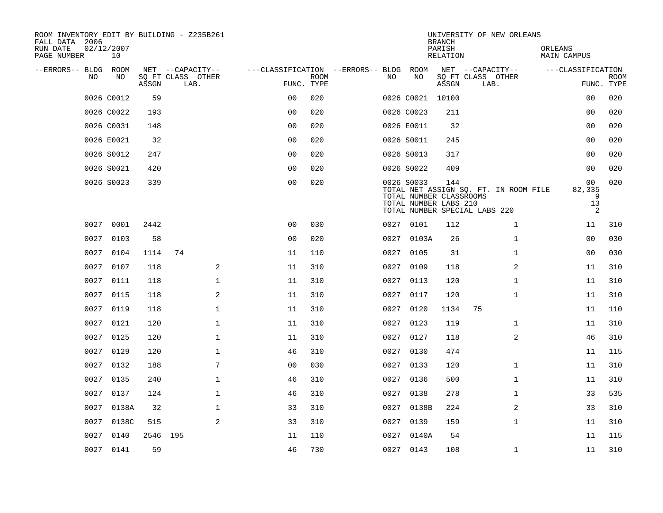| ROOM INVENTORY EDIT BY BUILDING - Z235B261<br>FALL DATA 2006 |                  |          |                           |                                        |             |      |                                                                | <b>BRANCH</b>      | UNIVERSITY OF NEW ORLEANS                                              |                                          |                           |
|--------------------------------------------------------------|------------------|----------|---------------------------|----------------------------------------|-------------|------|----------------------------------------------------------------|--------------------|------------------------------------------------------------------------|------------------------------------------|---------------------------|
| RUN DATE<br>PAGE NUMBER                                      | 02/12/2007<br>10 |          |                           |                                        |             |      |                                                                | PARISH<br>RELATION |                                                                        | ORLEANS<br>MAIN CAMPUS                   |                           |
| --ERRORS-- BLDG ROOM                                         |                  |          | NET --CAPACITY--          | ---CLASSIFICATION --ERRORS-- BLDG ROOM |             |      |                                                                |                    | NET --CAPACITY--                                                       | ---CLASSIFICATION                        |                           |
| NO.                                                          | NO.              | ASSGN    | SQ FT CLASS OTHER<br>LAB. | FUNC. TYPE                             | <b>ROOM</b> | NO.  | NO                                                             | ASSGN              | SQ FT CLASS OTHER<br>LAB.                                              |                                          | <b>ROOM</b><br>FUNC. TYPE |
|                                                              | 0026 C0012       | 59       |                           | 0 <sub>0</sub>                         | 020         |      | 0026 C0021 10100                                               |                    |                                                                        | 0 <sub>0</sub>                           | 020                       |
|                                                              | 0026 C0022       | 193      |                           | 0 <sub>0</sub>                         | 020         |      | 0026 C0023                                                     | 211                |                                                                        | 00                                       | 020                       |
|                                                              | 0026 C0031       | 148      |                           | 0 <sub>0</sub>                         | 020         |      | 0026 E0011                                                     | 32                 |                                                                        | 00                                       | 020                       |
|                                                              | 0026 E0021       | 32       |                           | 0 <sub>0</sub>                         | 020         |      | 0026 S0011                                                     | 245                |                                                                        | 00                                       | 020                       |
|                                                              | 0026 S0012       | 247      |                           | 00                                     | 020         |      | 0026 S0013                                                     | 317                |                                                                        | 0 <sub>0</sub>                           | 020                       |
|                                                              | 0026 S0021       | 420      |                           | 0 <sub>0</sub>                         | 020         |      | 0026 S0022                                                     | 409                |                                                                        | 00                                       | 020                       |
|                                                              | 0026 S0023       | 339      |                           | 0 <sub>0</sub>                         | 020         |      | 0026 S0033<br>TOTAL NUMBER CLASSROOMS<br>TOTAL NUMBER LABS 210 | 144                | TOTAL NET ASSIGN SQ. FT. IN ROOM FILE<br>TOTAL NUMBER SPECIAL LABS 220 | 0 <sub>0</sub><br>82,335<br>9<br>13<br>2 | 020                       |
|                                                              | 0027 0001        | 2442     |                           | 0 <sub>0</sub>                         | 030         |      | 0027 0101                                                      | 112                | $\mathbf{1}$                                                           | 11                                       | 310                       |
| 0027                                                         | 0103             | 58       |                           | 0 <sub>0</sub>                         | 020         |      | 0027 0103A                                                     | 26                 | $\mathbf{1}$                                                           | 0 <sub>0</sub>                           | 030                       |
|                                                              | 0027 0104        | 1114     | 74                        | 11                                     | 110         |      | 0027 0105                                                      | 31                 | $\mathbf{1}$                                                           | 00                                       | 030                       |
| 0027                                                         | 0107             | 118      | 2                         | 11                                     | 310         | 0027 | 0109                                                           | 118                | 2                                                                      | 11                                       | 310                       |
| 0027                                                         | 0111             | 118      | $\mathbf{1}$              | 11                                     | 310         |      | 0027 0113                                                      | 120                | $\mathbf{1}$                                                           | 11                                       | 310                       |
| 0027                                                         | 0115             | 118      | 2                         | 11                                     | 310         | 0027 | 0117                                                           | 120                | $\mathbf{1}$                                                           | 11                                       | 310                       |
| 0027                                                         | 0119             | 118      | $\mathbf 1$               | 11                                     | 310         |      | 0027 0120                                                      | 1134               | 75                                                                     | 11                                       | 110                       |
| 0027                                                         | 0121             | 120      | $\mathbf{1}$              | 11                                     | 310         | 0027 | 0123                                                           | 119                | $\mathbf{1}$                                                           | 11                                       | 310                       |
| 0027                                                         | 0125             | 120      | $\mathbf{1}$              | 11                                     | 310         | 0027 | 0127                                                           | 118                | 2                                                                      | 46                                       | 310                       |
| 0027                                                         | 0129             | 120      | $\mathbf 1$               | 46                                     | 310         |      | 0027 0130                                                      | 474                |                                                                        | 11                                       | 115                       |
| 0027                                                         | 0132             | 188      | 7                         | 00                                     | 030         |      | 0027 0133                                                      | 120                | $\mathbf{1}$                                                           | 11                                       | 310                       |
| 0027                                                         | 0135             | 240      | $\mathbf{1}$              | 46                                     | 310         |      | 0027 0136                                                      | 500                | $\mathbf{1}$                                                           | 11                                       | 310                       |
| 0027                                                         | 0137             | 124      | $\mathbf{1}$              | 46                                     | 310         | 0027 | 0138                                                           | 278                | $\mathbf{1}$                                                           | 33                                       | 535                       |
| 0027                                                         | 0138A            | 32       | $\mathbf 1$               | 33                                     | 310         |      | 0027 0138B                                                     | 224                | 2                                                                      | 33                                       | 310                       |
| 0027                                                         | 0138C            | 515      | 2                         | 33                                     | 310         | 0027 | 0139                                                           | 159                | $\mathbf{1}$                                                           | 11                                       | 310                       |
| 0027                                                         | 0140             | 2546 195 |                           | 11                                     | 110         |      | 0027 0140A                                                     | 54                 |                                                                        | 11                                       | 115                       |
|                                                              | 0027 0141        | 59       |                           | 46                                     | 730         |      | 0027 0143                                                      | 108                | $\mathbf{1}$                                                           | 11                                       | 310                       |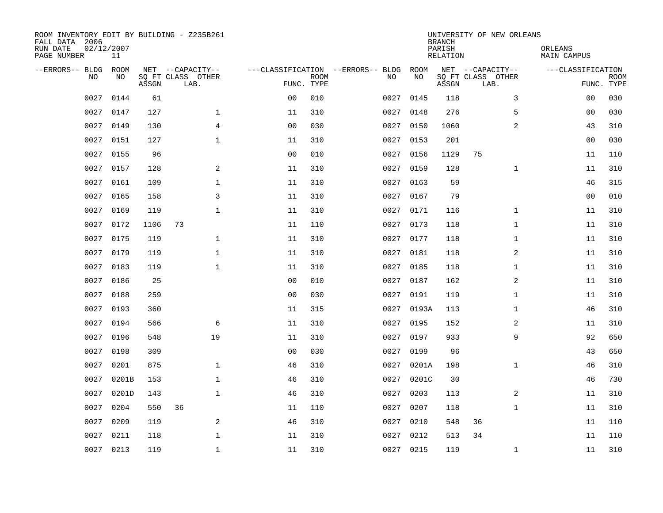| ROOM INVENTORY EDIT BY BUILDING - Z235B261<br>FALL DATA 2006<br>RUN DATE<br>PAGE NUMBER | 02/12/2007<br>11 |       |                           |                |             |                                   |           | <b>BRANCH</b><br>PARISH<br>RELATION | UNIVERSITY OF NEW ORLEANS | ORLEANS<br>MAIN CAMPUS |                           |
|-----------------------------------------------------------------------------------------|------------------|-------|---------------------------|----------------|-------------|-----------------------------------|-----------|-------------------------------------|---------------------------|------------------------|---------------------------|
| --ERRORS-- BLDG                                                                         | <b>ROOM</b>      |       | NET --CAPACITY--          |                |             | ---CLASSIFICATION --ERRORS-- BLDG | ROOM      |                                     | NET --CAPACITY--          | ---CLASSIFICATION      |                           |
| N <sub>O</sub>                                                                          | NO.              | ASSGN | SO FT CLASS OTHER<br>LAB. | FUNC. TYPE     | <b>ROOM</b> | NO.                               | NO        | ASSGN                               | SQ FT CLASS OTHER<br>LAB. |                        | <b>ROOM</b><br>FUNC. TYPE |
| 0027                                                                                    | 0144             | 61    |                           | 0 <sub>0</sub> | 010         | 0027                              | 0145      | 118                                 | 3                         | 00                     | 030                       |
| 0027                                                                                    | 0147             | 127   | $\mathbf{1}$              | 11             | 310         | 0027                              | 0148      | 276                                 | 5                         | 0 <sub>0</sub>         | 030                       |
| 0027                                                                                    | 0149             | 130   | $\overline{4}$            | 0 <sub>0</sub> | 030         | 0027                              | 0150      | 1060                                | 2                         | 43                     | 310                       |
| 0027                                                                                    | 0151             | 127   | $\mathbf{1}$              | 11             | 310         | 0027                              | 0153      | 201                                 |                           | 0 <sub>0</sub>         | 030                       |
| 0027                                                                                    | 0155             | 96    |                           | 0 <sub>0</sub> | 010         | 0027                              | 0156      | 1129                                | 75                        | 11                     | 110                       |
| 0027                                                                                    | 0157             | 128   | 2                         | 11             | 310         | 0027                              | 0159      | 128                                 | $\mathbf{1}$              | 11                     | 310                       |
| 0027                                                                                    | 0161             | 109   | $\mathbf 1$               | 11             | 310         | 0027                              | 0163      | 59                                  |                           | 46                     | 315                       |
| 0027                                                                                    | 0165             | 158   | 3                         | 11             | 310         | 0027                              | 0167      | 79                                  |                           | 0 <sub>0</sub>         | 010                       |
| 0027                                                                                    | 0169             | 119   | $\mathbf{1}$              | 11             | 310         | 0027                              | 0171      | 116                                 | $\mathbf{1}$              | 11                     | 310                       |
| 0027                                                                                    | 0172             | 1106  | 73                        | 11             | 110         |                                   | 0027 0173 | 118                                 | $\mathbf{1}$              | 11                     | 310                       |
| 0027                                                                                    | 0175             | 119   | $\mathbf 1$               | 11             | 310         | 0027                              | 0177      | 118                                 | $\mathbf{1}$              | 11                     | 310                       |
| 0027                                                                                    | 0179             | 119   | $\mathbf{1}$              | 11             | 310         |                                   | 0027 0181 | 118                                 | 2                         | 11                     | 310                       |
| 0027                                                                                    | 0183             | 119   | $\mathbf{1}$              | 11             | 310         | 0027                              | 0185      | 118                                 | $\mathbf{1}$              | 11                     | 310                       |
| 0027                                                                                    | 0186             | 25    |                           | 0 <sub>0</sub> | 010         | 0027                              | 0187      | 162                                 | 2                         | 11                     | 310                       |
| 0027                                                                                    | 0188             | 259   |                           | 0 <sub>0</sub> | 030         | 0027                              | 0191      | 119                                 | $\mathbf{1}$              | 11                     | 310                       |
| 0027                                                                                    | 0193             | 360   |                           | 11             | 315         | 0027                              | 0193A     | 113                                 | $\mathbf{1}$              | 46                     | 310                       |
| 0027                                                                                    | 0194             | 566   | 6                         | 11             | 310         | 0027                              | 0195      | 152                                 | 2                         | 11                     | 310                       |
| 0027                                                                                    | 0196             | 548   | 19                        | 11             | 310         | 0027                              | 0197      | 933                                 | 9                         | 92                     | 650                       |
| 0027                                                                                    | 0198             | 309   |                           | 0 <sub>0</sub> | 030         | 0027                              | 0199      | 96                                  |                           | 43                     | 650                       |
| 0027                                                                                    | 0201             | 875   | $\mathbf{1}$              | 46             | 310         | 0027                              | 0201A     | 198                                 | $\mathbf{1}$              | 46                     | 310                       |
| 0027                                                                                    | 0201B            | 153   | $\mathbf 1$               | 46             | 310         | 0027                              | 0201C     | 30                                  |                           | 46                     | 730                       |
| 0027                                                                                    | 0201D            | 143   | $\mathbf 1$               | 46             | 310         | 0027                              | 0203      | 113                                 | 2                         | 11                     | 310                       |
| 0027                                                                                    | 0204             | 550   | 36                        | 11             | 110         | 0027                              | 0207      | 118                                 | $\mathbf{1}$              | 11                     | 310                       |
| 0027                                                                                    | 0209             | 119   | 2                         | 46             | 310         | 0027                              | 0210      | 548                                 | 36                        | 11                     | 110                       |
| 0027                                                                                    | 0211             | 118   | $\mathbf 1$               | 11             | 310         | 0027                              | 0212      | 513                                 | 34                        | 11                     | 110                       |
|                                                                                         | 0027 0213        | 119   | $\mathbf{1}$              | 11             | 310         |                                   | 0027 0215 | 119                                 | $\mathbf{1}$              | 11                     | 310                       |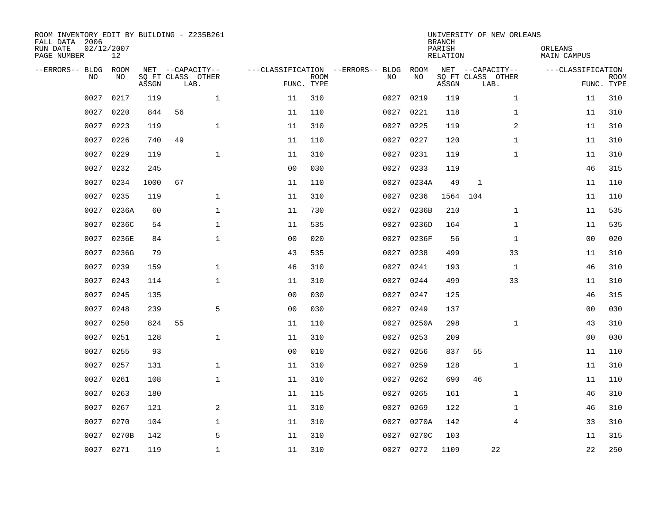| ROOM INVENTORY EDIT BY BUILDING - Z235B261<br>FALL DATA 2006<br>RUN DATE<br>PAGE NUMBER | 02/12/2007<br>12 |       |                                               |                               |                           |                                         |            | <b>BRANCH</b><br>PARISH<br><b>RELATION</b> | UNIVERSITY OF NEW ORLEANS                     | ORLEANS<br><b>MAIN CAMPUS</b> |                           |
|-----------------------------------------------------------------------------------------|------------------|-------|-----------------------------------------------|-------------------------------|---------------------------|-----------------------------------------|------------|--------------------------------------------|-----------------------------------------------|-------------------------------|---------------------------|
| --ERRORS-- BLDG<br>NO                                                                   | ROOM<br>NO       | ASSGN | NET --CAPACITY--<br>SQ FT CLASS OTHER<br>LAB. |                               | <b>ROOM</b><br>FUNC. TYPE | ---CLASSIFICATION --ERRORS-- BLDG<br>NO | ROOM<br>NO | ASSGN                                      | NET --CAPACITY--<br>SQ FT CLASS OTHER<br>LAB. | ---CLASSIFICATION             | <b>ROOM</b><br>FUNC. TYPE |
| 0027                                                                                    | 0217             | 119   |                                               | $\mathbf{1}$<br>11            | 310                       | 0027                                    | 0219       | 119                                        | $\mathbf{1}$                                  | 11                            | 310                       |
| 0027                                                                                    | 0220             | 844   | 56                                            | 11                            | 110                       | 0027                                    | 0221       | 118                                        | $\mathbf{1}$                                  | 11                            | 310                       |
| 0027                                                                                    | 0223             | 119   |                                               | $\mathbf 1$<br>11             | 310                       | 0027                                    | 0225       | 119                                        | 2                                             | 11                            | 310                       |
| 0027                                                                                    | 0226             | 740   | 49                                            | 11                            | 110                       | 0027                                    | 0227       | 120                                        | $\mathbf{1}$                                  | 11                            | 310                       |
| 0027                                                                                    | 0229             | 119   |                                               | $\mathbf{1}$<br>11            | 310                       | 0027                                    | 0231       | 119                                        | $\mathbf{1}$                                  | 11                            | 310                       |
| 0027                                                                                    | 0232             | 245   |                                               | 0 <sub>0</sub>                | 030                       | 0027                                    | 0233       | 119                                        |                                               | 46                            | 315                       |
| 0027                                                                                    | 0234             | 1000  | 67                                            | 11                            | 110                       | 0027                                    | 0234A      | 49                                         | $\mathbf{1}$                                  | 11                            | 110                       |
| 0027                                                                                    | 0235             | 119   |                                               | $\mathbf{1}$<br>11            | 310                       | 0027                                    | 0236       | 1564                                       | 104                                           | 11                            | 110                       |
| 0027                                                                                    | 0236A            | 60    |                                               | $\mathbf{1}$<br>11            | 730                       | 0027                                    | 0236B      | 210                                        | $\mathbf{1}$                                  | 11                            | 535                       |
| 0027                                                                                    | 0236C            | 54    |                                               | $\mathbf 1$<br>11             | 535                       | 0027                                    | 0236D      | 164                                        | $\mathbf{1}$                                  | 11                            | 535                       |
| 0027                                                                                    | 0236E            | 84    |                                               | $\mathbf 1$<br>0 <sub>0</sub> | 020                       | 0027                                    | 0236F      | 56                                         | $\mathbf{1}$                                  | 0 <sub>0</sub>                | 020                       |
| 0027                                                                                    | 0236G            | 79    |                                               | 43                            | 535                       | 0027                                    | 0238       | 499                                        | 33                                            | 11                            | 310                       |
| 0027                                                                                    | 0239             | 159   |                                               | $\mathbf 1$<br>46             | 310                       | 0027                                    | 0241       | 193                                        | $\mathbf{1}$                                  | 46                            | 310                       |
| 0027                                                                                    | 0243             | 114   |                                               | $\mathbf 1$<br>11             | 310                       | 0027                                    | 0244       | 499                                        | 33                                            | 11                            | 310                       |
| 0027                                                                                    | 0245             | 135   |                                               | 0 <sub>0</sub>                | 030                       | 0027                                    | 0247       | 125                                        |                                               | 46                            | 315                       |
| 0027                                                                                    | 0248             | 239   |                                               | 5<br>0 <sub>0</sub>           | 030                       | 0027                                    | 0249       | 137                                        |                                               | 00                            | 030                       |
| 0027                                                                                    | 0250             | 824   | 55                                            | 11                            | 110                       | 0027                                    | 0250A      | 298                                        | $\mathbf{1}$                                  | 43                            | 310                       |
| 0027                                                                                    | 0251             | 128   | $\mathbf 1$                                   | 11                            | 310                       | 0027                                    | 0253       | 209                                        |                                               | 0 <sub>0</sub>                | 030                       |
| 0027                                                                                    | 0255             | 93    |                                               | 0 <sub>0</sub>                | 010                       | 0027                                    | 0256       | 837                                        | 55                                            | 11                            | 110                       |
| 0027                                                                                    | 0257             | 131   |                                               | $\mathbf 1$<br>11             | 310                       | 0027                                    | 0259       | 128                                        | $\mathbf{1}$                                  | 11                            | 310                       |
| 0027                                                                                    | 0261             | 108   |                                               | $\mathbf 1$<br>11             | 310                       | 0027                                    | 0262       | 690                                        | 46                                            | 11                            | 110                       |
| 0027                                                                                    | 0263             | 180   |                                               | 11                            | 115                       | 0027                                    | 0265       | 161                                        | $\mathbf{1}$                                  | 46                            | 310                       |
| 0027                                                                                    | 0267             | 121   |                                               | 2<br>11                       | 310                       | 0027                                    | 0269       | 122                                        | $\mathbf{1}$                                  | 46                            | 310                       |
| 0027                                                                                    | 0270             | 104   |                                               | $\mathbf 1$<br>11             | 310                       | 0027                                    | 0270A      | 142                                        | $\overline{4}$                                | 33                            | 310                       |
| 0027                                                                                    | 0270B            | 142   |                                               | 5<br>11                       | 310                       | 0027                                    | 0270C      | 103                                        |                                               | 11                            | 315                       |
|                                                                                         | 0027 0271        | 119   |                                               | $\mathbf{1}$<br>11            | 310                       |                                         | 0027 0272  | 1109                                       | 22                                            | 22                            | 250                       |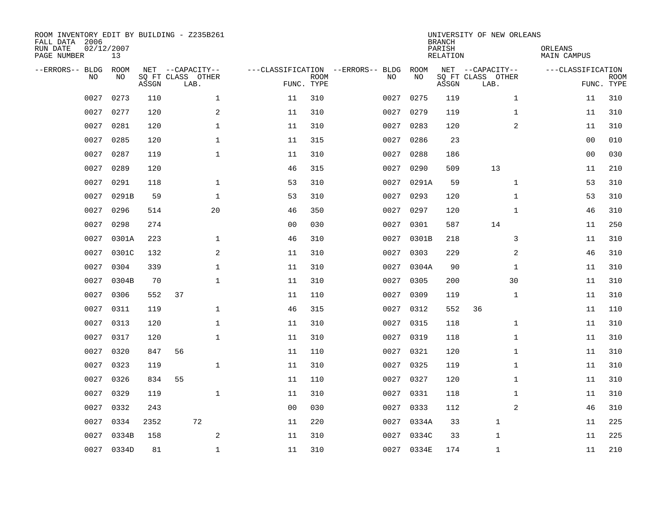| ROOM INVENTORY EDIT BY BUILDING - Z235B261<br>FALL DATA 2006<br>RUN DATE<br>PAGE NUMBER | 02/12/2007<br>13 |       |                                               |                |                           |                                         |            | <b>BRANCH</b><br>PARISH<br><b>RELATION</b> | UNIVERSITY OF NEW ORLEANS                     | ORLEANS<br><b>MAIN CAMPUS</b> |                           |
|-----------------------------------------------------------------------------------------|------------------|-------|-----------------------------------------------|----------------|---------------------------|-----------------------------------------|------------|--------------------------------------------|-----------------------------------------------|-------------------------------|---------------------------|
| --ERRORS-- BLDG<br>NO                                                                   | ROOM<br>NO       | ASSGN | NET --CAPACITY--<br>SQ FT CLASS OTHER<br>LAB. |                | <b>ROOM</b><br>FUNC. TYPE | ---CLASSIFICATION --ERRORS-- BLDG<br>NO | ROOM<br>NO | ASSGN                                      | NET --CAPACITY--<br>SQ FT CLASS OTHER<br>LAB. | ---CLASSIFICATION             | <b>ROOM</b><br>FUNC. TYPE |
| 0027                                                                                    | 0273             | 110   | $\mathbf 1$                                   | 11             | 310                       | 0027                                    | 0275       | 119                                        | $\mathbf{1}$                                  | 11                            | 310                       |
| 0027                                                                                    | 0277             | 120   | 2                                             | 11             | 310                       | 0027                                    | 0279       | 119                                        | $\mathbf{1}$                                  | 11                            | 310                       |
| 0027                                                                                    | 0281             | 120   | 1                                             | 11             | 310                       | 0027                                    | 0283       | 120                                        | 2                                             | 11                            | 310                       |
| 0027                                                                                    | 0285             | 120   | $\mathbf 1$                                   | 11             | 315                       | 0027                                    | 0286       | 23                                         |                                               | 0 <sub>0</sub>                | 010                       |
| 0027                                                                                    | 0287             | 119   | $\mathbf{1}$                                  | 11             | 310                       | 0027                                    | 0288       | 186                                        |                                               | 0 <sub>0</sub>                | 030                       |
| 0027                                                                                    | 0289             | 120   |                                               | 46             | 315                       | 0027                                    | 0290       | 509                                        | 13                                            | 11                            | 210                       |
| 0027                                                                                    | 0291             | 118   | $\mathbf{1}$                                  | 53             | 310                       | 0027                                    | 0291A      | 59                                         | $\mathbf{1}$                                  | 53                            | 310                       |
| 0027                                                                                    | 0291B            | 59    | $\mathbf{1}$                                  | 53             | 310                       | 0027                                    | 0293       | 120                                        | $\mathbf{1}$                                  | 53                            | 310                       |
| 0027                                                                                    | 0296             | 514   | 20                                            | 46             | 350                       | 0027                                    | 0297       | 120                                        | $\mathbf{1}$                                  | 46                            | 310                       |
| 0027                                                                                    | 0298             | 274   |                                               | 0 <sub>0</sub> | 030                       | 0027                                    | 0301       | 587                                        | 14                                            | 11                            | 250                       |
| 0027                                                                                    | 0301A            | 223   | $\mathbf{1}$                                  | 46             | 310                       | 0027                                    | 0301B      | 218                                        | 3                                             | 11                            | 310                       |
| 0027                                                                                    | 0301C            | 132   | 2                                             | 11             | 310                       | 0027                                    | 0303       | 229                                        | 2                                             | 46                            | 310                       |
| 0027                                                                                    | 0304             | 339   | $\mathbf 1$                                   | 11             | 310                       | 0027                                    | 0304A      | 90                                         | $\mathbf{1}$                                  | 11                            | 310                       |
| 0027                                                                                    | 0304B            | 70    | $\mathbf 1$                                   | 11             | 310                       | 0027                                    | 0305       | 200                                        | 30                                            | 11                            | 310                       |
| 0027                                                                                    | 0306             | 552   | 37                                            | 11             | 110                       | 0027                                    | 0309       | 119                                        | $\mathbf{1}$                                  | 11                            | 310                       |
| 0027                                                                                    | 0311             | 119   | $\mathbf{1}$                                  | 46             | 315                       | 0027                                    | 0312       | 552                                        | 36                                            | 11                            | 110                       |
| 0027                                                                                    | 0313             | 120   | $\mathbf 1$                                   | 11             | 310                       | 0027                                    | 0315       | 118                                        | $\mathbf{1}$                                  | 11                            | 310                       |
| 0027                                                                                    | 0317             | 120   | $\mathbf{1}$                                  | 11             | 310                       | 0027                                    | 0319       | 118                                        | $\mathbf{1}$                                  | 11                            | 310                       |
| 0027                                                                                    | 0320             | 847   | 56                                            | 11             | 110                       |                                         | 0027 0321  | 120                                        | $\mathbf{1}$                                  | 11                            | 310                       |
| 0027                                                                                    | 0323             | 119   | $\mathbf 1$                                   | 11             | 310                       | 0027                                    | 0325       | 119                                        | $\mathbf{1}$                                  | 11                            | 310                       |
| 0027                                                                                    | 0326             | 834   | 55                                            | 11             | 110                       |                                         | 0027 0327  | 120                                        | $\mathbf{1}$                                  | 11                            | 310                       |
| 0027                                                                                    | 0329             | 119   | $\mathbf{1}$                                  | 11             | 310                       | 0027                                    | 0331       | 118                                        | $\mathbf{1}$                                  | 11                            | 310                       |
| 0027                                                                                    | 0332             | 243   |                                               | 0 <sub>0</sub> | 030                       | 0027                                    | 0333       | 112                                        | 2                                             | 46                            | 310                       |
| 0027                                                                                    | 0334             | 2352  | 72                                            | 11             | 220                       | 0027                                    | 0334A      | 33                                         | $\mathbf 1$                                   | 11                            | 225                       |
| 0027                                                                                    | 0334B            | 158   | 2                                             | 11             | 310                       | 0027                                    | 0334C      | 33                                         | 1                                             | 11                            | 225                       |
|                                                                                         | 0027 0334D       | 81    | $\mathbf{1}$                                  | 11             | 310                       |                                         | 0027 0334E | 174                                        | $\mathbf{1}$                                  | 11                            | 210                       |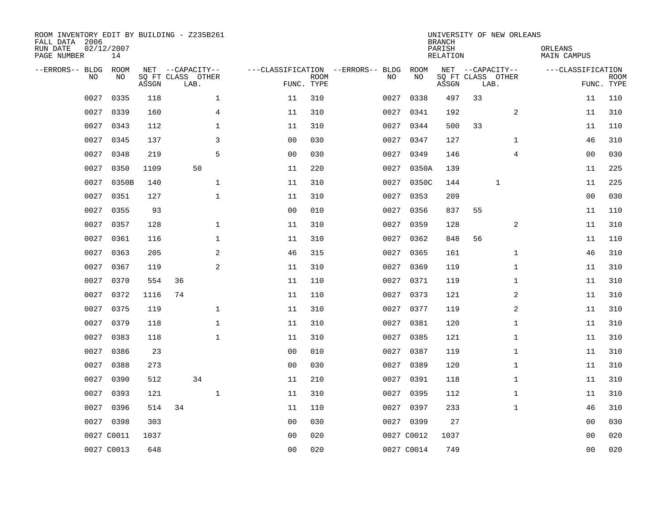| ROOM INVENTORY EDIT BY BUILDING - Z235B261<br>FALL DATA 2006<br>RUN DATE<br>PAGE NUMBER | 02/12/2007<br>14 |       |                           |                |                           |                                   |            | <b>BRANCH</b><br>PARISH<br>RELATION |      | UNIVERSITY OF NEW ORLEANS | ORLEANS<br>MAIN CAMPUS |                           |
|-----------------------------------------------------------------------------------------|------------------|-------|---------------------------|----------------|---------------------------|-----------------------------------|------------|-------------------------------------|------|---------------------------|------------------------|---------------------------|
| --ERRORS-- BLDG                                                                         | <b>ROOM</b>      |       | NET --CAPACITY--          |                |                           | ---CLASSIFICATION --ERRORS-- BLDG | ROOM       |                                     |      | NET --CAPACITY--          | ---CLASSIFICATION      |                           |
| N <sub>O</sub>                                                                          | NO.              | ASSGN | SO FT CLASS OTHER<br>LAB. |                | <b>ROOM</b><br>FUNC. TYPE | NO.                               | NO         | ASSGN                               | LAB. | SQ FT CLASS OTHER         |                        | <b>ROOM</b><br>FUNC. TYPE |
| 0027                                                                                    | 0335             | 118   | $\mathbf 1$               | 11             | 310                       | 0027                              | 0338       | 497                                 | 33   |                           | 11                     | 110                       |
| 0027                                                                                    | 0339             | 160   | $\overline{4}$            | 11             | 310                       | 0027                              | 0341       | 192                                 |      | 2                         | 11                     | 310                       |
| 0027                                                                                    | 0343             | 112   | $\mathbf{1}$              | 11             | 310                       | 0027                              | 0344       | 500                                 | 33   |                           | 11                     | 110                       |
| 0027                                                                                    | 0345             | 137   | 3                         | 0 <sub>0</sub> | 030                       | 0027                              | 0347       | 127                                 |      | $\mathbf{1}$              | 46                     | 310                       |
| 0027                                                                                    | 0348             | 219   | 5                         | 00             | 030                       | 0027                              | 0349       | 146                                 |      | $\overline{4}$            | 00                     | 030                       |
| 0027                                                                                    | 0350             | 1109  | 50                        | 11             | 220                       | 0027                              | 0350A      | 139                                 |      |                           | 11                     | 225                       |
| 0027                                                                                    | 0350B            | 140   | $\mathbf{1}$              | 11             | 310                       | 0027                              | 0350C      | 144                                 |      | $\mathbf{1}$              | 11                     | 225                       |
| 0027                                                                                    | 0351             | 127   | $\mathbf{1}$              | 11             | 310                       | 0027                              | 0353       | 209                                 |      |                           | 0 <sub>0</sub>         | 030                       |
| 0027                                                                                    | 0355             | 93    |                           | 0 <sub>0</sub> | 010                       | 0027                              | 0356       | 837                                 | 55   |                           | 11                     | 110                       |
| 0027                                                                                    | 0357             | 128   | $\mathbf 1$               | 11             | 310                       | 0027                              | 0359       | 128                                 |      | 2                         | 11                     | 310                       |
| 0027                                                                                    | 0361             | 116   | $\mathbf 1$               | 11             | 310                       | 0027                              | 0362       | 848                                 | 56   |                           | 11                     | 110                       |
| 0027                                                                                    | 0363             | 205   | 2                         | 46             | 315                       |                                   | 0027 0365  | 161                                 |      | $\mathbf{1}$              | 46                     | 310                       |
| 0027                                                                                    | 0367             | 119   | 2                         | 11             | 310                       | 0027                              | 0369       | 119                                 |      | $\mathbf{1}$              | 11                     | 310                       |
| 0027                                                                                    | 0370             | 554   | 36                        | 11             | 110                       |                                   | 0027 0371  | 119                                 |      | $\mathbf{1}$              | 11                     | 310                       |
| 0027                                                                                    | 0372             | 1116  | 74                        | 11             | 110                       | 0027                              | 0373       | 121                                 |      | 2                         | 11                     | 310                       |
| 0027                                                                                    | 0375             | 119   | $\mathbf 1$               | 11             | 310                       | 0027                              | 0377       | 119                                 |      | 2                         | 11                     | 310                       |
| 0027                                                                                    | 0379             | 118   | $\mathbf 1$               | 11             | 310                       | 0027                              | 0381       | 120                                 |      | $\mathbf{1}$              | 11                     | 310                       |
| 0027                                                                                    | 0383             | 118   | $\mathbf 1$               | 11             | 310                       | 0027                              | 0385       | 121                                 |      | $\mathbf{1}$              | 11                     | 310                       |
| 0027                                                                                    | 0386             | 23    |                           | 0 <sub>0</sub> | 010                       |                                   | 0027 0387  | 119                                 |      | $\mathbf{1}$              | 11                     | 310                       |
| 0027                                                                                    | 0388             | 273   |                           | 0 <sub>0</sub> | 030                       | 0027                              | 0389       | 120                                 |      | $\mathbf{1}$              | 11                     | 310                       |
| 0027                                                                                    | 0390             | 512   | 34                        | 11             | 210                       |                                   | 0027 0391  | 118                                 |      | $\mathbf{1}$              | 11                     | 310                       |
| 0027                                                                                    | 0393             | 121   | $\mathbf 1$               | 11             | 310                       | 0027                              | 0395       | 112                                 |      | $\mathbf{1}$              | 11                     | 310                       |
| 0027                                                                                    | 0396             | 514   | 34                        | 11             | 110                       |                                   | 0027 0397  | 233                                 |      | $\mathbf{1}$              | 46                     | 310                       |
| 0027                                                                                    | 0398             | 303   |                           | 0 <sub>0</sub> | 030                       |                                   | 0027 0399  | 27                                  |      |                           | 00                     | 030                       |
|                                                                                         | 0027 C0011       | 1037  |                           | 0 <sub>0</sub> | 020                       |                                   | 0027 C0012 | 1037                                |      |                           | 0 <sub>0</sub>         | 020                       |
|                                                                                         | 0027 C0013       | 648   |                           | 0 <sub>0</sub> | 020                       |                                   | 0027 C0014 | 749                                 |      |                           | 0 <sub>0</sub>         | 020                       |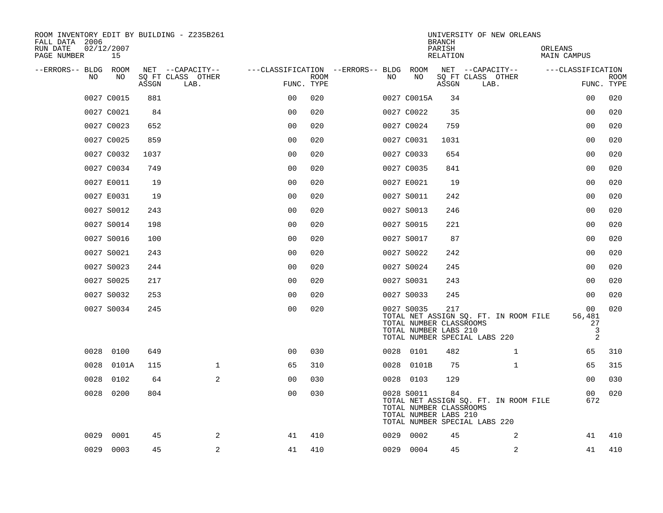| ROOM INVENTORY EDIT BY BUILDING - Z235B261<br>FALL DATA 2006 |                  |       |                           |                                        |      |      |                                                                | <b>BRANCH</b>      | UNIVERSITY OF NEW ORLEANS                                              |                              |                           |
|--------------------------------------------------------------|------------------|-------|---------------------------|----------------------------------------|------|------|----------------------------------------------------------------|--------------------|------------------------------------------------------------------------|------------------------------|---------------------------|
| RUN DATE<br>PAGE NUMBER                                      | 02/12/2007<br>15 |       |                           |                                        |      |      |                                                                | PARISH<br>RELATION |                                                                        | ORLEANS<br>MAIN CAMPUS       |                           |
| --ERRORS-- BLDG ROOM                                         | NO.              |       | NET --CAPACITY--          | ---CLASSIFICATION --ERRORS-- BLDG ROOM |      |      | NO                                                             |                    | NET --CAPACITY--                                                       | ---CLASSIFICATION            |                           |
| <b>NO</b>                                                    |                  | ASSGN | SO FT CLASS OTHER<br>LAB. | FUNC. TYPE                             | ROOM | NO.  |                                                                | ASSGN              | SQ FT CLASS OTHER<br>LAB.                                              |                              | <b>ROOM</b><br>FUNC. TYPE |
|                                                              | 0027 C0015       | 881   |                           | 0 <sub>0</sub>                         | 020  |      | 0027 C0015A                                                    | 34                 |                                                                        | 00                           | 020                       |
|                                                              | 0027 C0021       | 84    |                           | 0 <sub>0</sub>                         | 020  |      | 0027 C0022                                                     | 35                 |                                                                        | 0 <sub>0</sub>               | 020                       |
|                                                              | 0027 C0023       | 652   |                           | 0 <sub>0</sub>                         | 020  |      | 0027 C0024                                                     | 759                |                                                                        | 0 <sub>0</sub>               | 020                       |
|                                                              | 0027 C0025       | 859   |                           | 0 <sub>0</sub>                         | 020  |      | 0027 C0031                                                     | 1031               |                                                                        | 0 <sub>0</sub>               | 020                       |
|                                                              | 0027 C0032       | 1037  |                           | 00                                     | 020  |      | 0027 C0033                                                     | 654                |                                                                        | 00                           | 020                       |
|                                                              | 0027 C0034       | 749   |                           | 0 <sub>0</sub>                         | 020  |      | 0027 C0035                                                     | 841                |                                                                        | 00                           | 020                       |
|                                                              | 0027 E0011       | 19    |                           | 0 <sub>0</sub>                         | 020  |      | 0027 E0021                                                     | 19                 |                                                                        | 0 <sub>0</sub>               | 020                       |
|                                                              | 0027 E0031       | 19    |                           | 0 <sub>0</sub>                         | 020  |      | 0027 S0011                                                     | 242                |                                                                        | 0 <sub>0</sub>               | 020                       |
|                                                              | 0027 S0012       | 243   |                           | 0 <sub>0</sub>                         | 020  |      | 0027 S0013                                                     | 246                |                                                                        | 0 <sub>0</sub>               | 020                       |
|                                                              | 0027 S0014       | 198   |                           | 0 <sub>0</sub>                         | 020  |      | 0027 S0015                                                     | 221                |                                                                        | 00                           | 020                       |
|                                                              | 0027 S0016       | 100   |                           | 0 <sub>0</sub>                         | 020  |      | 0027 S0017                                                     | 87                 |                                                                        | 0 <sub>0</sub>               | 020                       |
|                                                              | 0027 S0021       | 243   |                           | 0 <sub>0</sub>                         | 020  |      | 0027 S0022                                                     | 242                |                                                                        | 0 <sub>0</sub>               | 020                       |
|                                                              | 0027 S0023       | 244   |                           | 0 <sub>0</sub>                         | 020  |      | 0027 S0024                                                     | 245                |                                                                        | 0 <sub>0</sub>               | 020                       |
|                                                              | 0027 S0025       | 217   |                           | 0 <sub>0</sub>                         | 020  |      | 0027 S0031                                                     | 243                |                                                                        | 0 <sub>0</sub>               | 020                       |
|                                                              | 0027 S0032       | 253   |                           | 00                                     | 020  |      | 0027 S0033                                                     | 245                |                                                                        | 00                           | 020                       |
|                                                              | 0027 S0034       | 245   |                           | 0 <sub>0</sub>                         | 020  |      | 0027 S0035<br>TOTAL NUMBER CLASSROOMS<br>TOTAL NUMBER LABS 210 | 217                | TOTAL NET ASSIGN SQ. FT. IN ROOM FILE<br>TOTAL NUMBER SPECIAL LABS 220 | 00<br>56,481<br>27<br>3<br>2 | 020                       |
|                                                              | 0028 0100        | 649   |                           | 0 <sup>0</sup>                         | 030  |      | 0028 0101                                                      | 482                | $\mathbf{1}$                                                           | 65                           | 310                       |
| 0028                                                         | 0101A            | 115   | $\mathbf{1}$              | 65                                     | 310  |      | 0028 0101B                                                     | 75                 | $\mathbf{1}$                                                           | 65                           | 315                       |
| 0028                                                         | 0102             | 64    | 2                         | 00                                     | 030  |      | 0028 0103                                                      | 129                |                                                                        | 00                           | 030                       |
| 0028                                                         | 0200             | 804   |                           | 0 <sub>0</sub>                         | 030  |      | 0028 S0011<br>TOTAL NUMBER CLASSROOMS<br>TOTAL NUMBER LABS 210 | 84                 | TOTAL NET ASSIGN SQ. FT. IN ROOM FILE<br>TOTAL NUMBER SPECIAL LABS 220 | 00<br>672                    | 020                       |
| 0029                                                         | 0001             | 45    | 2                         | 41                                     | 410  | 0029 | 0002                                                           | 45                 | 2                                                                      | 41                           | 410                       |
| 0029                                                         | 0003             | 45    | $\overline{c}$            | 41                                     | 410  |      | 0029 0004                                                      | 45                 | $\boldsymbol{2}$                                                       | 41                           | 410                       |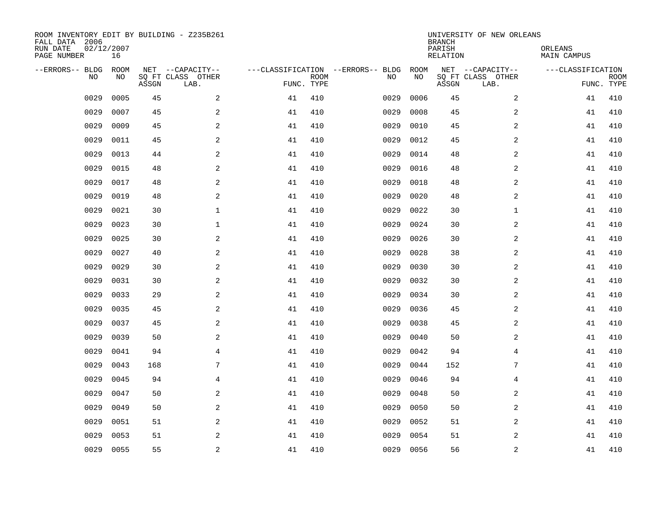| ROOM INVENTORY EDIT BY BUILDING - Z235B261<br>FALL DATA 2006<br>RUN DATE<br>PAGE NUMBER | 02/12/2007<br>16 |       |                                               |    |                           |                                         |            | <b>BRANCH</b><br>PARISH<br><b>RELATION</b> | UNIVERSITY OF NEW ORLEANS                     | ORLEANS<br>MAIN CAMPUS |                           |
|-----------------------------------------------------------------------------------------|------------------|-------|-----------------------------------------------|----|---------------------------|-----------------------------------------|------------|--------------------------------------------|-----------------------------------------------|------------------------|---------------------------|
| --ERRORS-- BLDG<br>NO                                                                   | ROOM<br>NO       | ASSGN | NET --CAPACITY--<br>SQ FT CLASS OTHER<br>LAB. |    | <b>ROOM</b><br>FUNC. TYPE | ---CLASSIFICATION --ERRORS-- BLDG<br>NO | ROOM<br>NO | ASSGN                                      | NET --CAPACITY--<br>SQ FT CLASS OTHER<br>LAB. | ---CLASSIFICATION      | <b>ROOM</b><br>FUNC. TYPE |
| 0029                                                                                    | 0005             | 45    | 2                                             | 41 | 410                       | 0029                                    | 0006       | 45                                         | 2                                             | 41                     | 410                       |
| 0029                                                                                    | 0007             | 45    | 2                                             | 41 | 410                       | 0029                                    | 0008       | 45                                         | 2                                             | 41                     | 410                       |
| 0029                                                                                    | 0009             | 45    | 2                                             | 41 | 410                       | 0029                                    | 0010       | 45                                         | $\overline{a}$                                | 41                     | 410                       |
| 0029                                                                                    | 0011             | 45    | 2                                             | 41 | 410                       | 0029                                    | 0012       | 45                                         | $\overline{a}$                                | 41                     | 410                       |
| 0029                                                                                    | 0013             | 44    | 2                                             | 41 | 410                       | 0029                                    | 0014       | 48                                         | $\overline{a}$                                | 41                     | 410                       |
| 0029                                                                                    | 0015             | 48    | $\mathbf{2}$                                  | 41 | 410                       | 0029                                    | 0016       | 48                                         | 2                                             | 41                     | 410                       |
| 0029                                                                                    | 0017             | 48    | $\mathbf{2}$                                  | 41 | 410                       | 0029                                    | 0018       | 48                                         | 2                                             | 41                     | 410                       |
| 0029                                                                                    | 0019             | 48    | 2                                             | 41 | 410                       | 0029                                    | 0020       | 48                                         | 2                                             | 41                     | 410                       |
| 0029                                                                                    | 0021             | 30    | $\mathbf 1$                                   | 41 | 410                       | 0029                                    | 0022       | 30                                         | $\mathbf{1}$                                  | 41                     | 410                       |
| 0029                                                                                    | 0023             | 30    | $\mathbf 1$                                   | 41 | 410                       | 0029                                    | 0024       | 30                                         | 2                                             | 41                     | 410                       |
| 0029                                                                                    | 0025             | 30    | 2                                             | 41 | 410                       | 0029                                    | 0026       | 30                                         | 2                                             | 41                     | 410                       |
| 0029                                                                                    | 0027             | 40    | 2                                             | 41 | 410                       | 0029                                    | 0028       | 38                                         | 2                                             | 41                     | 410                       |
| 0029                                                                                    | 0029             | 30    | 2                                             | 41 | 410                       | 0029                                    | 0030       | 30                                         | 2                                             | 41                     | 410                       |
| 0029                                                                                    | 0031             | 30    | 2                                             | 41 | 410                       | 0029                                    | 0032       | 30                                         | 2                                             | 41                     | 410                       |
| 0029                                                                                    | 0033             | 29    | 2                                             | 41 | 410                       | 0029                                    | 0034       | 30                                         | 2                                             | 41                     | 410                       |
| 0029                                                                                    | 0035             | 45    | 2                                             | 41 | 410                       | 0029                                    | 0036       | 45                                         | 2                                             | 41                     | 410                       |
| 0029                                                                                    | 0037             | 45    | 2                                             | 41 | 410                       | 0029                                    | 0038       | 45                                         | 2                                             | 41                     | 410                       |
| 0029                                                                                    | 0039             | 50    | 2                                             | 41 | 410                       | 0029                                    | 0040       | 50                                         | $\overline{a}$                                | 41                     | 410                       |
| 0029                                                                                    | 0041             | 94    | $\overline{4}$                                | 41 | 410                       | 0029                                    | 0042       | 94                                         | 4                                             | 41                     | 410                       |
| 0029                                                                                    | 0043             | 168   | 7                                             | 41 | 410                       | 0029                                    | 0044       | 152                                        | 7                                             | 41                     | 410                       |
| 0029                                                                                    | 0045             | 94    | $\overline{4}$                                | 41 | 410                       | 0029                                    | 0046       | 94                                         | 4                                             | 41                     | 410                       |
| 0029                                                                                    | 0047             | 50    | $\mathbf{2}$                                  | 41 | 410                       | 0029                                    | 0048       | 50                                         | 2                                             | 41                     | 410                       |
| 0029                                                                                    | 0049             | 50    | 2                                             | 41 | 410                       | 0029                                    | 0050       | 50                                         | 2                                             | 41                     | 410                       |
| 0029                                                                                    | 0051             | 51    | 2                                             | 41 | 410                       | 0029                                    | 0052       | 51                                         | $\overline{a}$                                | 41                     | 410                       |
| 0029                                                                                    | 0053             | 51    | 2                                             | 41 | 410                       | 0029                                    | 0054       | 51                                         | 2                                             | 41                     | 410                       |
| 0029                                                                                    | 0055             | 55    | 2                                             | 41 | 410                       | 0029                                    | 0056       | 56                                         | 2                                             | 41                     | 410                       |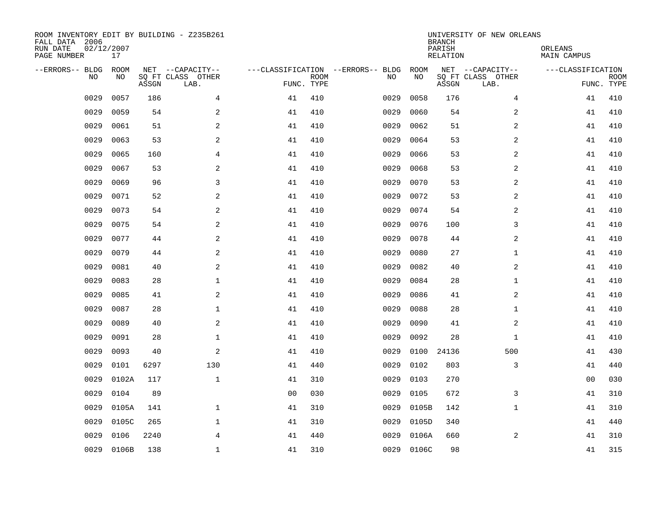| ROOM INVENTORY EDIT BY BUILDING - Z235B261<br>FALL DATA 2006<br>RUN DATE<br>PAGE NUMBER | 02/12/2007<br>17  |       |                                               |                |             |                                         |            | <b>BRANCH</b><br>PARISH<br><b>RELATION</b> | UNIVERSITY OF NEW ORLEANS                     | ORLEANS<br>MAIN CAMPUS |                           |
|-----------------------------------------------------------------------------------------|-------------------|-------|-----------------------------------------------|----------------|-------------|-----------------------------------------|------------|--------------------------------------------|-----------------------------------------------|------------------------|---------------------------|
| --ERRORS-- BLDG<br>NO                                                                   | <b>ROOM</b><br>NO | ASSGN | NET --CAPACITY--<br>SQ FT CLASS OTHER<br>LAB. | FUNC. TYPE     | <b>ROOM</b> | ---CLASSIFICATION --ERRORS-- BLDG<br>NO | ROOM<br>NO | ASSGN                                      | NET --CAPACITY--<br>SQ FT CLASS OTHER<br>LAB. | ---CLASSIFICATION      | <b>ROOM</b><br>FUNC. TYPE |
| 0029                                                                                    | 0057              | 186   | $\overline{4}$                                | 41             | 410         | 0029                                    | 0058       | 176                                        | $\overline{4}$                                | 41                     | 410                       |
| 0029                                                                                    | 0059              | 54    | 2                                             | 41             | 410         | 0029                                    | 0060       | 54                                         | 2                                             | 41                     | 410                       |
| 0029                                                                                    | 0061              | 51    | $\mathbf{2}$                                  | 41             | 410         | 0029                                    | 0062       | 51                                         | 2                                             | 41                     | 410                       |
| 0029                                                                                    | 0063              | 53    | $\mathbf{2}$                                  | 41             | 410         | 0029                                    | 0064       | 53                                         | 2                                             | 41                     | 410                       |
| 0029                                                                                    | 0065              | 160   | 4                                             | 41             | 410         | 0029                                    | 0066       | 53                                         | 2                                             | 41                     | 410                       |
| 0029                                                                                    | 0067              | 53    | 2                                             | 41             | 410         | 0029                                    | 0068       | 53                                         | 2                                             | 41                     | 410                       |
| 0029                                                                                    | 0069              | 96    | 3                                             | 41             | 410         | 0029                                    | 0070       | 53                                         | 2                                             | 41                     | 410                       |
| 0029                                                                                    | 0071              | 52    | 2                                             | 41             | 410         | 0029                                    | 0072       | 53                                         | 2                                             | 41                     | 410                       |
| 0029                                                                                    | 0073              | 54    | 2                                             | 41             | 410         | 0029                                    | 0074       | 54                                         | 2                                             | 41                     | 410                       |
| 0029                                                                                    | 0075              | 54    | 2                                             | 41             | 410         | 0029                                    | 0076       | 100                                        | 3                                             | 41                     | 410                       |
| 0029                                                                                    | 0077              | 44    | 2                                             | 41             | 410         | 0029                                    | 0078       | 44                                         | 2                                             | 41                     | 410                       |
| 0029                                                                                    | 0079              | 44    | 2                                             | 41             | 410         | 0029                                    | 0080       | 27                                         | $\mathbf{1}$                                  | 41                     | 410                       |
| 0029                                                                                    | 0081              | 40    | $\mathbf{2}$                                  | 41             | 410         | 0029                                    | 0082       | 40                                         | 2                                             | 41                     | 410                       |
| 0029                                                                                    | 0083              | 28    | $\mathbf 1$                                   | 41             | 410         | 0029                                    | 0084       | 28                                         | $\mathbf{1}$                                  | 41                     | 410                       |
| 0029                                                                                    | 0085              | 41    | $\mathbf{2}$                                  | 41             | 410         | 0029                                    | 0086       | 41                                         | $\overline{a}$                                | 41                     | 410                       |
| 0029                                                                                    | 0087              | 28    | $\mathbf 1$                                   | 41             | 410         | 0029                                    | 0088       | 28                                         | $\mathbf{1}$                                  | 41                     | 410                       |
| 0029                                                                                    | 0089              | 40    | 2                                             | 41             | 410         | 0029                                    | 0090       | 41                                         | 2                                             | 41                     | 410                       |
| 0029                                                                                    | 0091              | 28    | 1                                             | 41             | 410         | 0029                                    | 0092       | 28                                         | $\mathbf{1}$                                  | 41                     | 410                       |
| 0029                                                                                    | 0093              | 40    | 2                                             | 41             | 410         | 0029                                    | 0100       | 24136                                      | 500                                           | 41                     | 430                       |
| 0029                                                                                    | 0101              | 6297  | 130                                           | 41             | 440         | 0029                                    | 0102       | 803                                        | 3                                             | 41                     | 440                       |
| 0029                                                                                    | 0102A             | 117   | $\mathbf{1}$                                  | 41             | 310         | 0029                                    | 0103       | 270                                        |                                               | 0 <sub>0</sub>         | 030                       |
| 0029                                                                                    | 0104              | 89    |                                               | 0 <sub>0</sub> | 030         | 0029                                    | 0105       | 672                                        | 3                                             | 41                     | 310                       |
| 0029                                                                                    | 0105A             | 141   | $\mathbf{1}$                                  | 41             | 310         | 0029                                    | 0105B      | 142                                        | $\mathbf{1}$                                  | 41                     | 310                       |
| 0029                                                                                    | 0105C             | 265   | $\mathbf 1$                                   | 41             | 310         | 0029                                    | 0105D      | 340                                        |                                               | 41                     | 440                       |
| 0029                                                                                    | 0106              | 2240  | 4                                             | 41             | 440         | 0029                                    | 0106A      | 660                                        | 2                                             | 41                     | 310                       |
| 0029                                                                                    | 0106B             | 138   | $\mathbf 1$                                   | 41             | 310         |                                         | 0029 0106C | 98                                         |                                               | 41                     | 315                       |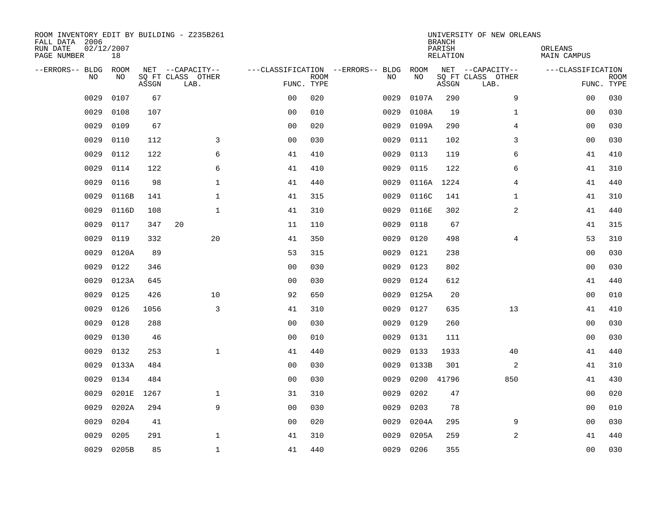| ROOM INVENTORY EDIT BY BUILDING - Z235B261<br>FALL DATA 2006<br>RUN DATE<br>PAGE NUMBER | 02/12/2007<br>18 |       |                           |                                   |             |      |       | <b>BRANCH</b><br>PARISH<br>RELATION | UNIVERSITY OF NEW ORLEANS | ORLEANS<br>MAIN CAMPUS |                           |
|-----------------------------------------------------------------------------------------|------------------|-------|---------------------------|-----------------------------------|-------------|------|-------|-------------------------------------|---------------------------|------------------------|---------------------------|
| --ERRORS-- BLDG                                                                         | <b>ROOM</b>      |       | NET --CAPACITY--          | ---CLASSIFICATION --ERRORS-- BLDG |             |      | ROOM  |                                     | NET --CAPACITY--          | ---CLASSIFICATION      |                           |
| N <sub>O</sub>                                                                          | NO.              | ASSGN | SO FT CLASS OTHER<br>LAB. | FUNC. TYPE                        | <b>ROOM</b> | NO.  | NO    | ASSGN                               | SQ FT CLASS OTHER<br>LAB. |                        | <b>ROOM</b><br>FUNC. TYPE |
| 0029                                                                                    | 0107             | 67    |                           | 0 <sub>0</sub>                    | 020         | 0029 | 0107A | 290                                 | 9                         | 00                     | 030                       |
| 0029                                                                                    | 0108             | 107   |                           | 0 <sub>0</sub>                    | 010         | 0029 | 0108A | 19                                  | $\mathbf{1}$              | 00                     | 030                       |
| 0029                                                                                    | 0109             | 67    |                           | 0 <sub>0</sub>                    | 020         | 0029 | 0109A | 290                                 | $\overline{4}$            | 0 <sub>0</sub>         | 030                       |
| 0029                                                                                    | 0110             | 112   | 3                         | 0 <sub>0</sub>                    | 030         | 0029 | 0111  | 102                                 | 3                         | 0 <sub>0</sub>         | 030                       |
| 0029                                                                                    | 0112             | 122   | 6                         | 41                                | 410         | 0029 | 0113  | 119                                 | 6                         | 41                     | 410                       |
| 0029                                                                                    | 0114             | 122   | 6                         | 41                                | 410         | 0029 | 0115  | 122                                 | 6                         | 41                     | 310                       |
| 0029                                                                                    | 0116             | 98    | $\mathbf 1$               | 41                                | 440         | 0029 | 0116A | 1224                                | $\overline{4}$            | 41                     | 440                       |
| 0029                                                                                    | 0116B            | 141   | $\mathbf 1$               | 41                                | 315         | 0029 | 0116C | 141                                 | $\mathbf{1}$              | 41                     | 310                       |
| 0029                                                                                    | 0116D            | 108   | $\mathbf{1}$              | 41                                | 310         | 0029 | 0116E | 302                                 | 2                         | 41                     | 440                       |
| 0029                                                                                    | 0117             | 347   | 20                        | 11                                | 110         | 0029 | 0118  | 67                                  |                           | 41                     | 315                       |
| 0029                                                                                    | 0119             | 332   | 20                        | 41                                | 350         | 0029 | 0120  | 498                                 | 4                         | 53                     | 310                       |
| 0029                                                                                    | 0120A            | 89    |                           | 53                                | 315         | 0029 | 0121  | 238                                 |                           | 0 <sub>0</sub>         | 030                       |
| 0029                                                                                    | 0122             | 346   |                           | 0 <sub>0</sub>                    | 030         | 0029 | 0123  | 802                                 |                           | 0 <sub>0</sub>         | 030                       |
| 0029                                                                                    | 0123A            | 645   |                           | 0 <sub>0</sub>                    | 030         | 0029 | 0124  | 612                                 |                           | 41                     | 440                       |
| 0029                                                                                    | 0125             | 426   | 10                        | 92                                | 650         | 0029 | 0125A | 20                                  |                           | 00                     | 010                       |
| 0029                                                                                    | 0126             | 1056  | 3                         | 41                                | 310         | 0029 | 0127  | 635                                 | 13                        | 41                     | 410                       |
| 0029                                                                                    | 0128             | 288   |                           | 0 <sub>0</sub>                    | 030         | 0029 | 0129  | 260                                 |                           | 00                     | 030                       |
| 0029                                                                                    | 0130             | 46    |                           | 0 <sub>0</sub>                    | 010         | 0029 | 0131  | 111                                 |                           | 00                     | 030                       |
| 0029                                                                                    | 0132             | 253   | $\mathbf{1}$              | 41                                | 440         | 0029 | 0133  | 1933                                | 40                        | 41                     | 440                       |
| 0029                                                                                    | 0133A            | 484   |                           | 0 <sub>0</sub>                    | 030         | 0029 | 0133B | 301                                 | 2                         | 41                     | 310                       |
| 0029                                                                                    | 0134             | 484   |                           | 0 <sub>0</sub>                    | 030         | 0029 | 0200  | 41796                               | 850                       | 41                     | 430                       |
| 0029                                                                                    | 0201E            | 1267  | $\mathbf 1$               | 31                                | 310         | 0029 | 0202  | 47                                  |                           | 00                     | 020                       |
| 0029                                                                                    | 0202A            | 294   | 9                         | 0 <sub>0</sub>                    | 030         | 0029 | 0203  | 78                                  |                           | 0 <sub>0</sub>         | 010                       |
| 0029                                                                                    | 0204             | 41    |                           | 0 <sub>0</sub>                    | 020         | 0029 | 0204A | 295                                 | 9                         | 00                     | 030                       |
| 0029                                                                                    | 0205             | 291   | $\mathbf 1$               | 41                                | 310         | 0029 | 0205A | 259                                 | $\overline{a}$            | 41                     | 440                       |
| 0029                                                                                    | 0205B            | 85    | $\mathbf{1}$              | 41                                | 440         | 0029 | 0206  | 355                                 |                           | 0 <sub>0</sub>         | 030                       |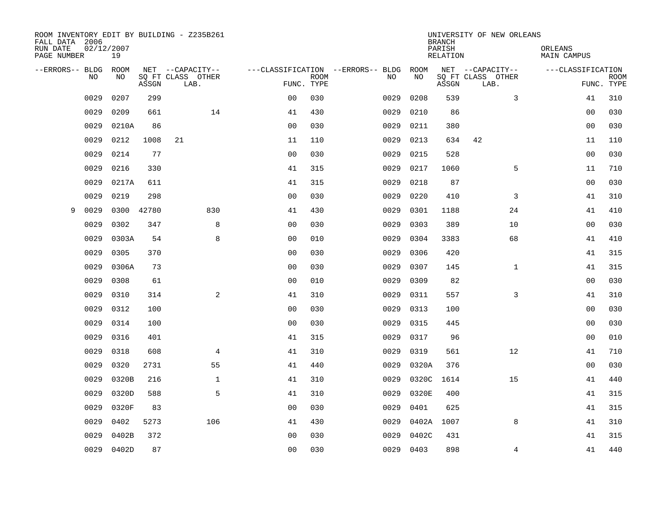| FALL DATA 2006          |      |                  |       | ROOM INVENTORY EDIT BY BUILDING - Z235B261 |                |             |                                   |       | <b>BRANCH</b>      | UNIVERSITY OF NEW ORLEANS |                        |                           |
|-------------------------|------|------------------|-------|--------------------------------------------|----------------|-------------|-----------------------------------|-------|--------------------|---------------------------|------------------------|---------------------------|
| RUN DATE<br>PAGE NUMBER |      | 02/12/2007<br>19 |       |                                            |                |             |                                   |       | PARISH<br>RELATION |                           | ORLEANS<br>MAIN CAMPUS |                           |
| --ERRORS-- BLDG ROOM    |      |                  |       | NET --CAPACITY--                           |                |             | ---CLASSIFICATION --ERRORS-- BLDG | ROOM  |                    | NET --CAPACITY--          | ---CLASSIFICATION      |                           |
|                         | NO.  | NO.              | ASSGN | SO FT CLASS OTHER<br>LAB.                  | FUNC. TYPE     | <b>ROOM</b> | NO.                               | NO    | ASSGN              | SQ FT CLASS OTHER<br>LAB. |                        | <b>ROOM</b><br>FUNC. TYPE |
|                         | 0029 | 0207             | 299   |                                            | 0 <sub>0</sub> | 030         | 0029                              | 0208  | 539                | 3                         | 41                     | 310                       |
|                         | 0029 | 0209             | 661   | 14                                         | 41             | 430         | 0029                              | 0210  | 86                 |                           | 0 <sub>0</sub>         | 030                       |
|                         | 0029 | 0210A            | 86    |                                            | 0 <sub>0</sub> | 030         | 0029                              | 0211  | 380                |                           | 00                     | 030                       |
|                         | 0029 | 0212             | 1008  | 21                                         | 11             | 110         | 0029                              | 0213  | 634                | 42                        | 11                     | 110                       |
|                         | 0029 | 0214             | 77    |                                            | 0 <sub>0</sub> | 030         | 0029                              | 0215  | 528                |                           | 0 <sub>0</sub>         | 030                       |
|                         | 0029 | 0216             | 330   |                                            | 41             | 315         | 0029                              | 0217  | 1060               | 5                         | 11                     | 710                       |
|                         | 0029 | 0217A            | 611   |                                            | 41             | 315         | 0029                              | 0218  | 87                 |                           | 0 <sub>0</sub>         | 030                       |
|                         | 0029 | 0219             | 298   |                                            | 0 <sub>0</sub> | 030         | 0029                              | 0220  | 410                | 3                         | 41                     | 310                       |
| 9                       | 0029 | 0300             | 42780 | 830                                        | 41             | 430         | 0029                              | 0301  | 1188               | 24                        | 41                     | 410                       |
|                         | 0029 | 0302             | 347   | 8                                          | 0 <sub>0</sub> | 030         | 0029                              | 0303  | 389                | 10                        | 0 <sub>0</sub>         | 030                       |
|                         | 0029 | 0303A            | 54    | 8                                          | 0 <sub>0</sub> | 010         | 0029                              | 0304  | 3383               | 68                        | 41                     | 410                       |
|                         | 0029 | 0305             | 370   |                                            | 0 <sub>0</sub> | 030         | 0029                              | 0306  | 420                |                           | 41                     | 315                       |
|                         | 0029 | 0306A            | 73    |                                            | 0 <sub>0</sub> | 030         | 0029                              | 0307  | 145                | $\mathbf{1}$              | 41                     | 315                       |
|                         | 0029 | 0308             | 61    |                                            | 0 <sub>0</sub> | 010         | 0029                              | 0309  | 82                 |                           | 00                     | 030                       |
|                         | 0029 | 0310             | 314   | 2                                          | 41             | 310         | 0029                              | 0311  | 557                | 3                         | 41                     | 310                       |
|                         | 0029 | 0312             | 100   |                                            | 0 <sub>0</sub> | 030         | 0029                              | 0313  | 100                |                           | 0 <sub>0</sub>         | 030                       |
|                         | 0029 | 0314             | 100   |                                            | 0 <sub>0</sub> | 030         | 0029                              | 0315  | 445                |                           | 00                     | 030                       |
|                         | 0029 | 0316             | 401   |                                            | 41             | 315         | 0029                              | 0317  | 96                 |                           | 00                     | 010                       |
|                         | 0029 | 0318             | 608   | $\overline{4}$                             | 41             | 310         | 0029                              | 0319  | 561                | 12                        | 41                     | 710                       |
|                         | 0029 | 0320             | 2731  | 55                                         | 41             | 440         | 0029                              | 0320A | 376                |                           | 0 <sub>0</sub>         | 030                       |
|                         | 0029 | 0320B            | 216   | $\mathbf{1}$                               | 41             | 310         | 0029                              | 0320C | 1614               | 15                        | 41                     | 440                       |
|                         | 0029 | 0320D            | 588   | 5                                          | 41             | 310         | 0029                              | 0320E | 400                |                           | 41                     | 315                       |
|                         | 0029 | 0320F            | 83    |                                            | 0 <sub>0</sub> | 030         | 0029                              | 0401  | 625                |                           | 41                     | 315                       |
|                         | 0029 | 0402             | 5273  | 106                                        | 41             | 430         | 0029                              | 0402A | 1007               | 8                         | 41                     | 310                       |
|                         | 0029 | 0402B            | 372   |                                            | 0 <sub>0</sub> | 030         | 0029                              | 0402C | 431                |                           | 41                     | 315                       |
|                         | 0029 | 0402D            | 87    |                                            | 0 <sub>0</sub> | 030         | 0029                              | 0403  | 898                | $\overline{4}$            | 41                     | 440                       |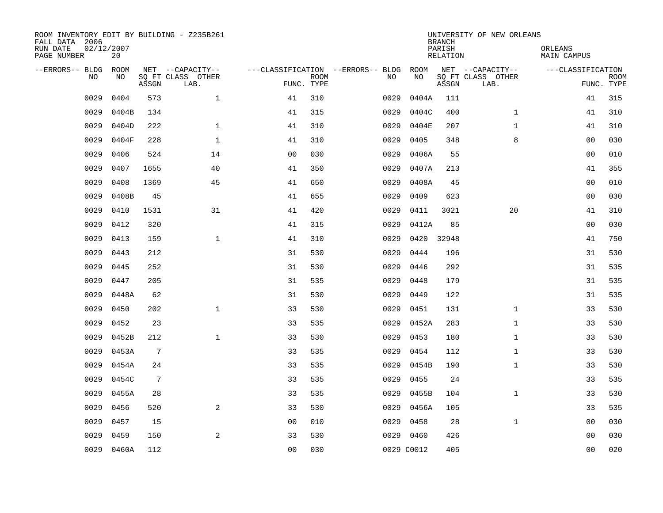| ROOM INVENTORY EDIT BY BUILDING - Z235B261<br>FALL DATA 2006<br>RUN DATE<br>PAGE NUMBER | 02/12/2007<br>20 |                 |                           |                |      |                                   |            | <b>BRANCH</b><br>PARISH<br><b>RELATION</b> | UNIVERSITY OF NEW ORLEANS | ORLEANS<br><b>MAIN CAMPUS</b> |                           |
|-----------------------------------------------------------------------------------------|------------------|-----------------|---------------------------|----------------|------|-----------------------------------|------------|--------------------------------------------|---------------------------|-------------------------------|---------------------------|
| --ERRORS-- BLDG                                                                         | <b>ROOM</b>      |                 | NET --CAPACITY--          |                |      | ---CLASSIFICATION --ERRORS-- BLDG | ROOM       |                                            | NET --CAPACITY--          | ---CLASSIFICATION             |                           |
| <b>NO</b>                                                                               | NO.              | ASSGN           | SO FT CLASS OTHER<br>LAB. | FUNC. TYPE     | ROOM | NO.                               | NO         | ASSGN                                      | SQ FT CLASS OTHER<br>LAB. |                               | <b>ROOM</b><br>FUNC. TYPE |
| 0029                                                                                    | 0404             | 573             | $\mathbf{1}$              | 41             | 310  | 0029                              | 0404A      | 111                                        |                           | 41                            | 315                       |
| 0029                                                                                    | 0404B            | 134             |                           | 41             | 315  | 0029                              | 0404C      | 400                                        | $\mathbf{1}$              | 41                            | 310                       |
| 0029                                                                                    | 0404D            | 222             | $\mathbf{1}$              | 41             | 310  | 0029                              | 0404E      | 207                                        | $\mathbf{1}$              | 41                            | 310                       |
| 0029                                                                                    | 0404F            | 228             | $\mathbf{1}$              | 41             | 310  | 0029                              | 0405       | 348                                        | 8                         | 0 <sub>0</sub>                | 030                       |
| 0029                                                                                    | 0406             | 524             | 14                        | 0 <sub>0</sub> | 030  | 0029                              | 0406A      | 55                                         |                           | 0 <sub>0</sub>                | 010                       |
| 0029                                                                                    | 0407             | 1655            | 40                        | 41             | 350  | 0029                              | 0407A      | 213                                        |                           | 41                            | 355                       |
| 0029                                                                                    | 0408             | 1369            | 45                        | 41             | 650  | 0029                              | 0408A      | 45                                         |                           | 0 <sub>0</sub>                | 010                       |
| 0029                                                                                    | 0408B            | 45              |                           | 41             | 655  | 0029                              | 0409       | 623                                        |                           | 0 <sub>0</sub>                | 030                       |
| 0029                                                                                    | 0410             | 1531            | 31                        | 41             | 420  | 0029                              | 0411       | 3021                                       | 20                        | 41                            | 310                       |
| 0029                                                                                    | 0412             | 320             |                           | 41             | 315  | 0029                              | 0412A      | 85                                         |                           | 0 <sub>0</sub>                | 030                       |
| 0029                                                                                    | 0413             | 159             | $\mathbf{1}$              | 41             | 310  | 0029                              | 0420       | 32948                                      |                           | 41                            | 750                       |
| 0029                                                                                    | 0443             | 212             |                           | 31             | 530  | 0029                              | 0444       | 196                                        |                           | 31                            | 530                       |
| 0029                                                                                    | 0445             | 252             |                           | 31             | 530  | 0029                              | 0446       | 292                                        |                           | 31                            | 535                       |
| 0029                                                                                    | 0447             | 205             |                           | 31             | 535  | 0029                              | 0448       | 179                                        |                           | 31                            | 535                       |
| 0029                                                                                    | 0448A            | 62              |                           | 31             | 530  | 0029                              | 0449       | 122                                        |                           | 31                            | 535                       |
| 0029                                                                                    | 0450             | 202             | $\mathbf{1}$              | 33             | 530  | 0029                              | 0451       | 131                                        | $\mathbf{1}$              | 33                            | 530                       |
| 0029                                                                                    | 0452             | 23              |                           | 33             | 535  | 0029                              | 0452A      | 283                                        | $\mathbf{1}$              | 33                            | 530                       |
| 0029                                                                                    | 0452B            | 212             | $\mathbf{1}$              | 33             | 530  | 0029                              | 0453       | 180                                        | $\mathbf{1}$              | 33                            | 530                       |
| 0029                                                                                    | 0453A            | $7\phantom{.0}$ |                           | 33             | 535  | 0029                              | 0454       | 112                                        | $\mathbf{1}$              | 33                            | 530                       |
| 0029                                                                                    | 0454A            | 24              |                           | 33             | 535  | 0029                              | 0454B      | 190                                        | $\mathbf{1}$              | 33                            | 530                       |
| 0029                                                                                    | 0454C            | $7\phantom{.0}$ |                           | 33             | 535  | 0029                              | 0455       | 24                                         |                           | 33                            | 535                       |
| 0029                                                                                    | 0455A            | 28              |                           | 33             | 535  | 0029                              | 0455B      | 104                                        | $\mathbf{1}$              | 33                            | 530                       |
| 0029                                                                                    | 0456             | 520             | 2                         | 33             | 530  |                                   | 0029 0456A | 105                                        |                           | 33                            | 535                       |
| 0029                                                                                    | 0457             | 15              |                           | 0 <sub>0</sub> | 010  | 0029                              | 0458       | 28                                         | $\mathbf{1}$              | 00                            | 030                       |
| 0029                                                                                    | 0459             | 150             | 2                         | 33             | 530  |                                   | 0029 0460  | 426                                        |                           | 0 <sub>0</sub>                | 030                       |
|                                                                                         | 0029 0460A       | 112             |                           | 00             | 030  |                                   | 0029 C0012 | 405                                        |                           | 0 <sub>0</sub>                | 020                       |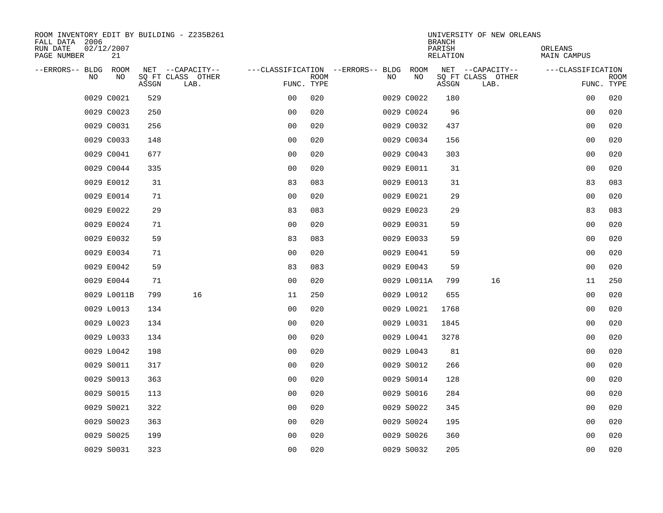| ROOM INVENTORY EDIT BY BUILDING - Z235B261<br>FALL DATA 2006 |                  |       |                           |                                        |             |     |             | <b>BRANCH</b>      | UNIVERSITY OF NEW ORLEANS |                        |                           |
|--------------------------------------------------------------|------------------|-------|---------------------------|----------------------------------------|-------------|-----|-------------|--------------------|---------------------------|------------------------|---------------------------|
| RUN DATE<br>PAGE NUMBER                                      | 02/12/2007<br>21 |       |                           |                                        |             |     |             | PARISH<br>RELATION |                           | ORLEANS<br>MAIN CAMPUS |                           |
| --ERRORS-- BLDG ROOM                                         |                  |       | NET --CAPACITY--          | ---CLASSIFICATION --ERRORS-- BLDG ROOM |             |     |             |                    | NET --CAPACITY--          | ---CLASSIFICATION      |                           |
| <b>NO</b>                                                    | NO.              | ASSGN | SO FT CLASS OTHER<br>LAB. | FUNC. TYPE                             | <b>ROOM</b> | NO. | NO          | ASSGN              | SQ FT CLASS OTHER<br>LAB. |                        | <b>ROOM</b><br>FUNC. TYPE |
|                                                              | 0029 C0021       | 529   |                           | 0 <sub>0</sub>                         | 020         |     | 0029 C0022  | 180                |                           | 00                     | 020                       |
|                                                              | 0029 C0023       | 250   |                           | 0 <sub>0</sub>                         | 020         |     | 0029 C0024  | 96                 |                           | 0 <sub>0</sub>         | 020                       |
|                                                              | 0029 C0031       | 256   |                           | 0 <sub>0</sub>                         | 020         |     | 0029 C0032  | 437                |                           | 0 <sub>0</sub>         | 020                       |
|                                                              | 0029 C0033       | 148   |                           | 0 <sub>0</sub>                         | 020         |     | 0029 C0034  | 156                |                           | 00                     | 020                       |
|                                                              | 0029 C0041       | 677   |                           | 0 <sub>0</sub>                         | 020         |     | 0029 C0043  | 303                |                           | 00                     | 020                       |
|                                                              | 0029 C0044       | 335   |                           | 0 <sub>0</sub>                         | 020         |     | 0029 E0011  | 31                 |                           | 0 <sub>0</sub>         | 020                       |
|                                                              | 0029 E0012       | 31    |                           | 83                                     | 083         |     | 0029 E0013  | 31                 |                           | 83                     | 083                       |
|                                                              | 0029 E0014       | 71    |                           | 0 <sub>0</sub>                         | 020         |     | 0029 E0021  | 29                 |                           | 00                     | 020                       |
|                                                              | 0029 E0022       | 29    |                           | 83                                     | 083         |     | 0029 E0023  | 29                 |                           | 83                     | 083                       |
|                                                              | 0029 E0024       | 71    |                           | 0 <sub>0</sub>                         | 020         |     | 0029 E0031  | 59                 |                           | 0 <sub>0</sub>         | 020                       |
|                                                              | 0029 E0032       | 59    |                           | 83                                     | 083         |     | 0029 E0033  | 59                 |                           | 0 <sub>0</sub>         | 020                       |
|                                                              | 0029 E0034       | 71    |                           | 0 <sub>0</sub>                         | 020         |     | 0029 E0041  | 59                 |                           | 0 <sub>0</sub>         | 020                       |
|                                                              | 0029 E0042       | 59    |                           | 83                                     | 083         |     | 0029 E0043  | 59                 |                           | 0 <sub>0</sub>         | 020                       |
|                                                              | 0029 E0044       | 71    |                           | 0 <sub>0</sub>                         | 020         |     | 0029 L0011A | 799                | 16                        | 11                     | 250                       |
|                                                              | 0029 L0011B      | 799   | 16                        | 11                                     | 250         |     | 0029 L0012  | 655                |                           | 0 <sub>0</sub>         | 020                       |
|                                                              | 0029 L0013       | 134   |                           | 0 <sub>0</sub>                         | 020         |     | 0029 L0021  | 1768               |                           | 0 <sub>0</sub>         | 020                       |
|                                                              | 0029 L0023       | 134   |                           | 0 <sub>0</sub>                         | 020         |     | 0029 L0031  | 1845               |                           | 0 <sub>0</sub>         | 020                       |
|                                                              | 0029 L0033       | 134   |                           | 0 <sub>0</sub>                         | 020         |     | 0029 L0041  | 3278               |                           | 00                     | 020                       |
|                                                              | 0029 L0042       | 198   |                           | 0 <sub>0</sub>                         | 020         |     | 0029 L0043  | 81                 |                           | 0 <sub>0</sub>         | 020                       |
|                                                              | 0029 S0011       | 317   |                           | 0 <sub>0</sub>                         | 020         |     | 0029 S0012  | 266                |                           | 00                     | 020                       |
|                                                              | 0029 S0013       | 363   |                           | 0 <sub>0</sub>                         | 020         |     | 0029 S0014  | 128                |                           | 0 <sub>0</sub>         | 020                       |
|                                                              | 0029 S0015       | 113   |                           | 0 <sub>0</sub>                         | 020         |     | 0029 S0016  | 284                |                           | 00                     | 020                       |
|                                                              | 0029 S0021       | 322   |                           | 0 <sub>0</sub>                         | 020         |     | 0029 S0022  | 345                |                           | 00                     | 020                       |
|                                                              | 0029 S0023       | 363   |                           | 0 <sub>0</sub>                         | 020         |     | 0029 S0024  | 195                |                           | 00                     | 020                       |
|                                                              | 0029 S0025       | 199   |                           | 0 <sub>0</sub>                         | 020         |     | 0029 S0026  | 360                |                           | 0 <sub>0</sub>         | 020                       |
|                                                              | 0029 S0031       | 323   |                           | 0 <sub>0</sub>                         | 020         |     | 0029 S0032  | 205                |                           | 0 <sub>0</sub>         | 020                       |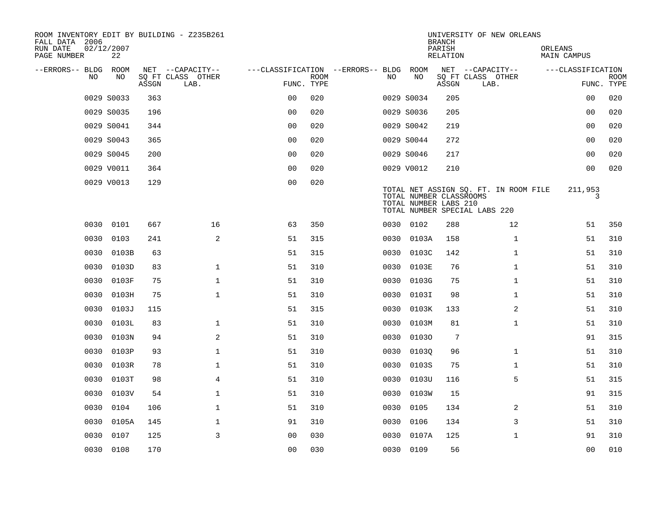| ROOM INVENTORY EDIT BY BUILDING - Z235B261<br>FALL DATA 2006<br>RUN DATE | 02/12/2007 |       |                                       |                                   |             |      |            | <b>BRANCH</b><br>PARISH                          | UNIVERSITY OF NEW ORLEANS                                              | ORLEANS            |             |
|--------------------------------------------------------------------------|------------|-------|---------------------------------------|-----------------------------------|-------------|------|------------|--------------------------------------------------|------------------------------------------------------------------------|--------------------|-------------|
| PAGE NUMBER                                                              | 22         |       |                                       |                                   |             |      |            | <b>RELATION</b>                                  |                                                                        | <b>MAIN CAMPUS</b> |             |
| --ERRORS-- BLDG ROOM<br><b>NO</b>                                        | NO.        |       | NET --CAPACITY--<br>SO FT CLASS OTHER | ---CLASSIFICATION --ERRORS-- BLDG | <b>ROOM</b> | NO.  | ROOM<br>NO |                                                  | NET --CAPACITY--<br>SQ FT CLASS OTHER                                  | ---CLASSIFICATION  | <b>ROOM</b> |
|                                                                          |            | ASSGN | LAB.                                  | FUNC. TYPE                        |             |      |            | ASSGN                                            | LAB.                                                                   |                    | FUNC. TYPE  |
|                                                                          | 0029 S0033 | 363   |                                       | 0 <sub>0</sub>                    | 020         |      | 0029 S0034 | 205                                              |                                                                        | 00                 | 020         |
|                                                                          | 0029 S0035 | 196   |                                       | 0 <sub>0</sub>                    | 020         |      | 0029 S0036 | 205                                              |                                                                        | 00                 | 020         |
|                                                                          | 0029 S0041 | 344   |                                       | 0 <sub>0</sub>                    | 020         |      | 0029 S0042 | 219                                              |                                                                        | 00                 | 020         |
|                                                                          | 0029 S0043 | 365   |                                       | 0 <sub>0</sub>                    | 020         |      | 0029 S0044 | 272                                              |                                                                        | 0 <sub>0</sub>     | 020         |
|                                                                          | 0029 S0045 | 200   |                                       | 00                                | 020         |      | 0029 S0046 | 217                                              |                                                                        | 0 <sub>0</sub>     | 020         |
|                                                                          | 0029 V0011 | 364   |                                       | 0 <sub>0</sub>                    | 020         |      | 0029 V0012 | 210                                              |                                                                        | 0 <sub>0</sub>     | 020         |
|                                                                          | 0029 V0013 | 129   |                                       | 0 <sub>0</sub>                    | 020         |      |            | TOTAL NUMBER CLASSROOMS<br>TOTAL NUMBER LABS 210 | TOTAL NET ASSIGN SQ. FT. IN ROOM FILE<br>TOTAL NUMBER SPECIAL LABS 220 | 211,953<br>3       |             |
|                                                                          | 0030 0101  | 667   | 16                                    | 63                                | 350         |      | 0030 0102  | 288                                              | 12                                                                     | 51                 | 350         |
| 0030                                                                     | 0103       | 241   | 2                                     | 51                                | 315         | 0030 | 0103A      | 158                                              | $\mathbf{1}$                                                           | 51                 | 310         |
| 0030                                                                     | 0103B      | 63    |                                       | 51                                | 315         | 0030 | 0103C      | 142                                              | $\mathbf{1}$                                                           | 51                 | 310         |
| 0030                                                                     | 0103D      | 83    | $\mathbf 1$                           | 51                                | 310         | 0030 | 0103E      | 76                                               | $\mathbf{1}$                                                           | 51                 | 310         |
| 0030                                                                     | 0103F      | 75    | $\mathbf 1$                           | 51                                | 310         | 0030 | 0103G      | 75                                               | $\mathbf{1}$                                                           | 51                 | 310         |
| 0030                                                                     | 0103H      | 75    | $\mathbf 1$                           | 51                                | 310         | 0030 | 0103I      | 98                                               | $\mathbf{1}$                                                           | 51                 | 310         |
| 0030                                                                     | 0103J      | 115   |                                       | 51                                | 315         | 0030 | 0103K      | 133                                              | 2                                                                      | 51                 | 310         |
| 0030                                                                     | 0103L      | 83    | $\mathbf{1}$                          | 51                                | 310         | 0030 | 0103M      | 81                                               | $\mathbf{1}$                                                           | 51                 | 310         |
| 0030                                                                     | 0103N      | 94    | 2                                     | 51                                | 310         | 0030 | 01030      | $7\phantom{.0}$                                  |                                                                        | 91                 | 315         |
| 0030                                                                     | 0103P      | 93    | $\mathbf{1}$                          | 51                                | 310         | 0030 | 01030      | 96                                               | $\mathbf{1}$                                                           | 51                 | 310         |
| 0030                                                                     | 0103R      | 78    | $\mathbf 1$                           | 51                                | 310         | 0030 | 0103S      | 75                                               | $\mathbf{1}$                                                           | 51                 | 310         |
| 0030                                                                     | 0103T      | 98    | $\overline{4}$                        | 51                                | 310         | 0030 | 0103U      | 116                                              | 5                                                                      | 51                 | 315         |
| 0030                                                                     | 0103V      | 54    | $\mathbf 1$                           | 51                                | 310         | 0030 | 0103W      | 15                                               |                                                                        | 91                 | 315         |
| 0030                                                                     | 0104       | 106   | $\mathbf{1}$                          | 51                                | 310         | 0030 | 0105       | 134                                              | 2                                                                      | 51                 | 310         |
| 0030                                                                     | 0105A      | 145   | 1                                     | 91                                | 310         | 0030 | 0106       | 134                                              | 3                                                                      | 51                 | 310         |
| 0030                                                                     | 0107       | 125   | $\overline{3}$                        | 0 <sub>0</sub>                    | 030         | 0030 | 0107A      | 125                                              | $\mathbf{1}$                                                           | 91                 | 310         |
|                                                                          | 0030 0108  | 170   |                                       | 00                                | 030         |      | 0030 0109  | 56                                               |                                                                        | 0 <sub>0</sub>     | 010         |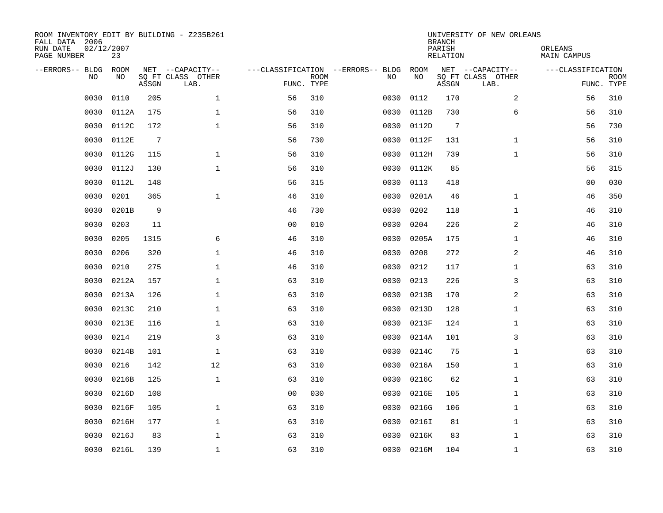| ROOM INVENTORY EDIT BY BUILDING - Z235B261<br>FALL DATA 2006<br>RUN DATE<br>PAGE NUMBER | 02/12/2007<br>23 |       |                                               |                |             |                                         |            | <b>BRANCH</b><br>PARISH<br><b>RELATION</b> | UNIVERSITY OF NEW ORLEANS                     | ORLEANS<br><b>MAIN CAMPUS</b> |                           |
|-----------------------------------------------------------------------------------------|------------------|-------|-----------------------------------------------|----------------|-------------|-----------------------------------------|------------|--------------------------------------------|-----------------------------------------------|-------------------------------|---------------------------|
| --ERRORS-- BLDG<br>NO                                                                   | ROOM<br>NO       | ASSGN | NET --CAPACITY--<br>SQ FT CLASS OTHER<br>LAB. | FUNC. TYPE     | <b>ROOM</b> | ---CLASSIFICATION --ERRORS-- BLDG<br>NO | ROOM<br>NO | ASSGN                                      | NET --CAPACITY--<br>SQ FT CLASS OTHER<br>LAB. | ---CLASSIFICATION             | <b>ROOM</b><br>FUNC. TYPE |
| 0030                                                                                    | 0110             | 205   | $\mathbf 1$                                   | 56             | 310         | 0030                                    | 0112       | 170                                        | 2                                             | 56                            | 310                       |
| 0030                                                                                    | 0112A            | 175   | 1                                             | 56             | 310         | 0030                                    | 0112B      | 730                                        | 6                                             | 56                            | 310                       |
| 0030                                                                                    | 0112C            | 172   | $\mathbf 1$                                   | 56             | 310         | 0030                                    | 0112D      | 7                                          |                                               | 56                            | 730                       |
| 0030                                                                                    | 0112E            | 7     |                                               | 56             | 730         | 0030                                    | 0112F      | 131                                        | $\mathbf{1}$                                  | 56                            | 310                       |
| 0030                                                                                    | 0112G            | 115   | $\mathbf{1}$                                  | 56             | 310         | 0030                                    | 0112H      | 739                                        | $\mathbf{1}$                                  | 56                            | 310                       |
| 0030                                                                                    | 0112J            | 130   | $\mathbf{1}$                                  | 56             | 310         | 0030                                    | 0112K      | 85                                         |                                               | 56                            | 315                       |
| 0030                                                                                    | 0112L            | 148   |                                               | 56             | 315         | 0030                                    | 0113       | 418                                        |                                               | 00                            | 030                       |
| 0030                                                                                    | 0201             | 365   | $\mathbf{1}$                                  | 46             | 310         | 0030                                    | 0201A      | 46                                         | $\mathbf{1}$                                  | 46                            | 350                       |
| 0030                                                                                    | 0201B            | 9     |                                               | 46             | 730         | 0030                                    | 0202       | 118                                        | $\mathbf{1}$                                  | 46                            | 310                       |
| 0030                                                                                    | 0203             | 11    |                                               | 0 <sub>0</sub> | 010         | 0030                                    | 0204       | 226                                        | 2                                             | 46                            | 310                       |
| 0030                                                                                    | 0205             | 1315  | 6                                             | 46             | 310         | 0030                                    | 0205A      | 175                                        | $\mathbf{1}$                                  | 46                            | 310                       |
| 0030                                                                                    | 0206             | 320   | $\mathbf{1}$                                  | 46             | 310         | 0030                                    | 0208       | 272                                        | 2                                             | 46                            | 310                       |
| 0030                                                                                    | 0210             | 275   | $\mathbf 1$                                   | 46             | 310         | 0030                                    | 0212       | 117                                        | $\mathbf{1}$                                  | 63                            | 310                       |
| 0030                                                                                    | 0212A            | 157   | $\mathbf 1$                                   | 63             | 310         | 0030                                    | 0213       | 226                                        | 3                                             | 63                            | 310                       |
| 0030                                                                                    | 0213A            | 126   | 1                                             | 63             | 310         | 0030                                    | 0213B      | 170                                        | 2                                             | 63                            | 310                       |
| 0030                                                                                    | 0213C            | 210   | $\mathbf{1}$                                  | 63             | 310         | 0030                                    | 0213D      | 128                                        | $\mathbf{1}$                                  | 63                            | 310                       |
| 0030                                                                                    | 0213E            | 116   | $\mathbf 1$                                   | 63             | 310         | 0030                                    | 0213F      | 124                                        | $\mathbf{1}$                                  | 63                            | 310                       |
| 0030                                                                                    | 0214             | 219   | 3                                             | 63             | 310         | 0030                                    | 0214A      | 101                                        | 3                                             | 63                            | 310                       |
| 0030                                                                                    | 0214B            | 101   | $\mathbf{1}$                                  | 63             | 310         | 0030                                    | 0214C      | 75                                         | $\mathbf{1}$                                  | 63                            | 310                       |
| 0030                                                                                    | 0216             | 142   | 12                                            | 63             | 310         | 0030                                    | 0216A      | 150                                        | $\mathbf{1}$                                  | 63                            | 310                       |
| 0030                                                                                    | 0216B            | 125   | $\mathbf{1}$                                  | 63             | 310         | 0030                                    | 0216C      | 62                                         | $\mathbf{1}$                                  | 63                            | 310                       |
| 0030                                                                                    | 0216D            | 108   |                                               | 00             | 030         | 0030                                    | 0216E      | 105                                        | $\mathbf{1}$                                  | 63                            | 310                       |
| 0030                                                                                    | 0216F            | 105   | $\mathbf 1$                                   | 63             | 310         | 0030                                    | 0216G      | 106                                        | $\mathbf{1}$                                  | 63                            | 310                       |
| 0030                                                                                    | 0216H            | 177   | $\mathbf 1$                                   | 63             | 310         | 0030                                    | 0216I      | 81                                         | $\mathbf{1}$                                  | 63                            | 310                       |
| 0030                                                                                    | 0216J            | 83    | $\mathbf 1$                                   | 63             | 310         | 0030                                    | 0216K      | 83                                         | $\mathbf{1}$                                  | 63                            | 310                       |
|                                                                                         | 0030 0216L       | 139   | $\mathbf{1}$                                  | 63             | 310         |                                         | 0030 0216M | 104                                        | $\mathbf{1}$                                  | 63                            | 310                       |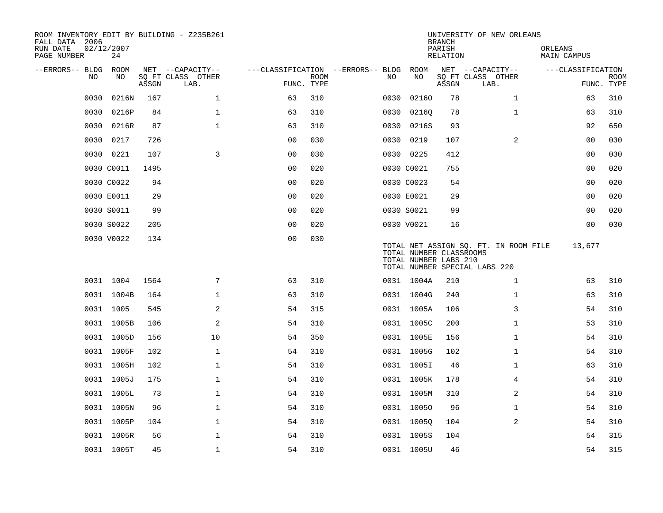| ROOM INVENTORY EDIT BY BUILDING - Z235B261<br>FALL DATA 2006<br>RUN DATE<br>PAGE NUMBER | 02/12/2007<br>24 |       |                           |                                   |             |      |                                                  | <b>BRANCH</b><br>PARISH<br>RELATION | UNIVERSITY OF NEW ORLEANS                                              | ORLEANS<br><b>MAIN CAMPUS</b> |                           |
|-----------------------------------------------------------------------------------------|------------------|-------|---------------------------|-----------------------------------|-------------|------|--------------------------------------------------|-------------------------------------|------------------------------------------------------------------------|-------------------------------|---------------------------|
| --ERRORS-- BLDG                                                                         | ROOM             |       | NET --CAPACITY--          | ---CLASSIFICATION --ERRORS-- BLDG |             |      | ROOM                                             |                                     | NET --CAPACITY--                                                       | ---CLASSIFICATION             |                           |
| NO                                                                                      | NO               | ASSGN | SQ FT CLASS OTHER<br>LAB. | FUNC. TYPE                        | <b>ROOM</b> | NO.  | NO                                               | ASSGN                               | SQ FT CLASS OTHER<br>LAB.                                              |                               | <b>ROOM</b><br>FUNC. TYPE |
| 0030                                                                                    | 0216N            | 167   | $\mathbf 1$               | 63                                | 310         | 0030 | 02160                                            | 78                                  | $\mathbf{1}$                                                           | 63                            | 310                       |
| 0030                                                                                    | 0216P            | 84    | $\mathbf 1$               | 63                                | 310         | 0030 | 02160                                            | 78                                  | $\mathbf{1}$                                                           | 63                            | 310                       |
| 0030                                                                                    | 0216R            | 87    | $\mathbf{1}$              | 63                                | 310         | 0030 | 0216S                                            | 93                                  |                                                                        | 92                            | 650                       |
| 0030                                                                                    | 0217             | 726   |                           | 0 <sub>0</sub>                    | 030         |      | 0030 0219                                        | 107                                 | 2                                                                      | 0 <sub>0</sub>                | 030                       |
|                                                                                         | 0030 0221        | 107   | 3                         | 00                                | 030         |      | 0030 0225                                        | 412                                 |                                                                        | 00                            | 030                       |
|                                                                                         | 0030 C0011       | 1495  |                           | 0 <sub>0</sub>                    | 020         |      | 0030 C0021                                       | 755                                 |                                                                        | 00                            | 020                       |
|                                                                                         | 0030 C0022       | 94    |                           | 0 <sub>0</sub>                    | 020         |      | 0030 C0023                                       | 54                                  |                                                                        | 0 <sub>0</sub>                | 020                       |
|                                                                                         | 0030 E0011       | 29    |                           | 0 <sub>0</sub>                    | 020         |      | 0030 E0021                                       | 29                                  |                                                                        | 00                            | 020                       |
|                                                                                         | 0030 S0011       | 99    |                           | 00                                | 020         |      | 0030 S0021                                       | 99                                  |                                                                        | 0 <sub>0</sub>                | 020                       |
|                                                                                         | 0030 S0022       | 205   |                           | 0 <sub>0</sub>                    | 020         |      | 0030 V0021                                       | 16                                  |                                                                        | 0 <sub>0</sub>                | 030                       |
|                                                                                         | 0030 V0022       | 134   |                           | 0 <sub>0</sub>                    | 030         |      | TOTAL NUMBER CLASSROOMS<br>TOTAL NUMBER LABS 210 |                                     | TOTAL NET ASSIGN SQ. FT. IN ROOM FILE<br>TOTAL NUMBER SPECIAL LABS 220 | 13,677                        |                           |
|                                                                                         | 0031 1004        | 1564  | 7                         | 63                                | 310         |      | 0031 1004A                                       | 210                                 | $\mathbf{1}$                                                           | 63                            | 310                       |
|                                                                                         | 0031 1004B       | 164   | $\mathbf{1}$              | 63                                | 310         |      | 0031 1004G                                       | 240                                 | $\mathbf{1}$                                                           | 63                            | 310                       |
|                                                                                         | 0031 1005        | 545   | 2                         | 54                                | 315         |      | 0031 1005A                                       | 106                                 | 3                                                                      | 54                            | 310                       |
|                                                                                         | 0031 1005B       | 106   | 2                         | 54                                | 310         |      | 0031 1005C                                       | 200                                 | $\mathbf{1}$                                                           | 53                            | 310                       |
|                                                                                         | 0031 1005D       | 156   | 10                        | 54                                | 350         |      | 0031 1005E                                       | 156                                 | $\mathbf{1}$                                                           | 54                            | 310                       |
|                                                                                         | 0031 1005F       | 102   | $\mathbf 1$               | 54                                | 310         |      | 0031 1005G                                       | 102                                 | $\mathbf{1}$                                                           | 54                            | 310                       |
|                                                                                         | 0031 1005H       | 102   | $\mathbf 1$               | 54                                | 310         |      | 0031 1005I                                       | 46                                  | $\mathbf{1}$                                                           | 63                            | 310                       |
|                                                                                         | 0031 1005J       | 175   | $\mathbf{1}$              | 54                                | 310         |      | 0031 1005K                                       | 178                                 | 4                                                                      | 54                            | 310                       |
|                                                                                         | 0031 1005L       | 73    | $\mathbf{1}$              | 54                                | 310         |      | 0031 1005M                                       | 310                                 | 2                                                                      | 54                            | 310                       |
|                                                                                         | 0031 1005N       | 96    | $\mathbf 1$               | 54                                | 310         |      | 0031 10050                                       | 96                                  | $\mathbf{1}$                                                           | 54                            | 310                       |
|                                                                                         | 0031 1005P       | 104   | $\mathbf 1$               | 54                                | 310         |      | 0031 1005Q                                       | 104                                 | 2                                                                      | 54                            | 310                       |
|                                                                                         | 0031 1005R       | 56    | $\mathbf{1}$              | 54                                | 310         |      | 0031 1005S                                       | 104                                 |                                                                        | 54                            | 315                       |
|                                                                                         | 0031 1005T       | 45    | $\mathbf{1}$              | 54                                | 310         |      | 0031 1005U                                       | 46                                  |                                                                        | 54                            | 315                       |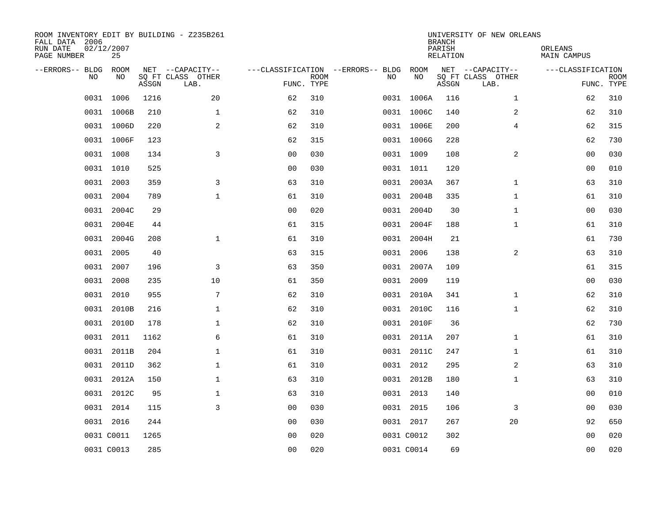| ROOM INVENTORY EDIT BY BUILDING - Z235B261<br>FALL DATA 2006<br>RUN DATE<br>PAGE NUMBER | 02/12/2007<br>25 |       |                                               |                |             |                                         |            | <b>BRANCH</b><br>PARISH<br><b>RELATION</b> | UNIVERSITY OF NEW ORLEANS                     | ORLEANS<br><b>MAIN CAMPUS</b> |                           |
|-----------------------------------------------------------------------------------------|------------------|-------|-----------------------------------------------|----------------|-------------|-----------------------------------------|------------|--------------------------------------------|-----------------------------------------------|-------------------------------|---------------------------|
| --ERRORS-- BLDG<br>NO.                                                                  | ROOM<br>NO       | ASSGN | NET --CAPACITY--<br>SQ FT CLASS OTHER<br>LAB. | FUNC. TYPE     | <b>ROOM</b> | ---CLASSIFICATION --ERRORS-- BLDG<br>NO | ROOM<br>NO | ASSGN                                      | NET --CAPACITY--<br>SQ FT CLASS OTHER<br>LAB. | ---CLASSIFICATION             | <b>ROOM</b><br>FUNC. TYPE |
|                                                                                         | 0031 1006        | 1216  | 20                                            | 62             | 310         |                                         | 0031 1006A | 116                                        | $\mathbf{1}$                                  | 62                            | 310                       |
|                                                                                         | 0031 1006B       | 210   | $\mathbf 1$                                   | 62             | 310         |                                         | 0031 1006C | 140                                        | 2                                             | 62                            | 310                       |
|                                                                                         | 0031 1006D       | 220   | 2                                             | 62             | 310         |                                         | 0031 1006E | 200                                        | 4                                             | 62                            | 315                       |
|                                                                                         | 0031 1006F       | 123   |                                               | 62             | 315         |                                         | 0031 1006G | 228                                        |                                               | 62                            | 730                       |
| 0031                                                                                    | 1008             | 134   | 3                                             | 00             | 030         |                                         | 0031 1009  | 108                                        | 2                                             | 0 <sub>0</sub>                | 030                       |
|                                                                                         | 0031 1010        | 525   |                                               | 0 <sub>0</sub> | 030         |                                         | 0031 1011  | 120                                        |                                               | 0 <sub>0</sub>                | 010                       |
| 0031                                                                                    | 2003             | 359   | 3                                             | 63             | 310         |                                         | 0031 2003A | 367                                        | $\mathbf{1}$                                  | 63                            | 310                       |
|                                                                                         | 0031 2004        | 789   | $\mathbf{1}$                                  | 61             | 310         |                                         | 0031 2004B | 335                                        | $\mathbf{1}$                                  | 61                            | 310                       |
| 0031                                                                                    | 2004C            | 29    |                                               | 0 <sub>0</sub> | 020         |                                         | 0031 2004D | 30                                         | $\mathbf{1}$                                  | 0 <sub>0</sub>                | 030                       |
|                                                                                         | 0031 2004E       | 44    |                                               | 61             | 315         |                                         | 0031 2004F | 188                                        | $\mathbf{1}$                                  | 61                            | 310                       |
| 0031                                                                                    | 2004G            | 208   | $\mathbf{1}$                                  | 61             | 310         |                                         | 0031 2004H | 21                                         |                                               | 61                            | 730                       |
|                                                                                         | 0031 2005        | 40    |                                               | 63             | 315         |                                         | 0031 2006  | 138                                        | 2                                             | 63                            | 310                       |
| 0031                                                                                    | 2007             | 196   | 3                                             | 63             | 350         | 0031                                    | 2007A      | 109                                        |                                               | 61                            | 315                       |
|                                                                                         | 0031 2008        | 235   | 10                                            | 61             | 350         |                                         | 0031 2009  | 119                                        |                                               | 00                            | 030                       |
| 0031                                                                                    | 2010             | 955   | 7                                             | 62             | 310         |                                         | 0031 2010A | 341                                        | $\mathbf{1}$                                  | 62                            | 310                       |
|                                                                                         | 0031 2010B       | 216   | 1                                             | 62             | 310         |                                         | 0031 2010C | 116                                        | $\mathbf{1}$                                  | 62                            | 310                       |
| 0031                                                                                    | 2010D            | 178   | $\mathbf 1$                                   | 62             | 310         | 0031                                    | 2010F      | 36                                         |                                               | 62                            | 730                       |
| 0031                                                                                    | 2011             | 1162  | 6                                             | 61             | 310         |                                         | 0031 2011A | 207                                        | $\mathbf{1}$                                  | 61                            | 310                       |
|                                                                                         | 0031 2011B       | 204   | $\mathbf 1$                                   | 61             | 310         |                                         | 0031 2011C | 247                                        | $\mathbf{1}$                                  | 61                            | 310                       |
|                                                                                         | 0031 2011D       | 362   | $\mathbf 1$                                   | 61             | 310         |                                         | 0031 2012  | 295                                        | 2                                             | 63                            | 310                       |
|                                                                                         | 0031 2012A       | 150   | $\mathbf{1}$                                  | 63             | 310         |                                         | 0031 2012B | 180                                        | $\mathbf{1}$                                  | 63                            | 310                       |
|                                                                                         | 0031 2012C       | 95    | $\mathbf{1}$                                  | 63             | 310         |                                         | 0031 2013  | 140                                        |                                               | 0 <sub>0</sub>                | 010                       |
|                                                                                         | 0031 2014        | 115   | 3                                             | 0 <sub>0</sub> | 030         |                                         | 0031 2015  | 106                                        | 3                                             | 0 <sub>0</sub>                | 030                       |
|                                                                                         | 0031 2016        | 244   |                                               | 00             | 030         |                                         | 0031 2017  | 267                                        | 20                                            | 92                            | 650                       |
|                                                                                         | 0031 C0011       | 1265  |                                               | 0 <sub>0</sub> | 020         |                                         | 0031 C0012 | 302                                        |                                               | 0 <sub>0</sub>                | 020                       |
|                                                                                         | 0031 C0013       | 285   |                                               | 00             | 020         |                                         | 0031 C0014 | 69                                         |                                               | 0 <sub>0</sub>                | 020                       |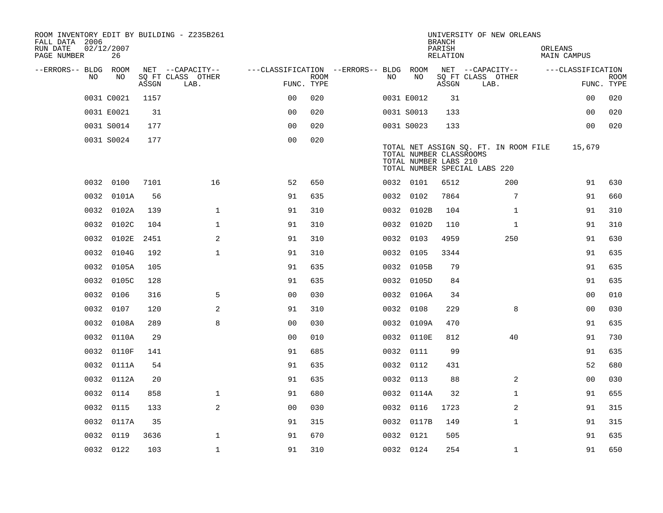| ROOM INVENTORY EDIT BY BUILDING - Z235B261<br>FALL DATA 2006<br>RUN DATE | 02/12/2007 |       |                                       |                                        |             |     |                                                  | <b>BRANCH</b><br>PARISH | UNIVERSITY OF NEW ORLEANS                                              | ORLEANS           |             |
|--------------------------------------------------------------------------|------------|-------|---------------------------------------|----------------------------------------|-------------|-----|--------------------------------------------------|-------------------------|------------------------------------------------------------------------|-------------------|-------------|
| PAGE NUMBER                                                              | 26         |       |                                       |                                        |             |     |                                                  | RELATION                |                                                                        | MAIN CAMPUS       |             |
| --ERRORS-- BLDG ROOM<br>NO.                                              | NO         |       | NET --CAPACITY--<br>SQ FT CLASS OTHER | ---CLASSIFICATION --ERRORS-- BLDG ROOM | <b>ROOM</b> | NO. | NO                                               |                         | NET --CAPACITY--<br>SQ FT CLASS OTHER                                  | ---CLASSIFICATION | <b>ROOM</b> |
|                                                                          |            | ASSGN | LAB.                                  | FUNC. TYPE                             |             |     |                                                  | ASSGN                   | LAB.                                                                   |                   | FUNC. TYPE  |
|                                                                          | 0031 C0021 | 1157  |                                       | 0 <sub>0</sub>                         | 020         |     | 0031 E0012                                       | 31                      |                                                                        | 0 <sub>0</sub>    | 020         |
|                                                                          | 0031 E0021 | 31    |                                       | 0 <sub>0</sub>                         | 020         |     | 0031 S0013                                       | 133                     |                                                                        | 0 <sub>0</sub>    | 020         |
|                                                                          | 0031 S0014 | 177   |                                       | 0 <sub>0</sub>                         | 020         |     | 0031 S0023                                       | 133                     |                                                                        | 0 <sub>0</sub>    | 020         |
|                                                                          | 0031 S0024 | 177   |                                       | 0 <sub>0</sub>                         | 020         |     | TOTAL NUMBER CLASSROOMS<br>TOTAL NUMBER LABS 210 |                         | TOTAL NET ASSIGN SQ. FT. IN ROOM FILE<br>TOTAL NUMBER SPECIAL LABS 220 | 15,679            |             |
|                                                                          | 0032 0100  | 7101  | 16                                    | 52                                     | 650         |     | 0032 0101                                        | 6512                    | 200                                                                    | 91                | 630         |
|                                                                          | 0032 0101A | 56    |                                       | 91                                     | 635         |     | 0032 0102                                        | 7864                    | 7                                                                      | 91                | 660         |
| 0032                                                                     | 0102A      | 139   | $\mathbf{1}$                          | 91                                     | 310         |     | 0032 0102B                                       | 104                     | $\mathbf{1}$                                                           | 91                | 310         |
| 0032                                                                     | 0102C      | 104   | $\mathbf 1$                           | 91                                     | 310         |     | 0032 0102D                                       | 110                     | $\mathbf{1}$                                                           | 91                | 310         |
| 0032                                                                     | 0102E      | 2451  | 2                                     | 91                                     | 310         |     | 0032 0103                                        | 4959                    | 250                                                                    | 91                | 630         |
|                                                                          | 0032 0104G | 192   | $\mathbf{1}$                          | 91                                     | 310         |     | 0032 0105                                        | 3344                    |                                                                        | 91                | 635         |
| 0032                                                                     | 0105A      | 105   |                                       | 91                                     | 635         |     | 0032 0105B                                       | 79                      |                                                                        | 91                | 635         |
|                                                                          | 0032 0105C | 128   |                                       | 91                                     | 635         |     | 0032 0105D                                       | 84                      |                                                                        | 91                | 635         |
|                                                                          | 0032 0106  | 316   | 5                                     | 0 <sub>0</sub>                         | 030         |     | 0032 0106A                                       | 34                      |                                                                        | 0 <sub>0</sub>    | 010         |
|                                                                          | 0032 0107  | 120   | 2                                     | 91                                     | 310         |     | 0032 0108                                        | 229                     | 8                                                                      | 0 <sub>0</sub>    | 030         |
| 0032                                                                     | 0108A      | 289   | 8                                     | 0 <sub>0</sub>                         | 030         |     | 0032 0109A                                       | 470                     |                                                                        | 91                | 635         |
| 0032                                                                     | 0110A      | 29    |                                       | 0 <sub>0</sub>                         | 010         |     | 0032 0110E                                       | 812                     | 40                                                                     | 91                | 730         |
|                                                                          | 0032 0110F | 141   |                                       | 91                                     | 685         |     | 0032 0111                                        | 99                      |                                                                        | 91                | 635         |
|                                                                          | 0032 0111A | 54    |                                       | 91                                     | 635         |     | 0032 0112                                        | 431                     |                                                                        | 52                | 680         |
|                                                                          | 0032 0112A | 20    |                                       | 91                                     | 635         |     | 0032 0113                                        | 88                      | 2                                                                      | 0 <sub>0</sub>    | 030         |
|                                                                          | 0032 0114  | 858   | $\mathbf 1$                           | 91                                     | 680         |     | 0032 0114A                                       | 32                      | $\mathbf{1}$                                                           | 91                | 655         |
|                                                                          | 0032 0115  | 133   | 2                                     | 0 <sub>0</sub>                         | 030         |     | 0032 0116                                        | 1723                    | 2                                                                      | 91                | 315         |
|                                                                          | 0032 0117A | 35    |                                       | 91                                     | 315         |     | 0032 0117B                                       | 149                     | $\mathbf{1}$                                                           | 91                | 315         |
| 0032                                                                     | 0119       | 3636  | $\mathbf 1$                           | 91                                     | 670         |     | 0032 0121                                        | 505                     |                                                                        | 91                | 635         |
|                                                                          | 0032 0122  | 103   | $\mathbf{1}$                          | 91                                     | 310         |     | 0032 0124                                        | 254                     | $\mathbf{1}$                                                           | 91                | 650         |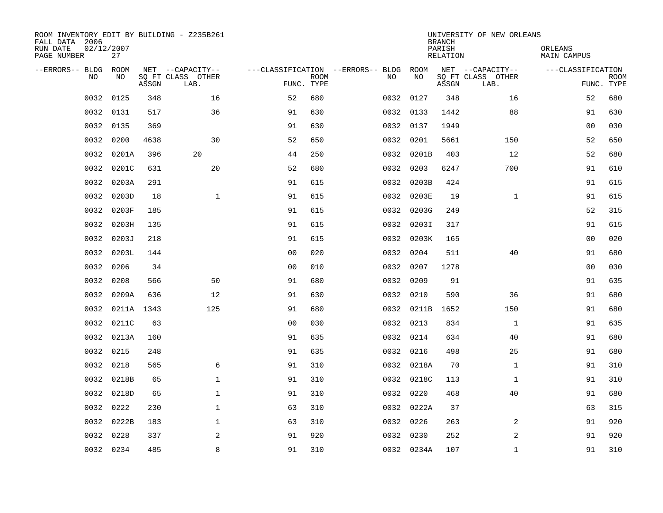| ROOM INVENTORY EDIT BY BUILDING - Z235B261<br>FALL DATA 2006<br>RUN DATE<br>PAGE NUMBER | 02/12/2007<br>27 |       |                                       |                                        |             |           |            | <b>BRANCH</b><br>PARISH<br>RELATION | UNIVERSITY OF NEW ORLEANS             | ORLEANS<br>MAIN CAMPUS |             |
|-----------------------------------------------------------------------------------------|------------------|-------|---------------------------------------|----------------------------------------|-------------|-----------|------------|-------------------------------------|---------------------------------------|------------------------|-------------|
| --ERRORS-- BLDG ROOM<br>NO.                                                             | NO.              |       | NET --CAPACITY--<br>SQ FT CLASS OTHER | ---CLASSIFICATION --ERRORS-- BLDG ROOM | <b>ROOM</b> | NO.       | NO         |                                     | NET --CAPACITY--<br>SQ FT CLASS OTHER | ---CLASSIFICATION      | <b>ROOM</b> |
|                                                                                         |                  | ASSGN | LAB.                                  | FUNC. TYPE                             |             |           |            | ASSGN                               | LAB.                                  |                        | FUNC. TYPE  |
| 0032                                                                                    | 0125             | 348   | 16                                    | 52                                     | 680         | 0032 0127 |            | 348                                 | 16                                    | 52                     | 680         |
| 0032                                                                                    | 0131             | 517   | 36                                    | 91                                     | 630         | 0032 0133 |            | 1442                                | 88                                    | 91                     | 630         |
| 0032                                                                                    | 0135             | 369   |                                       | 91                                     | 630         | 0032 0137 |            | 1949                                |                                       | 00                     | 030         |
| 0032                                                                                    | 0200             | 4638  | 30                                    | 52                                     | 650         | 0032 0201 |            | 5661                                | 150                                   | 52                     | 650         |
| 0032                                                                                    | 0201A            | 396   | 20                                    | 44                                     | 250         |           | 0032 0201B | 403                                 | 12                                    | 52                     | 680         |
| 0032                                                                                    | 0201C            | 631   | 20                                    | 52                                     | 680         | 0032      | 0203       | 6247                                | 700                                   | 91                     | 610         |
| 0032                                                                                    | 0203A            | 291   |                                       | 91                                     | 615         |           | 0032 0203B | 424                                 |                                       | 91                     | 615         |
| 0032                                                                                    | 0203D            | 18    | $\mathbf 1$                           | 91                                     | 615         |           | 0032 0203E | 19                                  | $\mathbf{1}$                          | 91                     | 615         |
| 0032                                                                                    | 0203F            | 185   |                                       | 91                                     | 615         |           | 0032 0203G | 249                                 |                                       | 52                     | 315         |
| 0032                                                                                    | 0203H            | 135   |                                       | 91                                     | 615         |           | 0032 0203I | 317                                 |                                       | 91                     | 615         |
| 0032                                                                                    | 0203J            | 218   |                                       | 91                                     | 615         |           | 0032 0203K | 165                                 |                                       | 00                     | 020         |
| 0032                                                                                    | 0203L            | 144   |                                       | 0 <sub>0</sub>                         | 020         | 0032 0204 |            | 511                                 | 40                                    | 91                     | 680         |
| 0032                                                                                    | 0206             | 34    |                                       | 0 <sub>0</sub>                         | 010         | 0032      | 0207       | 1278                                |                                       | 0 <sub>0</sub>         | 030         |
| 0032                                                                                    | 0208             | 566   | 50                                    | 91                                     | 680         | 0032      | 0209       | 91                                  |                                       | 91                     | 635         |
| 0032                                                                                    | 0209A            | 636   | 12                                    | 91                                     | 630         | 0032      | 0210       | 590                                 | 36                                    | 91                     | 680         |
| 0032                                                                                    | 0211A 1343       |       | 125                                   | 91                                     | 680         |           | 0032 0211B | 1652                                | 150                                   | 91                     | 680         |
| 0032                                                                                    | 0211C            | 63    |                                       | 0 <sub>0</sub>                         | 030         | 0032 0213 |            | 834                                 | $\mathbf{1}$                          | 91                     | 635         |
| 0032                                                                                    | 0213A            | 160   |                                       | 91                                     | 635         | 0032 0214 |            | 634                                 | 40                                    | 91                     | 680         |
|                                                                                         | 0032 0215        | 248   |                                       | 91                                     | 635         | 0032 0216 |            | 498                                 | 25                                    | 91                     | 680         |
| 0032                                                                                    | 0218             | 565   | 6                                     | 91                                     | 310         |           | 0032 0218A | 70                                  | $\mathbf{1}$                          | 91                     | 310         |
| 0032                                                                                    | 0218B            | 65    | $\mathbf 1$                           | 91                                     | 310         |           | 0032 0218C | 113                                 | $\mathbf{1}$                          | 91                     | 310         |
| 0032                                                                                    | 0218D            | 65    | $\mathbf{1}$                          | 91                                     | 310         | 0032 0220 |            | 468                                 | 40                                    | 91                     | 680         |
| 0032                                                                                    | 0222             | 230   | 1                                     | 63                                     | 310         |           | 0032 0222A | 37                                  |                                       | 63                     | 315         |
| 0032                                                                                    | 0222B            | 183   | 1                                     | 63                                     | 310         | 0032 0226 |            | 263                                 | 2                                     | 91                     | 920         |
| 0032                                                                                    | 0228             | 337   | 2                                     | 91                                     | 920         | 0032 0230 |            | 252                                 | 2                                     | 91                     | 920         |
|                                                                                         | 0032 0234        | 485   | 8                                     | 91                                     | 310         |           | 0032 0234A | 107                                 | $\mathbf{1}$                          | 91                     | 310         |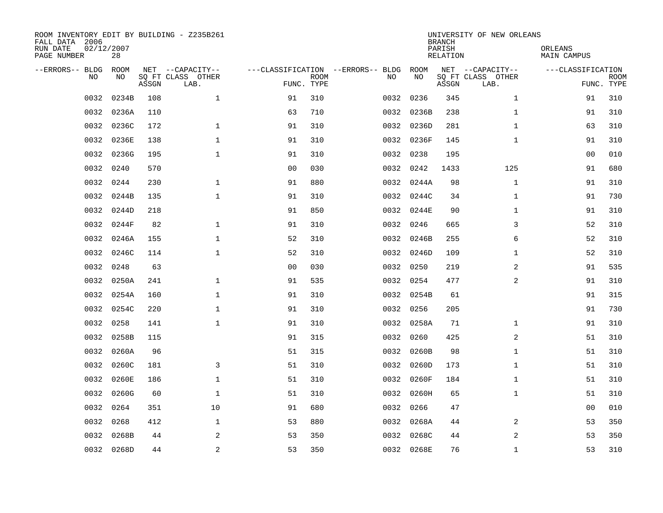| ROOM INVENTORY EDIT BY BUILDING - Z235B261<br>FALL DATA 2006<br>RUN DATE<br>PAGE NUMBER | 02/12/2007<br>28 |       |                           |                |             |                                   |            | <b>BRANCH</b><br>PARISH<br>RELATION | UNIVERSITY OF NEW ORLEANS | ORLEANS<br>MAIN CAMPUS |                           |
|-----------------------------------------------------------------------------------------|------------------|-------|---------------------------|----------------|-------------|-----------------------------------|------------|-------------------------------------|---------------------------|------------------------|---------------------------|
| --ERRORS-- BLDG                                                                         | ROOM             |       | NET --CAPACITY--          |                |             | ---CLASSIFICATION --ERRORS-- BLDG | ROOM       |                                     | NET --CAPACITY--          | ---CLASSIFICATION      |                           |
| N <sub>O</sub>                                                                          | NO.              | ASSGN | SO FT CLASS OTHER<br>LAB. | FUNC. TYPE     | <b>ROOM</b> | NO.                               | NO         | ASSGN                               | SQ FT CLASS OTHER<br>LAB. |                        | <b>ROOM</b><br>FUNC. TYPE |
| 0032                                                                                    | 0234B            | 108   | $\mathbf{1}$              | 91             | 310         | 0032                              | 0236       | 345                                 | $\mathbf{1}$              | 91                     | 310                       |
| 0032                                                                                    | 0236A            | 110   |                           | 63             | 710         |                                   | 0032 0236B | 238                                 | $\mathbf{1}$              | 91                     | 310                       |
| 0032                                                                                    | 0236C            | 172   | $\mathbf 1$               | 91             | 310         |                                   | 0032 0236D | 281                                 | $\mathbf{1}$              | 63                     | 310                       |
| 0032                                                                                    | 0236E            | 138   | 1                         | 91             | 310         |                                   | 0032 0236F | 145                                 | $\mathbf{1}$              | 91                     | 310                       |
| 0032                                                                                    | 0236G            | 195   | $\mathbf 1$               | 91             | 310         | 0032                              | 0238       | 195                                 |                           | 00                     | 010                       |
| 0032                                                                                    | 0240             | 570   |                           | 0 <sub>0</sub> | 030         |                                   | 0032 0242  | 1433                                | 125                       | 91                     | 680                       |
| 0032                                                                                    | 0244             | 230   | $\mathbf{1}$              | 91             | 880         |                                   | 0032 0244A | 98                                  | $\mathbf{1}$              | 91                     | 310                       |
| 0032                                                                                    | 0244B            | 135   | $\mathbf{1}$              | 91             | 310         |                                   | 0032 0244C | 34                                  | $\mathbf{1}$              | 91                     | 730                       |
| 0032                                                                                    | 0244D            | 218   |                           | 91             | 850         | 0032                              | 0244E      | 90                                  | $\mathbf{1}$              | 91                     | 310                       |
| 0032                                                                                    | 0244F            | 82    | $\mathbf{1}$              | 91             | 310         |                                   | 0032 0246  | 665                                 | 3                         | 52                     | 310                       |
| 0032                                                                                    | 0246A            | 155   | $\mathbf{1}$              | 52             | 310         | 0032                              | 0246B      | 255                                 | 6                         | 52                     | 310                       |
| 0032                                                                                    | 0246C            | 114   | $\mathbf{1}$              | 52             | 310         |                                   | 0032 0246D | 109                                 | $\mathbf{1}$              | 52                     | 310                       |
| 0032                                                                                    | 0248             | 63    |                           | 0 <sub>0</sub> | 030         | 0032                              | 0250       | 219                                 | 2                         | 91                     | 535                       |
| 0032                                                                                    | 0250A            | 241   | $\mathbf 1$               | 91             | 535         |                                   | 0032 0254  | 477                                 | 2                         | 91                     | 310                       |
| 0032                                                                                    | 0254A            | 160   | $\mathbf 1$               | 91             | 310         |                                   | 0032 0254B | 61                                  |                           | 91                     | 315                       |
| 0032                                                                                    | 0254C            | 220   | $\mathbf{1}$              | 91             | 310         |                                   | 0032 0256  | 205                                 |                           | 91                     | 730                       |
| 0032                                                                                    | 0258             | 141   | $\mathbf{1}$              | 91             | 310         |                                   | 0032 0258A | 71                                  | $\mathbf{1}$              | 91                     | 310                       |
| 0032                                                                                    | 0258B            | 115   |                           | 91             | 315         |                                   | 0032 0260  | 425                                 | 2                         | 51                     | 310                       |
| 0032                                                                                    | 0260A            | 96    |                           | 51             | 315         |                                   | 0032 0260B | 98                                  | $\mathbf{1}$              | 51                     | 310                       |
| 0032                                                                                    | 0260C            | 181   | 3                         | 51             | 310         |                                   | 0032 0260D | 173                                 | $\mathbf{1}$              | 51                     | 310                       |
| 0032                                                                                    | 0260E            | 186   | $\mathbf 1$               | 51             | 310         |                                   | 0032 0260F | 184                                 | $\mathbf{1}$              | 51                     | 310                       |
| 0032                                                                                    | 0260G            | 60    | $\mathbf 1$               | 51             | 310         |                                   | 0032 0260H | 65                                  | $\mathbf{1}$              | 51                     | 310                       |
| 0032                                                                                    | 0264             | 351   | 10                        | 91             | 680         |                                   | 0032 0266  | 47                                  |                           | 00                     | 010                       |
| 0032                                                                                    | 0268             | 412   | $\mathbf 1$               | 53             | 880         |                                   | 0032 0268A | 44                                  | 2                         | 53                     | 350                       |
| 0032                                                                                    | 0268B            | 44    | 2                         | 53             | 350         | 0032                              | 0268C      | 44                                  | 2                         | 53                     | 350                       |
|                                                                                         | 0032 0268D       | 44    | $\overline{2}$            | 53             | 350         |                                   | 0032 0268E | 76                                  | $\mathbf{1}$              | 53                     | 310                       |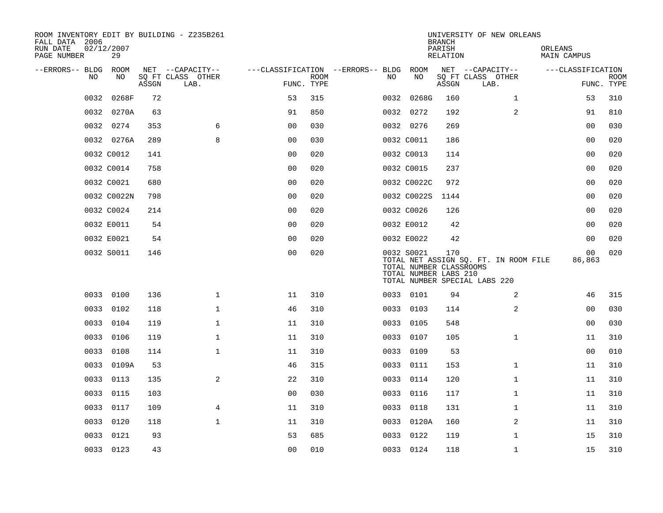| ROOM INVENTORY EDIT BY BUILDING - Z235B261<br>FALL DATA 2006<br>RUN DATE<br>PAGE NUMBER | 02/12/2007<br>29 |       |                           |                                   |             |      |                                                                | <b>BRANCH</b><br>PARISH<br>RELATION | UNIVERSITY OF NEW ORLEANS                                              | ORLEANS<br><b>MAIN CAMPUS</b> |                           |
|-----------------------------------------------------------------------------------------|------------------|-------|---------------------------|-----------------------------------|-------------|------|----------------------------------------------------------------|-------------------------------------|------------------------------------------------------------------------|-------------------------------|---------------------------|
| --ERRORS-- BLDG                                                                         | <b>ROOM</b>      |       | NET --CAPACITY--          | ---CLASSIFICATION --ERRORS-- BLDG |             |      | ROOM                                                           |                                     | NET --CAPACITY--                                                       | ---CLASSIFICATION             |                           |
| NO                                                                                      | NO               | ASSGN | SQ FT CLASS OTHER<br>LAB. | FUNC. TYPE                        | <b>ROOM</b> | NO.  | NO                                                             | ASSGN                               | SQ FT CLASS OTHER<br>LAB.                                              |                               | <b>ROOM</b><br>FUNC. TYPE |
| 0032                                                                                    | 0268F            | 72    |                           | 53                                | 315         |      | 0032 0268G                                                     | 160                                 | $\mathbf{1}$                                                           | 53                            | 310                       |
|                                                                                         | 0032 0270A       | 63    |                           | 91                                | 850         |      | 0032 0272                                                      | 192                                 | 2                                                                      | 91                            | 810                       |
|                                                                                         | 0032 0274        | 353   | 6                         | 0 <sub>0</sub>                    | 030         |      | 0032 0276                                                      | 269                                 |                                                                        | 00                            | 030                       |
|                                                                                         | 0032 0276A       | 289   | 8                         | 0 <sub>0</sub>                    | 030         |      | 0032 C0011                                                     | 186                                 |                                                                        | 00                            | 020                       |
|                                                                                         | 0032 C0012       | 141   |                           | 00                                | 020         |      | 0032 C0013                                                     | 114                                 |                                                                        | 0 <sub>0</sub>                | 020                       |
|                                                                                         | 0032 C0014       | 758   |                           | 0 <sub>0</sub>                    | 020         |      | 0032 C0015                                                     | 237                                 |                                                                        | 00                            | 020                       |
|                                                                                         | 0032 C0021       | 680   |                           | 0 <sub>0</sub>                    | 020         |      | 0032 C0022C                                                    | 972                                 |                                                                        | 00                            | 020                       |
|                                                                                         | 0032 C0022N      | 798   |                           | 0 <sub>0</sub>                    | 020         |      | 0032 C0022S                                                    | 1144                                |                                                                        | 0 <sub>0</sub>                | 020                       |
|                                                                                         | 0032 C0024       | 214   |                           | 0 <sub>0</sub>                    | 020         |      | 0032 C0026                                                     | 126                                 |                                                                        | 00                            | 020                       |
|                                                                                         | 0032 E0011       | 54    |                           | 0 <sub>0</sub>                    | 020         |      | 0032 E0012                                                     | 42                                  |                                                                        | 00                            | 020                       |
|                                                                                         | 0032 E0021       | 54    |                           | 0 <sub>0</sub>                    | 020         |      | 0032 E0022                                                     | 42                                  |                                                                        | 0 <sub>0</sub>                | 020                       |
|                                                                                         | 0032 S0011       | 146   |                           | 0 <sub>0</sub>                    | 020         |      | 0032 S0021<br>TOTAL NUMBER CLASSROOMS<br>TOTAL NUMBER LABS 210 | 170                                 | TOTAL NET ASSIGN SQ. FT. IN ROOM FILE<br>TOTAL NUMBER SPECIAL LABS 220 | 0 <sub>0</sub><br>86,863      | 020                       |
|                                                                                         | 0033 0100        | 136   | 1                         | 11                                | 310         |      | 0033 0101                                                      | 94                                  | 2                                                                      | 46                            | 315                       |
|                                                                                         | 0033 0102        | 118   | $\mathbf 1$               | 46                                | 310         |      | 0033 0103                                                      | 114                                 | 2                                                                      | 00                            | 030                       |
| 0033                                                                                    | 0104             | 119   | $\mathbf{1}$              | 11                                | 310         | 0033 | 0105                                                           | 548                                 |                                                                        | 0 <sub>0</sub>                | 030                       |
| 0033                                                                                    | 0106             | 119   | $\mathbf 1$               | 11                                | 310         | 0033 | 0107                                                           | 105                                 | $\mathbf{1}$                                                           | 11                            | 310                       |
| 0033                                                                                    | 0108             | 114   | $\mathbf 1$               | 11                                | 310         |      | 0033 0109                                                      | 53                                  |                                                                        | 0 <sub>0</sub>                | 010                       |
| 0033                                                                                    | 0109A            | 53    |                           | 46                                | 315         |      | 0033 0111                                                      | 153                                 | $\mathbf{1}$                                                           | 11                            | 310                       |
| 0033                                                                                    | 0113             | 135   | 2                         | 22                                | 310         |      | 0033 0114                                                      | 120                                 | $\mathbf{1}$                                                           | 11                            | 310                       |
| 0033                                                                                    | 0115             | 103   |                           | 0 <sub>0</sub>                    | 030         | 0033 | 0116                                                           | 117                                 | $\mathbf{1}$                                                           | 11                            | 310                       |
| 0033                                                                                    | 0117             | 109   | 4                         | 11                                | 310         |      | 0033 0118                                                      | 131                                 | $\mathbf{1}$                                                           | 11                            | 310                       |
| 0033                                                                                    | 0120             | 118   | $\mathbf{1}$              | 11                                | 310         |      | 0033 0120A                                                     | 160                                 | 2                                                                      | 11                            | 310                       |
| 0033                                                                                    | 0121             | 93    |                           | 53                                | 685         |      | 0033 0122                                                      | 119                                 | $\mathbf{1}$                                                           | 15                            | 310                       |
|                                                                                         | 0033 0123        | 43    |                           | 0 <sub>0</sub>                    | 010         |      | 0033 0124                                                      | 118                                 | $\mathbf{1}$                                                           | 15                            | 310                       |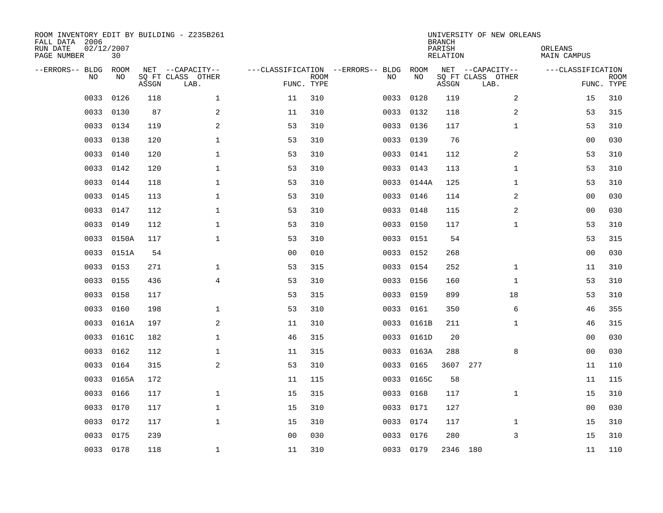| ROOM INVENTORY EDIT BY BUILDING - Z235B261<br>FALL DATA 2006<br>RUN DATE<br>PAGE NUMBER | 02/12/2007<br>30 |       |                                               |                |             |                                         |            | <b>BRANCH</b><br>PARISH<br><b>RELATION</b> | UNIVERSITY OF NEW ORLEANS                     | ORLEANS<br><b>MAIN CAMPUS</b> |                           |
|-----------------------------------------------------------------------------------------|------------------|-------|-----------------------------------------------|----------------|-------------|-----------------------------------------|------------|--------------------------------------------|-----------------------------------------------|-------------------------------|---------------------------|
| --ERRORS-- BLDG<br>NO.                                                                  | ROOM<br>NO       | ASSGN | NET --CAPACITY--<br>SQ FT CLASS OTHER<br>LAB. | FUNC. TYPE     | <b>ROOM</b> | ---CLASSIFICATION --ERRORS-- BLDG<br>NO | ROOM<br>NO | ASSGN                                      | NET --CAPACITY--<br>SQ FT CLASS OTHER<br>LAB. | ---CLASSIFICATION             | <b>ROOM</b><br>FUNC. TYPE |
| 0033                                                                                    | 0126             | 118   | $\mathbf{1}$                                  | 11             | 310         | 0033                                    | 0128       | 119                                        | $\overline{2}$                                | 15                            | 310                       |
| 0033                                                                                    | 0130             | 87    | 2                                             | 11             | 310         | 0033                                    | 0132       | 118                                        | 2                                             | 53                            | 315                       |
| 0033                                                                                    | 0134             | 119   | 2                                             | 53             | 310         | 0033                                    | 0136       | 117                                        | $\mathbf{1}$                                  | 53                            | 310                       |
| 0033                                                                                    | 0138             | 120   | $\mathbf 1$                                   | 53             | 310         | 0033                                    | 0139       | 76                                         |                                               | 0 <sub>0</sub>                | 030                       |
| 0033                                                                                    | 0140             | 120   | $\mathbf{1}$                                  | 53             | 310         | 0033                                    | 0141       | 112                                        | 2                                             | 53                            | 310                       |
| 0033                                                                                    | 0142             | 120   | $\mathbf{1}$                                  | 53             | 310         | 0033                                    | 0143       | 113                                        | $\mathbf{1}$                                  | 53                            | 310                       |
| 0033                                                                                    | 0144             | 118   | $\mathbf 1$                                   | 53             | 310         | 0033                                    | 0144A      | 125                                        | $\mathbf{1}$                                  | 53                            | 310                       |
| 0033                                                                                    | 0145             | 113   | 1                                             | 53             | 310         |                                         | 0033 0146  | 114                                        | 2                                             | 00                            | 030                       |
| 0033                                                                                    | 0147             | 112   | $\mathbf{1}$                                  | 53             | 310         | 0033                                    | 0148       | 115                                        | 2                                             | 00                            | 030                       |
| 0033                                                                                    | 0149             | 112   | $\mathbf 1$                                   | 53             | 310         |                                         | 0033 0150  | 117                                        | $\mathbf{1}$                                  | 53                            | 310                       |
| 0033                                                                                    | 0150A            | 117   | $\mathbf{1}$                                  | 53             | 310         |                                         | 0033 0151  | 54                                         |                                               | 53                            | 315                       |
| 0033                                                                                    | 0151A            | 54    |                                               | 0 <sub>0</sub> | 010         |                                         | 0033 0152  | 268                                        |                                               | 0 <sub>0</sub>                | 030                       |
| 0033                                                                                    | 0153             | 271   | $\mathbf{1}$                                  | 53             | 315         | 0033                                    | 0154       | 252                                        | $\mathbf{1}$                                  | 11                            | 310                       |
| 0033                                                                                    | 0155             | 436   | $\overline{4}$                                | 53             | 310         |                                         | 0033 0156  | 160                                        | $\mathbf{1}$                                  | 53                            | 310                       |
| 0033                                                                                    | 0158             | 117   |                                               | 53             | 315         | 0033                                    | 0159       | 899                                        | 18                                            | 53                            | 310                       |
| 0033                                                                                    | 0160             | 198   | $\mathbf 1$                                   | 53             | 310         | 0033                                    | 0161       | 350                                        | 6                                             | 46                            | 355                       |
| 0033                                                                                    | 0161A            | 197   | 2                                             | 11             | 310         | 0033                                    | 0161B      | 211                                        | $\mathbf{1}$                                  | 46                            | 315                       |
| 0033                                                                                    | 0161C            | 182   | $\mathbf 1$                                   | 46             | 315         | 0033                                    | 0161D      | 20                                         |                                               | 0 <sub>0</sub>                | 030                       |
| 0033                                                                                    | 0162             | 112   | 1                                             | 11             | 315         | 0033                                    | 0163A      | 288                                        | 8                                             | 00                            | 030                       |
| 0033                                                                                    | 0164             | 315   | $\overline{a}$                                | 53             | 310         | 0033                                    | 0165       | 3607 277                                   |                                               | 11                            | 110                       |
| 0033                                                                                    | 0165A            | 172   |                                               | 11             | 115         | 0033                                    | 0165C      | 58                                         |                                               | 11                            | 115                       |
| 0033                                                                                    | 0166             | 117   | $\mathbf{1}$                                  | 15             | 315         | 0033                                    | 0168       | 117                                        | $\mathbf{1}$                                  | 15                            | 310                       |
| 0033                                                                                    | 0170             | 117   | $\mathbf 1$                                   | 15             | 310         | 0033                                    | 0171       | 127                                        |                                               | 0 <sub>0</sub>                | 030                       |
| 0033                                                                                    | 0172             | 117   | $\mathbf{1}$                                  | 15             | 310         |                                         | 0033 0174  | 117                                        | $\mathbf{1}$                                  | 15                            | 310                       |
| 0033                                                                                    | 0175             | 239   |                                               | 0 <sub>0</sub> | 030         | 0033                                    | 0176       | 280                                        | 3                                             | 15                            | 310                       |
|                                                                                         | 0033 0178        | 118   | 1                                             | 11             | 310         |                                         | 0033 0179  | 2346 180                                   |                                               | 11                            | 110                       |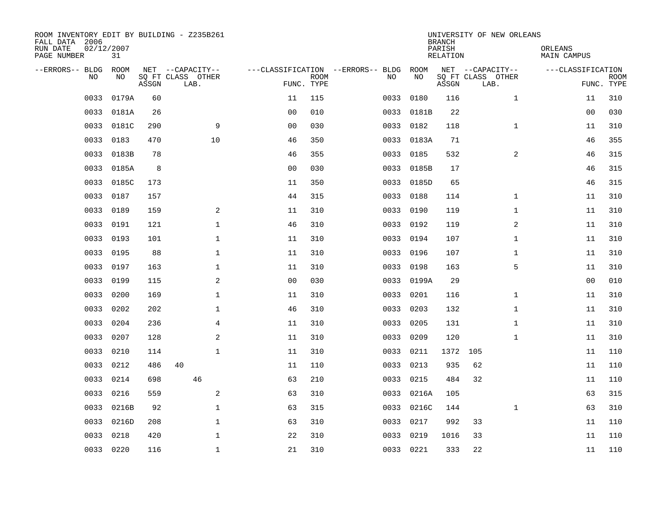| ROOM INVENTORY EDIT BY BUILDING - Z235B261<br>FALL DATA 2006<br>RUN DATE<br>PAGE NUMBER | 02/12/2007<br>31 |       |                           |                |                           |                                   |            | <b>BRANCH</b><br>PARISH<br>RELATION | UNIVERSITY OF NEW ORLEANS | ORLEANS<br>MAIN CAMPUS |                           |
|-----------------------------------------------------------------------------------------|------------------|-------|---------------------------|----------------|---------------------------|-----------------------------------|------------|-------------------------------------|---------------------------|------------------------|---------------------------|
| --ERRORS-- BLDG                                                                         | ROOM             |       | NET --CAPACITY--          |                |                           | ---CLASSIFICATION --ERRORS-- BLDG | ROOM       |                                     | NET --CAPACITY--          | ---CLASSIFICATION      |                           |
| N <sub>O</sub>                                                                          | NO.              | ASSGN | SO FT CLASS OTHER<br>LAB. |                | <b>ROOM</b><br>FUNC. TYPE | NO.                               | NO         | ASSGN                               | SQ FT CLASS OTHER<br>LAB. |                        | <b>ROOM</b><br>FUNC. TYPE |
| 0033                                                                                    | 0179A            | 60    |                           | 11             | 115                       | 0033                              | 0180       | 116                                 | $\mathbf{1}$              | 11                     | 310                       |
| 0033                                                                                    | 0181A            | 26    |                           | 0 <sub>0</sub> | 010                       | 0033                              | 0181B      | 22                                  |                           | 0 <sub>0</sub>         | 030                       |
| 0033                                                                                    | 0181C            | 290   | 9                         | 00             | 030                       | 0033                              | 0182       | 118                                 | $\mathbf{1}$              | 11                     | 310                       |
| 0033                                                                                    | 0183             | 470   | 10                        | 46             | 350                       | 0033                              | 0183A      | 71                                  |                           | 46                     | 355                       |
| 0033                                                                                    | 0183B            | 78    |                           | 46             | 355                       | 0033                              | 0185       | 532                                 | 2                         | 46                     | 315                       |
| 0033                                                                                    | 0185A            | 8     |                           | 0 <sub>0</sub> | 030                       |                                   | 0033 0185B | 17                                  |                           | 46                     | 315                       |
| 0033                                                                                    | 0185C            | 173   |                           | 11             | 350                       | 0033                              | 0185D      | 65                                  |                           | 46                     | 315                       |
| 0033                                                                                    | 0187             | 157   |                           | 44             | 315                       | 0033                              | 0188       | 114                                 | $\mathbf{1}$              | 11                     | 310                       |
| 0033                                                                                    | 0189             | 159   | 2                         | 11             | 310                       | 0033                              | 0190       | 119                                 | $\mathbf{1}$              | 11                     | 310                       |
| 0033                                                                                    | 0191             | 121   | $\mathbf{1}$              | 46             | 310                       | 0033                              | 0192       | 119                                 | 2                         | 11                     | 310                       |
| 0033                                                                                    | 0193             | 101   | $\mathbf{1}$              | 11             | 310                       | 0033                              | 0194       | 107                                 | $\mathbf{1}$              | 11                     | 310                       |
| 0033                                                                                    | 0195             | 88    | $\mathbf{1}$              | 11             | 310                       | 0033                              | 0196       | 107                                 | $\mathbf{1}$              | 11                     | 310                       |
| 0033                                                                                    | 0197             | 163   | $\mathbf 1$               | 11             | 310                       | 0033                              | 0198       | 163                                 | 5                         | 11                     | 310                       |
| 0033                                                                                    | 0199             | 115   | 2                         | 0 <sub>0</sub> | 030                       | 0033                              | 0199A      | 29                                  |                           | 00                     | 010                       |
| 0033                                                                                    | 0200             | 169   | $\mathbf 1$               | 11             | 310                       | 0033                              | 0201       | 116                                 | $\mathbf{1}$              | 11                     | 310                       |
| 0033                                                                                    | 0202             | 202   | $\mathbf 1$               | 46             | 310                       | 0033                              | 0203       | 132                                 | $\mathbf{1}$              | 11                     | 310                       |
| 0033                                                                                    | 0204             | 236   | $\overline{4}$            | 11             | 310                       | 0033                              | 0205       | 131                                 | $\mathbf{1}$              | 11                     | 310                       |
| 0033                                                                                    | 0207             | 128   | 2                         | 11             | 310                       | 0033                              | 0209       | 120                                 | $\mathbf{1}$              | 11                     | 310                       |
| 0033                                                                                    | 0210             | 114   | 1                         | 11             | 310                       |                                   | 0033 0211  | 1372                                | 105                       | 11                     | 110                       |
| 0033                                                                                    | 0212             | 486   | 40                        | 11             | 110                       | 0033                              | 0213       | 935                                 | 62                        | 11                     | 110                       |
| 0033                                                                                    | 0214             | 698   | 46                        | 63             | 210                       | 0033                              | 0215       | 484                                 | 32                        | 11                     | 110                       |
| 0033                                                                                    | 0216             | 559   | $\mathbf{2}$              | 63             | 310                       | 0033                              | 0216A      | 105                                 |                           | 63                     | 315                       |
| 0033                                                                                    | 0216B            | 92    | 1                         | 63             | 315                       | 0033                              | 0216C      | 144                                 | $\mathbf{1}$              | 63                     | 310                       |
| 0033                                                                                    | 0216D            | 208   | $\mathbf 1$               | 63             | 310                       | 0033                              | 0217       | 992                                 | 33                        | 11                     | 110                       |
| 0033                                                                                    | 0218             | 420   | $\mathbf 1$               | 22             | 310                       | 0033                              | 0219       | 1016                                | 33                        | 11                     | 110                       |
|                                                                                         | 0033 0220        | 116   | $\mathbf{1}$              | 21             | 310                       |                                   | 0033 0221  | 333                                 | 22                        | 11                     | 110                       |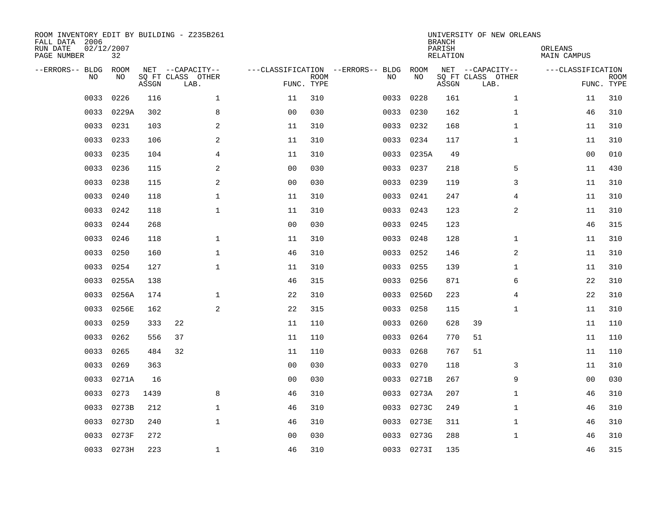| ROOM INVENTORY EDIT BY BUILDING - Z235B261<br>FALL DATA 2006<br>RUN DATE<br>PAGE NUMBER | 02/12/2007<br>32 |       |                                               |                |                           |                                         |            | <b>BRANCH</b><br>PARISH<br><b>RELATION</b> | UNIVERSITY OF NEW ORLEANS                     | ORLEANS<br><b>MAIN CAMPUS</b> |                           |
|-----------------------------------------------------------------------------------------|------------------|-------|-----------------------------------------------|----------------|---------------------------|-----------------------------------------|------------|--------------------------------------------|-----------------------------------------------|-------------------------------|---------------------------|
| --ERRORS-- BLDG<br>NO                                                                   | ROOM<br>NO       | ASSGN | NET --CAPACITY--<br>SQ FT CLASS OTHER<br>LAB. |                | <b>ROOM</b><br>FUNC. TYPE | ---CLASSIFICATION --ERRORS-- BLDG<br>NO | ROOM<br>NO | ASSGN                                      | NET --CAPACITY--<br>SQ FT CLASS OTHER<br>LAB. | ---CLASSIFICATION             | <b>ROOM</b><br>FUNC. TYPE |
| 0033                                                                                    | 0226             | 116   | $\mathbf{1}$                                  | 11             | 310                       | 0033                                    | 0228       | 161                                        | $\mathbf{1}$                                  | 11                            | 310                       |
| 0033                                                                                    | 0229A            | 302   | 8                                             | 0 <sub>0</sub> | 030                       | 0033                                    | 0230       | 162                                        | $\mathbf{1}$                                  | 46                            | 310                       |
| 0033                                                                                    | 0231             | 103   | 2                                             | 11             | 310                       | 0033                                    | 0232       | 168                                        | $\mathbf{1}$                                  | 11                            | 310                       |
| 0033                                                                                    | 0233             | 106   | 2                                             | 11             | 310                       | 0033                                    | 0234       | 117                                        | $\mathbf{1}$                                  | 11                            | 310                       |
| 0033                                                                                    | 0235             | 104   | 4                                             | 11             | 310                       | 0033                                    | 0235A      | 49                                         |                                               | 0 <sub>0</sub>                | 010                       |
| 0033                                                                                    | 0236             | 115   | 2                                             | 0 <sub>0</sub> | 030                       |                                         | 0033 0237  | 218                                        | 5                                             | 11                            | 430                       |
| 0033                                                                                    | 0238             | 115   | 2                                             | 0 <sub>0</sub> | 030                       | 0033                                    | 0239       | 119                                        | 3                                             | 11                            | 310                       |
| 0033                                                                                    | 0240             | 118   | $\mathbf 1$                                   | 11             | 310                       | 0033                                    | 0241       | 247                                        | 4                                             | 11                            | 310                       |
| 0033                                                                                    | 0242             | 118   | $\mathbf 1$                                   | 11             | 310                       | 0033                                    | 0243       | 123                                        | 2                                             | 11                            | 310                       |
| 0033                                                                                    | 0244             | 268   |                                               | 0 <sub>0</sub> | 030                       | 0033                                    | 0245       | 123                                        |                                               | 46                            | 315                       |
| 0033                                                                                    | 0246             | 118   | $\mathbf 1$                                   | 11             | 310                       | 0033                                    | 0248       | 128                                        | $\mathbf{1}$                                  | 11                            | 310                       |
| 0033                                                                                    | 0250             | 160   | $\mathbf 1$                                   | 46             | 310                       | 0033                                    | 0252       | 146                                        | 2                                             | 11                            | 310                       |
| 0033                                                                                    | 0254             | 127   | $\mathbf{1}$                                  | 11             | 310                       | 0033                                    | 0255       | 139                                        | $\mathbf{1}$                                  | 11                            | 310                       |
| 0033                                                                                    | 0255A            | 138   |                                               | 46             | 315                       | 0033                                    | 0256       | 871                                        | 6                                             | 22                            | 310                       |
| 0033                                                                                    | 0256A            | 174   | $\mathbf 1$                                   | 22             | 310                       | 0033                                    | 0256D      | 223                                        | 4                                             | 22                            | 310                       |
| 0033                                                                                    | 0256E            | 162   | 2                                             | 22             | 315                       | 0033                                    | 0258       | 115                                        | $\mathbf{1}$                                  | 11                            | 310                       |
| 0033                                                                                    | 0259             | 333   | 22                                            | 11             | 110                       | 0033                                    | 0260       | 628                                        | 39                                            | 11                            | 110                       |
| 0033                                                                                    | 0262             | 556   | 37                                            | 11             | 110                       | 0033                                    | 0264       | 770                                        | 51                                            | 11                            | 110                       |
| 0033                                                                                    | 0265             | 484   | 32                                            | 11             | 110                       | 0033                                    | 0268       | 767                                        | 51                                            | 11                            | 110                       |
| 0033                                                                                    | 0269             | 363   |                                               | 0 <sub>0</sub> | 030                       | 0033                                    | 0270       | 118                                        | 3                                             | 11                            | 310                       |
| 0033                                                                                    | 0271A            | 16    |                                               | 0 <sub>0</sub> | 030                       | 0033                                    | 0271B      | 267                                        | 9                                             | 00                            | 030                       |
| 0033                                                                                    | 0273             | 1439  | 8                                             | 46             | 310                       | 0033                                    | 0273A      | 207                                        | $\mathbf{1}$                                  | 46                            | 310                       |
| 0033                                                                                    | 0273B            | 212   | $\mathbf 1$                                   | 46             | 310                       | 0033                                    | 0273C      | 249                                        | $\mathbf{1}$                                  | 46                            | 310                       |
| 0033                                                                                    | 0273D            | 240   | $\mathbf{1}$                                  | 46             | 310                       | 0033                                    | 0273E      | 311                                        | $\mathbf{1}$                                  | 46                            | 310                       |
| 0033                                                                                    | 0273F            | 272   |                                               | 0 <sub>0</sub> | 030                       | 0033                                    | 0273G      | 288                                        | $\mathbf{1}$                                  | 46                            | 310                       |
|                                                                                         | 0033 0273H       | 223   | $\mathbf{1}$                                  | 46             | 310                       |                                         | 0033 0273I | 135                                        |                                               | 46                            | 315                       |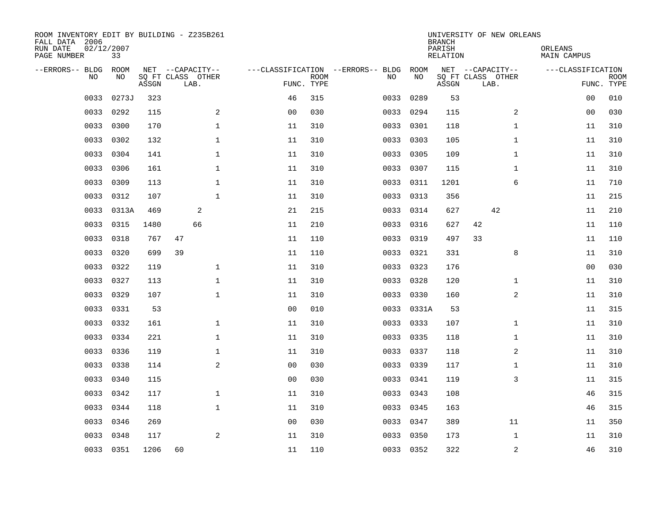| ROOM INVENTORY EDIT BY BUILDING - Z235B261<br>FALL DATA 2006<br>RUN DATE<br>PAGE NUMBER | 02/12/2007<br>33 |       |                                               |                |                           |                                         |            | <b>BRANCH</b><br>PARISH<br><b>RELATION</b> | UNIVERSITY OF NEW ORLEANS                     | ORLEANS<br><b>MAIN CAMPUS</b> |                           |
|-----------------------------------------------------------------------------------------|------------------|-------|-----------------------------------------------|----------------|---------------------------|-----------------------------------------|------------|--------------------------------------------|-----------------------------------------------|-------------------------------|---------------------------|
| --ERRORS-- BLDG<br>NO                                                                   | ROOM<br>NO       | ASSGN | NET --CAPACITY--<br>SQ FT CLASS OTHER<br>LAB. |                | <b>ROOM</b><br>FUNC. TYPE | ---CLASSIFICATION --ERRORS-- BLDG<br>NO | ROOM<br>NO | ASSGN                                      | NET --CAPACITY--<br>SQ FT CLASS OTHER<br>LAB. | ---CLASSIFICATION             | <b>ROOM</b><br>FUNC. TYPE |
| 0033                                                                                    | 0273J            | 323   |                                               | 46             | 315                       | 0033                                    | 0289       | 53                                         |                                               | 00                            | 010                       |
| 0033                                                                                    | 0292             | 115   | 2                                             | 0 <sub>0</sub> | 030                       | 0033                                    | 0294       | 115                                        | 2                                             | 00                            | 030                       |
| 0033                                                                                    | 0300             | 170   | $\mathbf 1$                                   | 11             | 310                       | 0033                                    | 0301       | 118                                        | $\mathbf{1}$                                  | 11                            | 310                       |
| 0033                                                                                    | 0302             | 132   | $\mathbf 1$                                   | 11             | 310                       | 0033                                    | 0303       | 105                                        | $\mathbf{1}$                                  | 11                            | 310                       |
| 0033                                                                                    | 0304             | 141   | $\mathbf{1}$                                  | 11             | 310                       | 0033                                    | 0305       | 109                                        | $\mathbf{1}$                                  | 11                            | 310                       |
| 0033                                                                                    | 0306             | 161   | $\mathbf{1}$                                  | 11             | 310                       |                                         | 0033 0307  | 115                                        | $\mathbf{1}$                                  | 11                            | 310                       |
| 0033                                                                                    | 0309             | 113   | $\mathbf{1}$                                  | 11             | 310                       | 0033                                    | 0311       | 1201                                       | 6                                             | 11                            | 710                       |
| 0033                                                                                    | 0312             | 107   | $\mathbf{1}$                                  | 11             | 310                       |                                         | 0033 0313  | 356                                        |                                               | 11                            | 215                       |
| 0033                                                                                    | 0313A            | 469   | 2                                             | 21             | 215                       | 0033                                    | 0314       | 627                                        | 42                                            | 11                            | 210                       |
| 0033                                                                                    | 0315             | 1480  | 66                                            | 11             | 210                       | 0033                                    | 0316       | 627                                        | 42                                            | 11                            | 110                       |
| 0033                                                                                    | 0318             | 767   | 47                                            | 11             | 110                       | 0033                                    | 0319       | 497                                        | 33                                            | 11                            | 110                       |
| 0033                                                                                    | 0320             | 699   | 39                                            | 11             | 110                       | 0033                                    | 0321       | 331                                        | 8                                             | 11                            | 310                       |
| 0033                                                                                    | 0322             | 119   | $\mathbf 1$                                   | 11             | 310                       | 0033                                    | 0323       | 176                                        |                                               | 00                            | 030                       |
| 0033                                                                                    | 0327             | 113   | $\mathbf 1$                                   | 11             | 310                       | 0033                                    | 0328       | 120                                        | $\mathbf{1}$                                  | 11                            | 310                       |
| 0033                                                                                    | 0329             | 107   | $\mathbf 1$                                   | 11             | 310                       | 0033                                    | 0330       | 160                                        | 2                                             | 11                            | 310                       |
| 0033                                                                                    | 0331             | 53    |                                               | 0 <sub>0</sub> | 010                       | 0033                                    | 0331A      | 53                                         |                                               | 11                            | 315                       |
| 0033                                                                                    | 0332             | 161   | $\mathbf 1$                                   | 11             | 310                       | 0033                                    | 0333       | 107                                        | $\mathbf{1}$                                  | 11                            | 310                       |
| 0033                                                                                    | 0334             | 221   | $\mathbf{1}$                                  | 11             | 310                       | 0033                                    | 0335       | 118                                        | $\mathbf{1}$                                  | 11                            | 310                       |
| 0033                                                                                    | 0336             | 119   | $\mathbf 1$                                   | 11             | 310                       |                                         | 0033 0337  | 118                                        | 2                                             | 11                            | 310                       |
| 0033                                                                                    | 0338             | 114   | 2                                             | 0 <sub>0</sub> | 030                       | 0033                                    | 0339       | 117                                        | $\mathbf{1}$                                  | 11                            | 310                       |
| 0033                                                                                    | 0340             | 115   |                                               | 0 <sub>0</sub> | 030                       |                                         | 0033 0341  | 119                                        | 3                                             | 11                            | 315                       |
| 0033                                                                                    | 0342             | 117   | $\mathbf{1}$                                  | 11             | 310                       | 0033                                    | 0343       | 108                                        |                                               | 46                            | 315                       |
| 0033                                                                                    | 0344             | 118   | $\mathbf 1$                                   | 11             | 310                       | 0033                                    | 0345       | 163                                        |                                               | 46                            | 315                       |
| 0033                                                                                    | 0346             | 269   |                                               | 0 <sub>0</sub> | 030                       | 0033                                    | 0347       | 389                                        | 11                                            | 11                            | 350                       |
| 0033                                                                                    | 0348             | 117   | 2                                             | 11             | 310                       | 0033                                    | 0350       | 173                                        | $\mathbf{1}$                                  | 11                            | 310                       |
|                                                                                         | 0033 0351        | 1206  | 60                                            | 11             | 110                       |                                         | 0033 0352  | 322                                        | $\mathbf 2$                                   | 46                            | 310                       |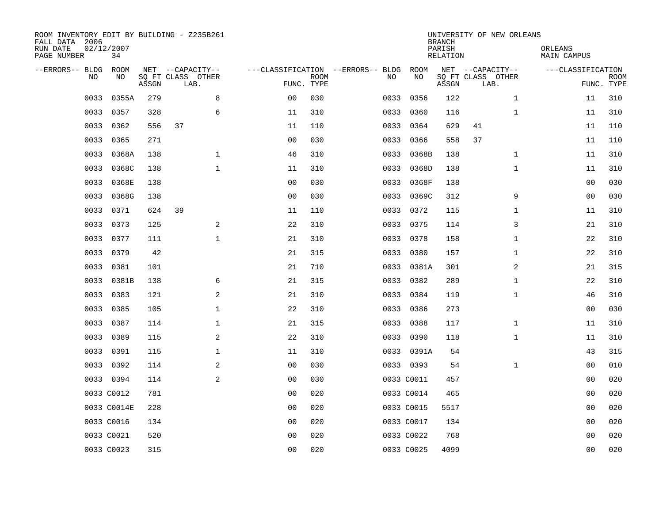| ROOM INVENTORY EDIT BY BUILDING - Z235B261<br>FALL DATA 2006<br>RUN DATE<br>PAGE NUMBER | 02/12/2007<br>34 |       |                           |                |             |                                   |            | <b>BRANCH</b><br>PARISH<br>RELATION | UNIVERSITY OF NEW ORLEANS | ORLEANS<br>MAIN CAMPUS |                           |
|-----------------------------------------------------------------------------------------|------------------|-------|---------------------------|----------------|-------------|-----------------------------------|------------|-------------------------------------|---------------------------|------------------------|---------------------------|
| --ERRORS-- BLDG                                                                         | ROOM             |       | NET --CAPACITY--          |                |             | ---CLASSIFICATION --ERRORS-- BLDG | ROOM       |                                     | NET --CAPACITY--          | ---CLASSIFICATION      |                           |
| N <sub>O</sub>                                                                          | NO.              | ASSGN | SO FT CLASS OTHER<br>LAB. | FUNC. TYPE     | <b>ROOM</b> | NO.                               | NO         | ASSGN                               | SQ FT CLASS OTHER<br>LAB. |                        | <b>ROOM</b><br>FUNC. TYPE |
| 0033                                                                                    | 0355A            | 279   | 8                         | 0 <sub>0</sub> | 030         | 0033                              | 0356       | 122                                 | $\mathbf{1}$              | 11                     | 310                       |
| 0033                                                                                    | 0357             | 328   | 6                         | 11             | 310         | 0033                              | 0360       | 116                                 | $\mathbf{1}$              | 11                     | 310                       |
| 0033                                                                                    | 0362             | 556   | 37                        | 11             | 110         | 0033                              | 0364       | 629                                 | 41                        | 11                     | 110                       |
| 0033                                                                                    | 0365             | 271   |                           | 0 <sub>0</sub> | 030         | 0033                              | 0366       | 558                                 | 37                        | 11                     | 110                       |
| 0033                                                                                    | 0368A            | 138   | $\mathbf 1$               | 46             | 310         | 0033                              | 0368B      | 138                                 | $\mathbf{1}$              | 11                     | 310                       |
| 0033                                                                                    | 0368C            | 138   | $\mathbf 1$               | 11             | 310         | 0033                              | 0368D      | 138                                 | $\mathbf{1}$              | 11                     | 310                       |
| 0033                                                                                    | 0368E            | 138   |                           | 0 <sub>0</sub> | 030         | 0033                              | 0368F      | 138                                 |                           | 0 <sub>0</sub>         | 030                       |
| 0033                                                                                    | 0368G            | 138   |                           | 0 <sub>0</sub> | 030         | 0033                              | 0369C      | 312                                 | 9                         | 0 <sub>0</sub>         | 030                       |
| 0033                                                                                    | 0371             | 624   | 39                        | 11             | 110         | 0033                              | 0372       | 115                                 | $\mathbf{1}$              | 11                     | 310                       |
| 0033                                                                                    | 0373             | 125   | 2                         | 22             | 310         |                                   | 0033 0375  | 114                                 | 3                         | 21                     | 310                       |
| 0033                                                                                    | 0377             | 111   | $\mathbf 1$               | 21             | 310         | 0033                              | 0378       | 158                                 | $\mathbf{1}$              | 22                     | 310                       |
| 0033                                                                                    | 0379             | 42    |                           | 21             | 315         |                                   | 0033 0380  | 157                                 | $\mathbf{1}$              | 22                     | 310                       |
| 0033                                                                                    | 0381             | 101   |                           | 21             | 710         | 0033                              | 0381A      | 301                                 | 2                         | 21                     | 315                       |
| 0033                                                                                    | 0381B            | 138   | 6                         | 21             | 315         | 0033                              | 0382       | 289                                 | $\mathbf{1}$              | 22                     | 310                       |
| 0033                                                                                    | 0383             | 121   | 2                         | 21             | 310         | 0033                              | 0384       | 119                                 | $\mathbf{1}$              | 46                     | 310                       |
| 0033                                                                                    | 0385             | 105   | $\mathbf 1$               | 22             | 310         | 0033                              | 0386       | 273                                 |                           | 00                     | 030                       |
| 0033                                                                                    | 0387             | 114   | $\mathbf 1$               | 21             | 315         | 0033                              | 0388       | 117                                 | $\mathbf{1}$              | 11                     | 310                       |
| 0033                                                                                    | 0389             | 115   | 2                         | 22             | 310         | 0033                              | 0390       | 118                                 | $\mathbf{1}$              | 11                     | 310                       |
| 0033                                                                                    | 0391             | 115   | $\mathbf 1$               | 11             | 310         |                                   | 0033 0391A | 54                                  |                           | 43                     | 315                       |
|                                                                                         | 0033 0392        | 114   | 2                         | 0 <sub>0</sub> | 030         |                                   | 0033 0393  | 54                                  | $\mathbf{1}$              | 0 <sub>0</sub>         | 010                       |
|                                                                                         | 0033 0394        | 114   | 2                         | 0 <sub>0</sub> | 030         |                                   | 0033 C0011 | 457                                 |                           | 00                     | 020                       |
|                                                                                         | 0033 C0012       | 781   |                           | 0 <sub>0</sub> | 020         |                                   | 0033 C0014 | 465                                 |                           | 00                     | 020                       |
|                                                                                         | 0033 C0014E      | 228   |                           | 0 <sub>0</sub> | 020         |                                   | 0033 C0015 | 5517                                |                           | 00                     | 020                       |
|                                                                                         | 0033 C0016       | 134   |                           | 0 <sub>0</sub> | 020         |                                   | 0033 C0017 | 134                                 |                           | 0 <sub>0</sub>         | 020                       |
|                                                                                         | 0033 C0021       | 520   |                           | 0 <sub>0</sub> | 020         |                                   | 0033 C0022 | 768                                 |                           | 00                     | 020                       |
|                                                                                         | 0033 C0023       | 315   |                           | 0 <sub>0</sub> | 020         |                                   | 0033 C0025 | 4099                                |                           | 0 <sub>0</sub>         | 020                       |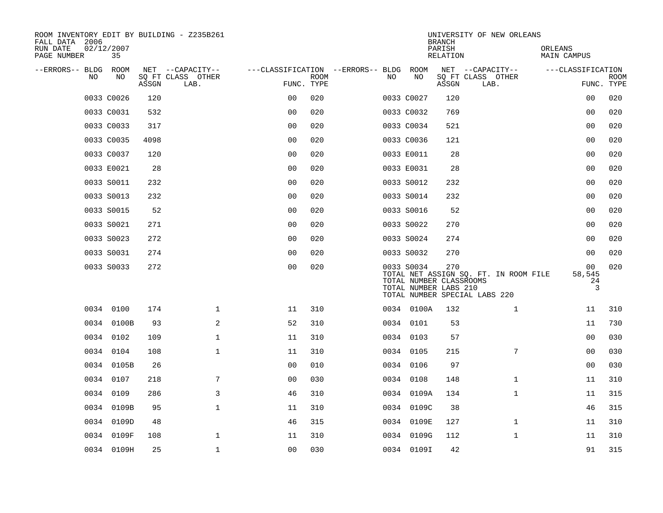| ROOM INVENTORY EDIT BY BUILDING - Z235B261<br>FALL DATA 2006 |                  |       |                           |                                        |             |     |                                                                | <b>BRANCH</b>      | UNIVERSITY OF NEW ORLEANS                                              |                         |                           |
|--------------------------------------------------------------|------------------|-------|---------------------------|----------------------------------------|-------------|-----|----------------------------------------------------------------|--------------------|------------------------------------------------------------------------|-------------------------|---------------------------|
| RUN DATE<br>PAGE NUMBER                                      | 02/12/2007<br>35 |       |                           |                                        |             |     |                                                                | PARISH<br>RELATION |                                                                        | ORLEANS<br>MAIN CAMPUS  |                           |
| --ERRORS-- BLDG ROOM                                         |                  |       | NET --CAPACITY--          | ---CLASSIFICATION --ERRORS-- BLDG ROOM |             |     |                                                                |                    | NET --CAPACITY--                                                       | ---CLASSIFICATION       |                           |
| NO                                                           | NO               | ASSGN | SQ FT CLASS OTHER<br>LAB. | FUNC. TYPE                             | <b>ROOM</b> | NO. | NO                                                             | ASSGN              | SQ FT CLASS OTHER<br>LAB.                                              |                         | <b>ROOM</b><br>FUNC. TYPE |
|                                                              | 0033 C0026       | 120   |                           | 0 <sup>0</sup>                         | 020         |     | 0033 C0027                                                     | 120                |                                                                        | 0 <sub>0</sub>          | 020                       |
|                                                              | 0033 C0031       | 532   |                           | 0 <sub>0</sub>                         | 020         |     | 0033 C0032                                                     | 769                |                                                                        | 0 <sub>0</sub>          | 020                       |
|                                                              | 0033 C0033       | 317   |                           | 0 <sub>0</sub>                         | 020         |     | 0033 C0034                                                     | 521                |                                                                        | 00                      | 020                       |
|                                                              | 0033 C0035       | 4098  |                           | 0 <sub>0</sub>                         | 020         |     | 0033 C0036                                                     | 121                |                                                                        | 00                      | 020                       |
|                                                              | 0033 C0037       | 120   |                           | 0 <sub>0</sub>                         | 020         |     | 0033 E0011                                                     | 28                 |                                                                        | 0 <sub>0</sub>          | 020                       |
|                                                              | 0033 E0021       | 28    |                           | 0 <sub>0</sub>                         | 020         |     | 0033 E0031                                                     | 28                 |                                                                        | 00                      | 020                       |
|                                                              | 0033 S0011       | 232   |                           | 0 <sub>0</sub>                         | 020         |     | 0033 S0012                                                     | 232                |                                                                        | 0 <sub>0</sub>          | 020                       |
|                                                              | 0033 S0013       | 232   |                           | 0 <sub>0</sub>                         | 020         |     | 0033 S0014                                                     | 232                |                                                                        | 0 <sub>0</sub>          | 020                       |
|                                                              | 0033 S0015       | 52    |                           | 0 <sub>0</sub>                         | 020         |     | 0033 S0016                                                     | 52                 |                                                                        | 0 <sub>0</sub>          | 020                       |
|                                                              | 0033 S0021       | 271   |                           | 0 <sub>0</sub>                         | 020         |     | 0033 S0022                                                     | 270                |                                                                        | 00                      | 020                       |
|                                                              | 0033 S0023       | 272   |                           | 0 <sub>0</sub>                         | 020         |     | 0033 S0024                                                     | 274                |                                                                        | 0 <sub>0</sub>          | 020                       |
|                                                              | 0033 S0031       | 274   |                           | 0 <sub>0</sub>                         | 020         |     | 0033 S0032                                                     | 270                |                                                                        | 0 <sub>0</sub>          | 020                       |
|                                                              | 0033 S0033       | 272   |                           | 0 <sub>0</sub>                         | 020         |     | 0033 S0034<br>TOTAL NUMBER CLASSROOMS<br>TOTAL NUMBER LABS 210 | 270                | TOTAL NET ASSIGN SQ. FT. IN ROOM FILE<br>TOTAL NUMBER SPECIAL LABS 220 | 00<br>58,545<br>24<br>3 | 020                       |
|                                                              | 0034 0100        | 174   | $\mathbf{1}$              | 11                                     | 310         |     | 0034 0100A                                                     | 132                | $\mathbf{1}$                                                           | 11                      | 310                       |
|                                                              | 0034 0100B       | 93    | 2                         | 52                                     | 310         |     | 0034 0101                                                      | 53                 |                                                                        | 11                      | 730                       |
|                                                              | 0034 0102        | 109   | $\mathbf{1}$              | 11                                     | 310         |     | 0034 0103                                                      | 57                 |                                                                        | 0 <sub>0</sub>          | 030                       |
|                                                              | 0034 0104        | 108   | $\mathbf{1}$              | 11                                     | 310         |     | 0034 0105                                                      | 215                | 7                                                                      | 0 <sub>0</sub>          | 030                       |
|                                                              | 0034 0105B       | 26    |                           | 0 <sub>0</sub>                         | 010         |     | 0034 0106                                                      | 97                 |                                                                        | 0 <sub>0</sub>          | 030                       |
|                                                              | 0034 0107        | 218   | 7                         | 0 <sub>0</sub>                         | 030         |     | 0034 0108                                                      | 148                | $\mathbf{1}$                                                           | 11                      | 310                       |
|                                                              | 0034 0109        | 286   | 3                         | 46                                     | 310         |     | 0034 0109A                                                     | 134                | $\mathbf{1}$                                                           | 11                      | 315                       |
|                                                              | 0034 0109B       | 95    | $\mathbf{1}$              | 11                                     | 310         |     | 0034 0109C                                                     | 38                 |                                                                        | 46                      | 315                       |
|                                                              | 0034 0109D       | 48    |                           | 46                                     | 315         |     | 0034 0109E                                                     | 127                | $\mathbf{1}$                                                           | 11                      | 310                       |
|                                                              | 0034 0109F       | 108   | $\mathbf 1$               | 11                                     | 310         |     | 0034 0109G                                                     | 112                | $\mathbf{1}$                                                           | 11                      | 310                       |
|                                                              | 0034 0109H       | 25    | $\mathbf 1$               | 0 <sub>0</sub>                         | 030         |     | 0034 0109I                                                     | 42                 |                                                                        | 91                      | 315                       |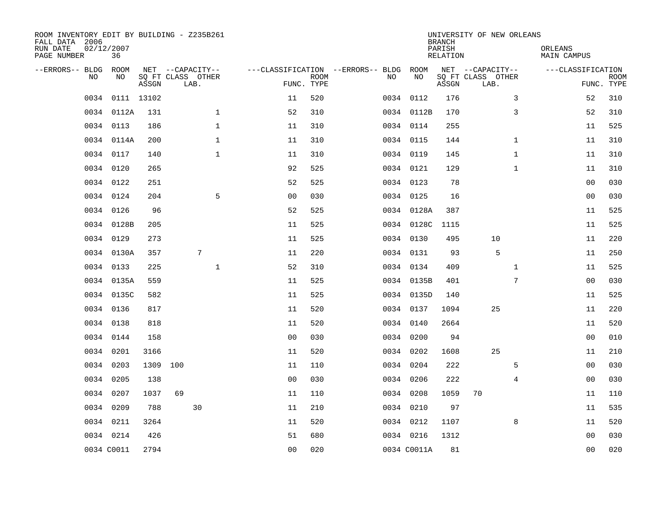| ROOM INVENTORY EDIT BY BUILDING - Z235B261<br>FALL DATA 2006<br>RUN DATE<br>PAGE NUMBER | 02/12/2007<br>36 |            |                                               |              |                                        |                           |    |             | <b>BRANCH</b><br>PARISH<br><b>RELATION</b> | UNIVERSITY OF NEW ORLEANS                     |              | ORLEANS<br><b>MAIN CAMPUS</b> |                           |
|-----------------------------------------------------------------------------------------|------------------|------------|-----------------------------------------------|--------------|----------------------------------------|---------------------------|----|-------------|--------------------------------------------|-----------------------------------------------|--------------|-------------------------------|---------------------------|
| --ERRORS-- BLDG ROOM<br>NO                                                              | NO               | ASSGN      | NET --CAPACITY--<br>SQ FT CLASS OTHER<br>LAB. |              | ---CLASSIFICATION --ERRORS-- BLDG ROOM | <b>ROOM</b><br>FUNC. TYPE | NO | NO          | ASSGN                                      | NET --CAPACITY--<br>SQ FT CLASS OTHER<br>LAB. |              | ---CLASSIFICATION             | <b>ROOM</b><br>FUNC. TYPE |
| 0034                                                                                    |                  | 0111 13102 |                                               |              | 11                                     | 520                       |    | 0034 0112   | 176                                        |                                               | 3            | 52                            | 310                       |
|                                                                                         | 0034 0112A       | 131        |                                               | $\mathbf 1$  | 52                                     | 310                       |    | 0034 0112B  | 170                                        |                                               | 3            | 52                            | 310                       |
|                                                                                         | 0034 0113        | 186        |                                               | $\mathbf 1$  | 11                                     | 310                       |    | 0034 0114   | 255                                        |                                               |              | 11                            | 525                       |
| 0034                                                                                    | 0114A            | 200        |                                               | $\mathbf 1$  | 11                                     | 310                       |    | 0034 0115   | 144                                        |                                               | $\mathbf{1}$ | 11                            | 310                       |
| 0034                                                                                    | 0117             | 140        |                                               | $\mathbf{1}$ | 11                                     | 310                       |    | 0034 0119   | 145                                        |                                               | $\mathbf{1}$ | 11                            | 310                       |
|                                                                                         | 0034 0120        | 265        |                                               |              | 92                                     | 525                       |    | 0034 0121   | 129                                        |                                               | $\mathbf{1}$ | 11                            | 310                       |
|                                                                                         | 0034 0122        | 251        |                                               |              | 52                                     | 525                       |    | 0034 0123   | 78                                         |                                               |              | 00                            | 030                       |
|                                                                                         | 0034 0124        | 204        |                                               | 5            | 0 <sub>0</sub>                         | 030                       |    | 0034 0125   | 16                                         |                                               |              | 0 <sub>0</sub>                | 030                       |
|                                                                                         | 0034 0126        | 96         |                                               |              | 52                                     | 525                       |    | 0034 0128A  | 387                                        |                                               |              | 11                            | 525                       |
|                                                                                         | 0034 0128B       | 205        |                                               |              | 11                                     | 525                       |    | 0034 0128C  | 1115                                       |                                               |              | 11                            | 525                       |
|                                                                                         | 0034 0129        | 273        |                                               |              | 11                                     | 525                       |    | 0034 0130   | 495                                        | 10                                            |              | 11                            | 220                       |
|                                                                                         | 0034 0130A       | 357        |                                               | 7            | 11                                     | 220                       |    | 0034 0131   | 93                                         | 5                                             |              | 11                            | 250                       |
|                                                                                         | 0034 0133        | 225        |                                               | $\mathbf 1$  | 52                                     | 310                       |    | 0034 0134   | 409                                        |                                               | $\mathbf{1}$ | 11                            | 525                       |
|                                                                                         | 0034 0135A       | 559        |                                               |              | 11                                     | 525                       |    | 0034 0135B  | 401                                        |                                               | 7            | 00                            | 030                       |
|                                                                                         | 0034 0135C       | 582        |                                               |              | 11                                     | 525                       |    | 0034 0135D  | 140                                        |                                               |              | 11                            | 525                       |
|                                                                                         | 0034 0136        | 817        |                                               |              | 11                                     | 520                       |    | 0034 0137   | 1094                                       | 25                                            |              | 11                            | 220                       |
| 0034                                                                                    | 0138             | 818        |                                               |              | 11                                     | 520                       |    | 0034 0140   | 2664                                       |                                               |              | 11                            | 520                       |
| 0034                                                                                    | 0144             | 158        |                                               |              | 0 <sub>0</sub>                         | 030                       |    | 0034 0200   | 94                                         |                                               |              | 0 <sub>0</sub>                | 010                       |
|                                                                                         | 0034 0201        | 3166       |                                               |              | 11                                     | 520                       |    | 0034 0202   | 1608                                       | 25                                            |              | 11                            | 210                       |
|                                                                                         | 0034 0203        | 1309 100   |                                               |              | 11                                     | 110                       |    | 0034 0204   | 222                                        |                                               | 5            | 0 <sub>0</sub>                | 030                       |
|                                                                                         | 0034 0205        | 138        |                                               |              | 0 <sub>0</sub>                         | 030                       |    | 0034 0206   | 222                                        |                                               | 4            | 00                            | 030                       |
|                                                                                         | 0034 0207        | 1037       | 69                                            |              | 11                                     | 110                       |    | 0034 0208   | 1059                                       | 70                                            |              | 11                            | 110                       |
|                                                                                         | 0034 0209        | 788        |                                               | 30           | 11                                     | 210                       |    | 0034 0210   | 97                                         |                                               |              | 11                            | 535                       |
|                                                                                         | 0034 0211        | 3264       |                                               |              | 11                                     | 520                       |    | 0034 0212   | 1107                                       |                                               | 8            | 11                            | 520                       |
|                                                                                         | 0034 0214        | 426        |                                               |              | 51                                     | 680                       |    | 0034 0216   | 1312                                       |                                               |              | 0 <sub>0</sub>                | 030                       |
|                                                                                         | 0034 C0011       | 2794       |                                               |              | 0 <sub>0</sub>                         | 020                       |    | 0034 C0011A | 81                                         |                                               |              | 0 <sub>0</sub>                | 020                       |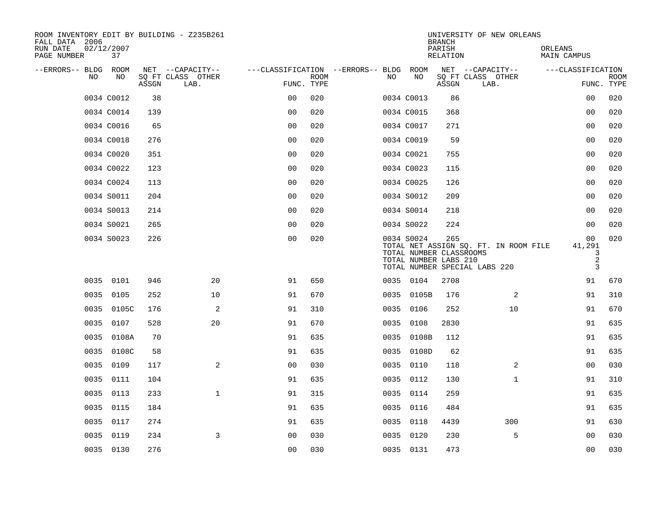| ROOM INVENTORY EDIT BY BUILDING - Z235B261<br>FALL DATA 2006 |                  |       |                           |                                        |             |      |            | <b>BRANCH</b>                                           | UNIVERSITY OF NEW ORLEANS                                              |                                                      |                           |
|--------------------------------------------------------------|------------------|-------|---------------------------|----------------------------------------|-------------|------|------------|---------------------------------------------------------|------------------------------------------------------------------------|------------------------------------------------------|---------------------------|
| RUN DATE<br>PAGE NUMBER                                      | 02/12/2007<br>37 |       |                           |                                        |             |      |            | PARISH<br>RELATION                                      |                                                                        | ORLEANS<br>MAIN CAMPUS                               |                           |
| --ERRORS-- BLDG ROOM                                         |                  |       | NET --CAPACITY--          | ---CLASSIFICATION --ERRORS-- BLDG ROOM |             |      |            |                                                         | NET --CAPACITY--                                                       | ---CLASSIFICATION                                    |                           |
| NO.                                                          | NO.              | ASSGN | SQ FT CLASS OTHER<br>LAB. | FUNC. TYPE                             | <b>ROOM</b> | NO.  | NO         | ASSGN                                                   | SQ FT CLASS OTHER<br>LAB.                                              |                                                      | <b>ROOM</b><br>FUNC. TYPE |
|                                                              | 0034 C0012       | 38    |                           | 0 <sup>0</sup>                         | 020         |      | 0034 C0013 | 86                                                      |                                                                        | 0 <sub>0</sub>                                       | 020                       |
|                                                              | 0034 C0014       | 139   |                           | 0 <sub>0</sub>                         | 020         |      | 0034 C0015 | 368                                                     |                                                                        | 0 <sub>0</sub>                                       | 020                       |
|                                                              | 0034 C0016       | 65    |                           | 0 <sub>0</sub>                         | 020         |      | 0034 C0017 | 271                                                     |                                                                        | 0 <sub>0</sub>                                       | 020                       |
|                                                              | 0034 C0018       | 276   |                           | 0 <sub>0</sub>                         | 020         |      | 0034 C0019 | 59                                                      |                                                                        | 00                                                   | 020                       |
|                                                              | 0034 C0020       | 351   |                           | 00                                     | 020         |      | 0034 C0021 | 755                                                     |                                                                        | 00                                                   | 020                       |
|                                                              | 0034 C0022       | 123   |                           | 0 <sub>0</sub>                         | 020         |      | 0034 C0023 | 115                                                     |                                                                        | 00                                                   | 020                       |
|                                                              | 0034 C0024       | 113   |                           | 0 <sub>0</sub>                         | 020         |      | 0034 C0025 | 126                                                     |                                                                        | 0 <sub>0</sub>                                       | 020                       |
|                                                              | 0034 S0011       | 204   |                           | 0 <sub>0</sub>                         | 020         |      | 0034 S0012 | 209                                                     |                                                                        | 00                                                   | 020                       |
|                                                              | 0034 S0013       | 214   |                           | 0 <sub>0</sub>                         | 020         |      | 0034 S0014 | 218                                                     |                                                                        | 0 <sub>0</sub>                                       | 020                       |
|                                                              | 0034 S0021       | 265   |                           | 0 <sub>0</sub>                         | 020         |      | 0034 S0022 | 224                                                     |                                                                        | 00                                                   | 020                       |
|                                                              | 0034 S0023       | 226   |                           | 0 <sub>0</sub>                         | 020         |      | 0034 S0024 | 265<br>TOTAL NUMBER CLASSROOMS<br>TOTAL NUMBER LABS 210 | TOTAL NET ASSIGN SQ. FT. IN ROOM FILE<br>TOTAL NUMBER SPECIAL LABS 220 | 0 <sub>0</sub><br>41,291<br>3<br>$\overline{2}$<br>3 | 020                       |
|                                                              | 0035 0101        | 946   | 20                        | 91                                     | 650         |      | 0035 0104  | 2708                                                    |                                                                        | 91                                                   | 670                       |
|                                                              | 0035 0105        | 252   | 10                        | 91                                     | 670         |      | 0035 0105B | 176                                                     | 2                                                                      | 91                                                   | 310                       |
|                                                              | 0035 0105C       | 176   | 2                         | 91                                     | 310         |      | 0035 0106  | 252                                                     | 10                                                                     | 91                                                   | 670                       |
| 0035                                                         | 0107             | 528   | 20                        | 91                                     | 670         | 0035 | 0108       | 2830                                                    |                                                                        | 91                                                   | 635                       |
|                                                              | 0035 0108A       | 70    |                           | 91                                     | 635         |      | 0035 0108B | 112                                                     |                                                                        | 91                                                   | 635                       |
|                                                              | 0035 0108C       | 58    |                           | 91                                     | 635         |      | 0035 0108D | 62                                                      |                                                                        | 91                                                   | 635                       |
|                                                              | 0035 0109        | 117   | 2                         | 0 <sub>0</sub>                         | 030         |      | 0035 0110  | 118                                                     | 2                                                                      | 0 <sub>0</sub>                                       | 030                       |
|                                                              | 0035 0111        | 104   |                           | 91                                     | 635         |      | 0035 0112  | 130                                                     | $\mathbf{1}$                                                           | 91                                                   | 310                       |
|                                                              | 0035 0113        | 233   | $\mathbf{1}$              | 91                                     | 315         |      | 0035 0114  | 259                                                     |                                                                        | 91                                                   | 635                       |
|                                                              | 0035 0115        | 184   |                           | 91                                     | 635         |      | 0035 0116  | 484                                                     |                                                                        | 91                                                   | 635                       |
|                                                              | 0035 0117        | 274   |                           | 91                                     | 635         |      | 0035 0118  | 4439                                                    | 300                                                                    | 91                                                   | 630                       |
|                                                              | 0035 0119        | 234   | 3                         | 0 <sub>0</sub>                         | 030         |      | 0035 0120  | 230                                                     | 5                                                                      | 00                                                   | 030                       |
|                                                              | 0035 0130        | 276   |                           | 0 <sub>0</sub>                         | 030         |      | 0035 0131  | 473                                                     |                                                                        | 0 <sub>0</sub>                                       | 030                       |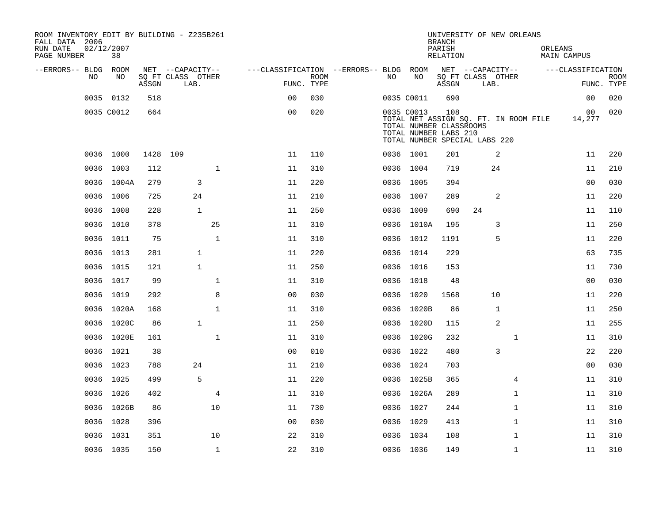| ROOM INVENTORY EDIT BY BUILDING - Z235B261<br>FALL DATA 2006<br>RUN DATE<br>PAGE NUMBER | 02/12/2007<br>38 |          |                           |              |                                        |                           |     |                                                                | <b>BRANCH</b><br>PARISH<br>RELATION | UNIVERSITY OF NEW ORLEANS                                              |              | ORLEANS | MAIN CAMPUS       |                           |
|-----------------------------------------------------------------------------------------|------------------|----------|---------------------------|--------------|----------------------------------------|---------------------------|-----|----------------------------------------------------------------|-------------------------------------|------------------------------------------------------------------------|--------------|---------|-------------------|---------------------------|
| --ERRORS-- BLDG ROOM                                                                    |                  |          | NET --CAPACITY--          |              | ---CLASSIFICATION --ERRORS-- BLDG ROOM |                           |     |                                                                |                                     | NET --CAPACITY--                                                       |              |         | ---CLASSIFICATION |                           |
| NO.                                                                                     | NO.              | ASSGN    | SQ FT CLASS OTHER<br>LAB. |              |                                        | <b>ROOM</b><br>FUNC. TYPE | NO. | NO                                                             | ASSGN                               | SQ FT CLASS OTHER<br>LAB.                                              |              |         |                   | <b>ROOM</b><br>FUNC. TYPE |
|                                                                                         | 0035 0132        | 518      |                           |              | 0 <sub>0</sub>                         | 030                       |     | 0035 C0011                                                     | 690                                 |                                                                        |              |         | 0 <sub>0</sub>    | 020                       |
|                                                                                         | 0035 C0012       | 664      |                           |              | 0 <sub>0</sub>                         | 020                       |     | 0035 C0013<br>TOTAL NUMBER CLASSROOMS<br>TOTAL NUMBER LABS 210 | 108                                 | TOTAL NET ASSIGN SQ. FT. IN ROOM FILE<br>TOTAL NUMBER SPECIAL LABS 220 |              |         | 00<br>14,277      | 020                       |
|                                                                                         | 0036 1000        | 1428 109 |                           |              | 11                                     | 110                       |     | 0036 1001                                                      | 201                                 |                                                                        | 2            |         | 11                | 220                       |
|                                                                                         | 0036 1003        | 112      |                           | $\mathbf{1}$ | 11                                     | 310                       |     | 0036 1004                                                      | 719                                 | 24                                                                     |              |         | 11                | 210                       |
|                                                                                         | 0036 1004A       | 279      | 3                         |              | 11                                     | 220                       |     | 0036 1005                                                      | 394                                 |                                                                        |              |         | 0 <sub>0</sub>    | 030                       |
|                                                                                         | 0036 1006        | 725      | 24                        |              | 11                                     | 210                       |     | 0036 1007                                                      | 289                                 |                                                                        | 2            |         | 11                | 220                       |
| 0036                                                                                    | 1008             | 228      | $\mathbf{1}$              |              | 11                                     | 250                       |     | 0036 1009                                                      | 690                                 | 24                                                                     |              |         | 11                | 110                       |
|                                                                                         | 0036 1010        | 378      |                           | 25           | 11                                     | 310                       |     | 0036 1010A                                                     | 195                                 |                                                                        | 3            |         | 11                | 250                       |
|                                                                                         | 0036 1011        | 75       |                           | $\mathbf{1}$ | 11                                     | 310                       |     | 0036 1012                                                      | 1191                                |                                                                        | 5            |         | 11                | 220                       |
|                                                                                         | 0036 1013        | 281      | $\mathbf{1}$              |              | 11                                     | 220                       |     | 0036 1014                                                      | 229                                 |                                                                        |              |         | 63                | 735                       |
| 0036                                                                                    | 1015             | 121      | $\mathbf{1}$              |              | 11                                     | 250                       |     | 0036 1016                                                      | 153                                 |                                                                        |              |         | 11                | 730                       |
|                                                                                         | 0036 1017        | 99       |                           | $\mathbf 1$  | 11                                     | 310                       |     | 0036 1018                                                      | 48                                  |                                                                        |              |         | 00                | 030                       |
|                                                                                         | 0036 1019        | 292      |                           | 8            | 0 <sub>0</sub>                         | 030                       |     | 0036 1020                                                      | 1568                                | 10                                                                     |              |         | 11                | 220                       |
|                                                                                         | 0036 1020A       | 168      |                           | $\mathbf{1}$ | 11                                     | 310                       |     | 0036 1020B                                                     | 86                                  |                                                                        | $\mathbf{1}$ |         | 11                | 250                       |
|                                                                                         | 0036 1020C       | 86       | $\mathbf{1}$              |              | 11                                     | 250                       |     | 0036 1020D                                                     | 115                                 |                                                                        | 2            |         | 11                | 255                       |
|                                                                                         | 0036 1020E       | 161      |                           | $\mathbf 1$  | 11                                     | 310                       |     | 0036 1020G                                                     | 232                                 |                                                                        | $\mathbf{1}$ |         | 11                | 310                       |
|                                                                                         | 0036 1021        | 38       |                           |              | 0 <sub>0</sub>                         | 010                       |     | 0036 1022                                                      | 480                                 |                                                                        | 3            |         | 22                | 220                       |
|                                                                                         | 0036 1023        | 788      | 24                        |              | 11                                     | 210                       |     | 0036 1024                                                      | 703                                 |                                                                        |              |         | 0 <sub>0</sub>    | 030                       |
|                                                                                         | 0036 1025        | 499      | 5                         |              | 11                                     | 220                       |     | 0036 1025B                                                     | 365                                 |                                                                        | 4            |         | 11                | 310                       |
|                                                                                         | 0036 1026        | 402      |                           | 4            | 11                                     | 310                       |     | 0036 1026A                                                     | 289                                 |                                                                        | $\mathbf{1}$ |         | 11                | 310                       |
|                                                                                         | 0036 1026B       | 86       |                           | 10           | 11                                     | 730                       |     | 0036 1027                                                      | 244                                 |                                                                        | $\mathbf{1}$ |         | 11                | 310                       |
|                                                                                         | 0036 1028        | 396      |                           |              | 0 <sub>0</sub>                         | 030                       |     | 0036 1029                                                      | 413                                 |                                                                        | $\mathbf{1}$ |         | 11                | 310                       |
|                                                                                         | 0036 1031        | 351      |                           | 10           | 22                                     | 310                       |     | 0036 1034                                                      | 108                                 |                                                                        | $\mathbf{1}$ |         | 11                | 310                       |
|                                                                                         | 0036 1035        | 150      |                           | $\mathbf{1}$ | 22                                     | 310                       |     | 0036 1036                                                      | 149                                 |                                                                        | $\mathbf{1}$ |         | 11                | 310                       |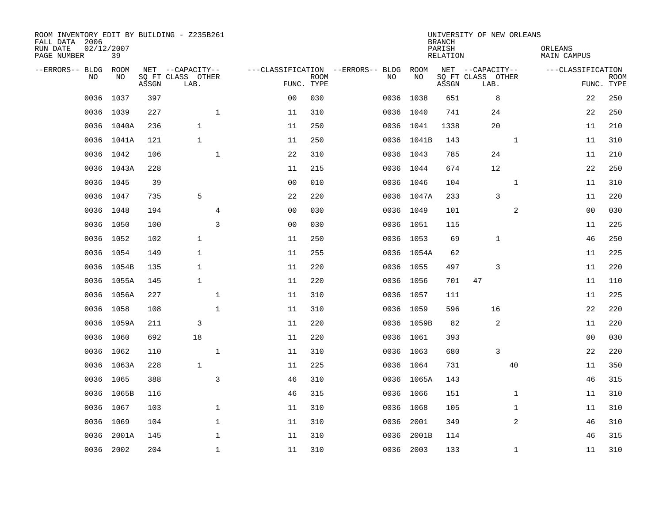| ROOM INVENTORY EDIT BY BUILDING - Z235B261<br>FALL DATA 2006<br>RUN DATE<br>PAGE NUMBER | 02/12/2007<br>39 |       |                           |                |                           |                                   |            | <b>BRANCH</b><br>PARISH<br>RELATION | UNIVERSITY OF NEW ORLEANS | ORLEANS<br>MAIN CAMPUS |                           |
|-----------------------------------------------------------------------------------------|------------------|-------|---------------------------|----------------|---------------------------|-----------------------------------|------------|-------------------------------------|---------------------------|------------------------|---------------------------|
| --ERRORS-- BLDG                                                                         | ROOM             |       | NET --CAPACITY--          |                |                           | ---CLASSIFICATION --ERRORS-- BLDG | ROOM       |                                     | NET --CAPACITY--          | ---CLASSIFICATION      |                           |
| N <sub>O</sub>                                                                          | NO.              | ASSGN | SO FT CLASS OTHER<br>LAB. |                | <b>ROOM</b><br>FUNC. TYPE | NO.                               | NO         | ASSGN                               | SQ FT CLASS OTHER<br>LAB. |                        | <b>ROOM</b><br>FUNC. TYPE |
| 0036                                                                                    | 1037             | 397   |                           | 0 <sub>0</sub> | 030                       |                                   | 0036 1038  | 651                                 | 8                         | 22                     | 250                       |
|                                                                                         | 0036 1039        | 227   | $\mathbf 1$               | 11             | 310                       |                                   | 0036 1040  | 741                                 | 24                        | 22                     | 250                       |
|                                                                                         | 0036 1040A       | 236   | $\mathbf{1}$              | 11             | 250                       |                                   | 0036 1041  | 1338                                | 20                        | 11                     | 210                       |
|                                                                                         | 0036 1041A       | 121   | $\mathbf{1}$              | 11             | 250                       |                                   | 0036 1041B | 143                                 | $\mathbf{1}$              | 11                     | 310                       |
| 0036                                                                                    | 1042             | 106   | $\mathbf{1}$              | 22             | 310                       |                                   | 0036 1043  | 785                                 | 24                        | 11                     | 210                       |
|                                                                                         | 0036 1043A       | 228   |                           | 11             | 215                       |                                   | 0036 1044  | 674                                 | 12                        | 22                     | 250                       |
| 0036                                                                                    | 1045             | 39    |                           | 0 <sub>0</sub> | 010                       |                                   | 0036 1046  | 104                                 | $\mathbf{1}$              | 11                     | 310                       |
|                                                                                         | 0036 1047        | 735   | 5                         | 22             | 220                       |                                   | 0036 1047A | 233                                 | $\overline{3}$            | 11                     | 220                       |
| 0036                                                                                    | 1048             | 194   | $\overline{4}$            | 0 <sub>0</sub> | 030                       |                                   | 0036 1049  | 101                                 | 2                         | 0 <sub>0</sub>         | 030                       |
|                                                                                         | 0036 1050        | 100   | 3                         | 0 <sub>0</sub> | 030                       |                                   | 0036 1051  | 115                                 |                           | 11                     | 225                       |
| 0036                                                                                    | 1052             | 102   | $\mathbf{1}$              | 11             | 250                       |                                   | 0036 1053  | 69                                  | 1                         | 46                     | 250                       |
|                                                                                         | 0036 1054        | 149   | $\mathbf{1}$              | 11             | 255                       |                                   | 0036 1054A | 62                                  |                           | 11                     | 225                       |
| 0036                                                                                    | 1054B            | 135   | $\mathbf{1}$              | 11             | 220                       |                                   | 0036 1055  | 497                                 | 3                         | 11                     | 220                       |
|                                                                                         | 0036 1055A       | 145   | $\mathbf{1}$              | 11             | 220                       |                                   | 0036 1056  | 701                                 | 47                        | 11                     | 110                       |
|                                                                                         | 0036 1056A       | 227   | $\mathbf{1}$              | 11             | 310                       |                                   | 0036 1057  | 111                                 |                           | 11                     | 225                       |
|                                                                                         | 0036 1058        | 108   | $\mathbf 1$               | 11             | 310                       |                                   | 0036 1059  | 596                                 | 16                        | 22                     | 220                       |
| 0036                                                                                    | 1059A            | 211   | 3                         | 11             | 220                       |                                   | 0036 1059B | 82                                  | 2                         | 11                     | 220                       |
|                                                                                         | 0036 1060        | 692   | 18                        | 11             | 220                       |                                   | 0036 1061  | 393                                 |                           | 00                     | 030                       |
|                                                                                         | 0036 1062        | 110   | $\mathbf 1$               | 11             | 310                       |                                   | 0036 1063  | 680                                 | 3                         | 22                     | 220                       |
|                                                                                         | 0036 1063A       | 228   | $\mathbf{1}$              | 11             | 225                       |                                   | 0036 1064  | 731                                 | 40                        | 11                     | 350                       |
|                                                                                         | 0036 1065        | 388   | $\mathsf{3}$              | 46             | 310                       |                                   | 0036 1065A | 143                                 |                           | 46                     | 315                       |
|                                                                                         | 0036 1065B       | 116   |                           | 46             | 315                       |                                   | 0036 1066  | 151                                 | $\mathbf{1}$              | 11                     | 310                       |
|                                                                                         | 0036 1067        | 103   | $\mathbf 1$               | 11             | 310                       |                                   | 0036 1068  | 105                                 | $\mathbf{1}$              | 11                     | 310                       |
| 0036                                                                                    | 1069             | 104   | $\mathbf 1$               | 11             | 310                       |                                   | 0036 2001  | 349                                 | $\overline{a}$            | 46                     | 310                       |
| 0036                                                                                    | 2001A            | 145   | $\mathbf 1$               | 11             | 310                       | 0036                              | 2001B      | 114                                 |                           | 46                     | 315                       |
|                                                                                         | 0036 2002        | 204   | $\mathbf{1}$              | 11             | 310                       |                                   | 0036 2003  | 133                                 | $\mathbf{1}$              | 11                     | 310                       |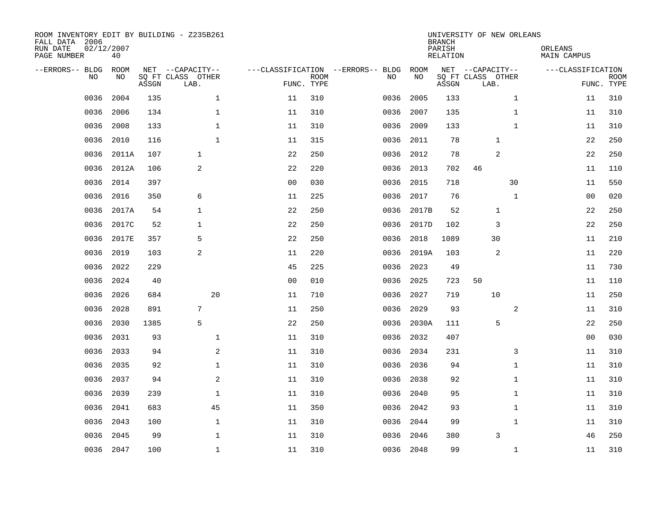| ROOM INVENTORY EDIT BY BUILDING - Z235B261<br>FALL DATA 2006<br>RUN DATE<br>PAGE NUMBER | 02/12/2007<br>40 |       |                                               |                |                           |                                         |            | <b>BRANCH</b><br>PARISH<br><b>RELATION</b> | UNIVERSITY OF NEW ORLEANS                     |              | ORLEANS<br>MAIN CAMPUS |                           |
|-----------------------------------------------------------------------------------------|------------------|-------|-----------------------------------------------|----------------|---------------------------|-----------------------------------------|------------|--------------------------------------------|-----------------------------------------------|--------------|------------------------|---------------------------|
| --ERRORS-- BLDG<br>NO                                                                   | ROOM<br>NO       | ASSGN | NET --CAPACITY--<br>SQ FT CLASS OTHER<br>LAB. |                | <b>ROOM</b><br>FUNC. TYPE | ---CLASSIFICATION --ERRORS-- BLDG<br>NO | ROOM<br>NO | ASSGN                                      | NET --CAPACITY--<br>SQ FT CLASS OTHER<br>LAB. |              | ---CLASSIFICATION      | <b>ROOM</b><br>FUNC. TYPE |
| 0036                                                                                    | 2004             | 135   | $\mathbf 1$                                   | 11             | 310                       | 0036                                    | 2005       | 133                                        |                                               | $\mathbf{1}$ | 11                     | 310                       |
| 0036                                                                                    | 2006             | 134   | 1                                             | 11             | 310                       | 0036                                    | 2007       | 135                                        |                                               | $\mathbf{1}$ | 11                     | 310                       |
| 0036                                                                                    | 2008             | 133   | $\mathbf 1$                                   | 11             | 310                       | 0036                                    | 2009       | 133                                        |                                               | $\mathbf{1}$ | 11                     | 310                       |
| 0036                                                                                    | 2010             | 116   | $\mathbf{1}$                                  | 11             | 315                       | 0036                                    | 2011       | 78                                         | $\mathbf{1}$                                  |              | 22                     | 250                       |
| 0036                                                                                    | 2011A            | 107   | $\mathbf{1}$                                  | 22             | 250                       | 0036                                    | 2012       | 78                                         | 2                                             |              | 22                     | 250                       |
| 0036                                                                                    | 2012A            | 106   | 2                                             | 22             | 220                       | 0036                                    | 2013       | 702                                        | 46                                            |              | 11                     | 110                       |
| 0036                                                                                    | 2014             | 397   |                                               | 0 <sub>0</sub> | 030                       | 0036                                    | 2015       | 718                                        |                                               | 30           | 11                     | 550                       |
| 0036                                                                                    | 2016             | 350   | 6                                             | 11             | 225                       | 0036                                    | 2017       | 76                                         |                                               | $\mathbf{1}$ | 0 <sub>0</sub>         | 020                       |
| 0036                                                                                    | 2017A            | 54    | $\mathbf{1}$                                  | 22             | 250                       | 0036                                    | 2017B      | 52                                         | $\mathbf{1}$                                  |              | 22                     | 250                       |
| 0036                                                                                    | 2017C            | 52    | 1                                             | 22             | 250                       | 0036                                    | 2017D      | 102                                        | 3                                             |              | 22                     | 250                       |
| 0036                                                                                    | 2017E            | 357   | 5                                             | 22             | 250                       | 0036                                    | 2018       | 1089                                       | 30                                            |              | 11                     | 210                       |
| 0036                                                                                    | 2019             | 103   | 2                                             | 11             | 220                       | 0036                                    | 2019A      | 103                                        | 2                                             |              | 11                     | 220                       |
| 0036                                                                                    | 2022             | 229   |                                               | 45             | 225                       | 0036                                    | 2023       | 49                                         |                                               |              | 11                     | 730                       |
| 0036                                                                                    | 2024             | 40    |                                               | 00             | 010                       | 0036                                    | 2025       | 723                                        | 50                                            |              | 11                     | 110                       |
| 0036                                                                                    | 2026             | 684   | 20                                            | 11             | 710                       | 0036                                    | 2027       | 719                                        | 10                                            |              | 11                     | 250                       |
| 0036                                                                                    | 2028             | 891   | 7                                             | 11             | 250                       | 0036                                    | 2029       | 93                                         |                                               | 2            | 11                     | 310                       |
| 0036                                                                                    | 2030             | 1385  | 5                                             | 22             | 250                       | 0036                                    | 2030A      | 111                                        | 5                                             |              | 22                     | 250                       |
| 0036                                                                                    | 2031             | 93    | $\mathbf 1$                                   | 11             | 310                       | 0036                                    | 2032       | 407                                        |                                               |              | 0 <sub>0</sub>         | 030                       |
| 0036                                                                                    | 2033             | 94    | 2                                             | 11             | 310                       | 0036                                    | 2034       | 231                                        |                                               | 3            | 11                     | 310                       |
| 0036                                                                                    | 2035             | 92    | $\mathbf{1}$                                  | 11             | 310                       | 0036                                    | 2036       | 94                                         |                                               | $\mathbf{1}$ | 11                     | 310                       |
| 0036                                                                                    | 2037             | 94    | 2                                             | 11             | 310                       | 0036                                    | 2038       | 92                                         |                                               | $\mathbf{1}$ | 11                     | 310                       |
| 0036                                                                                    | 2039             | 239   | $\mathbf 1$                                   | 11             | 310                       | 0036                                    | 2040       | 95                                         |                                               | $\mathbf{1}$ | 11                     | 310                       |
| 0036                                                                                    | 2041             | 683   | 45                                            | 11             | 350                       | 0036                                    | 2042       | 93                                         |                                               | $\mathbf{1}$ | 11                     | 310                       |
| 0036                                                                                    | 2043             | 100   | $\mathbf 1$                                   | 11             | 310                       | 0036                                    | 2044       | 99                                         |                                               | $\mathbf{1}$ | 11                     | 310                       |
| 0036                                                                                    | 2045             | 99    | $\mathbf 1$                                   | 11             | 310                       | 0036                                    | 2046       | 380                                        | 3                                             |              | 46                     | 250                       |
|                                                                                         | 0036 2047        | 100   | $\mathbf{1}$                                  | 11             | 310                       |                                         | 0036 2048  | 99                                         |                                               | $\mathbf{1}$ | 11                     | 310                       |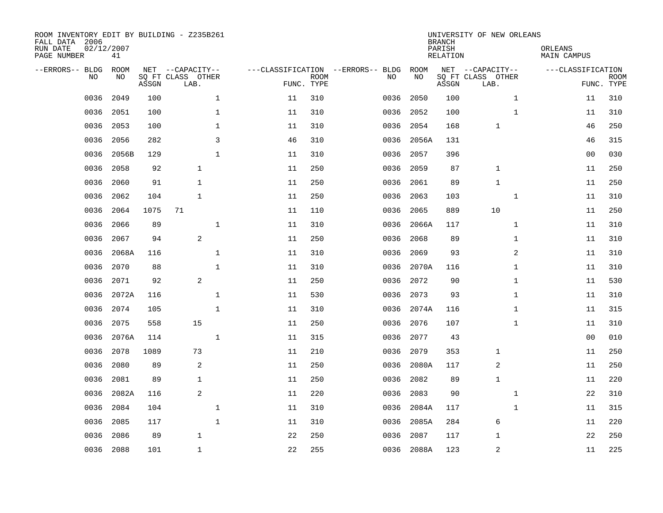| ROOM INVENTORY EDIT BY BUILDING - Z235B261<br>FALL DATA 2006<br>RUN DATE<br>PAGE NUMBER | 02/12/2007<br>41 |       |                                               |        |                           |                                         |            | <b>BRANCH</b><br>PARISH<br><b>RELATION</b> | UNIVERSITY OF NEW ORLEANS                     | ORLEANS<br><b>MAIN CAMPUS</b> |                           |
|-----------------------------------------------------------------------------------------|------------------|-------|-----------------------------------------------|--------|---------------------------|-----------------------------------------|------------|--------------------------------------------|-----------------------------------------------|-------------------------------|---------------------------|
| --ERRORS-- BLDG<br>NO                                                                   | ROOM<br>NO       | ASSGN | NET --CAPACITY--<br>SQ FT CLASS OTHER<br>LAB. |        | <b>ROOM</b><br>FUNC. TYPE | ---CLASSIFICATION --ERRORS-- BLDG<br>NO | ROOM<br>NO | ASSGN                                      | NET --CAPACITY--<br>SQ FT CLASS OTHER<br>LAB. | ---CLASSIFICATION             | <b>ROOM</b><br>FUNC. TYPE |
| 0036                                                                                    | 2049             | 100   | $\mathbf 1$                                   | 11     | 310                       | 0036                                    | 2050       | 100                                        | $\mathbf{1}$                                  | 11                            | 310                       |
| 0036                                                                                    | 2051             | 100   | 1                                             | 11     | 310                       | 0036                                    | 2052       | 100                                        | $\mathbf{1}$                                  | 11                            | 310                       |
| 0036                                                                                    | 2053             | 100   | 1                                             | 11     | 310                       | 0036                                    | 2054       | 168                                        | 1                                             | 46                            | 250                       |
| 0036                                                                                    | 2056             | 282   | 3                                             | 46     | 310                       | 0036                                    | 2056A      | 131                                        |                                               | 46                            | 315                       |
| 0036                                                                                    | 2056B            | 129   | $\mathbf{1}$                                  | 11     | 310                       | 0036                                    | 2057       | 396                                        |                                               | 0 <sub>0</sub>                | 030                       |
| 0036                                                                                    | 2058             | 92    | $\mathbf{1}$                                  | 11     | 250                       | 0036                                    | 2059       | 87                                         | $\mathbf{1}$                                  | 11                            | 250                       |
| 0036                                                                                    | 2060             | 91    | $\mathbf{1}$                                  | 11     | 250                       | 0036                                    | 2061       | 89                                         | $\mathbf{1}$                                  | 11                            | 250                       |
| 0036                                                                                    | 2062             | 104   | $\mathbf{1}$                                  | 11     | 250                       | 0036                                    | 2063       | 103                                        | $\mathbf{1}$                                  | 11                            | 310                       |
| 0036                                                                                    | 2064             | 1075  | 71                                            | 11     | 110                       | 0036                                    | 2065       | 889                                        | 10                                            | 11                            | 250                       |
| 0036                                                                                    | 2066             | 89    | $\mathbf 1$                                   | 11     | 310                       | 0036                                    | 2066A      | 117                                        | $\mathbf{1}$                                  | 11                            | 310                       |
| 0036                                                                                    | 2067             | 94    | 2                                             | 11     | 250                       | 0036                                    | 2068       | 89                                         | $\mathbf{1}$                                  | 11                            | 310                       |
| 0036                                                                                    | 2068A            | 116   | $\mathbf 1$                                   | $11\,$ | 310                       | 0036                                    | 2069       | 93                                         | $\overline{2}$                                | 11                            | 310                       |
| 0036                                                                                    | 2070             | 88    | $\mathbf 1$                                   | 11     | 310                       | 0036                                    | 2070A      | 116                                        | $\mathbf{1}$                                  | 11                            | 310                       |
| 0036                                                                                    | 2071             | 92    | 2                                             | 11     | 250                       | 0036                                    | 2072       | 90                                         | $\mathbf{1}$                                  | 11                            | 530                       |
| 0036                                                                                    | 2072A            | 116   | $\mathbf{1}$                                  | 11     | 530                       | 0036                                    | 2073       | 93                                         | $\mathbf{1}$                                  | 11                            | 310                       |
| 0036                                                                                    | 2074             | 105   | $\mathbf{1}$                                  | 11     | 310                       | 0036                                    | 2074A      | 116                                        | $\mathbf{1}$                                  | 11                            | 315                       |
| 0036                                                                                    | 2075             | 558   | 15                                            | 11     | 250                       | 0036                                    | 2076       | 107                                        | $\mathbf{1}$                                  | 11                            | 310                       |
| 0036                                                                                    | 2076A            | 114   | $\mathbf 1$                                   | 11     | 315                       | 0036                                    | 2077       | 43                                         |                                               | 0 <sub>0</sub>                | 010                       |
| 0036                                                                                    | 2078             | 1089  | 73                                            | 11     | 210                       | 0036                                    | 2079       | 353                                        | $\mathbf{1}$                                  | 11                            | 250                       |
| 0036                                                                                    | 2080             | 89    | $\overline{c}$                                | 11     | 250                       | 0036                                    | 2080A      | 117                                        | $\overline{c}$                                | 11                            | 250                       |
| 0036                                                                                    | 2081             | 89    | 1                                             | 11     | 250                       | 0036                                    | 2082       | 89                                         | $\mathbf{1}$                                  | 11                            | 220                       |
| 0036                                                                                    | 2082A            | 116   | 2                                             | 11     | 220                       | 0036                                    | 2083       | 90                                         | $\mathbf{1}$                                  | 22                            | 310                       |
| 0036                                                                                    | 2084             | 104   | $\mathbf 1$                                   | 11     | 310                       | 0036                                    | 2084A      | 117                                        | $\mathbf{1}$                                  | 11                            | 315                       |
| 0036                                                                                    | 2085             | 117   | $\mathbf{1}$                                  | 11     | 310                       | 0036                                    | 2085A      | 284                                        | 6                                             | 11                            | 220                       |
| 0036                                                                                    | 2086             | 89    | $\mathbf{1}$                                  | 22     | 250                       | 0036                                    | 2087       | 117                                        | 1                                             | 22                            | 250                       |
| 0036                                                                                    | 2088             | 101   | $\mathbf{1}$                                  | 22     | 255                       |                                         | 0036 2088A | 123                                        | $\overline{c}$                                | 11                            | 225                       |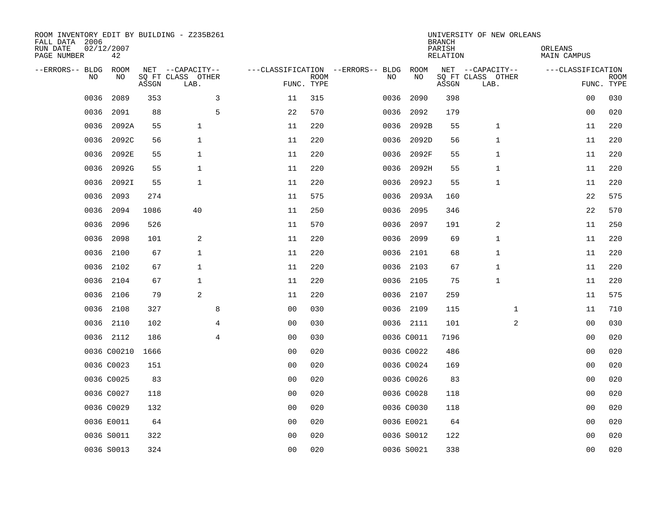| ROOM INVENTORY EDIT BY BUILDING - Z235B261<br>FALL DATA 2006<br>RUN DATE<br>PAGE NUMBER | 02/12/2007<br>42 |       |                                       |                |             |                                         |            | <b>BRANCH</b><br>PARISH<br><b>RELATION</b> | UNIVERSITY OF NEW ORLEANS             | ORLEANS<br><b>MAIN CAMPUS</b> |             |
|-----------------------------------------------------------------------------------------|------------------|-------|---------------------------------------|----------------|-------------|-----------------------------------------|------------|--------------------------------------------|---------------------------------------|-------------------------------|-------------|
| --ERRORS-- BLDG<br>NO                                                                   | ROOM<br>NO       |       | NET --CAPACITY--<br>SQ FT CLASS OTHER |                | <b>ROOM</b> | ---CLASSIFICATION --ERRORS-- BLDG<br>NO | ROOM<br>NO |                                            | NET --CAPACITY--<br>SQ FT CLASS OTHER | ---CLASSIFICATION             | <b>ROOM</b> |
|                                                                                         |                  | ASSGN | LAB.                                  |                | FUNC. TYPE  |                                         |            | ASSGN                                      | LAB.                                  | FUNC. TYPE                    |             |
| 0036                                                                                    | 2089             | 353   | 3                                     | 11             | 315         | 0036                                    | 2090       | 398                                        |                                       | 00                            | 030         |
| 0036                                                                                    | 2091             | 88    | 5                                     | 22             | 570         | 0036                                    | 2092       | 179                                        |                                       | 00                            | 020         |
| 0036                                                                                    | 2092A            | 55    | $\mathbf{1}$                          | 11             | 220         | 0036                                    | 2092B      | 55                                         | $\mathbf 1$                           | 11                            | 220         |
| 0036                                                                                    | 2092C            | 56    | $\mathbf{1}$                          | 11             | 220         | 0036                                    | 2092D      | 56                                         | 1                                     | 11                            | 220         |
| 0036                                                                                    | 2092E            | 55    | $\mathbf{1}$                          | 11             | 220         | 0036                                    | 2092F      | 55                                         | 1                                     | 11                            | 220         |
| 0036                                                                                    | 2092G            | 55    | 1                                     | 11             | 220         | 0036                                    | 2092H      | 55                                         | 1                                     | 11                            | 220         |
| 0036                                                                                    | 2092I            | 55    | $\mathbf{1}$                          | 11             | 220         | 0036                                    | 2092J      | 55                                         | 1                                     | 11                            | 220         |
| 0036                                                                                    | 2093             | 274   |                                       | 11             | 575         | 0036                                    | 2093A      | 160                                        |                                       | 22                            | 575         |
| 0036                                                                                    | 2094             | 1086  | 40                                    | 11             | 250         | 0036                                    | 2095       | 346                                        |                                       | 22                            | 570         |
| 0036                                                                                    | 2096             | 526   |                                       | 11             | 570         | 0036                                    | 2097       | 191                                        | 2                                     | 11                            | 250         |
| 0036                                                                                    | 2098             | 101   | 2                                     | 11             | 220         | 0036                                    | 2099       | 69                                         | 1                                     | 11                            | 220         |
| 0036                                                                                    | 2100             | 67    | $\mathbf{1}$                          | 11             | 220         |                                         | 0036 2101  | 68                                         | 1                                     | 11                            | 220         |
| 0036                                                                                    | 2102             | 67    | $\mathbf{1}$                          | 11             | 220         | 0036                                    | 2103       | 67                                         | 1                                     | 11                            | 220         |
| 0036                                                                                    | 2104             | 67    | 1                                     | 11             | 220         |                                         | 0036 2105  | 75                                         | 1                                     | 11                            | 220         |
| 0036                                                                                    | 2106             | 79    | 2                                     | 11             | 220         | 0036                                    | 2107       | 259                                        |                                       | 11                            | 575         |
| 0036                                                                                    | 2108             | 327   | 8                                     | 0 <sub>0</sub> | 030         |                                         | 0036 2109  | 115                                        | $\mathbf{1}$                          | 11                            | 710         |
| 0036                                                                                    | 2110             | 102   | 4                                     | 0 <sub>0</sub> | 030         |                                         | 0036 2111  | 101                                        | 2                                     | 00                            | 030         |
|                                                                                         | 0036 2112        | 186   | $\overline{4}$                        | 0 <sub>0</sub> | 030         |                                         | 0036 C0011 | 7196                                       |                                       | 0 <sub>0</sub>                | 020         |
|                                                                                         | 0036 C00210      | 1666  |                                       | 0 <sub>0</sub> | 020         |                                         | 0036 C0022 | 486                                        |                                       | 0 <sub>0</sub>                | 020         |
|                                                                                         | 0036 C0023       | 151   |                                       | 0 <sub>0</sub> | 020         |                                         | 0036 C0024 | 169                                        |                                       | 00                            | 020         |
|                                                                                         | 0036 C0025       | 83    |                                       | 0 <sub>0</sub> | 020         |                                         | 0036 C0026 | 83                                         |                                       | 00                            | 020         |
|                                                                                         | 0036 C0027       | 118   |                                       | 0 <sub>0</sub> | 020         |                                         | 0036 C0028 | 118                                        |                                       | 00                            | 020         |
|                                                                                         | 0036 C0029       | 132   |                                       | 0 <sub>0</sub> | 020         |                                         | 0036 C0030 | 118                                        |                                       | 00                            | 020         |
|                                                                                         | 0036 E0011       | 64    |                                       | 00             | 020         |                                         | 0036 E0021 | 64                                         |                                       | 00                            | 020         |
|                                                                                         | 0036 S0011       | 322   |                                       | 0 <sub>0</sub> | 020         |                                         | 0036 S0012 | 122                                        |                                       | 00                            | 020         |
|                                                                                         | 0036 S0013       | 324   |                                       | 0 <sub>0</sub> | 020         |                                         | 0036 S0021 | 338                                        |                                       | 0 <sub>0</sub>                | 020         |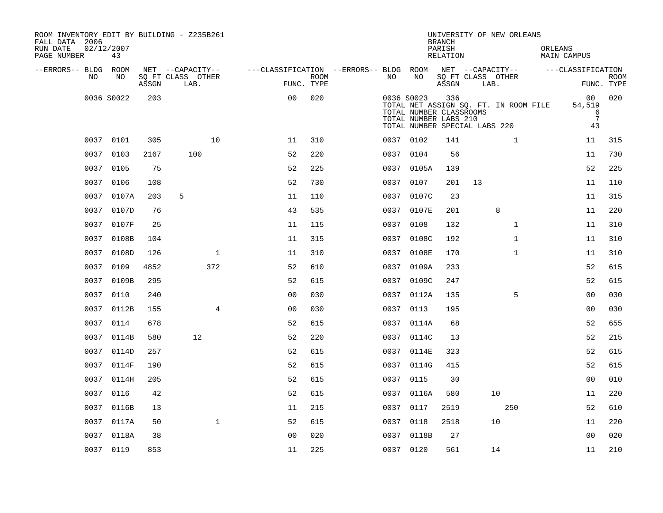| ROOM INVENTORY EDIT BY BUILDING - Z235B261<br>FALL DATA 2006<br>RUN DATE<br>PAGE NUMBER | 02/12/2007<br>43 |       |                           |                                        |      |            |                                                                                   | <b>BRANCH</b><br>PARISH<br>RELATION |      | UNIVERSITY OF NEW ORLEANS             | ORLEANS | MAIN CAMPUS                                |                           |
|-----------------------------------------------------------------------------------------|------------------|-------|---------------------------|----------------------------------------|------|------------|-----------------------------------------------------------------------------------|-------------------------------------|------|---------------------------------------|---------|--------------------------------------------|---------------------------|
| --ERRORS-- BLDG ROOM                                                                    |                  |       | NET --CAPACITY--          | ---CLASSIFICATION --ERRORS-- BLDG ROOM |      |            |                                                                                   |                                     |      | NET --CAPACITY--                      |         | ---CLASSIFICATION                          |                           |
| NO.                                                                                     | NO.              | ASSGN | SO FT CLASS OTHER<br>LAB. | FUNC. TYPE                             | ROOM | NO.        | NO.                                                                               | ASSGN                               | LAB. | SO FT CLASS OTHER                     |         |                                            | <b>ROOM</b><br>FUNC. TYPE |
|                                                                                         | 0036 S0022       | 203   |                           | 0 <sub>0</sub>                         | 020  | 0036 S0023 | TOTAL NUMBER CLASSROOMS<br>TOTAL NUMBER LABS 210<br>TOTAL NUMBER SPECIAL LABS 220 | 336                                 |      | TOTAL NET ASSIGN SQ. FT. IN ROOM FILE |         | 00<br>54,519<br>6<br>$7\phantom{.0}$<br>43 | 020                       |
|                                                                                         | 0037 0101        | 305   | 10                        | 11                                     | 310  | 0037 0102  |                                                                                   | 141                                 |      | $\mathbf{1}$                          |         | 11                                         | 315                       |
| 0037                                                                                    | 0103             | 2167  | 100                       | 52                                     | 220  | 0037       | 0104                                                                              | 56                                  |      |                                       |         | 11                                         | 730                       |
|                                                                                         | 0037 0105        | 75    |                           | 52                                     | 225  |            | 0037 0105A                                                                        | 139                                 |      |                                       |         | 52                                         | 225                       |
| 0037                                                                                    | 0106             | 108   |                           | 52                                     | 730  | 0037       | 0107                                                                              | 201                                 | 13   |                                       |         | 11                                         | 110                       |
|                                                                                         | 0037 0107A       | 203   | 5                         | 11                                     | 110  |            | 0037 0107C                                                                        | 23                                  |      |                                       |         | 11                                         | 315                       |
|                                                                                         | 0037 0107D       | 76    |                           | 43                                     | 535  | 0037       | 0107E                                                                             | 201                                 |      | 8                                     |         | 11                                         | 220                       |
|                                                                                         | 0037 0107F       | 25    |                           | 11                                     | 115  | 0037 0108  |                                                                                   | 132                                 |      | $\mathbf{1}$                          |         | 11                                         | 310                       |
|                                                                                         | 0037 0108B       | 104   |                           | 11                                     | 315  |            | 0037 0108C                                                                        | 192                                 |      | $\mathbf{1}$                          |         | 11                                         | 310                       |
|                                                                                         | 0037 0108D       | 126   | $\mathbf 1$               | 11                                     | 310  |            | 0037 0108E                                                                        | 170                                 |      | $\mathbf{1}$                          |         | 11                                         | 310                       |
| 0037                                                                                    | 0109             | 4852  | 372                       | 52                                     | 610  | 0037       | 0109A                                                                             | 233                                 |      |                                       |         | 52                                         | 615                       |
| 0037                                                                                    | 0109B            | 295   |                           | 52                                     | 615  |            | 0037 0109C                                                                        | 247                                 |      |                                       |         | 52                                         | 615                       |
| 0037                                                                                    | 0110             | 240   |                           | 0 <sub>0</sub>                         | 030  |            | 0037 0112A                                                                        | 135                                 |      | 5                                     |         | 00                                         | 030                       |
|                                                                                         | 0037 0112B       | 155   | $\overline{4}$            | 0 <sub>0</sub>                         | 030  | 0037 0113  |                                                                                   | 195                                 |      |                                       |         | 0 <sub>0</sub>                             | 030                       |
|                                                                                         | 0037 0114        | 678   |                           | 52                                     | 615  |            | 0037 0114A                                                                        | 68                                  |      |                                       |         | 52                                         | 655                       |
| 0037                                                                                    | 0114B            | 580   | 12                        | 52                                     | 220  |            | 0037 0114C                                                                        | 13                                  |      |                                       |         | 52                                         | 215                       |
|                                                                                         | 0037 0114D       | 257   |                           | 52                                     | 615  |            | 0037 0114E                                                                        | 323                                 |      |                                       |         | 52                                         | 615                       |
| 0037                                                                                    | 0114F            | 190   |                           | 52                                     | 615  |            | 0037 0114G                                                                        | 415                                 |      |                                       |         | 52                                         | 615                       |
|                                                                                         | 0037 0114H       | 205   |                           | 52                                     | 615  | 0037 0115  |                                                                                   | 30                                  |      |                                       |         | 0 <sub>0</sub>                             | 010                       |
| 0037                                                                                    | 0116             | 42    |                           | 52                                     | 615  | 0037       | 0116A                                                                             | 580                                 |      | 10                                    |         | 11                                         | 220                       |
| 0037                                                                                    | 0116B            | 13    |                           | 11                                     | 215  | 0037 0117  |                                                                                   | 2519                                |      | 250                                   |         | 52                                         | 610                       |
| 0037                                                                                    | 0117A            | 50    | $\mathbf{1}$              | 52                                     | 615  | 0037       | 0118                                                                              | 2518                                |      | 10                                    |         | 11                                         | 220                       |
|                                                                                         | 0037 0118A       | 38    |                           | 0 <sub>0</sub>                         | 020  |            | 0037 0118B                                                                        | 27                                  |      |                                       |         | 0 <sub>0</sub>                             | 020                       |
|                                                                                         | 0037 0119        | 853   |                           | 11                                     | 225  | 0037 0120  |                                                                                   | 561                                 |      | 14                                    |         | 11                                         | 210                       |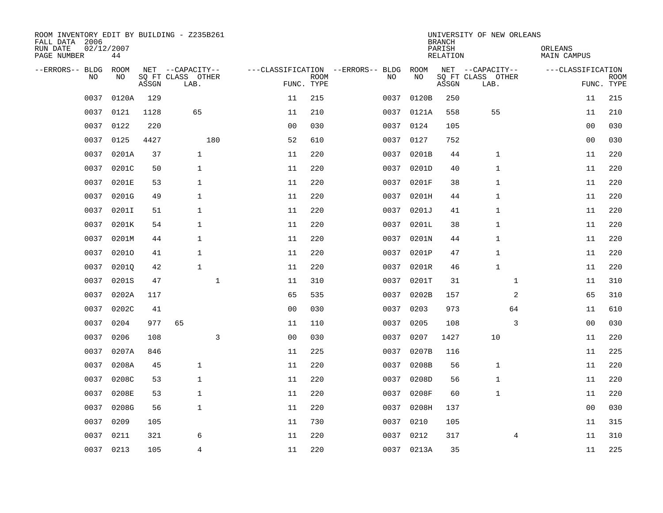| ROOM INVENTORY EDIT BY BUILDING - Z235B261<br>FALL DATA 2006<br>RUN DATE<br>PAGE NUMBER | 02/12/2007<br>44 |       |                           |                |             |                                   |            | <b>BRANCH</b><br>PARISH<br>RELATION | UNIVERSITY OF NEW ORLEANS | ORLEANS<br>MAIN CAMPUS |                           |
|-----------------------------------------------------------------------------------------|------------------|-------|---------------------------|----------------|-------------|-----------------------------------|------------|-------------------------------------|---------------------------|------------------------|---------------------------|
| --ERRORS-- BLDG                                                                         | ROOM             |       | NET --CAPACITY--          |                |             | ---CLASSIFICATION --ERRORS-- BLDG | ROOM       |                                     | NET --CAPACITY--          | ---CLASSIFICATION      |                           |
| N <sub>O</sub>                                                                          | NO.              | ASSGN | SO FT CLASS OTHER<br>LAB. | FUNC. TYPE     | <b>ROOM</b> | NO.                               | NO         | ASSGN                               | SQ FT CLASS OTHER<br>LAB. |                        | <b>ROOM</b><br>FUNC. TYPE |
| 0037                                                                                    | 0120A            | 129   |                           | 11             | 215         | 0037                              | 0120B      | 250                                 |                           | 11                     | 215                       |
| 0037                                                                                    | 0121             | 1128  | 65                        | 11             | 210         |                                   | 0037 0121A | 558                                 | 55                        | 11                     | 210                       |
| 0037                                                                                    | 0122             | 220   |                           | 0 <sub>0</sub> | 030         | 0037                              | 0124       | 105                                 |                           | 0 <sub>0</sub>         | 030                       |
| 0037                                                                                    | 0125             | 4427  | 180                       | 52             | 610         | 0037                              | 0127       | 752                                 |                           | 0 <sub>0</sub>         | 030                       |
| 0037                                                                                    | 0201A            | 37    | $\mathbf{1}$              | 11             | 220         | 0037                              | 0201B      | 44                                  | 1                         | 11                     | 220                       |
| 0037                                                                                    | 0201C            | 50    | $\mathbf{1}$              | 11             | 220         | 0037                              | 0201D      | 40                                  | 1                         | 11                     | 220                       |
| 0037                                                                                    | 0201E            | 53    | $\mathbf{1}$              | 11             | 220         | 0037                              | 0201F      | 38                                  | $\mathbf{1}$              | 11                     | 220                       |
| 0037                                                                                    | 0201G            | 49    | $\mathbf{1}$              | 11             | 220         | 0037                              | 0201H      | 44                                  | $\mathbf{1}$              | 11                     | 220                       |
| 0037                                                                                    | 0201I            | 51    | $\mathbf{1}$              | 11             | 220         | 0037                              | 0201J      | 41                                  | $\mathbf{1}$              | 11                     | 220                       |
| 0037                                                                                    | 0201K            | 54    | $\mathbf{1}$              | 11             | 220         | 0037                              | 0201L      | 38                                  | 1                         | 11                     | 220                       |
| 0037                                                                                    | 0201M            | 44    | $\mathbf{1}$              | 11             | 220         | 0037                              | 0201N      | 44                                  | 1                         | 11                     | 220                       |
| 0037                                                                                    | 02010            | 41    | $\mathbf 1$               | 11             | 220         | 0037                              | 0201P      | 47                                  | 1                         | 11                     | 220                       |
| 0037                                                                                    | 02010            | 42    | $\mathbf{1}$              | 11             | 220         | 0037                              | 0201R      | 46                                  | $\mathbf{1}$              | 11                     | 220                       |
| 0037                                                                                    | 0201S            | 47    | $\mathbf{1}$              | 11             | 310         | 0037                              | 0201T      | 31                                  | $\mathbf{1}$              | 11                     | 310                       |
| 0037                                                                                    | 0202A            | 117   |                           | 65             | 535         | 0037                              | 0202B      | 157                                 | 2                         | 65                     | 310                       |
| 0037                                                                                    | 0202C            | 41    |                           | 0 <sub>0</sub> | 030         | 0037                              | 0203       | 973                                 | 64                        | 11                     | 610                       |
| 0037                                                                                    | 0204             | 977   | 65                        | 11             | 110         | 0037                              | 0205       | 108                                 | 3                         | 00                     | 030                       |
| 0037                                                                                    | 0206             | 108   | 3                         | 0 <sub>0</sub> | 030         | 0037                              | 0207       | 1427                                | 10                        | 11                     | 220                       |
| 0037                                                                                    | 0207A            | 846   |                           | 11             | 225         | 0037                              | 0207B      | 116                                 |                           | 11                     | 225                       |
| 0037                                                                                    | 0208A            | 45    | $\mathbf{1}$              | 11             | 220         | 0037                              | 0208B      | 56                                  | $\mathbf{1}$              | 11                     | 220                       |
| 0037                                                                                    | 0208C            | 53    | $\mathbf{1}$              | 11             | 220         | 0037                              | 0208D      | 56                                  | 1                         | 11                     | 220                       |
| 0037                                                                                    | 0208E            | 53    | $\mathbf{1}$              | 11             | 220         | 0037                              | 0208F      | 60                                  | 1                         | 11                     | 220                       |
| 0037                                                                                    | 0208G            | 56    | $\mathbf{1}$              | 11             | 220         | 0037                              | 0208H      | 137                                 |                           | 00                     | 030                       |
| 0037                                                                                    | 0209             | 105   |                           | 11             | 730         | 0037                              | 0210       | 105                                 |                           | 11                     | 315                       |
| 0037                                                                                    | 0211             | 321   | 6                         | 11             | 220         |                                   | 0037 0212  | 317                                 | 4                         | 11                     | 310                       |
|                                                                                         | 0037 0213        | 105   | $\overline{4}$            | 11             | 220         |                                   | 0037 0213A | 35                                  |                           | 11                     | 225                       |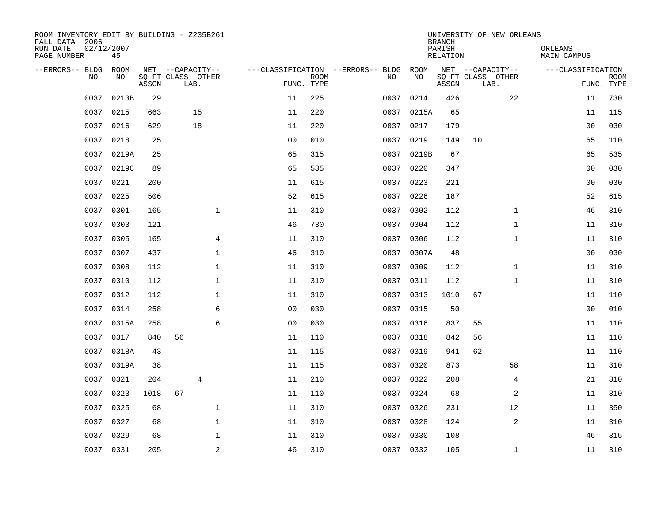| ROOM INVENTORY EDIT BY BUILDING - Z235B261<br>FALL DATA 2006<br>RUN DATE<br>PAGE NUMBER | 02/12/2007<br>45 |       |      |                                       |                |             |                                               |            | <b>BRANCH</b><br>PARISH<br>RELATION |                                       | UNIVERSITY OF NEW ORLEANS | ORLEANS<br>MAIN CAMPUS |             |
|-----------------------------------------------------------------------------------------|------------------|-------|------|---------------------------------------|----------------|-------------|-----------------------------------------------|------------|-------------------------------------|---------------------------------------|---------------------------|------------------------|-------------|
|                                                                                         |                  |       |      |                                       |                |             |                                               |            |                                     |                                       |                           |                        |             |
| --ERRORS-- BLDG ROOM<br>NO.                                                             | NO.              |       |      | NET --CAPACITY--<br>SQ FT CLASS OTHER |                | <b>ROOM</b> | ---CLASSIFICATION --ERRORS-- BLDG ROOM<br>NO. | NO         |                                     | NET --CAPACITY--<br>SQ FT CLASS OTHER |                           | ---CLASSIFICATION      | <b>ROOM</b> |
|                                                                                         |                  | ASSGN | LAB. |                                       | FUNC. TYPE     |             |                                               |            | ASSGN                               | LAB.                                  |                           |                        | FUNC. TYPE  |
| 0037                                                                                    | 0213B            | 29    |      |                                       | 11             | 225         | 0037                                          | 0214       | 426                                 |                                       | 22                        | 11                     | 730         |
| 0037                                                                                    | 0215             | 663   |      | 15                                    | 11             | 220         |                                               | 0037 0215A | 65                                  |                                       |                           | 11                     | 115         |
| 0037                                                                                    | 0216             | 629   |      | 18                                    | 11             | 220         | 0037                                          | 0217       | 179                                 |                                       |                           | 00                     | 030         |
| 0037                                                                                    | 0218             | 25    |      |                                       | 0 <sub>0</sub> | 010         |                                               | 0037 0219  | 149                                 | 10                                    |                           | 65                     | 110         |
| 0037                                                                                    | 0219A            | 25    |      |                                       | 65             | 315         | 0037                                          | 0219B      | 67                                  |                                       |                           | 65                     | 535         |
| 0037                                                                                    | 0219C            | 89    |      |                                       | 65             | 535         |                                               | 0037 0220  | 347                                 |                                       |                           | 0 <sub>0</sub>         | 030         |
| 0037                                                                                    | 0221             | 200   |      |                                       | 11             | 615         | 0037                                          | 0223       | 221                                 |                                       |                           | 00                     | 030         |
| 0037                                                                                    | 0225             | 506   |      |                                       | 52             | 615         |                                               | 0037 0226  | 187                                 |                                       |                           | 52                     | 615         |
| 0037                                                                                    | 0301             | 165   |      | $\mathbf{1}$                          | 11             | 310         | 0037                                          | 0302       | 112                                 |                                       | $\mathbf{1}$              | 46                     | 310         |
|                                                                                         | 0037 0303        | 121   |      |                                       | 46             | 730         |                                               | 0037 0304  | 112                                 |                                       | $\mathbf{1}$              | 11                     | 310         |
| 0037                                                                                    | 0305             | 165   |      | 4                                     | 11             | 310         | 0037                                          | 0306       | 112                                 |                                       | $\mathbf{1}$              | 11                     | 310         |
|                                                                                         | 0037 0307        | 437   |      | $\mathbf{1}$                          | 46             | 310         |                                               | 0037 0307A | 48                                  |                                       |                           | 0 <sub>0</sub>         | 030         |
| 0037                                                                                    | 0308             | 112   |      | $\mathbf{1}$                          | 11             | 310         | 0037                                          | 0309       | 112                                 |                                       | $\mathbf{1}$              | 11                     | 310         |
| 0037                                                                                    | 0310             | 112   |      | $\mathbf{1}$                          | 11             | 310         |                                               | 0037 0311  | 112                                 |                                       | $\mathbf{1}$              | 11                     | 310         |
| 0037                                                                                    | 0312             | 112   |      | 1                                     | 11             | 310         | 0037                                          | 0313       | 1010                                | 67                                    |                           | 11                     | 110         |
| 0037                                                                                    | 0314             | 258   |      | 6                                     | 0 <sub>0</sub> | 030         | 0037                                          | 0315       | 50                                  |                                       |                           | 00                     | 010         |
| 0037                                                                                    | 0315A            | 258   |      | 6                                     | 0 <sub>0</sub> | 030         | 0037                                          | 0316       | 837                                 | 55                                    |                           | 11                     | 110         |
| 0037                                                                                    | 0317             | 840   | 56   |                                       | 11             | 110         | 0037                                          | 0318       | 842                                 | 56                                    |                           | 11                     | 110         |
| 0037                                                                                    | 0318A            | 43    |      |                                       | 11             | 115         |                                               | 0037 0319  | 941                                 | 62                                    |                           | 11                     | 110         |
| 0037                                                                                    | 0319A            | 38    |      |                                       | 11             | 115         |                                               | 0037 0320  | 873                                 |                                       | 58                        | 11                     | 310         |
| 0037                                                                                    | 0321             | 204   |      | $\overline{4}$                        | 11             | 210         |                                               | 0037 0322  | 208                                 |                                       | 4                         | 21                     | 310         |
| 0037                                                                                    | 0323             | 1018  | 67   |                                       | 11             | 110         | 0037                                          | 0324       | 68                                  |                                       | 2                         | 11                     | 310         |
| 0037                                                                                    | 0325             | 68    |      | $\mathbf 1$                           | 11             | 310         |                                               | 0037 0326  | 231                                 |                                       | 12                        | 11                     | 350         |
| 0037                                                                                    | 0327             | 68    |      | $\mathbf{1}$                          | 11             | 310         | 0037                                          | 0328       | 124                                 |                                       | 2                         | 11                     | 310         |
| 0037                                                                                    | 0329             | 68    |      | $\mathbf 1$                           | 11             | 310         |                                               | 0037 0330  | 108                                 |                                       |                           | 46                     | 315         |
|                                                                                         | 0037 0331        | 205   |      | 2                                     | 46             | 310         |                                               | 0037 0332  | 105                                 |                                       | $\mathbf{1}$              | 11                     | 310         |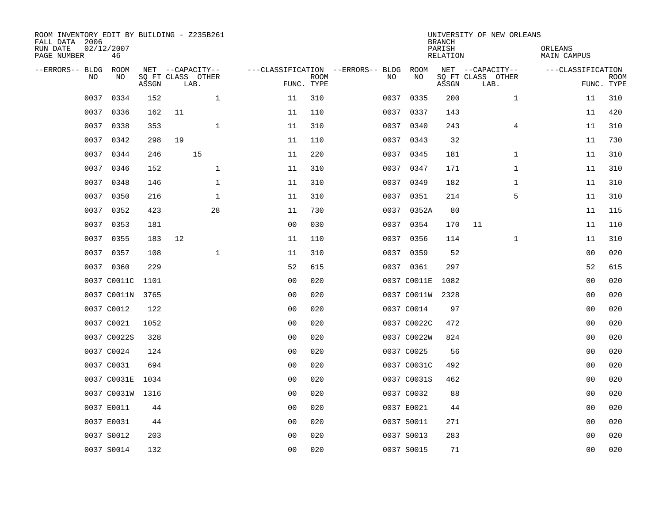| ROOM INVENTORY EDIT BY BUILDING - Z235B261<br>FALL DATA 2006<br>RUN DATE<br>PAGE NUMBER | 02/12/2007<br>46 |       |                                               |              |                |                           |                                              |             | <b>BRANCH</b><br>PARISH<br><b>RELATION</b> | UNIVERSITY OF NEW ORLEANS                     | ORLEANS<br><b>MAIN CAMPUS</b> |                           |
|-----------------------------------------------------------------------------------------|------------------|-------|-----------------------------------------------|--------------|----------------|---------------------------|----------------------------------------------|-------------|--------------------------------------------|-----------------------------------------------|-------------------------------|---------------------------|
| --ERRORS-- BLDG<br>NO                                                                   | ROOM<br>NO       | ASSGN | NET --CAPACITY--<br>SQ FT CLASS OTHER<br>LAB. |              |                | <b>ROOM</b><br>FUNC. TYPE | ---CLASSIFICATION --ERRORS-- BLDG ROOM<br>NO | NO          | ASSGN                                      | NET --CAPACITY--<br>SQ FT CLASS OTHER<br>LAB. | ---CLASSIFICATION             | <b>ROOM</b><br>FUNC. TYPE |
| 0037                                                                                    | 0334             | 152   |                                               | $\mathbf 1$  | 11             | 310                       | 0037                                         | 0335        | 200                                        | $\mathbf{1}$                                  | 11                            | 310                       |
| 0037                                                                                    | 0336             | 162   | 11                                            |              | 11             | 110                       |                                              | 0037 0337   | 143                                        |                                               | 11                            | 420                       |
| 0037                                                                                    | 0338             | 353   |                                               | $\mathbf{1}$ | 11             | 310                       | 0037                                         | 0340        | 243                                        | 4                                             | 11                            | 310                       |
| 0037                                                                                    | 0342             | 298   | 19                                            |              | 11             | 110                       |                                              | 0037 0343   | 32                                         |                                               | 11                            | 730                       |
| 0037                                                                                    | 0344             | 246   | 15                                            |              | 11             | 220                       | 0037                                         | 0345        | 181                                        | $\mathbf{1}$                                  | 11                            | 310                       |
| 0037                                                                                    | 0346             | 152   |                                               | $\mathbf 1$  | 11             | 310                       |                                              | 0037 0347   | 171                                        | $\mathbf{1}$                                  | 11                            | 310                       |
| 0037                                                                                    | 0348             | 146   |                                               | $\mathbf{1}$ | 11             | 310                       | 0037                                         | 0349        | 182                                        | $\mathbf{1}$                                  | 11                            | 310                       |
|                                                                                         | 0037 0350        | 216   |                                               | $\mathbf{1}$ | 11             | 310                       |                                              | 0037 0351   | 214                                        | 5                                             | 11                            | 310                       |
| 0037                                                                                    | 0352             | 423   |                                               | 28           | 11             | 730                       | 0037                                         | 0352A       | 80                                         |                                               | 11                            | 115                       |
|                                                                                         | 0037 0353        | 181   |                                               |              | 0 <sub>0</sub> | 030                       |                                              | 0037 0354   | 170                                        | 11                                            | 11                            | 110                       |
| 0037                                                                                    | 0355             | 183   | 12                                            |              | 11             | 110                       |                                              | 0037 0356   | 114                                        | $\mathbf{1}$                                  | 11                            | 310                       |
|                                                                                         | 0037 0357        | 108   |                                               | $\mathbf 1$  | 11             | 310                       |                                              | 0037 0359   | 52                                         |                                               | 0 <sub>0</sub>                | 020                       |
|                                                                                         | 0037 0360        | 229   |                                               |              | 52             | 615                       |                                              | 0037 0361   | 297                                        |                                               | 52                            | 615                       |
|                                                                                         | 0037 C0011C      | 1101  |                                               |              | 0 <sub>0</sub> | 020                       |                                              | 0037 C0011E | 1082                                       |                                               | 00                            | 020                       |
|                                                                                         | 0037 C0011N 3765 |       |                                               |              | 0 <sub>0</sub> | 020                       |                                              | 0037 C0011W | 2328                                       |                                               | 0 <sub>0</sub>                | 020                       |
|                                                                                         | 0037 C0012       | 122   |                                               |              | 0 <sub>0</sub> | 020                       |                                              | 0037 C0014  | 97                                         |                                               | 00                            | 020                       |
|                                                                                         | 0037 C0021       | 1052  |                                               |              | 0 <sub>0</sub> | 020                       |                                              | 0037 C0022C | 472                                        |                                               | 00                            | 020                       |
|                                                                                         | 0037 C0022S      | 328   |                                               |              | 0 <sub>0</sub> | 020                       |                                              | 0037 C0022W | 824                                        |                                               | 00                            | 020                       |
|                                                                                         | 0037 C0024       | 124   |                                               |              | 0 <sub>0</sub> | 020                       |                                              | 0037 C0025  | 56                                         |                                               | 0 <sub>0</sub>                | 020                       |
|                                                                                         | 0037 C0031       | 694   |                                               |              | 0 <sub>0</sub> | 020                       |                                              | 0037 C0031C | 492                                        |                                               | 0 <sub>0</sub>                | 020                       |
|                                                                                         | 0037 C0031E 1034 |       |                                               |              | 0 <sub>0</sub> | 020                       |                                              | 0037 C0031S | 462                                        |                                               | 0 <sub>0</sub>                | 020                       |
|                                                                                         | 0037 C0031W 1316 |       |                                               |              | 0 <sub>0</sub> | 020                       |                                              | 0037 C0032  | 88                                         |                                               | 00                            | 020                       |
|                                                                                         | 0037 E0011       | 44    |                                               |              | 0 <sub>0</sub> | 020                       |                                              | 0037 E0021  | 44                                         |                                               | 00                            | 020                       |
|                                                                                         | 0037 E0031       | 44    |                                               |              | 0 <sub>0</sub> | 020                       |                                              | 0037 S0011  | 271                                        |                                               | 00                            | 020                       |
|                                                                                         | 0037 S0012       | 203   |                                               |              | 0 <sub>0</sub> | 020                       |                                              | 0037 S0013  | 283                                        |                                               | 0 <sub>0</sub>                | 020                       |
|                                                                                         | 0037 S0014       | 132   |                                               |              | 0 <sub>0</sub> | 020                       |                                              | 0037 S0015  | 71                                         |                                               | 0 <sub>0</sub>                | 020                       |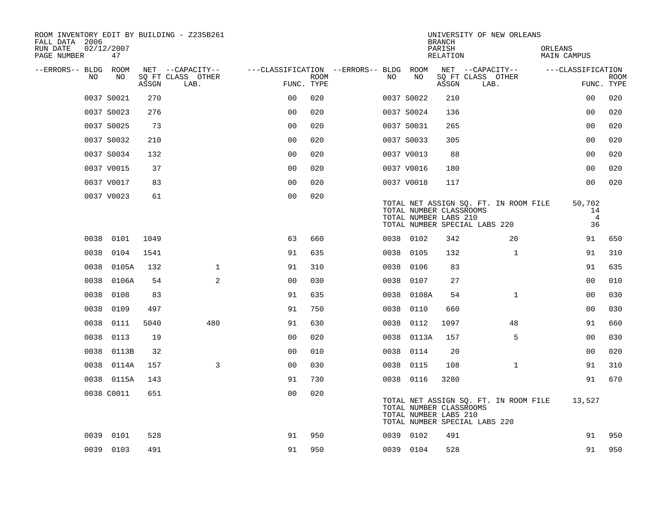| ROOM INVENTORY EDIT BY BUILDING - Z235B261<br>FALL DATA 2006 |                  |       |                           |                                        |             |      |            | <b>BRANCH</b>                                    | UNIVERSITY OF NEW ORLEANS                                              |                                      |                           |
|--------------------------------------------------------------|------------------|-------|---------------------------|----------------------------------------|-------------|------|------------|--------------------------------------------------|------------------------------------------------------------------------|--------------------------------------|---------------------------|
| RUN DATE<br>PAGE NUMBER                                      | 02/12/2007<br>47 |       |                           |                                        |             |      |            | PARISH<br>RELATION                               |                                                                        | ORLEANS<br>MAIN CAMPUS               |                           |
| --ERRORS-- BLDG ROOM                                         |                  |       | NET --CAPACITY--          | ---CLASSIFICATION --ERRORS-- BLDG ROOM |             |      |            |                                                  | NET --CAPACITY--                                                       | ---CLASSIFICATION                    |                           |
| NO.                                                          | NO               | ASSGN | SQ FT CLASS OTHER<br>LAB. | FUNC. TYPE                             | <b>ROOM</b> | NO.  | NO         | ASSGN                                            | SQ FT CLASS OTHER<br>LAB.                                              |                                      | <b>ROOM</b><br>FUNC. TYPE |
|                                                              | 0037 S0021       | 270   |                           | 0 <sub>0</sub>                         | 020         |      | 0037 S0022 | 210                                              |                                                                        | 0 <sub>0</sub>                       | 020                       |
|                                                              | 0037 S0023       | 276   |                           | 0 <sub>0</sub>                         | 020         |      | 0037 S0024 | 136                                              |                                                                        | 0 <sub>0</sub>                       | 020                       |
|                                                              | 0037 S0025       | 73    |                           | 0 <sub>0</sub>                         | 020         |      | 0037 S0031 | 265                                              |                                                                        | 00                                   | 020                       |
|                                                              | 0037 S0032       | 210   |                           | 0 <sub>0</sub>                         | 020         |      | 0037 S0033 | 305                                              |                                                                        | 0 <sub>0</sub>                       | 020                       |
|                                                              | 0037 S0034       | 132   |                           | 0 <sub>0</sub>                         | 020         |      | 0037 V0013 | 88                                               |                                                                        | 0 <sub>0</sub>                       | 020                       |
|                                                              | 0037 V0015       | 37    |                           | 0 <sub>0</sub>                         | 020         |      | 0037 V0016 | 180                                              |                                                                        | 0 <sub>0</sub>                       | 020                       |
|                                                              | 0037 V0017       | 83    |                           | 0 <sub>0</sub>                         | 020         |      | 0037 V0018 | 117                                              |                                                                        | 0 <sub>0</sub>                       | 020                       |
|                                                              | 0037 V0023       | 61    |                           | 0 <sub>0</sub>                         | 020         |      |            | TOTAL NUMBER CLASSROOMS<br>TOTAL NUMBER LABS 210 | TOTAL NET ASSIGN SQ. FT. IN ROOM FILE<br>TOTAL NUMBER SPECIAL LABS 220 | 50,702<br>14<br>$\overline{4}$<br>36 |                           |
| 0038                                                         | 0101             | 1049  |                           | 63                                     | 660         |      | 0038 0102  | 342                                              | 20                                                                     | 91                                   | 650                       |
| 0038                                                         | 0104             | 1541  |                           | 91                                     | 635         | 0038 | 0105       | 132                                              | $\mathbf{1}$                                                           | 91                                   | 310                       |
| 0038                                                         | 0105A            | 132   | $\mathbf{1}$              | 91                                     | 310         | 0038 | 0106       | 83                                               |                                                                        | 91                                   | 635                       |
| 0038                                                         | 0106A            | 54    | 2                         | 0 <sub>0</sub>                         | 030         | 0038 | 0107       | 27                                               |                                                                        | 0 <sub>0</sub>                       | 010                       |
| 0038                                                         | 0108             | 83    |                           | 91                                     | 635         |      | 0038 0108A | 54                                               | $\mathbf{1}$                                                           | 0 <sub>0</sub>                       | 030                       |
| 0038                                                         | 0109             | 497   |                           | 91                                     | 750         | 0038 | 0110       | 660                                              |                                                                        | 0 <sub>0</sub>                       | 030                       |
| 0038                                                         | 0111             | 5040  | 480                       | 91                                     | 630         |      | 0038 0112  | 1097                                             | 48                                                                     | 91                                   | 660                       |
| 0038                                                         | 0113             | 19    |                           | 0 <sub>0</sub>                         | 020         | 0038 | 0113A      | 157                                              | 5                                                                      | 00                                   | 030                       |
| 0038                                                         | 0113B            | 32    |                           | 0 <sub>0</sub>                         | 010         |      | 0038 0114  | 20                                               |                                                                        | 0 <sub>0</sub>                       | 020                       |
| 0038                                                         | 0114A            | 157   | 3                         | 0 <sub>0</sub>                         | 030         |      | 0038 0115  | 108                                              | $\mathbf{1}$                                                           | 91                                   | 310                       |
|                                                              | 0038 0115A       | 143   |                           | 91                                     | 730         |      | 0038 0116  | 3280                                             |                                                                        | 91                                   | 670                       |
|                                                              | 0038 C0011       | 651   |                           | 0 <sub>0</sub>                         | 020         |      |            | TOTAL NUMBER CLASSROOMS<br>TOTAL NUMBER LABS 210 | TOTAL NET ASSIGN SQ. FT. IN ROOM FILE<br>TOTAL NUMBER SPECIAL LABS 220 | 13,527                               |                           |
| 0039                                                         | 0101             | 528   |                           | 91                                     | 950         |      | 0039 0102  | 491                                              |                                                                        | 91                                   | 950                       |
|                                                              | 0039 0103        | 491   |                           | 91                                     | 950         |      | 0039 0104  | 528                                              |                                                                        | 91                                   | 950                       |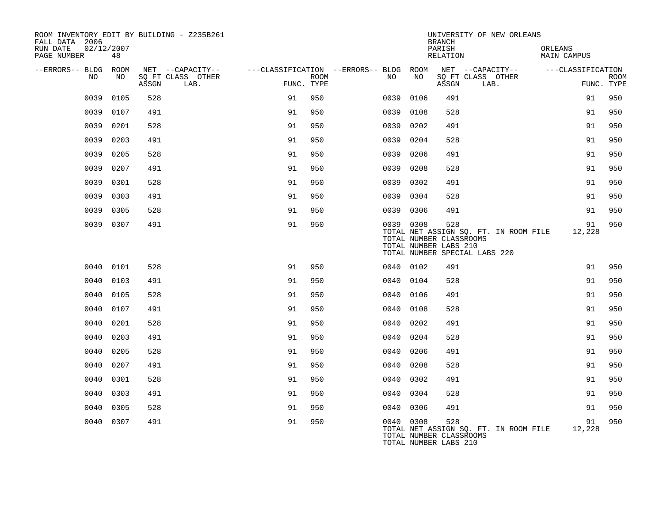| ROOM INVENTORY EDIT BY BUILDING - Z235B261<br>FALL DATA 2006 |           |       |                           |    |                    |                                        |           | <b>BRANCH</b>                                           | UNIVERSITY OF NEW ORLEANS                                              |                        |                           |
|--------------------------------------------------------------|-----------|-------|---------------------------|----|--------------------|----------------------------------------|-----------|---------------------------------------------------------|------------------------------------------------------------------------|------------------------|---------------------------|
| RUN DATE<br>02/12/2007<br>PAGE NUMBER                        | 48        |       |                           |    |                    |                                        |           | PARISH<br>RELATION                                      |                                                                        | ORLEANS<br>MAIN CAMPUS |                           |
| --ERRORS-- BLDG ROOM                                         |           |       | NET --CAPACITY--          |    |                    | ---CLASSIFICATION --ERRORS-- BLDG ROOM |           |                                                         | NET --CAPACITY-- ---CLASSIFICATION                                     |                        |                           |
| NO                                                           | NO.       | ASSGN | SQ FT CLASS OTHER<br>LAB. |    | ROOM<br>FUNC. TYPE | NO                                     | NO        | ASSGN                                                   | SQ FT CLASS OTHER<br>LAB.                                              |                        | <b>ROOM</b><br>FUNC. TYPE |
| 0039                                                         | 0105      | 528   |                           | 91 | 950                | 0039                                   | 0106      | 491                                                     |                                                                        | 91                     | 950                       |
| 0039                                                         | 0107      | 491   |                           | 91 | 950                | 0039                                   | 0108      | 528                                                     |                                                                        | 91                     | 950                       |
| 0039                                                         | 0201      | 528   |                           | 91 | 950                | 0039                                   | 0202      | 491                                                     |                                                                        | 91                     | 950                       |
| 0039                                                         | 0203      | 491   |                           | 91 | 950                | 0039                                   | 0204      | 528                                                     |                                                                        | 91                     | 950                       |
| 0039                                                         | 0205      | 528   |                           | 91 | 950                | 0039                                   | 0206      | 491                                                     |                                                                        | 91                     | 950                       |
| 0039                                                         | 0207      | 491   |                           | 91 | 950                | 0039                                   | 0208      | 528                                                     |                                                                        | 91                     | 950                       |
| 0039                                                         | 0301      | 528   |                           | 91 | 950                | 0039                                   | 0302      | 491                                                     |                                                                        | 91                     | 950                       |
| 0039                                                         | 0303      | 491   |                           | 91 | 950                |                                        | 0039 0304 | 528                                                     |                                                                        | 91                     | 950                       |
| 0039                                                         | 0305      | 528   |                           | 91 | 950                |                                        | 0039 0306 | 491                                                     |                                                                        | 91                     | 950                       |
|                                                              | 0039 0307 | 491   |                           | 91 | 950                |                                        | 0039 0308 | 528<br>TOTAL NUMBER CLASSROOMS<br>TOTAL NUMBER LABS 210 | TOTAL NET ASSIGN SQ. FT. IN ROOM FILE<br>TOTAL NUMBER SPECIAL LABS 220 | 91<br>12,228           | 950                       |
|                                                              | 0040 0101 | 528   |                           | 91 | 950                |                                        | 0040 0102 | 491                                                     |                                                                        | 91                     | 950                       |
|                                                              | 0040 0103 | 491   |                           | 91 | 950                |                                        | 0040 0104 | 528                                                     |                                                                        | 91                     | 950                       |
| 0040                                                         | 0105      | 528   |                           | 91 | 950                | 0040                                   | 0106      | 491                                                     |                                                                        | 91                     | 950                       |
| 0040                                                         | 0107      | 491   |                           | 91 | 950                |                                        | 0040 0108 | 528                                                     |                                                                        | 91                     | 950                       |
| 0040                                                         | 0201      | 528   |                           | 91 | 950                | 0040                                   | 0202      | 491                                                     |                                                                        | 91                     | 950                       |
| 0040                                                         | 0203      | 491   |                           | 91 | 950                | 0040                                   | 0204      | 528                                                     |                                                                        | 91                     | 950                       |
| 0040                                                         | 0205      | 528   |                           | 91 | 950                | 0040                                   | 0206      | 491                                                     |                                                                        | 91                     | 950                       |
| 0040                                                         | 0207      | 491   |                           | 91 | 950                |                                        | 0040 0208 | 528                                                     |                                                                        | 91                     | 950                       |
| 0040                                                         | 0301      | 528   |                           | 91 | 950                | 0040                                   | 0302      | 491                                                     |                                                                        | 91                     | 950                       |
| 0040                                                         | 0303      | 491   |                           | 91 | 950                |                                        | 0040 0304 | 528                                                     |                                                                        | 91                     | 950                       |
| 0040                                                         | 0305      | 528   |                           | 91 | 950                |                                        | 0040 0306 | 491                                                     |                                                                        | 91                     | 950                       |
|                                                              | 0040 0307 | 491   |                           | 91 | 950                |                                        | 0040 0308 | 528<br>TOTAL NUMBER CLASSROOMS<br>TOTAL NUMBER LABS 210 | TOTAL NET ASSIGN SQ. FT. IN ROOM FILE                                  | 91<br>12,228           | 950                       |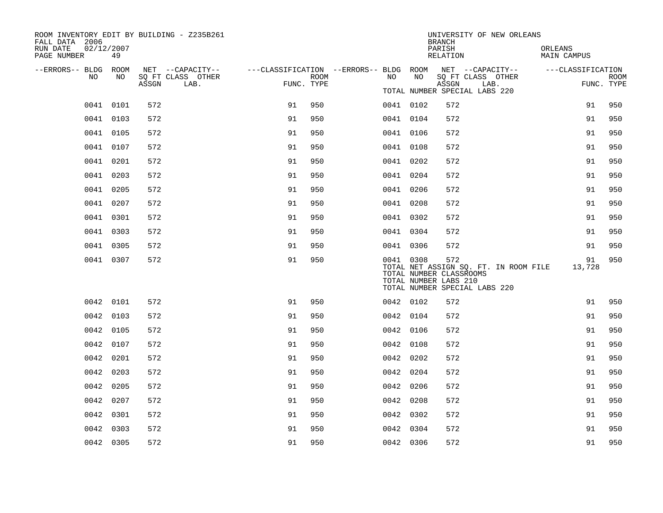| ROOM INVENTORY EDIT BY BUILDING - Z235B261<br>FALL DATA 2006 |           |       |                           |                                                                             |             |           |    | <b>BRANCH</b>                                                                            |      | UNIVERSITY OF NEW ORLEANS             |                        |              |             |
|--------------------------------------------------------------|-----------|-------|---------------------------|-----------------------------------------------------------------------------|-------------|-----------|----|------------------------------------------------------------------------------------------|------|---------------------------------------|------------------------|--------------|-------------|
| RUN DATE<br>02/12/2007<br>PAGE NUMBER                        | 49        |       |                           |                                                                             |             |           |    | PARISH<br>RELATION                                                                       |      |                                       | ORLEANS<br>MAIN CAMPUS |              |             |
| --ERRORS-- BLDG ROOM                                         |           |       | NET --CAPACITY--          | ---CLASSIFICATION --ERRORS-- BLDG ROOM NET --CAPACITY-- -----CLASSIFICATION |             |           |    |                                                                                          |      |                                       |                        |              |             |
| NO                                                           | NO.       | ASSGN | SQ FT CLASS OTHER<br>LAB. | FUNC. TYPE                                                                  | <b>ROOM</b> | NO        | NO | SQ FT CLASS OTHER<br>ASSGN<br>TOTAL NUMBER SPECIAL LABS 220                              | LAB. |                                       |                        | FUNC. TYPE   | <b>ROOM</b> |
|                                                              | 0041 0101 | 572   |                           | 91                                                                          | 950         | 0041 0102 |    | 572                                                                                      |      |                                       |                        | 91           | 950         |
|                                                              | 0041 0103 | 572   |                           | 91                                                                          | 950         | 0041 0104 |    | 572                                                                                      |      |                                       |                        | 91           | 950         |
|                                                              | 0041 0105 | 572   |                           | 91                                                                          | 950         | 0041 0106 |    | 572                                                                                      |      |                                       |                        | 91           | 950         |
|                                                              | 0041 0107 | 572   |                           | 91                                                                          | 950         | 0041 0108 |    | 572                                                                                      |      |                                       |                        | 91           | 950         |
|                                                              | 0041 0201 | 572   |                           | 91                                                                          | 950         | 0041 0202 |    | 572                                                                                      |      |                                       |                        | 91           | 950         |
|                                                              | 0041 0203 | 572   |                           | 91                                                                          | 950         | 0041 0204 |    | 572                                                                                      |      |                                       |                        | 91           | 950         |
|                                                              | 0041 0205 | 572   |                           | 91                                                                          | 950         | 0041 0206 |    | 572                                                                                      |      |                                       |                        | 91           | 950         |
|                                                              | 0041 0207 | 572   |                           | 91                                                                          | 950         | 0041 0208 |    | 572                                                                                      |      |                                       |                        | 91           | 950         |
|                                                              | 0041 0301 | 572   |                           | 91                                                                          | 950         | 0041 0302 |    | 572                                                                                      |      |                                       |                        | 91           | 950         |
|                                                              | 0041 0303 | 572   |                           | 91                                                                          | 950         | 0041 0304 |    | 572                                                                                      |      |                                       |                        | 91           | 950         |
|                                                              | 0041 0305 | 572   |                           | 91                                                                          | 950         | 0041 0306 |    | 572                                                                                      |      |                                       |                        | 91           | 950         |
|                                                              | 0041 0307 | 572   |                           | 91                                                                          | 950         | 0041 0308 |    | 572<br>TOTAL NUMBER CLASSROOMS<br>TOTAL NUMBER LABS 210<br>TOTAL NUMBER SPECIAL LABS 220 |      | TOTAL NET ASSIGN SQ. FT. IN ROOM FILE |                        | 91<br>13,728 | 950         |
|                                                              | 0042 0101 | 572   |                           | 91                                                                          | 950         | 0042 0102 |    | 572                                                                                      |      |                                       |                        | 91           | 950         |
|                                                              | 0042 0103 | 572   |                           | 91                                                                          | 950         | 0042 0104 |    | 572                                                                                      |      |                                       |                        | 91           | 950         |
|                                                              | 0042 0105 | 572   |                           | 91                                                                          | 950         | 0042 0106 |    | 572                                                                                      |      |                                       |                        | 91           | 950         |
|                                                              | 0042 0107 | 572   |                           | 91                                                                          | 950         | 0042 0108 |    | 572                                                                                      |      |                                       |                        | 91           | 950         |
|                                                              | 0042 0201 | 572   |                           | 91                                                                          | 950         | 0042 0202 |    | 572                                                                                      |      |                                       |                        | 91           | 950         |
|                                                              | 0042 0203 | 572   |                           | 91                                                                          | 950         | 0042 0204 |    | 572                                                                                      |      |                                       |                        | 91           | 950         |
|                                                              | 0042 0205 | 572   |                           | 91                                                                          | 950         | 0042 0206 |    | 572                                                                                      |      |                                       |                        | 91           | 950         |
|                                                              | 0042 0207 | 572   |                           | 91                                                                          | 950         | 0042 0208 |    | 572                                                                                      |      |                                       |                        | 91           | 950         |
|                                                              | 0042 0301 | 572   |                           | 91                                                                          | 950         | 0042 0302 |    | 572                                                                                      |      |                                       |                        | 91           | 950         |
|                                                              | 0042 0303 | 572   |                           | 91                                                                          | 950         | 0042 0304 |    | 572                                                                                      |      |                                       |                        | 91           | 950         |
|                                                              | 0042 0305 | 572   |                           | 91                                                                          | 950         | 0042 0306 |    | 572                                                                                      |      |                                       |                        | 91           | 950         |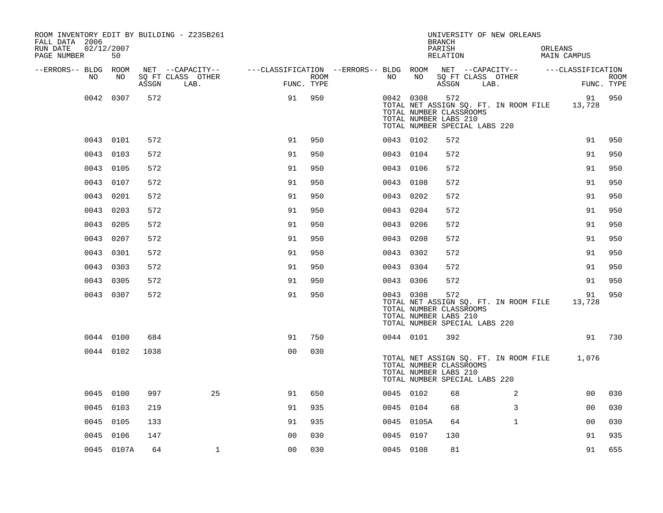| ROOM INVENTORY EDIT BY BUILDING - Z235B261<br>FALL DATA 2006 |            |       |                           |                                        |      |           |            | <b>BRANCH</b>                                           | UNIVERSITY OF NEW ORLEANS                                              |                        |                |             |
|--------------------------------------------------------------|------------|-------|---------------------------|----------------------------------------|------|-----------|------------|---------------------------------------------------------|------------------------------------------------------------------------|------------------------|----------------|-------------|
| RUN DATE<br>02/12/2007<br>PAGE NUMBER                        | 50         |       |                           |                                        |      |           |            | PARISH<br>RELATION                                      |                                                                        | ORLEANS<br>MAIN CAMPUS |                |             |
| --ERRORS-- BLDG ROOM<br>NO.                                  | NO.        |       | NET --CAPACITY--          | ---CLASSIFICATION --ERRORS-- BLDG ROOM | ROOM | NO        | NO         |                                                         | NET --CAPACITY-- ---CLASSIFICATION<br>SQ FT CLASS OTHER                |                        |                | <b>ROOM</b> |
|                                                              |            | ASSGN | SQ FT CLASS OTHER<br>LAB. | FUNC. TYPE                             |      |           |            | ASSGN                                                   | LAB.                                                                   |                        | FUNC. TYPE     |             |
|                                                              | 0042 0307  | 572   |                           | 91                                     | 950  | 0042 0308 |            | 572<br>TOTAL NUMBER CLASSROOMS<br>TOTAL NUMBER LABS 210 | TOTAL NET ASSIGN SQ. FT. IN ROOM FILE<br>TOTAL NUMBER SPECIAL LABS 220 |                        | 91<br>13,728   | 950         |
|                                                              | 0043 0101  | 572   |                           | 91                                     | 950  | 0043 0102 |            | 572                                                     |                                                                        |                        | 91             | 950         |
|                                                              | 0043 0103  | 572   |                           | 91                                     | 950  | 0043 0104 |            | 572                                                     |                                                                        |                        | 91             | 950         |
|                                                              | 0043 0105  | 572   |                           | 91                                     | 950  | 0043 0106 |            | 572                                                     |                                                                        |                        | 91             | 950         |
|                                                              | 0043 0107  | 572   |                           | 91                                     | 950  | 0043 0108 |            | 572                                                     |                                                                        |                        | 91             | 950         |
|                                                              | 0043 0201  | 572   |                           | 91                                     | 950  | 0043 0202 |            | 572                                                     |                                                                        |                        | 91             | 950         |
|                                                              | 0043 0203  | 572   |                           | 91                                     | 950  | 0043      | 0204       | 572                                                     |                                                                        |                        | 91             | 950         |
|                                                              | 0043 0205  | 572   |                           | 91                                     | 950  | 0043 0206 |            | 572                                                     |                                                                        |                        | 91             | 950         |
|                                                              | 0043 0207  | 572   |                           | 91                                     | 950  | 0043 0208 |            | 572                                                     |                                                                        |                        | 91             | 950         |
|                                                              | 0043 0301  | 572   |                           | 91                                     | 950  | 0043 0302 |            | 572                                                     |                                                                        |                        | 91             | 950         |
|                                                              | 0043 0303  | 572   |                           | 91                                     | 950  | 0043 0304 |            | 572                                                     |                                                                        |                        | 91             | 950         |
|                                                              | 0043 0305  | 572   |                           | 91                                     | 950  | 0043 0306 |            | 572                                                     |                                                                        |                        | 91             | 950         |
|                                                              | 0043 0307  | 572   |                           | 91                                     | 950  | 0043 0308 |            | 572<br>TOTAL NUMBER CLASSROOMS<br>TOTAL NUMBER LABS 210 | TOTAL NET ASSIGN SQ. FT. IN ROOM FILE<br>TOTAL NUMBER SPECIAL LABS 220 |                        | 91<br>13,728   | 950         |
|                                                              | 0044 0100  | 684   |                           | 91                                     | 750  | 0044 0101 |            | 392                                                     |                                                                        |                        | 91             | 730         |
|                                                              | 0044 0102  | 1038  |                           | 0 <sub>0</sub>                         | 030  |           |            | TOTAL NUMBER CLASSROOMS<br>TOTAL NUMBER LABS 210        | TOTAL NET ASSIGN SQ. FT. IN ROOM FILE<br>TOTAL NUMBER SPECIAL LABS 220 |                        | 1,076          |             |
|                                                              | 0045 0100  | 997   | 25                        | 91                                     | 650  | 0045 0102 |            | 68                                                      | 2                                                                      |                        | 00             | 030         |
|                                                              | 0045 0103  | 219   |                           | 91                                     | 935  | 0045 0104 |            | 68                                                      | 3                                                                      |                        | 0 <sub>0</sub> | 030         |
|                                                              | 0045 0105  | 133   |                           | 91                                     | 935  |           | 0045 0105A | 64                                                      | $\mathbf{1}$                                                           |                        | 0 <sub>0</sub> | 030         |
|                                                              | 0045 0106  | 147   |                           | 0 <sub>0</sub>                         | 030  | 0045 0107 |            | 130                                                     |                                                                        |                        | 91             | 935         |
|                                                              | 0045 0107A | 64    | $\mathbf 1$               | 0 <sub>0</sub>                         | 030  | 0045 0108 |            | 81                                                      |                                                                        |                        | 91             | 655         |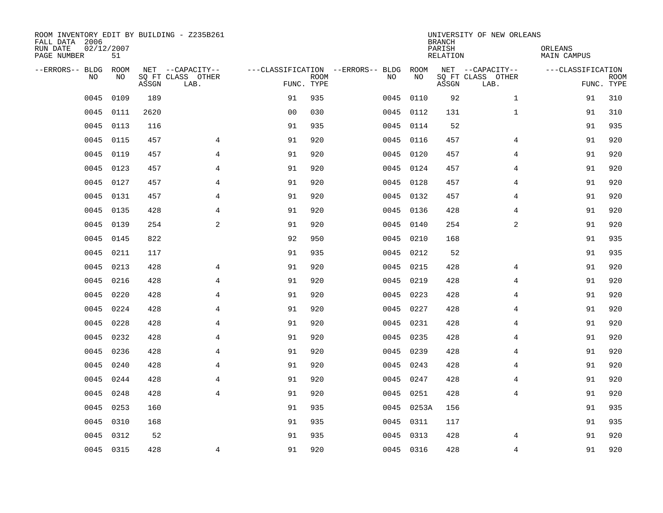| ROOM INVENTORY EDIT BY BUILDING - Z235B261<br>FALL DATA 2006<br>RUN DATE<br>PAGE NUMBER | 02/12/2007<br>51 |       |                           |                |             |                                   |      |            | <b>BRANCH</b><br>PARISH<br>RELATION | UNIVERSITY OF NEW ORLEANS | ORLEANS<br>MAIN CAMPUS |                           |
|-----------------------------------------------------------------------------------------|------------------|-------|---------------------------|----------------|-------------|-----------------------------------|------|------------|-------------------------------------|---------------------------|------------------------|---------------------------|
| --ERRORS-- BLDG                                                                         | ROOM             |       | NET --CAPACITY--          |                |             | ---CLASSIFICATION --ERRORS-- BLDG |      | ROOM       |                                     | NET --CAPACITY--          | ---CLASSIFICATION      |                           |
| N <sub>O</sub>                                                                          | NO.              | ASSGN | SO FT CLASS OTHER<br>LAB. | FUNC. TYPE     | <b>ROOM</b> |                                   | NO.  | NO         | ASSGN                               | SQ FT CLASS OTHER<br>LAB. |                        | <b>ROOM</b><br>FUNC. TYPE |
| 0045                                                                                    | 0109             | 189   |                           | 91             | 935         |                                   | 0045 | 0110       | 92                                  | $\mathbf{1}$              | 91                     | 310                       |
| 0045                                                                                    | 0111             | 2620  |                           | 0 <sub>0</sub> | 030         |                                   |      | 0045 0112  | 131                                 | $\mathbf{1}$              | 91                     | 310                       |
| 0045                                                                                    | 0113             | 116   |                           | 91             | 935         |                                   | 0045 | 0114       | 52                                  |                           | 91                     | 935                       |
| 0045                                                                                    | 0115             | 457   | 4                         | 91             | 920         |                                   |      | 0045 0116  | 457                                 | 4                         | 91                     | 920                       |
| 0045                                                                                    | 0119             | 457   | 4                         | 91             | 920         |                                   | 0045 | 0120       | 457                                 | 4                         | 91                     | 920                       |
| 0045                                                                                    | 0123             | 457   | 4                         | 91             | 920         |                                   |      | 0045 0124  | 457                                 | 4                         | 91                     | 920                       |
| 0045                                                                                    | 0127             | 457   | 4                         | 91             | 920         |                                   | 0045 | 0128       | 457                                 | 4                         | 91                     | 920                       |
| 0045                                                                                    | 0131             | 457   | $\overline{4}$            | 91             | 920         |                                   |      | 0045 0132  | 457                                 | 4                         | 91                     | 920                       |
| 0045                                                                                    | 0135             | 428   | $\overline{4}$            | 91             | 920         |                                   | 0045 | 0136       | 428                                 | $\overline{4}$            | 91                     | 920                       |
| 0045                                                                                    | 0139             | 254   | 2                         | 91             | 920         |                                   |      | 0045 0140  | 254                                 | 2                         | 91                     | 920                       |
| 0045                                                                                    | 0145             | 822   |                           | 92             | 950         |                                   | 0045 | 0210       | 168                                 |                           | 91                     | 935                       |
| 0045                                                                                    | 0211             | 117   |                           | 91             | 935         |                                   |      | 0045 0212  | 52                                  |                           | 91                     | 935                       |
| 0045                                                                                    | 0213             | 428   | $\overline{4}$            | 91             | 920         |                                   | 0045 | 0215       | 428                                 | 4                         | 91                     | 920                       |
| 0045                                                                                    | 0216             | 428   | $\overline{4}$            | 91             | 920         |                                   | 0045 | 0219       | 428                                 | $\overline{4}$            | 91                     | 920                       |
| 0045                                                                                    | 0220             | 428   | 4                         | 91             | 920         |                                   | 0045 | 0223       | 428                                 | 4                         | 91                     | 920                       |
| 0045                                                                                    | 0224             | 428   | 4                         | 91             | 920         |                                   | 0045 | 0227       | 428                                 | 4                         | 91                     | 920                       |
| 0045                                                                                    | 0228             | 428   | 4                         | 91             | 920         |                                   | 0045 | 0231       | 428                                 | 4                         | 91                     | 920                       |
| 0045                                                                                    | 0232             | 428   | $\overline{4}$            | 91             | 920         |                                   | 0045 | 0235       | 428                                 | 4                         | 91                     | 920                       |
| 0045                                                                                    | 0236             | 428   | $\overline{4}$            | 91             | 920         |                                   |      | 0045 0239  | 428                                 | 4                         | 91                     | 920                       |
| 0045                                                                                    | 0240             | 428   | $\overline{4}$            | 91             | 920         |                                   |      | 0045 0243  | 428                                 | $\overline{4}$            | 91                     | 920                       |
| 0045                                                                                    | 0244             | 428   | 4                         | 91             | 920         |                                   |      | 0045 0247  | 428                                 | 4                         | 91                     | 920                       |
| 0045                                                                                    | 0248             | 428   | 4                         | 91             | 920         |                                   | 0045 | 0251       | 428                                 | 4                         | 91                     | 920                       |
| 0045                                                                                    | 0253             | 160   |                           | 91             | 935         |                                   |      | 0045 0253A | 156                                 |                           | 91                     | 935                       |
| 0045                                                                                    | 0310             | 168   |                           | 91             | 935         |                                   |      | 0045 0311  | 117                                 |                           | 91                     | 935                       |
| 0045                                                                                    | 0312             | 52    |                           | 91             | 935         |                                   |      | 0045 0313  | 428                                 | 4                         | 91                     | 920                       |
|                                                                                         | 0045 0315        | 428   | $\overline{4}$            | 91             | 920         |                                   |      | 0045 0316  | 428                                 | $\overline{4}$            | 91                     | 920                       |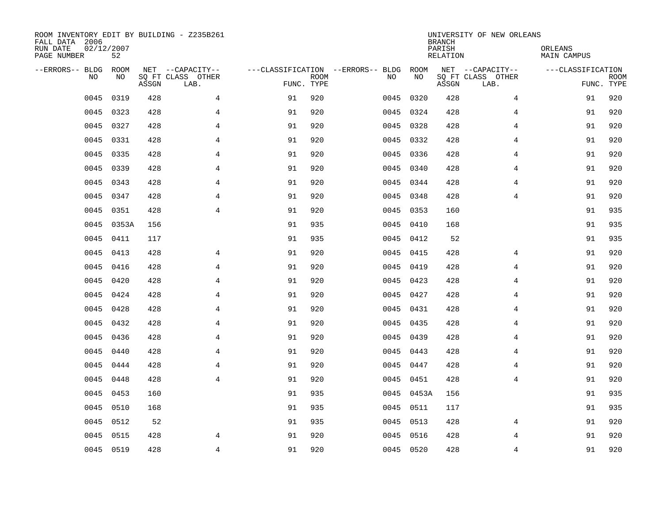| ROOM INVENTORY EDIT BY BUILDING - Z235B261<br>FALL DATA 2006<br>RUN DATE<br>PAGE NUMBER | 02/12/2007<br>52 |       |                           |            |             |                                   |              | <b>BRANCH</b><br>PARISH<br>RELATION | UNIVERSITY OF NEW ORLEANS | ORLEANS<br>MAIN CAMPUS |                           |
|-----------------------------------------------------------------------------------------|------------------|-------|---------------------------|------------|-------------|-----------------------------------|--------------|-------------------------------------|---------------------------|------------------------|---------------------------|
| --ERRORS-- BLDG                                                                         | ROOM             |       | NET --CAPACITY--          |            |             | ---CLASSIFICATION --ERRORS-- BLDG |              | ROOM                                | NET --CAPACITY--          | ---CLASSIFICATION      |                           |
| N <sub>O</sub>                                                                          | NO.              | ASSGN | SO FT CLASS OTHER<br>LAB. | FUNC. TYPE | <b>ROOM</b> | NO.                               |              | NO<br>ASSGN                         | SQ FT CLASS OTHER<br>LAB. |                        | <b>ROOM</b><br>FUNC. TYPE |
| 0045                                                                                    | 0319             | 428   | 4                         | 91         | 920         | 0045                              | 0320         | 428                                 | 4                         | 91                     | 920                       |
| 0045                                                                                    | 0323             | 428   | $\overline{4}$            | 91         | 920         |                                   | 0045 0324    | 428                                 | $\overline{4}$            | 91                     | 920                       |
| 0045                                                                                    | 0327             | 428   | $\overline{4}$            | 91         | 920         | 0045                              | 0328         | 428                                 | $\overline{4}$            | 91                     | 920                       |
| 0045                                                                                    | 0331             | 428   | $\overline{4}$            | 91         | 920         |                                   | 0045 0332    | 428                                 | 4                         | 91                     | 920                       |
| 0045                                                                                    | 0335             | 428   | 4                         | 91         | 920         | 0045                              | 0336         | 428                                 | 4                         | 91                     | 920                       |
| 0045                                                                                    | 0339             | 428   | 4                         | 91         | 920         |                                   | 0045 0340    | 428                                 | 4                         | 91                     | 920                       |
| 0045                                                                                    | 0343             | 428   | $\overline{4}$            | 91         | 920         |                                   | 0045 0344    | 428                                 | $\overline{4}$            | 91                     | 920                       |
| 0045                                                                                    | 0347             | 428   | $\overline{4}$            | 91         | 920         |                                   | 0045 0348    | 428                                 | $\overline{4}$            | 91                     | 920                       |
| 0045                                                                                    | 0351             | 428   | $\overline{4}$            | 91         | 920         | 0045                              | 0353         | 160                                 |                           | 91                     | 935                       |
| 0045                                                                                    | 0353A            | 156   |                           | 91         | 935         |                                   | 0045 0410    | 168                                 |                           | 91                     | 935                       |
| 0045                                                                                    | 0411             | 117   |                           | 91         | 935         |                                   | 0045<br>0412 | 52                                  |                           | 91                     | 935                       |
| 0045                                                                                    | 0413             | 428   | 4                         | 91         | 920         |                                   | 0045 0415    | 428                                 | 4                         | 91                     | 920                       |
| 0045                                                                                    | 0416             | 428   | $\overline{4}$            | 91         | 920         | 0045                              | 0419         | 428                                 | $\overline{4}$            | 91                     | 920                       |
| 0045                                                                                    | 0420             | 428   | $\overline{4}$            | 91         | 920         |                                   | 0045 0423    | 428                                 | 4                         | 91                     | 920                       |
| 0045                                                                                    | 0424             | 428   | 4                         | 91         | 920         | 0045                              | 0427         | 428                                 | 4                         | 91                     | 920                       |
| 0045                                                                                    | 0428             | 428   | 4                         | 91         | 920         | 0045                              | 0431         | 428                                 | 4                         | 91                     | 920                       |
| 0045                                                                                    | 0432             | 428   | 4                         | 91         | 920         | 0045                              | 0435         | 428                                 | 4                         | 91                     | 920                       |
| 0045                                                                                    | 0436             | 428   | $\overline{4}$            | 91         | 920         | 0045                              | 0439         | 428                                 | 4                         | 91                     | 920                       |
| 0045                                                                                    | 0440             | 428   | $\overline{4}$            | 91         | 920         |                                   | 0045 0443    | 428                                 | 4                         | 91                     | 920                       |
| 0045                                                                                    | 0444             | 428   | $\overline{4}$            | 91         | 920         |                                   | 0045 0447    | 428                                 | $\overline{4}$            | 91                     | 920                       |
| 0045                                                                                    | 0448             | 428   | $\overline{4}$            | 91         | 920         |                                   | 0045 0451    | 428                                 | 4                         | 91                     | 920                       |
| 0045                                                                                    | 0453             | 160   |                           | 91         | 935         |                                   | 0045 0453A   | 156                                 |                           | 91                     | 935                       |
| 0045                                                                                    | 0510             | 168   |                           | 91         | 935         |                                   | 0045 0511    | 117                                 |                           | 91                     | 935                       |
| 0045                                                                                    | 0512             | 52    |                           | 91         | 935         |                                   | 0045<br>0513 | 428                                 | 4                         | 91                     | 920                       |
| 0045                                                                                    | 0515             | 428   | 4                         | 91         | 920         |                                   | 0045 0516    | 428                                 | 4                         | 91                     | 920                       |
|                                                                                         | 0045 0519        | 428   | $\overline{4}$            | 91         | 920         |                                   | 0045 0520    | 428                                 | $\overline{4}$            | 91                     | 920                       |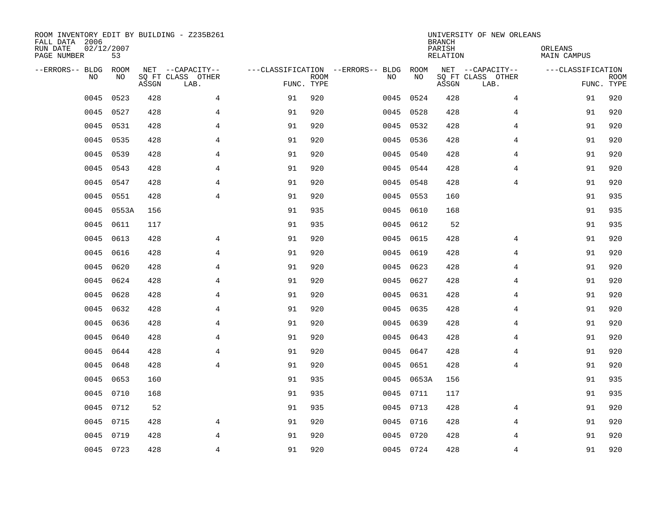| ROOM INVENTORY EDIT BY BUILDING - Z235B261<br>FALL DATA 2006<br>RUN DATE<br>PAGE NUMBER | 02/12/2007<br>53 |       |                                               |                                                 |             |           |            | <b>BRANCH</b><br>PARISH<br><b>RELATION</b> | UNIVERSITY OF NEW ORLEANS                     | ORLEANS<br><b>MAIN CAMPUS</b>   |             |
|-----------------------------------------------------------------------------------------|------------------|-------|-----------------------------------------------|-------------------------------------------------|-------------|-----------|------------|--------------------------------------------|-----------------------------------------------|---------------------------------|-------------|
| --ERRORS-- BLDG<br>NO                                                                   | ROOM<br>NO       | ASSGN | NET --CAPACITY--<br>SQ FT CLASS OTHER<br>LAB. | ---CLASSIFICATION --ERRORS-- BLDG<br>FUNC. TYPE | <b>ROOM</b> | NO        | ROOM<br>NO | ASSGN                                      | NET --CAPACITY--<br>SQ FT CLASS OTHER<br>LAB. | ---CLASSIFICATION<br>FUNC. TYPE | <b>ROOM</b> |
| 0045                                                                                    | 0523             | 428   | 4                                             | 91                                              | 920         | 0045      | 0524       | 428                                        | 4                                             | 91                              | 920         |
| 0045                                                                                    | 0527             | 428   | 4                                             | 91                                              | 920         | 0045 0528 |            | 428                                        | 4                                             | 91                              | 920         |
| 0045                                                                                    | 0531             | 428   | 4                                             | 91                                              | 920         | 0045      | 0532       | 428                                        | 4                                             | 91                              | 920         |
| 0045                                                                                    | 0535             | 428   | $\overline{4}$                                | 91                                              | 920         | 0045 0536 |            | 428                                        | 4                                             | 91                              | 920         |
| 0045                                                                                    | 0539             | 428   | $\overline{4}$                                | 91                                              | 920         | 0045      | 0540       | 428                                        | $\overline{4}$                                | 91                              | 920         |
| 0045                                                                                    | 0543             | 428   | $\overline{4}$                                | 91                                              | 920         | 0045 0544 |            | 428                                        | $\overline{4}$                                | 91                              | 920         |
| 0045                                                                                    | 0547             | 428   | 4                                             | 91                                              | 920         | 0045 0548 |            | 428                                        | 4                                             | 91                              | 920         |
| 0045                                                                                    | 0551             | 428   | $\overline{4}$                                | 91                                              | 920         | 0045 0553 |            | 160                                        |                                               | 91                              | 935         |
| 0045                                                                                    | 0553A            | 156   |                                               | 91                                              | 935         | 0045      | 0610       | 168                                        |                                               | 91                              | 935         |
| 0045                                                                                    | 0611             | 117   |                                               | 91                                              | 935         | 0045 0612 |            | 52                                         |                                               | 91                              | 935         |
| 0045                                                                                    | 0613             | 428   | $\overline{4}$                                | 91                                              | 920         | 0045      | 0615       | 428                                        | 4                                             | 91                              | 920         |
| 0045                                                                                    | 0616             | 428   | $\overline{4}$                                | 91                                              | 920         | 0045      | 0619       | 428                                        | $\overline{4}$                                | 91                              | 920         |
| 0045                                                                                    | 0620             | 428   | 4                                             | 91                                              | 920         | 0045      | 0623       | 428                                        | 4                                             | 91                              | 920         |
| 0045                                                                                    | 0624             | 428   | 4                                             | 91                                              | 920         | 0045      | 0627       | 428                                        | 4                                             | 91                              | 920         |
| 0045                                                                                    | 0628             | 428   | 4                                             | 91                                              | 920         | 0045      | 0631       | 428                                        | 4                                             | 91                              | 920         |
| 0045                                                                                    | 0632             | 428   | 4                                             | 91                                              | 920         | 0045      | 0635       | 428                                        | 4                                             | 91                              | 920         |
| 0045                                                                                    | 0636             | 428   | 4                                             | 91                                              | 920         | 0045      | 0639       | 428                                        | 4                                             | 91                              | 920         |
| 0045                                                                                    | 0640             | 428   | $\overline{4}$                                | 91                                              | 920         | 0045      | 0643       | 428                                        | $\overline{4}$                                | 91                              | 920         |
| 0045                                                                                    | 0644             | 428   | $\overline{4}$                                | 91                                              | 920         | 0045 0647 |            | 428                                        | $\overline{4}$                                | 91                              | 920         |
| 0045                                                                                    | 0648             | 428   | $\overline{4}$                                | 91                                              | 920         | 0045 0651 |            | 428                                        | 4                                             | 91                              | 920         |
| 0045                                                                                    | 0653             | 160   |                                               | 91                                              | 935         |           | 0045 0653A | 156                                        |                                               | 91                              | 935         |
| 0045                                                                                    | 0710             | 168   |                                               | 91                                              | 935         | 0045 0711 |            | 117                                        |                                               | 91                              | 935         |
| 0045                                                                                    | 0712             | 52    |                                               | 91                                              | 935         | 0045 0713 |            | 428                                        | 4                                             | 91                              | 920         |
| 0045                                                                                    | 0715             | 428   | 4                                             | 91                                              | 920         | 0045 0716 |            | 428                                        | 4                                             | 91                              | 920         |
| 0045                                                                                    | 0719             | 428   | 4                                             | 91                                              | 920         | 0045 0720 |            | 428                                        | 4                                             | 91                              | 920         |
|                                                                                         | 0045 0723        | 428   | 4                                             | 91                                              | 920         | 0045 0724 |            | 428                                        | 4                                             | 91                              | 920         |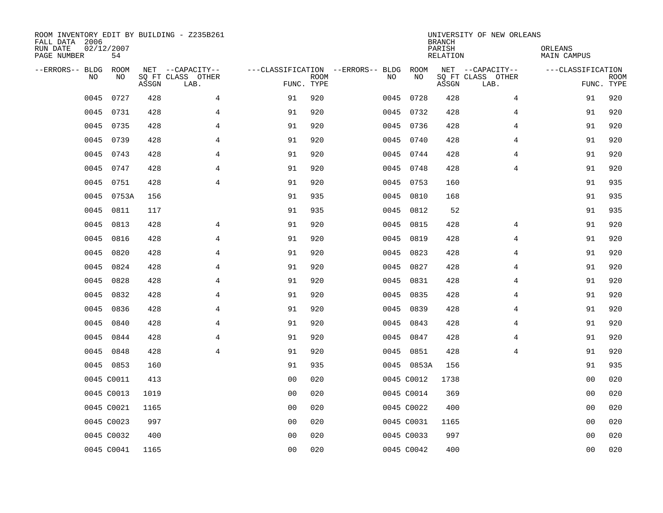| ROOM INVENTORY EDIT BY BUILDING - Z235B261<br>FALL DATA 2006<br>RUN DATE<br>PAGE NUMBER | 02/12/2007<br>54 |       |                                               |                |             |                                         |      |            | <b>BRANCH</b><br>PARISH<br><b>RELATION</b> | UNIVERSITY OF NEW ORLEANS                     | ORLEANS<br><b>MAIN CAMPUS</b>   |             |
|-----------------------------------------------------------------------------------------|------------------|-------|-----------------------------------------------|----------------|-------------|-----------------------------------------|------|------------|--------------------------------------------|-----------------------------------------------|---------------------------------|-------------|
| --ERRORS-- BLDG<br>NO                                                                   | ROOM<br>NO       | ASSGN | NET --CAPACITY--<br>SQ FT CLASS OTHER<br>LAB. | FUNC. TYPE     | <b>ROOM</b> | ---CLASSIFICATION --ERRORS-- BLDG<br>NO |      | ROOM<br>NO | ASSGN                                      | NET --CAPACITY--<br>SQ FT CLASS OTHER<br>LAB. | ---CLASSIFICATION<br>FUNC. TYPE | <b>ROOM</b> |
| 0045                                                                                    | 0727             | 428   | 4                                             | 91             | 920         |                                         | 0045 | 0728       | 428                                        | 4                                             | 91                              | 920         |
| 0045                                                                                    | 0731             | 428   | 4                                             | 91             | 920         |                                         |      | 0045 0732  | 428                                        | 4                                             | 91                              | 920         |
| 0045                                                                                    | 0735             | 428   | 4                                             | 91             | 920         |                                         |      | 0045 0736  | 428                                        | 4                                             | 91                              | 920         |
| 0045                                                                                    | 0739             | 428   | 4                                             | 91             | 920         |                                         |      | 0045 0740  | 428                                        | 4                                             | 91                              | 920         |
| 0045                                                                                    | 0743             | 428   | $\overline{4}$                                | 91             | 920         |                                         |      | 0045 0744  | 428                                        | $\overline{4}$                                | 91                              | 920         |
| 0045                                                                                    | 0747             | 428   | $\overline{4}$                                | 91             | 920         |                                         |      | 0045 0748  | 428                                        | $\overline{4}$                                | 91                              | 920         |
| 0045                                                                                    | 0751             | 428   | $\overline{4}$                                | 91             | 920         |                                         |      | 0045 0753  | 160                                        |                                               | 91                              | 935         |
| 0045                                                                                    | 0753A            | 156   |                                               | 91             | 935         |                                         |      | 0045 0810  | 168                                        |                                               | 91                              | 935         |
| 0045                                                                                    | 0811             | 117   |                                               | 91             | 935         | 0045                                    |      | 0812       | 52                                         |                                               | 91                              | 935         |
| 0045                                                                                    | 0813             | 428   | 4                                             | 91             | 920         |                                         | 0045 | 0815       | 428                                        | 4                                             | 91                              | 920         |
| 0045                                                                                    | 0816             | 428   | 4                                             | 91             | 920         | 0045                                    |      | 0819       | 428                                        | 4                                             | 91                              | 920         |
| 0045                                                                                    | 0820             | 428   | $\overline{4}$                                | 91             | 920         |                                         | 0045 | 0823       | 428                                        | $\overline{4}$                                | 91                              | 920         |
| 0045                                                                                    | 0824             | 428   | 4                                             | 91             | 920         | 0045                                    |      | 0827       | 428                                        | 4                                             | 91                              | 920         |
| 0045                                                                                    | 0828             | 428   | 4                                             | 91             | 920         | 0045                                    |      | 0831       | 428                                        | 4                                             | 91                              | 920         |
| 0045                                                                                    | 0832             | 428   | 4                                             | 91             | 920         | 0045                                    |      | 0835       | 428                                        | 4                                             | 91                              | 920         |
| 0045                                                                                    | 0836             | 428   | 4                                             | 91             | 920         | 0045                                    |      | 0839       | 428                                        | 4                                             | 91                              | 920         |
| 0045                                                                                    | 0840             | 428   | 4                                             | 91             | 920         | 0045                                    |      | 0843       | 428                                        | 4                                             | 91                              | 920         |
| 0045                                                                                    | 0844             | 428   | $\overline{4}$                                | 91             | 920         | 0045                                    |      | 0847       | 428                                        | $\overline{4}$                                | 91                              | 920         |
| 0045                                                                                    | 0848             | 428   | $\overline{4}$                                | 91             | 920         |                                         |      | 0045 0851  | 428                                        | $\overline{4}$                                | 91                              | 920         |
|                                                                                         | 0045 0853        | 160   |                                               | 91             | 935         |                                         |      | 0045 0853A | 156                                        |                                               | 91                              | 935         |
|                                                                                         | 0045 C0011       | 413   |                                               | 0 <sub>0</sub> | 020         |                                         |      | 0045 C0012 | 1738                                       |                                               | 00                              | 020         |
|                                                                                         | 0045 C0013       | 1019  |                                               | 0 <sub>0</sub> | 020         |                                         |      | 0045 C0014 | 369                                        |                                               | 00                              | 020         |
|                                                                                         | 0045 C0021       | 1165  |                                               | 0 <sub>0</sub> | 020         |                                         |      | 0045 C0022 | 400                                        |                                               | 0 <sub>0</sub>                  | 020         |
|                                                                                         | 0045 C0023       | 997   |                                               | 0 <sub>0</sub> | 020         |                                         |      | 0045 C0031 | 1165                                       |                                               | 0 <sub>0</sub>                  | 020         |
|                                                                                         | 0045 C0032       | 400   |                                               | 0 <sub>0</sub> | 020         |                                         |      | 0045 C0033 | 997                                        |                                               | 00                              | 020         |
|                                                                                         | 0045 C0041       | 1165  |                                               | 0 <sub>0</sub> | 020         |                                         |      | 0045 C0042 | 400                                        |                                               | 0 <sub>0</sub>                  | 020         |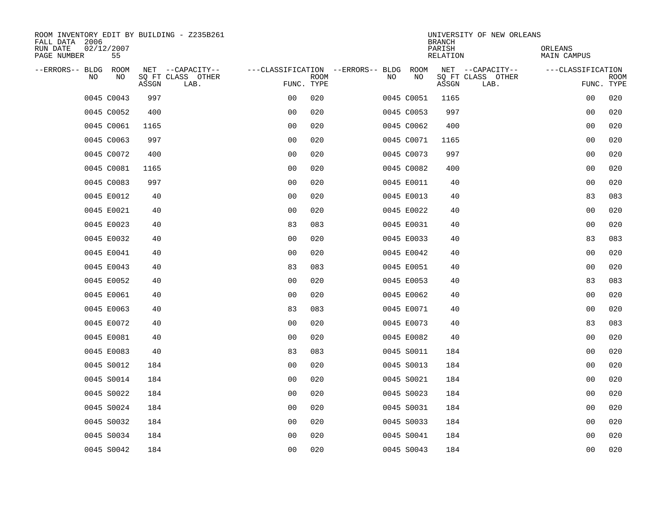| ROOM INVENTORY EDIT BY BUILDING - Z235B261<br>FALL DATA 2006 |       |                           |                                        |             |    |            | <b>BRANCH</b>             | UNIVERSITY OF NEW ORLEANS |                               |                           |
|--------------------------------------------------------------|-------|---------------------------|----------------------------------------|-------------|----|------------|---------------------------|---------------------------|-------------------------------|---------------------------|
| RUN DATE<br>02/12/2007<br>PAGE NUMBER<br>55                  |       |                           |                                        |             |    |            | PARISH<br><b>RELATION</b> |                           | ORLEANS<br><b>MAIN CAMPUS</b> |                           |
| --ERRORS-- BLDG ROOM                                         |       | NET --CAPACITY--          | ---CLASSIFICATION --ERRORS-- BLDG ROOM |             |    |            |                           | NET --CAPACITY--          | ---CLASSIFICATION             |                           |
| NO<br>NO                                                     | ASSGN | SQ FT CLASS OTHER<br>LAB. | FUNC. TYPE                             | <b>ROOM</b> | NO | NO         | ASSGN                     | SQ FT CLASS OTHER<br>LAB. |                               | <b>ROOM</b><br>FUNC. TYPE |
| 0045 C0043                                                   | 997   |                           | 0 <sub>0</sub>                         | 020         |    | 0045 C0051 | 1165                      |                           | 00                            | 020                       |
| 0045 C0052                                                   | 400   |                           | 0 <sub>0</sub>                         | 020         |    | 0045 C0053 | 997                       |                           | 00                            | 020                       |
| 0045 C0061                                                   | 1165  |                           | 0 <sub>0</sub>                         | 020         |    | 0045 C0062 | 400                       |                           | 00                            | 020                       |
| 0045 C0063                                                   | 997   |                           | 0 <sub>0</sub>                         | 020         |    | 0045 C0071 | 1165                      |                           | 00                            | 020                       |
| 0045 C0072                                                   | 400   |                           | 0 <sub>0</sub>                         | 020         |    | 0045 C0073 | 997                       |                           | 0 <sub>0</sub>                | 020                       |
| 0045 C0081                                                   | 1165  |                           | 0 <sub>0</sub>                         | 020         |    | 0045 C0082 | 400                       |                           | 0 <sub>0</sub>                | 020                       |
| 0045 C0083                                                   | 997   |                           | 0 <sub>0</sub>                         | 020         |    | 0045 E0011 | 40                        |                           | 00                            | 020                       |
| 0045 E0012                                                   | 40    |                           | 0 <sub>0</sub>                         | 020         |    | 0045 E0013 | 40                        |                           | 83                            | 083                       |
| 0045 E0021                                                   | 40    |                           | 0 <sub>0</sub>                         | 020         |    | 0045 E0022 | 40                        |                           | 0 <sub>0</sub>                | 020                       |
| 0045 E0023                                                   | 40    |                           | 83                                     | 083         |    | 0045 E0031 | 40                        |                           | 0 <sub>0</sub>                | 020                       |
| 0045 E0032                                                   | 40    |                           | 0 <sub>0</sub>                         | 020         |    | 0045 E0033 | 40                        |                           | 83                            | 083                       |
| 0045 E0041                                                   | 40    |                           | 0 <sub>0</sub>                         | 020         |    | 0045 E0042 | 40                        |                           | 0 <sub>0</sub>                | 020                       |
| 0045 E0043                                                   | 40    |                           | 83                                     | 083         |    | 0045 E0051 | 40                        |                           | 0 <sub>0</sub>                | 020                       |
| 0045 E0052                                                   | 40    |                           | 00                                     | 020         |    | 0045 E0053 | 40                        |                           | 83                            | 083                       |
| 0045 E0061                                                   | 40    |                           | 0 <sub>0</sub>                         | 020         |    | 0045 E0062 | 40                        |                           | 0 <sub>0</sub>                | 020                       |
| 0045 E0063                                                   | 40    |                           | 83                                     | 083         |    | 0045 E0071 | 40                        |                           | 0 <sub>0</sub>                | 020                       |
| 0045 E0072                                                   | 40    |                           | 0 <sub>0</sub>                         | 020         |    | 0045 E0073 | 40                        |                           | 83                            | 083                       |
| 0045 E0081                                                   | 40    |                           | 0 <sub>0</sub>                         | 020         |    | 0045 E0082 | 40                        |                           | 0 <sub>0</sub>                | 020                       |
| 0045 E0083                                                   | 40    |                           | 83                                     | 083         |    | 0045 S0011 | 184                       |                           | 0 <sub>0</sub>                | 020                       |
| 0045 S0012                                                   | 184   |                           | 0 <sub>0</sub>                         | 020         |    | 0045 S0013 | 184                       |                           | 0 <sub>0</sub>                | 020                       |
| 0045 S0014                                                   | 184   |                           | 0 <sub>0</sub>                         | 020         |    | 0045 S0021 | 184                       |                           | 0 <sub>0</sub>                | 020                       |
| 0045 S0022                                                   | 184   |                           | 0 <sub>0</sub>                         | 020         |    | 0045 S0023 | 184                       |                           | 00                            | 020                       |
| 0045 S0024                                                   | 184   |                           | 0 <sub>0</sub>                         | 020         |    | 0045 S0031 | 184                       |                           | 00                            | 020                       |
| 0045 S0032                                                   | 184   |                           | 0 <sub>0</sub>                         | 020         |    | 0045 S0033 | 184                       |                           | 0 <sub>0</sub>                | 020                       |
| 0045 S0034                                                   | 184   |                           | 0 <sub>0</sub>                         | 020         |    | 0045 S0041 | 184                       |                           | 00                            | 020                       |
| 0045 S0042                                                   | 184   |                           | 0 <sub>0</sub>                         | 020         |    | 0045 S0043 | 184                       |                           | 0 <sub>0</sub>                | 020                       |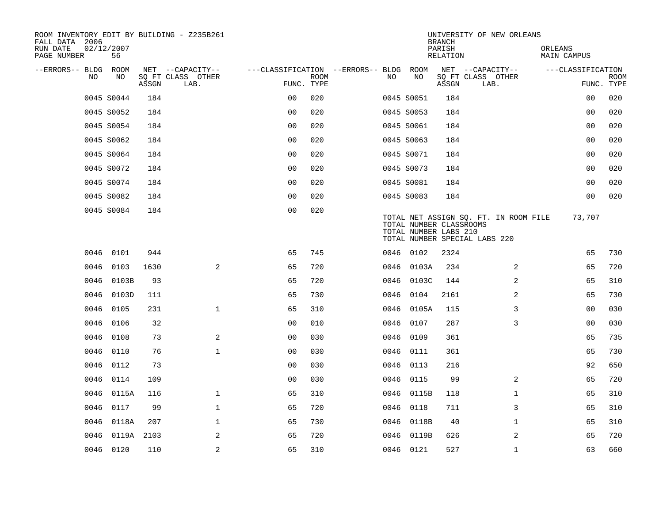| ROOM INVENTORY EDIT BY BUILDING - Z235B261<br>FALL DATA 2006 |                  |       |                           |                                        |             |      |                                                  | <b>BRANCH</b>      | UNIVERSITY OF NEW ORLEANS                                              |                        |                           |
|--------------------------------------------------------------|------------------|-------|---------------------------|----------------------------------------|-------------|------|--------------------------------------------------|--------------------|------------------------------------------------------------------------|------------------------|---------------------------|
| RUN DATE<br>PAGE NUMBER                                      | 02/12/2007<br>56 |       |                           |                                        |             |      |                                                  | PARISH<br>RELATION |                                                                        | ORLEANS<br>MAIN CAMPUS |                           |
| --ERRORS-- BLDG ROOM                                         |                  |       | NET --CAPACITY--          | ---CLASSIFICATION --ERRORS-- BLDG ROOM |             |      |                                                  |                    | NET --CAPACITY--                                                       | ---CLASSIFICATION      |                           |
| NO                                                           | NO               | ASSGN | SQ FT CLASS OTHER<br>LAB. | FUNC. TYPE                             | <b>ROOM</b> | NO.  | NO                                               | ASSGN              | SQ FT CLASS OTHER<br>LAB.                                              |                        | <b>ROOM</b><br>FUNC. TYPE |
|                                                              | 0045 S0044       | 184   |                           | 0 <sub>0</sub>                         | 020         |      | 0045 S0051                                       | 184                |                                                                        | 0 <sub>0</sub>         | 020                       |
|                                                              | 0045 S0052       | 184   |                           | 0 <sup>0</sup>                         | 020         |      | 0045 S0053                                       | 184                |                                                                        | 0 <sub>0</sub>         | 020                       |
|                                                              | 0045 S0054       | 184   |                           | 0 <sub>0</sub>                         | 020         |      | 0045 S0061                                       | 184                |                                                                        | 0 <sub>0</sub>         | 020                       |
|                                                              | 0045 S0062       | 184   |                           | 0 <sub>0</sub>                         | 020         |      | 0045 S0063                                       | 184                |                                                                        | 00                     | 020                       |
|                                                              | 0045 S0064       | 184   |                           | 00                                     | 020         |      | 0045 S0071                                       | 184                |                                                                        | 00                     | 020                       |
|                                                              | 0045 S0072       | 184   |                           | 0 <sub>0</sub>                         | 020         |      | 0045 S0073                                       | 184                |                                                                        | 00                     | 020                       |
|                                                              | 0045 S0074       | 184   |                           | 0 <sub>0</sub>                         | 020         |      | 0045 S0081                                       | 184                |                                                                        | 0 <sub>0</sub>         | 020                       |
|                                                              | 0045 S0082       | 184   |                           | 0 <sub>0</sub>                         | 020         |      | 0045 S0083                                       | 184                |                                                                        | 0 <sub>0</sub>         | 020                       |
|                                                              | 0045 S0084       | 184   |                           | 0 <sub>0</sub>                         | 020         |      | TOTAL NUMBER CLASSROOMS<br>TOTAL NUMBER LABS 210 |                    | TOTAL NET ASSIGN SQ. FT. IN ROOM FILE<br>TOTAL NUMBER SPECIAL LABS 220 | 73,707                 |                           |
|                                                              | 0046 0101        | 944   |                           | 65                                     | 745         |      | 0046 0102                                        | 2324               |                                                                        | 65                     | 730                       |
| 0046                                                         | 0103             | 1630  | $\overline{2}$            | 65                                     | 720         | 0046 | 0103A                                            | 234                | 2                                                                      | 65                     | 720                       |
| 0046                                                         | 0103B            | 93    |                           | 65                                     | 720         |      | 0046 0103C                                       | 144                | 2                                                                      | 65                     | 310                       |
| 0046                                                         | 0103D            | 111   |                           | 65                                     | 730         | 0046 | 0104                                             | 2161               | 2                                                                      | 65                     | 730                       |
| 0046                                                         | 0105             | 231   | $\mathbf{1}$              | 65                                     | 310         |      | 0046 0105A                                       | 115                | 3                                                                      | 0 <sub>0</sub>         | 030                       |
| 0046                                                         | 0106             | 32    |                           | 0 <sub>0</sub>                         | 010         |      | 0046 0107                                        | 287                | 3                                                                      | 00                     | 030                       |
| 0046                                                         | 0108             | 73    | 2                         | 0 <sub>0</sub>                         | 030         |      | 0046 0109                                        | 361                |                                                                        | 65                     | 735                       |
| 0046                                                         | 0110             | 76    | $\mathbf{1}$              | 0 <sub>0</sub>                         | 030         |      | 0046 0111                                        | 361                |                                                                        | 65                     | 730                       |
| 0046                                                         | 0112             | 73    |                           | 0 <sub>0</sub>                         | 030         |      | 0046 0113                                        | 216                |                                                                        | 92                     | 650                       |
|                                                              | 0046 0114        | 109   |                           | 0 <sub>0</sub>                         | 030         |      | 0046 0115                                        | 99                 | 2                                                                      | 65                     | 720                       |
| 0046                                                         | 0115A            | 116   | $\mathbf 1$               | 65                                     | 310         |      | 0046 0115B                                       | 118                | $\mathbf{1}$                                                           | 65                     | 310                       |
| 0046                                                         | 0117             | 99    | $\mathbf{1}$              | 65                                     | 720         |      | 0046 0118                                        | 711                | 3                                                                      | 65                     | 310                       |
| 0046                                                         | 0118A            | 207   | $\mathbf 1$               | 65                                     | 730         |      | 0046 0118B                                       | 40                 | $\mathbf{1}$                                                           | 65                     | 310                       |
| 0046                                                         | 0119A 2103       |       | 2                         | 65                                     | 720         |      | 0046 0119B                                       | 626                | 2                                                                      | 65                     | 720                       |
|                                                              | 0046 0120        | 110   | $\overline{a}$            | 65                                     | 310         |      | 0046 0121                                        | 527                | $\mathbf{1}$                                                           | 63                     | 660                       |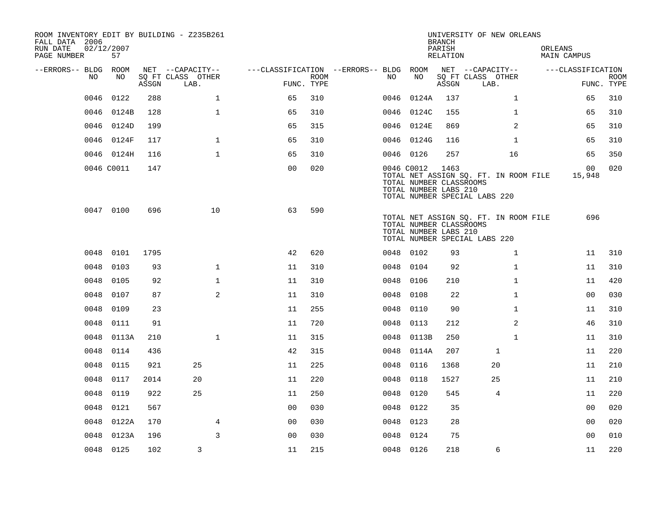| ROOM INVENTORY EDIT BY BUILDING - Z235B261<br>FALL DATA 2006 |                  |       |                           |                                        |      |      |                                                                | <b>BRANCH</b>      | UNIVERSITY OF NEW ORLEANS                                              |                           |                           |
|--------------------------------------------------------------|------------------|-------|---------------------------|----------------------------------------|------|------|----------------------------------------------------------------|--------------------|------------------------------------------------------------------------|---------------------------|---------------------------|
| RUN DATE<br>PAGE NUMBER                                      | 02/12/2007<br>57 |       |                           |                                        |      |      |                                                                | PARISH<br>RELATION |                                                                        | ORLEANS<br>MAIN CAMPUS    |                           |
| --ERRORS-- BLDG ROOM                                         |                  |       | NET --CAPACITY--          | ---CLASSIFICATION --ERRORS-- BLDG ROOM |      |      |                                                                |                    | NET --CAPACITY--                                                       | ---CLASSIFICATION         |                           |
| NO                                                           | NO.              | ASSGN | SQ FT CLASS OTHER<br>LAB. | FUNC. TYPE                             | ROOM | NO.  | NO                                                             | ASSGN              | SQ FT CLASS OTHER<br>LAB.                                              |                           | <b>ROOM</b><br>FUNC. TYPE |
| 0046                                                         | 0122             | 288   | $\mathbf{1}$              | 65                                     | 310  | 0046 | 0124A                                                          | 137                | $\mathbf{1}$                                                           | 65                        | 310                       |
|                                                              | 0046 0124B       | 128   | $\mathbf{1}$              | 65                                     | 310  |      | 0046 0124C                                                     | 155                | $\mathbf{1}$                                                           | 65                        | 310                       |
|                                                              | 0046 0124D       | 199   |                           | 65                                     | 315  |      | 0046 0124E                                                     | 869                | 2                                                                      | 65                        | 310                       |
|                                                              | 0046 0124F       | 117   | $\mathbf 1$               | 65                                     | 310  |      | 0046 0124G                                                     | 116                | $\mathbf{1}$                                                           | 65                        | 310                       |
|                                                              | 0046 0124H       | 116   | $\mathbf{1}$              | 65                                     | 310  |      | 0046 0126                                                      | 257                | 16                                                                     | 65                        | 350                       |
|                                                              | 0046 C0011       | 147   |                           | 0 <sub>0</sub>                         | 020  |      | 0046 C0012<br>TOTAL NUMBER CLASSROOMS<br>TOTAL NUMBER LABS 210 | 1463               | TOTAL NET ASSIGN SQ. FT. IN ROOM FILE<br>TOTAL NUMBER SPECIAL LABS 220 | 00 <sub>o</sub><br>15,948 | 020                       |
|                                                              | 0047 0100        | 696   | 10                        | 63                                     | 590  |      | TOTAL NUMBER CLASSROOMS<br>TOTAL NUMBER LABS 210               |                    | TOTAL NET ASSIGN SQ. FT. IN ROOM FILE<br>TOTAL NUMBER SPECIAL LABS 220 | 696                       |                           |
|                                                              | 0048 0101        | 1795  |                           | 42                                     | 620  |      | 0048 0102                                                      | 93                 | $\mathbf{1}$                                                           | 11                        | 310                       |
| 0048                                                         | 0103             | 93    | $\mathbf{1}$              | 11                                     | 310  | 0048 | 0104                                                           | 92                 | $\mathbf{1}$                                                           | 11                        | 310                       |
| 0048                                                         | 0105             | 92    | $\mathbf 1$               | 11                                     | 310  |      | 0048 0106                                                      | 210                | $\mathbf{1}$                                                           | 11                        | 420                       |
| 0048                                                         | 0107             | 87    | 2                         | 11                                     | 310  | 0048 | 0108                                                           | 22                 | $\mathbf{1}$                                                           | 0 <sub>0</sub>            | 030                       |
| 0048                                                         | 0109             | 23    |                           | 11                                     | 255  | 0048 | 0110                                                           | 90                 | $\mathbf{1}$                                                           | 11                        | 310                       |
| 0048                                                         | 0111             | 91    |                           | 11                                     | 720  | 0048 | 0113                                                           | 212                | $\overline{a}$                                                         | 46                        | 310                       |
| 0048                                                         | 0113A            | 210   | $\mathbf 1$               | 11                                     | 315  | 0048 | 0113B                                                          | 250                | $\mathbf{1}$                                                           | 11                        | 310                       |
|                                                              | 0048 0114        | 436   |                           | 42                                     | 315  |      | 0048 0114A                                                     | 207                | $\mathbf{1}$                                                           | 11                        | 220                       |
| 0048                                                         | 0115             | 921   | 25                        | 11                                     | 225  | 0048 | 0116                                                           | 1368               | 20                                                                     | 11                        | 210                       |
| 0048                                                         | 0117             | 2014  | 20                        | 11                                     | 220  | 0048 | 0118                                                           | 1527               | 25                                                                     | 11                        | 210                       |
| 0048                                                         | 0119             | 922   | 25                        | 11                                     | 250  | 0048 | 0120                                                           | 545                | 4                                                                      | 11                        | 220                       |
| 0048                                                         | 0121             | 567   |                           | 0 <sub>0</sub>                         | 030  | 0048 | 0122                                                           | 35                 |                                                                        | 00                        | 020                       |
| 0048                                                         | 0122A            | 170   | 4                         | 0 <sub>0</sub>                         | 030  |      | 0048 0123                                                      | 28                 |                                                                        | 0 <sub>0</sub>            | 020                       |
| 0048                                                         | 0123A            | 196   | $\overline{3}$            | 0 <sub>0</sub>                         | 030  | 0048 | 0124                                                           | 75                 |                                                                        | 0 <sub>0</sub>            | 010                       |
|                                                              | 0048 0125        | 102   | 3                         | 11                                     | 215  |      | 0048 0126                                                      | 218                | 6                                                                      | 11                        | 220                       |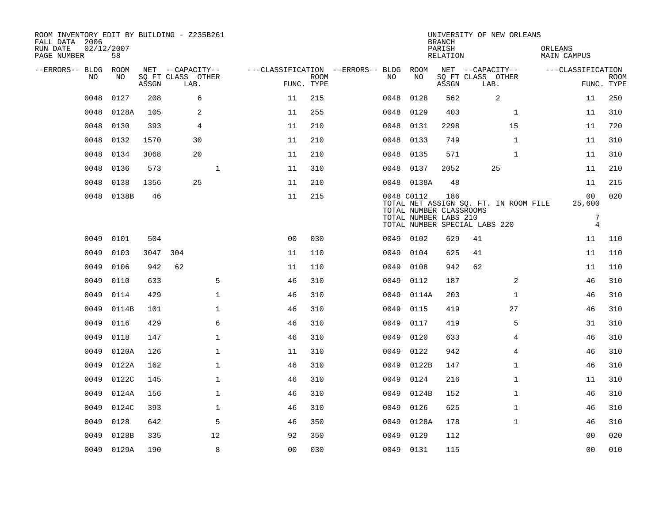| ROOM INVENTORY EDIT BY BUILDING - Z235B261<br>FALL DATA 2006<br>RUN DATE<br>PAGE NUMBER | 02/12/2007<br>58 |       |                           |                                        |                           |      |                                       | <b>BRANCH</b><br>PARISH<br>RELATION |                               | UNIVERSITY OF NEW ORLEANS             | ORLEANS<br>MAIN CAMPUS |                                  |                           |
|-----------------------------------------------------------------------------------------|------------------|-------|---------------------------|----------------------------------------|---------------------------|------|---------------------------------------|-------------------------------------|-------------------------------|---------------------------------------|------------------------|----------------------------------|---------------------------|
| --ERRORS-- BLDG ROOM                                                                    |                  |       | NET --CAPACITY--          | ---CLASSIFICATION --ERRORS-- BLDG ROOM |                           |      |                                       |                                     | NET --CAPACITY--              |                                       |                        | ---CLASSIFICATION                |                           |
| NO                                                                                      | NO               | ASSGN | SQ FT CLASS OTHER<br>LAB. |                                        | <b>ROOM</b><br>FUNC. TYPE | NO.  | NO                                    | ASSGN                               | SQ FT CLASS OTHER<br>LAB.     |                                       |                        |                                  | <b>ROOM</b><br>FUNC. TYPE |
| 0048                                                                                    | 0127             | 208   | 6                         | 11                                     | 215                       | 0048 | 0128                                  | 562                                 |                               | 2                                     |                        | 11                               | 250                       |
| 0048                                                                                    | 0128A            | 105   | 2                         | 11                                     | 255                       | 0048 | 0129                                  | 403                                 |                               | $\mathbf{1}$                          |                        | 11                               | 310                       |
| 0048                                                                                    | 0130             | 393   | $\overline{4}$            | 11                                     | 210                       | 0048 | 0131                                  | 2298                                |                               | 15                                    |                        | 11                               | 720                       |
| 0048                                                                                    | 0132             | 1570  | 30                        | 11                                     | 210                       | 0048 | 0133                                  | 749                                 |                               | $\mathbf{1}$                          |                        | 11                               | 310                       |
| 0048                                                                                    | 0134             | 3068  | 20                        | 11                                     | 210                       | 0048 | 0135                                  | 571                                 |                               | $\mathbf{1}$                          |                        | 11                               | 310                       |
| 0048                                                                                    | 0136             | 573   |                           | $\mathbf 1$<br>11                      | 310                       |      | 0048 0137                             | 2052                                |                               | 25                                    |                        | 11                               | 210                       |
| 0048                                                                                    | 0138             | 1356  | 25                        | 11                                     | 210                       |      | 0048 0138A                            | 48                                  |                               |                                       |                        | 11                               | 215                       |
| 0048                                                                                    | 0138B            | 46    |                           | 11                                     | 215                       |      | 0048 C0112<br>TOTAL NUMBER CLASSROOMS | 186                                 |                               | TOTAL NET ASSIGN SQ. FT. IN ROOM FILE |                        | 0 <sub>0</sub><br>25,600         | 020                       |
|                                                                                         |                  |       |                           |                                        |                           |      | TOTAL NUMBER LABS 210                 |                                     | TOTAL NUMBER SPECIAL LABS 220 |                                       |                        | $\overline{7}$<br>$\overline{4}$ |                           |
| 0049                                                                                    | 0101             | 504   |                           | 0 <sub>0</sub>                         | 030                       |      | 0049 0102                             | 629                                 | 41                            |                                       |                        | 11                               | 110                       |
| 0049                                                                                    | 0103             | 3047  | 304                       | 11                                     | 110                       | 0049 | 0104                                  | 625                                 | 41                            |                                       |                        | 11                               | 110                       |
| 0049                                                                                    | 0106             | 942   | 62                        | 11                                     | 110                       | 0049 | 0108                                  | 942                                 | 62                            |                                       |                        | 11                               | 110                       |
| 0049                                                                                    | 0110             | 633   |                           | 5<br>46                                | 310                       | 0049 | 0112                                  | 187                                 |                               | 2                                     |                        | 46                               | 310                       |
| 0049                                                                                    | 0114             | 429   |                           | $\mathbf{1}$<br>46                     | 310                       | 0049 | 0114A                                 | 203                                 |                               | $\mathbf{1}$                          |                        | 46                               | 310                       |
| 0049                                                                                    | 0114B            | 101   |                           | 1<br>46                                | 310                       | 0049 | 0115                                  | 419                                 |                               | 27                                    |                        | 46                               | 310                       |
| 0049                                                                                    | 0116             | 429   |                           | 6<br>46                                | 310                       | 0049 | 0117                                  | 419                                 |                               | 5                                     |                        | 31                               | 310                       |
| 0049                                                                                    | 0118             | 147   |                           | $\mathbf{1}$<br>46                     | 310                       | 0049 | 0120                                  | 633                                 |                               | $\overline{4}$                        |                        | 46                               | 310                       |
| 0049                                                                                    | 0120A            | 126   |                           | $\mathbf{1}$<br>11                     | 310                       | 0049 | 0122                                  | 942                                 |                               | $\overline{4}$                        |                        | 46                               | 310                       |
| 0049                                                                                    | 0122A            | 162   |                           | $\mathbf 1$<br>46                      | 310                       | 0049 | 0122B                                 | 147                                 |                               | $\mathbf{1}$                          |                        | 46                               | 310                       |
| 0049                                                                                    | 0122C            | 145   |                           | $\mathbf 1$<br>46                      | 310                       | 0049 | 0124                                  | 216                                 |                               | $\mathbf{1}$                          |                        | 11                               | 310                       |
| 0049                                                                                    | 0124A            | 156   |                           | $\mathbf{1}$<br>46                     | 310                       | 0049 | 0124B                                 | 152                                 |                               | $\mathbf{1}$                          |                        | 46                               | 310                       |
| 0049                                                                                    | 0124C            | 393   |                           | 1<br>46                                | 310                       | 0049 | 0126                                  | 625                                 |                               | $\mathbf{1}$                          |                        | 46                               | 310                       |
| 0049                                                                                    | 0128             | 642   |                           | 5<br>46                                | 350                       | 0049 | 0128A                                 | 178                                 |                               | $\mathbf{1}$                          |                        | 46                               | 310                       |
| 0049                                                                                    | 0128B            | 335   | 12                        | 92                                     | 350                       | 0049 | 0129                                  | 112                                 |                               |                                       |                        | 0 <sub>0</sub>                   | 020                       |
|                                                                                         | 0049 0129A       | 190   |                           | 8<br>0 <sub>0</sub>                    | 030                       |      | 0049 0131                             | 115                                 |                               |                                       |                        | 0 <sub>0</sub>                   | 010                       |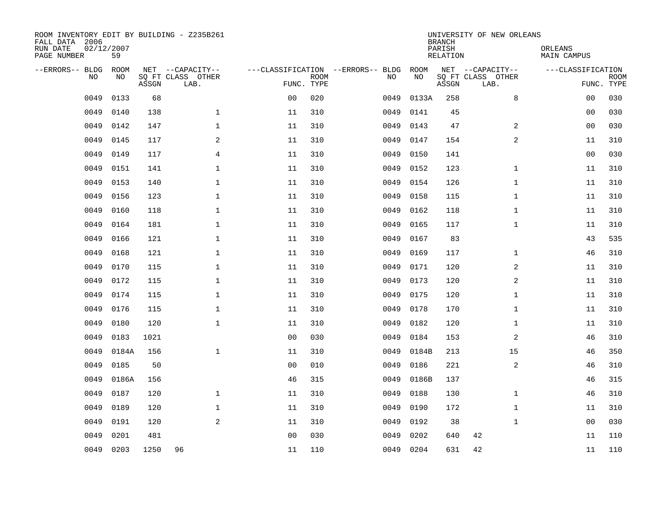| ROOM INVENTORY EDIT BY BUILDING - Z235B261<br>FALL DATA 2006<br>RUN DATE<br>PAGE NUMBER | 02/12/2007<br>59 |       |                                               |                |             |                                         |            | <b>BRANCH</b><br>PARISH<br><b>RELATION</b> | UNIVERSITY OF NEW ORLEANS                     | ORLEANS<br><b>MAIN CAMPUS</b> |                           |
|-----------------------------------------------------------------------------------------|------------------|-------|-----------------------------------------------|----------------|-------------|-----------------------------------------|------------|--------------------------------------------|-----------------------------------------------|-------------------------------|---------------------------|
| --ERRORS-- BLDG<br>NO                                                                   | ROOM<br>NO       | ASSGN | NET --CAPACITY--<br>SQ FT CLASS OTHER<br>LAB. | FUNC. TYPE     | <b>ROOM</b> | ---CLASSIFICATION --ERRORS-- BLDG<br>NO | ROOM<br>NO | ASSGN                                      | NET --CAPACITY--<br>SQ FT CLASS OTHER<br>LAB. | ---CLASSIFICATION             | <b>ROOM</b><br>FUNC. TYPE |
| 0049                                                                                    | 0133             | 68    |                                               | 0 <sub>0</sub> | 020         | 0049                                    | 0133A      | 258                                        | 8                                             | 0 <sub>0</sub>                | 030                       |
| 0049                                                                                    | 0140             | 138   | $\mathbf 1$                                   | 11             | 310         | 0049                                    | 0141       | 45                                         |                                               | 00                            | 030                       |
| 0049                                                                                    | 0142             | 147   | $\mathbf 1$                                   | 11             | 310         | 0049                                    | 0143       | 47                                         | 2                                             | 00                            | 030                       |
| 0049                                                                                    | 0145             | 117   | 2                                             | 11             | 310         | 0049                                    | 0147       | 154                                        | 2                                             | 11                            | 310                       |
| 0049                                                                                    | 0149             | 117   | $\overline{4}$                                | 11             | 310         | 0049                                    | 0150       | 141                                        |                                               | 0 <sub>0</sub>                | 030                       |
| 0049                                                                                    | 0151             | 141   | $\mathbf 1$                                   | 11             | 310         | 0049                                    | 0152       | 123                                        | $\mathbf{1}$                                  | 11                            | 310                       |
| 0049                                                                                    | 0153             | 140   | $\mathbf{1}$                                  | 11             | 310         | 0049                                    | 0154       | 126                                        | $\mathbf{1}$                                  | 11                            | 310                       |
| 0049                                                                                    | 0156             | 123   | $\mathbf{1}$                                  | 11             | 310         | 0049                                    | 0158       | 115                                        | $\mathbf{1}$                                  | 11                            | 310                       |
| 0049                                                                                    | 0160             | 118   | $\mathbf{1}$                                  | 11             | 310         | 0049                                    | 0162       | 118                                        | $\mathbf{1}$                                  | 11                            | 310                       |
| 0049                                                                                    | 0164             | 181   | $\mathbf{1}$                                  | 11             | 310         | 0049                                    | 0165       | 117                                        | $\mathbf{1}$                                  | 11                            | 310                       |
| 0049                                                                                    | 0166             | 121   | $\mathbf 1$                                   | 11             | 310         | 0049                                    | 0167       | 83                                         |                                               | 43                            | 535                       |
| 0049                                                                                    | 0168             | 121   | $\mathbf 1$                                   | 11             | 310         | 0049                                    | 0169       | 117                                        | $\mathbf{1}$                                  | 46                            | 310                       |
| 0049                                                                                    | 0170             | 115   | $\mathbf{1}$                                  | 11             | 310         | 0049                                    | 0171       | 120                                        | 2                                             | 11                            | 310                       |
| 0049                                                                                    | 0172             | 115   | $\mathbf 1$                                   | 11             | 310         | 0049                                    | 0173       | 120                                        | 2                                             | 11                            | 310                       |
| 0049                                                                                    | 0174             | 115   | $\mathbf{1}$                                  | 11             | 310         | 0049                                    | 0175       | 120                                        | $\mathbf{1}$                                  | 11                            | 310                       |
| 0049                                                                                    | 0176             | 115   | $\mathbf 1$                                   | 11             | 310         | 0049                                    | 0178       | 170                                        | $\mathbf{1}$                                  | 11                            | 310                       |
| 0049                                                                                    | 0180             | 120   | $\mathbf 1$                                   | 11             | 310         | 0049                                    | 0182       | 120                                        | $\mathbf{1}$                                  | 11                            | 310                       |
| 0049                                                                                    | 0183             | 1021  |                                               | 0 <sub>0</sub> | 030         | 0049                                    | 0184       | 153                                        | 2                                             | 46                            | 310                       |
| 0049                                                                                    | 0184A            | 156   | $\mathbf{1}$                                  | 11             | 310         | 0049                                    | 0184B      | 213                                        | 15                                            | 46                            | 350                       |
| 0049                                                                                    | 0185             | 50    |                                               | 0 <sub>0</sub> | 010         | 0049                                    | 0186       | 221                                        | 2                                             | 46                            | 310                       |
| 0049                                                                                    | 0186A            | 156   |                                               | 46             | 315         | 0049                                    | 0186B      | 137                                        |                                               | 46                            | 315                       |
| 0049                                                                                    | 0187             | 120   | $\mathbf{1}$                                  | 11             | 310         | 0049                                    | 0188       | 130                                        | $\mathbf{1}$                                  | 46                            | 310                       |
| 0049                                                                                    | 0189             | 120   | $\mathbf{1}$                                  | 11             | 310         | 0049                                    | 0190       | 172                                        | $\mathbf{1}$                                  | 11                            | 310                       |
| 0049                                                                                    | 0191             | 120   | 2                                             | 11             | 310         | 0049                                    | 0192       | 38                                         | $\mathbf{1}$                                  | 0 <sub>0</sub>                | 030                       |
| 0049                                                                                    | 0201             | 481   |                                               | 0 <sub>0</sub> | 030         | 0049                                    | 0202       | 640                                        | 42                                            | 11                            | 110                       |
|                                                                                         | 0049 0203        | 1250  | 96                                            | 11             | 110         |                                         | 0049 0204  | 631                                        | 42                                            | 11                            | 110                       |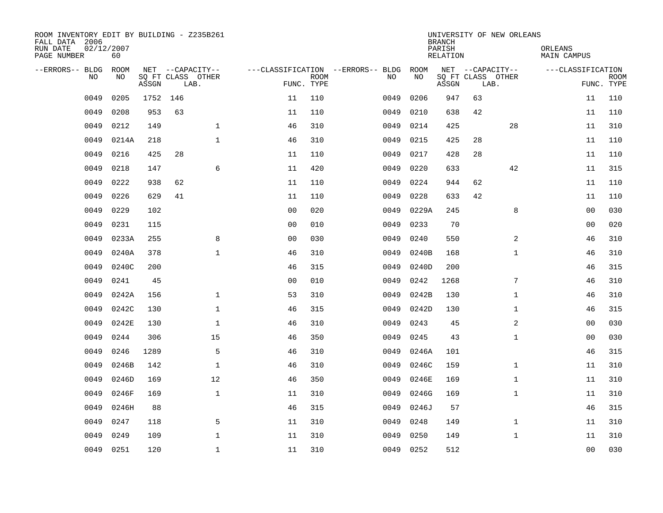| ROOM INVENTORY EDIT BY BUILDING - Z235B261<br>FALL DATA 2006<br>RUN DATE<br>PAGE NUMBER | 02/12/2007<br>60 |          |                           |                |                           |                                   |           | <b>BRANCH</b><br>PARISH<br>RELATION |                           | UNIVERSITY OF NEW ORLEANS | ORLEANS<br>MAIN CAMPUS |                           |
|-----------------------------------------------------------------------------------------|------------------|----------|---------------------------|----------------|---------------------------|-----------------------------------|-----------|-------------------------------------|---------------------------|---------------------------|------------------------|---------------------------|
| --ERRORS-- BLDG ROOM                                                                    |                  |          | NET --CAPACITY--          |                |                           | ---CLASSIFICATION --ERRORS-- BLDG | ROOM      |                                     | NET --CAPACITY--          |                           | ---CLASSIFICATION      |                           |
| NO                                                                                      | NO               | ASSGN    | SQ FT CLASS OTHER<br>LAB. |                | <b>ROOM</b><br>FUNC. TYPE | NO                                | NO        | ASSGN                               | SQ FT CLASS OTHER<br>LAB. |                           |                        | <b>ROOM</b><br>FUNC. TYPE |
| 0049                                                                                    | 0205             | 1752 146 |                           | 11             | 110                       | 0049                              | 0206      | 947                                 | 63                        |                           | 11                     | 110                       |
| 0049                                                                                    | 0208             | 953      | 63                        | 11             | 110                       | 0049                              | 0210      | 638                                 | 42                        |                           | 11                     | 110                       |
| 0049                                                                                    | 0212             | 149      | $\mathbf 1$               | 46             | 310                       | 0049                              | 0214      | 425                                 |                           | 28                        | 11                     | 310                       |
| 0049                                                                                    | 0214A            | 218      | $\mathbf{1}$              | 46             | 310                       | 0049                              | 0215      | 425                                 | 28                        |                           | 11                     | 110                       |
| 0049                                                                                    | 0216             | 425      | 28                        | 11             | 110                       | 0049                              | 0217      | 428                                 | 28                        |                           | 11                     | 110                       |
| 0049                                                                                    | 0218             | 147      | 6                         | 11             | 420                       | 0049                              | 0220      | 633                                 |                           | 42                        | 11                     | 315                       |
| 0049                                                                                    | 0222             | 938      | 62                        | 11             | 110                       | 0049                              | 0224      | 944                                 | 62                        |                           | 11                     | 110                       |
| 0049                                                                                    | 0226             | 629      | 41                        | 11             | 110                       | 0049                              | 0228      | 633                                 | 42                        |                           | 11                     | 110                       |
| 0049                                                                                    | 0229             | 102      |                           | 0 <sub>0</sub> | 020                       | 0049                              | 0229A     | 245                                 |                           | 8                         | 0 <sub>0</sub>         | 030                       |
| 0049                                                                                    | 0231             | 115      |                           | 0 <sub>0</sub> | 010                       | 0049                              | 0233      | 70                                  |                           |                           | 00                     | 020                       |
| 0049                                                                                    | 0233A            | 255      | 8                         | 0 <sub>0</sub> | 030                       | 0049                              | 0240      | 550                                 |                           | 2                         | 46                     | 310                       |
| 0049                                                                                    | 0240A            | 378      | $\mathbf{1}$              | 46             | 310                       | 0049                              | 0240B     | 168                                 |                           | $\mathbf{1}$              | 46                     | 310                       |
| 0049                                                                                    | 0240C            | 200      |                           | 46             | 315                       | 0049                              | 0240D     | 200                                 |                           |                           | 46                     | 315                       |
| 0049                                                                                    | 0241             | 45       |                           | 0 <sub>0</sub> | 010                       | 0049                              | 0242      | 1268                                |                           | 7                         | 46                     | 310                       |
| 0049                                                                                    | 0242A            | 156      | $\mathbf 1$               | 53             | 310                       | 0049                              | 0242B     | 130                                 |                           | $\mathbf{1}$              | 46                     | 310                       |
| 0049                                                                                    | 0242C            | 130      | $\mathbf{1}$              | 46             | 315                       | 0049                              | 0242D     | 130                                 |                           | $\mathbf{1}$              | 46                     | 315                       |
| 0049                                                                                    | 0242E            | 130      | $\mathbf{1}$              | 46             | 310                       | 0049                              | 0243      | 45                                  |                           | $\overline{a}$            | 00                     | 030                       |
| 0049                                                                                    | 0244             | 306      | 15                        | 46             | 350                       | 0049                              | 0245      | 43                                  |                           | $\mathbf{1}$              | 00                     | 030                       |
| 0049                                                                                    | 0246             | 1289     | 5                         | 46             | 310                       | 0049                              | 0246A     | 101                                 |                           |                           | 46                     | 315                       |
| 0049                                                                                    | 0246B            | 142      | $\mathbf{1}$              | 46             | 310                       | 0049                              | 0246C     | 159                                 |                           | $\mathbf{1}$              | 11                     | 310                       |
| 0049                                                                                    | 0246D            | 169      | 12                        | 46             | 350                       | 0049                              | 0246E     | 169                                 |                           | $\mathbf{1}$              | 11                     | 310                       |
| 0049                                                                                    | 0246F            | 169      | $\mathbf 1$               | 11             | 310                       | 0049                              | 0246G     | 169                                 |                           | $\mathbf{1}$              | 11                     | 310                       |
| 0049                                                                                    | 0246H            | 88       |                           | 46             | 315                       | 0049                              | 0246J     | 57                                  |                           |                           | 46                     | 315                       |
| 0049                                                                                    | 0247             | 118      | 5                         | 11             | 310                       | 0049                              | 0248      | 149                                 |                           | $\mathbf{1}$              | 11                     | 310                       |
| 0049                                                                                    | 0249             | 109      | $\mathbf 1$               | 11             | 310                       | 0049                              | 0250      | 149                                 |                           | $\mathbf{1}$              | 11                     | 310                       |
| 0049                                                                                    | 0251             | 120      | $\mathbf{1}$              | 11             | 310                       |                                   | 0049 0252 | 512                                 |                           |                           | 0 <sub>0</sub>         | 030                       |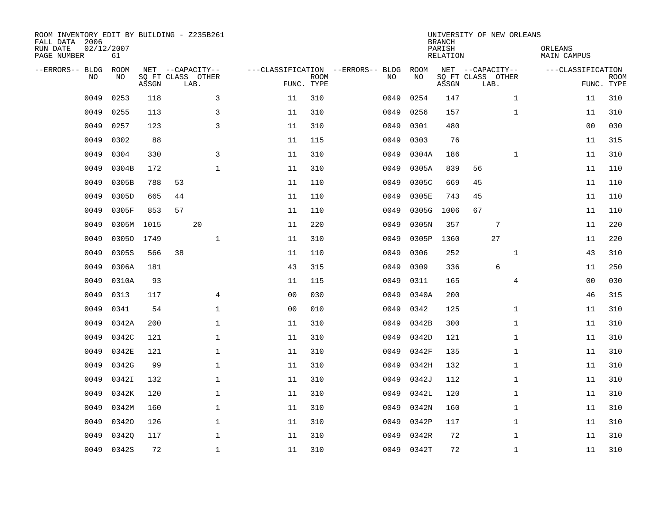| ROOM INVENTORY EDIT BY BUILDING - Z235B261<br>FALL DATA 2006<br>RUN DATE<br>PAGE NUMBER | 02/12/2007<br>61 |       |                                               |                |                |                           |                                         |            | <b>BRANCH</b><br>PARISH<br><b>RELATION</b> | UNIVERSITY OF NEW ORLEANS                     |                | ORLEANS<br><b>MAIN CAMPUS</b> |                           |
|-----------------------------------------------------------------------------------------|------------------|-------|-----------------------------------------------|----------------|----------------|---------------------------|-----------------------------------------|------------|--------------------------------------------|-----------------------------------------------|----------------|-------------------------------|---------------------------|
| --ERRORS-- BLDG<br>NO                                                                   | ROOM<br>NO       | ASSGN | NET --CAPACITY--<br>SQ FT CLASS OTHER<br>LAB. |                |                | <b>ROOM</b><br>FUNC. TYPE | ---CLASSIFICATION --ERRORS-- BLDG<br>NO | ROOM<br>NO | ASSGN                                      | NET --CAPACITY--<br>SQ FT CLASS OTHER<br>LAB. |                | ---CLASSIFICATION             | <b>ROOM</b><br>FUNC. TYPE |
| 0049                                                                                    | 0253             | 118   |                                               | 3              | 11             | 310                       | 0049                                    | 0254       | 147                                        |                                               | $\mathbf{1}$   | 11                            | 310                       |
| 0049                                                                                    | 0255             | 113   |                                               | 3              | 11             | 310                       | 0049                                    | 0256       | 157                                        |                                               | $\mathbf{1}$   | 11                            | 310                       |
| 0049                                                                                    | 0257             | 123   |                                               | 3              | 11             | 310                       | 0049                                    | 0301       | 480                                        |                                               |                | 0 <sub>0</sub>                | 030                       |
| 0049                                                                                    | 0302             | 88    |                                               |                | 11             | 115                       | 0049                                    | 0303       | 76                                         |                                               |                | 11                            | 315                       |
| 0049                                                                                    | 0304             | 330   |                                               | $\overline{3}$ | 11             | 310                       | 0049                                    | 0304A      | 186                                        |                                               | $\mathbf{1}$   | 11                            | 310                       |
| 0049                                                                                    | 0304B            | 172   |                                               | $\mathbf 1$    | 11             | 310                       | 0049                                    | 0305A      | 839                                        | 56                                            |                | 11                            | 110                       |
| 0049                                                                                    | 0305B            | 788   | 53                                            |                | 11             | 110                       | 0049                                    | 0305C      | 669                                        | 45                                            |                | 11                            | 110                       |
| 0049                                                                                    | 0305D            | 665   | 44                                            |                | 11             | 110                       | 0049                                    | 0305E      | 743                                        | 45                                            |                | 11                            | 110                       |
| 0049                                                                                    | 0305F            | 853   | 57                                            |                | 11             | 110                       | 0049                                    | 0305G      | 1006                                       | 67                                            |                | 11                            | 110                       |
| 0049                                                                                    | 0305M 1015       |       | 20                                            |                | 11             | 220                       | 0049                                    | 0305N      | 357                                        | $7\phantom{.0}$                               |                | 11                            | 220                       |
| 0049                                                                                    | 03050 1749       |       |                                               | $\mathbf 1$    | 11             | 310                       | 0049                                    | 0305P      | 1360                                       | 27                                            |                | 11                            | 220                       |
| 0049                                                                                    | 0305S            | 566   | 38                                            |                | 11             | 110                       | 0049                                    | 0306       | 252                                        |                                               | $\mathbf{1}$   | 43                            | 310                       |
| 0049                                                                                    | 0306A            | 181   |                                               |                | 43             | 315                       | 0049                                    | 0309       | 336                                        | 6                                             |                | 11                            | 250                       |
| 0049                                                                                    | 0310A            | 93    |                                               |                | 11             | 115                       | 0049                                    | 0311       | 165                                        |                                               | $\overline{4}$ | 00                            | 030                       |
| 0049                                                                                    | 0313             | 117   |                                               | $\overline{4}$ | 0 <sub>0</sub> | 030                       | 0049                                    | 0340A      | 200                                        |                                               |                | 46                            | 315                       |
| 0049                                                                                    | 0341             | 54    |                                               | $\mathbf 1$    | 0 <sub>0</sub> | 010                       | 0049                                    | 0342       | 125                                        |                                               | $\mathbf{1}$   | 11                            | 310                       |
| 0049                                                                                    | 0342A            | 200   |                                               | $\mathbf 1$    | 11             | 310                       | 0049                                    | 0342B      | 300                                        |                                               | $\mathbf{1}$   | 11                            | 310                       |
| 0049                                                                                    | 0342C            | 121   |                                               | $\mathbf{1}$   | 11             | 310                       | 0049                                    | 0342D      | 121                                        |                                               | $\mathbf{1}$   | 11                            | 310                       |
| 0049                                                                                    | 0342E            | 121   |                                               | 1              | 11             | 310                       | 0049                                    | 0342F      | 135                                        |                                               | $\mathbf{1}$   | 11                            | 310                       |
| 0049                                                                                    | 0342G            | 99    |                                               | $\mathbf{1}$   | 11             | 310                       | 0049                                    | 0342H      | 132                                        |                                               | $\mathbf{1}$   | 11                            | 310                       |
| 0049                                                                                    | 0342I            | 132   |                                               | $\mathbf{1}$   | 11             | 310                       | 0049                                    | 0342J      | 112                                        |                                               | $\mathbf{1}$   | 11                            | 310                       |
| 0049                                                                                    | 0342K            | 120   |                                               | $\mathbf 1$    | 11             | 310                       | 0049                                    | 0342L      | 120                                        |                                               | $\mathbf{1}$   | 11                            | 310                       |
| 0049                                                                                    | 0342M            | 160   |                                               | 1              | 11             | 310                       | 0049                                    | 0342N      | 160                                        |                                               | $\mathbf{1}$   | 11                            | 310                       |
| 0049                                                                                    | 03420            | 126   |                                               | $\mathbf 1$    | 11             | 310                       | 0049                                    | 0342P      | 117                                        |                                               | $\mathbf{1}$   | 11                            | 310                       |
| 0049                                                                                    | 03420            | 117   |                                               | $\mathbf 1$    | 11             | 310                       | 0049                                    | 0342R      | 72                                         |                                               | $\mathbf{1}$   | 11                            | 310                       |
| 0049                                                                                    | 0342S            | 72    |                                               | $\mathbf{1}$   | 11             | 310                       |                                         | 0049 0342T | 72                                         |                                               | $\mathbf{1}$   | 11                            | 310                       |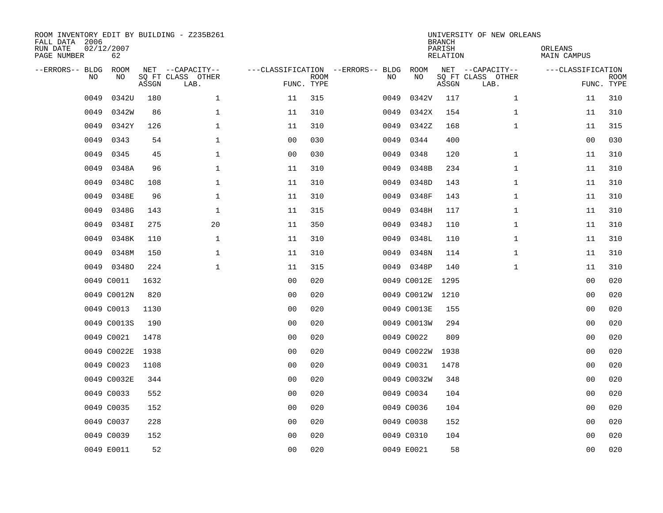| ROOM INVENTORY EDIT BY BUILDING - Z235B261<br>FALL DATA 2006<br>RUN DATE<br>PAGE NUMBER | 02/12/2007<br>62 |       |                                               |                |                           |                                         |             | <b>BRANCH</b><br>PARISH<br><b>RELATION</b> | UNIVERSITY OF NEW ORLEANS                     | ORLEANS<br><b>MAIN CAMPUS</b> |                           |
|-----------------------------------------------------------------------------------------|------------------|-------|-----------------------------------------------|----------------|---------------------------|-----------------------------------------|-------------|--------------------------------------------|-----------------------------------------------|-------------------------------|---------------------------|
| --ERRORS-- BLDG<br>NO                                                                   | ROOM<br>NO       | ASSGN | NET --CAPACITY--<br>SQ FT CLASS OTHER<br>LAB. |                | <b>ROOM</b><br>FUNC. TYPE | ---CLASSIFICATION --ERRORS-- BLDG<br>NO | ROOM<br>NO  | ASSGN                                      | NET --CAPACITY--<br>SQ FT CLASS OTHER<br>LAB. | ---CLASSIFICATION             | <b>ROOM</b><br>FUNC. TYPE |
| 0049                                                                                    | 0342U            | 180   | $\mathbf 1$                                   | 11             | 315                       | 0049                                    | 0342V       | 117                                        | $\mathbf{1}$                                  | 11                            | 310                       |
| 0049                                                                                    | 0342W            | 86    | $\mathbf 1$                                   | 11             | 310                       | 0049                                    | 0342X       | 154                                        | $\mathbf{1}$                                  | 11                            | 310                       |
| 0049                                                                                    | 0342Y            | 126   | $\mathbf 1$                                   | 11             | 310                       | 0049                                    | 0342Z       | 168                                        | $\mathbf{1}$                                  | 11                            | 315                       |
| 0049                                                                                    | 0343             | 54    | $\mathbf 1$                                   | 0 <sub>0</sub> | 030                       | 0049                                    | 0344        | 400                                        |                                               | 00                            | 030                       |
| 0049                                                                                    | 0345             | 45    | $\mathbf{1}$                                  | 00             | 030                       | 0049                                    | 0348        | 120                                        | $\mathbf{1}$                                  | 11                            | 310                       |
| 0049                                                                                    | 0348A            | 96    | $\mathbf{1}$                                  | 11             | 310                       | 0049                                    | 0348B       | 234                                        | $\mathbf{1}$                                  | 11                            | 310                       |
| 0049                                                                                    | 0348C            | 108   | $\mathbf 1$                                   | 11             | 310                       | 0049                                    | 0348D       | 143                                        | $\mathbf{1}$                                  | 11                            | 310                       |
| 0049                                                                                    | 0348E            | 96    | $\mathbf 1$                                   | 11             | 310                       | 0049                                    | 0348F       | 143                                        | $\mathbf{1}$                                  | 11                            | 310                       |
| 0049                                                                                    | 0348G            | 143   | $\mathbf 1$                                   | 11             | 315                       | 0049                                    | 0348H       | 117                                        | $\mathbf{1}$                                  | 11                            | 310                       |
| 0049                                                                                    | 0348I            | 275   | 20                                            | 11             | 350                       | 0049                                    | 0348J       | 110                                        | $\mathbf{1}$                                  | 11                            | 310                       |
| 0049                                                                                    | 0348K            | 110   | $\mathbf 1$                                   | 11             | 310                       | 0049                                    | 0348L       | 110                                        | $\mathbf{1}$                                  | 11                            | 310                       |
| 0049                                                                                    | 0348M            | 150   | $\mathbf{1}$                                  | 11             | 310                       | 0049                                    | 0348N       | 114                                        | $\mathbf{1}$                                  | 11                            | 310                       |
| 0049                                                                                    | 03480            | 224   | $\mathbf 1$                                   | 11             | 315                       |                                         | 0049 0348P  | 140                                        | $\mathbf{1}$                                  | 11                            | 310                       |
|                                                                                         | 0049 C0011       | 1632  |                                               | 00             | 020                       |                                         | 0049 C0012E | 1295                                       |                                               | 00                            | 020                       |
|                                                                                         | 0049 C0012N      | 820   |                                               | 0 <sub>0</sub> | 020                       |                                         | 0049 C0012W | 1210                                       |                                               | 00                            | 020                       |
|                                                                                         | 0049 C0013       | 1130  |                                               | 0 <sub>0</sub> | 020                       |                                         | 0049 C0013E | 155                                        |                                               | 00                            | 020                       |
|                                                                                         | 0049 C0013S      | 190   |                                               | 0 <sub>0</sub> | 020                       |                                         | 0049 C0013W | 294                                        |                                               | 00                            | 020                       |
|                                                                                         | 0049 C0021       | 1478  |                                               | 0 <sub>0</sub> | 020                       |                                         | 0049 C0022  | 809                                        |                                               | 0 <sub>0</sub>                | 020                       |
|                                                                                         | 0049 C0022E      | 1938  |                                               | 0 <sub>0</sub> | 020                       |                                         | 0049 C0022W | 1938                                       |                                               | 0 <sub>0</sub>                | 020                       |
|                                                                                         | 0049 C0023       | 1108  |                                               | 0 <sub>0</sub> | 020                       |                                         | 0049 C0031  | 1478                                       |                                               | 00                            | 020                       |
|                                                                                         | 0049 C0032E      | 344   |                                               | 0 <sub>0</sub> | 020                       |                                         | 0049 C0032W | 348                                        |                                               | 00                            | 020                       |
|                                                                                         | 0049 C0033       | 552   |                                               | 0 <sub>0</sub> | 020                       |                                         | 0049 C0034  | 104                                        |                                               | 00                            | 020                       |
|                                                                                         | 0049 C0035       | 152   |                                               | 0 <sub>0</sub> | 020                       |                                         | 0049 C0036  | 104                                        |                                               | 00                            | 020                       |
|                                                                                         | 0049 C0037       | 228   |                                               | 0 <sub>0</sub> | 020                       |                                         | 0049 C0038  | 152                                        |                                               | 0 <sub>0</sub>                | 020                       |
|                                                                                         | 0049 C0039       | 152   |                                               | 0 <sub>0</sub> | 020                       |                                         | 0049 C0310  | 104                                        |                                               | 00                            | 020                       |
|                                                                                         | 0049 E0011       | 52    |                                               | 0 <sub>0</sub> | 020                       |                                         | 0049 E0021  | 58                                         |                                               | 0 <sub>0</sub>                | 020                       |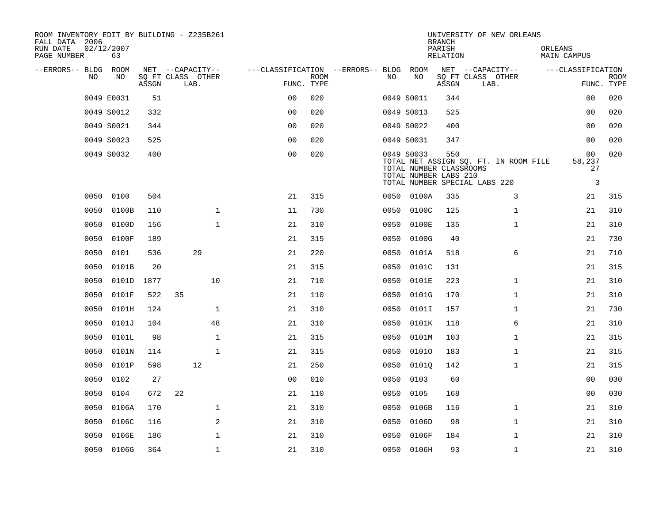| ROOM INVENTORY EDIT BY BUILDING - Z235B261<br>FALL DATA 2006<br>RUN DATE | 02/12/2007 |       |                                       |                                   |             |      |                                                                | <b>BRANCH</b><br>PARISH | UNIVERSITY OF NEW ORLEANS                                              | ORLEANS                             |             |
|--------------------------------------------------------------------------|------------|-------|---------------------------------------|-----------------------------------|-------------|------|----------------------------------------------------------------|-------------------------|------------------------------------------------------------------------|-------------------------------------|-------------|
| PAGE NUMBER                                                              | 63         |       |                                       |                                   |             |      |                                                                | RELATION                |                                                                        | MAIN CAMPUS                         |             |
| --ERRORS-- BLDG ROOM<br>N <sub>O</sub>                                   | NO.        |       | NET --CAPACITY--<br>SO FT CLASS OTHER | ---CLASSIFICATION --ERRORS-- BLDG |             | NO.  | ROOM<br>NO                                                     |                         | NET --CAPACITY--<br>SQ FT CLASS OTHER                                  | ---CLASSIFICATION                   | <b>ROOM</b> |
|                                                                          |            | ASSGN | LAB.                                  | FUNC. TYPE                        | <b>ROOM</b> |      |                                                                | ASSGN                   | LAB.                                                                   |                                     | FUNC. TYPE  |
|                                                                          | 0049 E0031 | 51    |                                       | 0 <sub>0</sub>                    | 020         |      | 0049 S0011                                                     | 344                     |                                                                        | 00                                  | 020         |
|                                                                          | 0049 S0012 | 332   |                                       | 0 <sub>0</sub>                    | 020         |      | 0049 S0013                                                     | 525                     |                                                                        | 0 <sub>0</sub>                      | 020         |
|                                                                          | 0049 S0021 | 344   |                                       | 0 <sub>0</sub>                    | 020         |      | 0049 S0022                                                     | 400                     |                                                                        | 0 <sub>0</sub>                      | 020         |
|                                                                          | 0049 S0023 | 525   |                                       | 0 <sub>0</sub>                    | 020         |      | 0049 S0031                                                     | 347                     |                                                                        | 0 <sub>0</sub>                      | 020         |
|                                                                          | 0049 S0032 | 400   |                                       | 0 <sub>0</sub>                    | 020         |      | 0049 S0033<br>TOTAL NUMBER CLASSROOMS<br>TOTAL NUMBER LABS 210 | 550                     | TOTAL NET ASSIGN SQ. FT. IN ROOM FILE<br>TOTAL NUMBER SPECIAL LABS 220 | 0 <sub>0</sub><br>58,237<br>27<br>3 | 020         |
| 0050                                                                     | 0100       | 504   |                                       | 21                                | 315         |      | 0050 0100A                                                     | 335                     | 3                                                                      | 21                                  | 315         |
| 0050                                                                     | 0100B      | 110   | $\mathbf{1}$                          | 11                                | 730         | 0050 | 0100C                                                          | 125                     | $\mathbf{1}$                                                           | 21                                  | 310         |
| 0050                                                                     | 0100D      | 156   | $\mathbf{1}$                          | 21                                | 310         | 0050 | 0100E                                                          | 135                     | $\mathbf{1}$                                                           | 21                                  | 310         |
| 0050                                                                     | 0100F      | 189   |                                       | 21                                | 315         | 0050 | 0100G                                                          | 40                      |                                                                        | 21                                  | 730         |
| 0050                                                                     | 0101       | 536   | 29                                    | 21                                | 220         | 0050 | 0101A                                                          | 518                     | 6                                                                      | 21                                  | 710         |
| 0050                                                                     | 0101B      | 20    |                                       | 21                                | 315         | 0050 | 0101C                                                          | 131                     |                                                                        | 21                                  | 315         |
| 0050                                                                     | 0101D      | 1877  | 10                                    | 21                                | 710         | 0050 | 0101E                                                          | 223                     | $\mathbf{1}$                                                           | 21                                  | 310         |
| 0050                                                                     | 0101F      | 522   | 35                                    | 21                                | 110         | 0050 | 0101G                                                          | 170                     | $\mathbf{1}$                                                           | 21                                  | 310         |
| 0050                                                                     | 0101H      | 124   | 1                                     | 21                                | 310         | 0050 | 0101I                                                          | 157                     | $\mathbf{1}$                                                           | 21                                  | 730         |
| 0050                                                                     | 0101J      | 104   | 48                                    | 21                                | 310         | 0050 | 0101K                                                          | 118                     | 6                                                                      | 21                                  | 310         |
| 0050                                                                     | 0101L      | 98    | $\mathbf 1$                           | 21                                | 315         | 0050 | 0101M                                                          | 103                     | $\mathbf{1}$                                                           | 21                                  | 315         |
| 0050                                                                     | 0101N      | 114   | $\mathbf{1}$                          | 21                                | 315         | 0050 | 01010                                                          | 183                     | $\mathbf{1}$                                                           | 21                                  | 315         |
| 0050                                                                     | 0101P      | 598   | 12                                    | 21                                | 250         | 0050 | 01010                                                          | 142                     | $\mathbf{1}$                                                           | 21                                  | 315         |
| 0050                                                                     | 0102       | 27    |                                       | 0 <sub>0</sub>                    | 010         | 0050 | 0103                                                           | 60                      |                                                                        | 00                                  | 030         |
| 0050                                                                     | 0104       | 672   | 22                                    | 21                                | 110         | 0050 | 0105                                                           | 168                     |                                                                        | 00                                  | 030         |
| 0050                                                                     | 0106A      | 170   | $\mathbf 1$                           | 21                                | 310         | 0050 | 0106B                                                          | 116                     | $\mathbf{1}$                                                           | 21                                  | 310         |
| 0050                                                                     | 0106C      | 116   | 2                                     | 21                                | 310         | 0050 | 0106D                                                          | 98                      | $\mathbf{1}$                                                           | 21                                  | 310         |
| 0050                                                                     | 0106E      | 186   | $\mathbf{1}$                          | 21                                | 310         | 0050 | 0106F                                                          | 184                     | $\mathbf{1}$                                                           | 21                                  | 310         |
|                                                                          | 0050 0106G | 364   | $\mathbf{1}$                          | 21                                | 310         |      | 0050 0106H                                                     | 93                      | $\mathbf{1}$                                                           | 21                                  | 310         |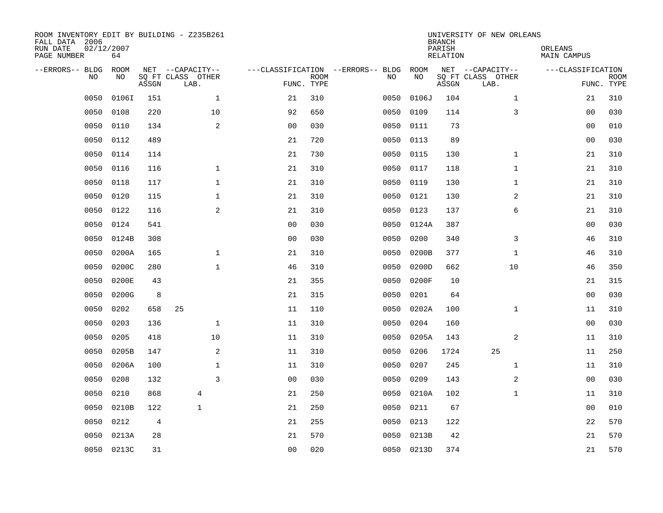| ROOM INVENTORY EDIT BY BUILDING - Z235B261<br>FALL DATA 2006<br>RUN DATE<br>PAGE NUMBER | 02/12/2007<br>64 |       |                                               |                |             |                                         |            | <b>BRANCH</b><br>PARISH<br><b>RELATION</b> | UNIVERSITY OF NEW ORLEANS                     | ORLEANS<br>MAIN CAMPUS |                           |
|-----------------------------------------------------------------------------------------|------------------|-------|-----------------------------------------------|----------------|-------------|-----------------------------------------|------------|--------------------------------------------|-----------------------------------------------|------------------------|---------------------------|
| --ERRORS-- BLDG<br>NO                                                                   | ROOM<br>NO       | ASSGN | NET --CAPACITY--<br>SQ FT CLASS OTHER<br>LAB. | FUNC. TYPE     | <b>ROOM</b> | ---CLASSIFICATION --ERRORS-- BLDG<br>NO | ROOM<br>NO | ASSGN                                      | NET --CAPACITY--<br>SQ FT CLASS OTHER<br>LAB. | ---CLASSIFICATION      | <b>ROOM</b><br>FUNC. TYPE |
| 0050                                                                                    | 0106I            | 151   | $\mathbf{1}$                                  | 21             | 310         | 0050                                    | 0106J      | 104                                        | $\mathbf{1}$                                  | 21                     | 310                       |
| 0050                                                                                    | 0108             | 220   | 10                                            | 92             | 650         | 0050                                    | 0109       | 114                                        | 3                                             | 00                     | 030                       |
| 0050                                                                                    | 0110             | 134   | $\mathbf{2}$                                  | 0 <sub>0</sub> | 030         | 0050                                    | 0111       | 73                                         |                                               | 0 <sub>0</sub>         | 010                       |
| 0050                                                                                    | 0112             | 489   |                                               | 21             | 720         | 0050                                    | 0113       | 89                                         |                                               | 0 <sub>0</sub>         | 030                       |
| 0050                                                                                    | 0114             | 114   |                                               | 21             | 730         | 0050                                    | 0115       | 130                                        | $\mathbf{1}$                                  | 21                     | 310                       |
| 0050                                                                                    | 0116             | 116   | $\mathbf{1}$                                  | 21             | 310         | 0050                                    | 0117       | 118                                        | $\mathbf{1}$                                  | 21                     | 310                       |
| 0050                                                                                    | 0118             | 117   | $\mathbf{1}$                                  | 21             | 310         | 0050                                    | 0119       | 130                                        | $\mathbf{1}$                                  | 21                     | 310                       |
| 0050                                                                                    | 0120             | 115   | $\mathbf 1$                                   | 21             | 310         | 0050                                    | 0121       | 130                                        | 2                                             | 21                     | 310                       |
| 0050                                                                                    | 0122             | 116   | 2                                             | 21             | 310         | 0050                                    | 0123       | 137                                        | 6                                             | 21                     | 310                       |
| 0050                                                                                    | 0124             | 541   |                                               | 0 <sub>0</sub> | 030         |                                         | 0050 0124A | 387                                        |                                               | 0 <sub>0</sub>         | 030                       |
| 0050                                                                                    | 0124B            | 308   |                                               | 0 <sub>0</sub> | 030         | 0050                                    | 0200       | 340                                        | 3                                             | 46                     | 310                       |
| 0050                                                                                    | 0200A            | 165   | $\mathbf{1}$                                  | 21             | 310         | 0050                                    | 0200B      | 377                                        | $\mathbf{1}$                                  | 46                     | 310                       |
| 0050                                                                                    | 0200C            | 280   | $\mathbf{1}$                                  | 46             | 310         | 0050                                    | 0200D      | 662                                        | 10                                            | 46                     | 350                       |
| 0050                                                                                    | 0200E            | 43    |                                               | 21             | 355         | 0050                                    | 0200F      | 10                                         |                                               | 21                     | 315                       |
| 0050                                                                                    | 0200G            | 8     |                                               | 21             | 315         | 0050                                    | 0201       | 64                                         |                                               | 00                     | 030                       |
| 0050                                                                                    | 0202             | 658   | 25                                            | 11             | 110         | 0050                                    | 0202A      | 100                                        | $\mathbf{1}$                                  | 11                     | 310                       |
| 0050                                                                                    | 0203             | 136   | $\mathbf 1$                                   | 11             | 310         | 0050                                    | 0204       | 160                                        |                                               | 00                     | 030                       |
| 0050                                                                                    | 0205             | 418   | 10                                            | 11             | 310         | 0050                                    | 0205A      | 143                                        | 2                                             | 11                     | 310                       |
| 0050                                                                                    | 0205B            | 147   | 2                                             | 11             | 310         | 0050                                    | 0206       | 1724                                       | 25                                            | 11                     | 250                       |
| 0050                                                                                    | 0206A            | 100   | $\mathbf 1$                                   | 11             | 310         | 0050                                    | 0207       | 245                                        | $\mathbf{1}$                                  | 11                     | 310                       |
| 0050                                                                                    | 0208             | 132   | $\overline{3}$                                | 0 <sub>0</sub> | 030         | 0050                                    | 0209       | 143                                        | 2                                             | 0 <sub>0</sub>         | 030                       |
| 0050                                                                                    | 0210             | 868   | 4                                             | 21             | 250         | 0050                                    | 0210A      | 102                                        | $\mathbf{1}$                                  | 11                     | 310                       |
| 0050                                                                                    | 0210B            | 122   | $\mathbf{1}$                                  | 21             | 250         | 0050                                    | 0211       | 67                                         |                                               | 0 <sub>0</sub>         | 010                       |
| 0050                                                                                    | 0212             | 4     |                                               | 21             | 255         | 0050                                    | 0213       | 122                                        |                                               | 22                     | 570                       |
| 0050                                                                                    | 0213A            | 28    |                                               | 21             | 570         | 0050                                    | 0213B      | 42                                         |                                               | 21                     | 570                       |
|                                                                                         | 0050 0213C       | 31    |                                               | 0 <sub>0</sub> | 020         |                                         | 0050 0213D | 374                                        |                                               | 21                     | 570                       |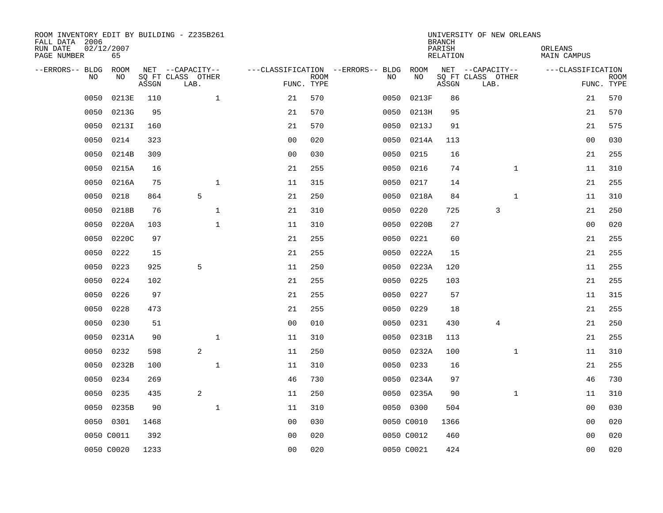| ROOM INVENTORY EDIT BY BUILDING - Z235B261<br>FALL DATA 2006 |                  |       |                           |                |             |                                        |            | <b>BRANCH</b>      | UNIVERSITY OF NEW ORLEANS |                        |                           |
|--------------------------------------------------------------|------------------|-------|---------------------------|----------------|-------------|----------------------------------------|------------|--------------------|---------------------------|------------------------|---------------------------|
| RUN DATE<br>PAGE NUMBER                                      | 02/12/2007<br>65 |       |                           |                |             |                                        |            | PARISH<br>RELATION |                           | ORLEANS<br>MAIN CAMPUS |                           |
| --ERRORS-- BLDG ROOM                                         |                  |       | NET --CAPACITY--          |                |             | ---CLASSIFICATION --ERRORS-- BLDG ROOM |            |                    | NET --CAPACITY--          | ---CLASSIFICATION      |                           |
| NO.                                                          | NO.              | ASSGN | SQ FT CLASS OTHER<br>LAB. | FUNC. TYPE     | <b>ROOM</b> | NO.                                    | NO         | ASSGN              | SQ FT CLASS OTHER<br>LAB. |                        | <b>ROOM</b><br>FUNC. TYPE |
| 0050                                                         | 0213E            | 110   | $\mathbf{1}$              | 21             | 570         | 0050                                   | 0213F      | 86                 |                           | 21                     | 570                       |
| 0050                                                         | 0213G            | 95    |                           | 21             | 570         | 0050                                   | 0213H      | 95                 |                           | 21                     | 570                       |
| 0050                                                         | 0213I            | 160   |                           | 21             | 570         | 0050                                   | 0213J      | 91                 |                           | 21                     | 575                       |
| 0050                                                         | 0214             | 323   |                           | 0 <sub>0</sub> | 020         | 0050                                   | 0214A      | 113                |                           | 00                     | 030                       |
| 0050                                                         | 0214B            | 309   |                           | 00             | 030         | 0050                                   | 0215       | 16                 |                           | 21                     | 255                       |
| 0050                                                         | 0215A            | 16    |                           | 21             | 255         | 0050                                   | 0216       | 74                 | $\mathbf{1}$              | 11                     | 310                       |
| 0050                                                         | 0216A            | 75    | $\mathbf{1}$              | 11             | 315         | 0050                                   | 0217       | 14                 |                           | 21                     | 255                       |
| 0050                                                         | 0218             | 864   | 5                         | 21             | 250         | 0050                                   | 0218A      | 84                 | $\mathbf{1}$              | 11                     | 310                       |
| 0050                                                         | 0218B            | 76    | $\mathbf{1}$              | 21             | 310         | 0050                                   | 0220       | 725                | 3                         | 21                     | 250                       |
| 0050                                                         | 0220A            | 103   | $\mathbf{1}$              | 11             | 310         |                                        | 0050 0220B | 27                 |                           | 0 <sub>0</sub>         | 020                       |
| 0050                                                         | 0220C            | 97    |                           | 21             | 255         | 0050                                   | 0221       | 60                 |                           | 21                     | 255                       |
| 0050                                                         | 0222             | 15    |                           | 21             | 255         | 0050                                   | 0222A      | 15                 |                           | 21                     | 255                       |
| 0050                                                         | 0223             | 925   | 5                         | 11             | 250         | 0050                                   | 0223A      | 120                |                           | 11                     | 255                       |
| 0050                                                         | 0224             | 102   |                           | 21             | 255         | 0050                                   | 0225       | 103                |                           | 21                     | 255                       |
| 0050                                                         | 0226             | 97    |                           | 21             | 255         | 0050                                   | 0227       | 57                 |                           | 11                     | 315                       |
| 0050                                                         | 0228             | 473   |                           | 21             | 255         | 0050                                   | 0229       | 18                 |                           | 21                     | 255                       |
| 0050                                                         | 0230             | 51    |                           | 0 <sub>0</sub> | 010         | 0050                                   | 0231       | 430                | 4                         | 21                     | 250                       |
| 0050                                                         | 0231A            | 90    | $\mathbf 1$               | 11             | 310         | 0050                                   | 0231B      | 113                |                           | 21                     | 255                       |
| 0050                                                         | 0232             | 598   | 2                         | 11             | 250         | 0050                                   | 0232A      | 100                | $\mathbf{1}$              | 11                     | 310                       |
| 0050                                                         | 0232B            | 100   | $\mathbf{1}$              | 11             | 310         | 0050                                   | 0233       | 16                 |                           | 21                     | 255                       |
| 0050                                                         | 0234             | 269   |                           | 46             | 730         |                                        | 0050 0234A | 97                 |                           | 46                     | 730                       |
| 0050                                                         | 0235             | 435   | 2                         | 11             | 250         | 0050                                   | 0235A      | 90                 | $\mathbf{1}$              | 11                     | 310                       |
| 0050                                                         | 0235B            | 90    | $\mathbf 1$               | 11             | 310         |                                        | 0050 0300  | 504                |                           | 00                     | 030                       |
| 0050                                                         | 0301             | 1468  |                           | 0 <sub>0</sub> | 030         |                                        | 0050 C0010 | 1366               |                           | 00                     | 020                       |
|                                                              | 0050 C0011       | 392   |                           | 0 <sub>0</sub> | 020         |                                        | 0050 C0012 | 460                |                           | 00                     | 020                       |
|                                                              | 0050 C0020       | 1233  |                           | 0 <sub>0</sub> | 020         |                                        | 0050 C0021 | 424                |                           | 0 <sub>0</sub>         | 020                       |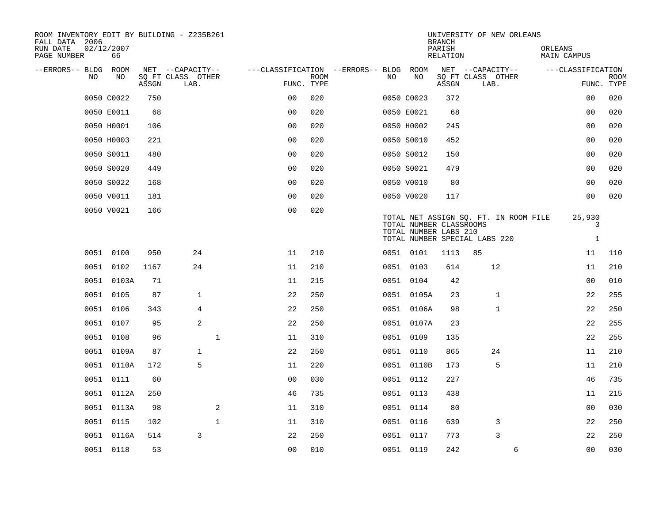| ROOM INVENTORY EDIT BY BUILDING - Z235B261<br>FALL DATA 2006 |                  |       |                           |              |                                        | <b>BRANCH</b> | UNIVERSITY OF NEW ORLEANS |                                                  |                    |                                                                        |                             |                           |
|--------------------------------------------------------------|------------------|-------|---------------------------|--------------|----------------------------------------|---------------|---------------------------|--------------------------------------------------|--------------------|------------------------------------------------------------------------|-----------------------------|---------------------------|
| RUN DATE<br>PAGE NUMBER                                      | 02/12/2007<br>66 |       |                           |              |                                        |               |                           |                                                  | PARISH<br>RELATION |                                                                        | ORLEANS<br>MAIN CAMPUS      |                           |
| --ERRORS-- BLDG ROOM                                         |                  |       | NET --CAPACITY--          |              | ---CLASSIFICATION --ERRORS-- BLDG ROOM |               |                           |                                                  |                    | NET --CAPACITY--                                                       | ---CLASSIFICATION           |                           |
| NO.                                                          | NO.              | ASSGN | SQ FT CLASS OTHER<br>LAB. |              | FUNC. TYPE                             | <b>ROOM</b>   | NO.                       | NO                                               | ASSGN              | SQ FT CLASS OTHER<br>LAB.                                              |                             | <b>ROOM</b><br>FUNC. TYPE |
|                                                              | 0050 C0022       | 750   |                           |              | 0 <sub>0</sub>                         | 020           |                           | 0050 C0023                                       | 372                |                                                                        | 0 <sub>0</sub>              | 020                       |
|                                                              | 0050 E0011       | 68    |                           |              | 0 <sub>0</sub>                         | 020           |                           | 0050 E0021                                       | 68                 |                                                                        | 0 <sub>0</sub>              | 020                       |
|                                                              | 0050 H0001       | 106   |                           |              | 0 <sub>0</sub>                         | 020           |                           | 0050 H0002                                       | 245                |                                                                        | 0 <sub>0</sub>              | 020                       |
|                                                              | 0050 H0003       | 221   |                           |              | 0 <sub>0</sub>                         | 020           |                           | 0050 S0010                                       | 452                |                                                                        | 00                          | 020                       |
|                                                              | 0050 S0011       | 480   |                           |              | 00                                     | 020           |                           | 0050 S0012                                       | 150                |                                                                        | 0 <sub>0</sub>              | 020                       |
|                                                              | 0050 S0020       | 449   |                           |              | 0 <sub>0</sub>                         | 020           |                           | 0050 S0021                                       | 479                |                                                                        | 00                          | 020                       |
|                                                              | 0050 S0022       | 168   |                           |              | 0 <sub>0</sub>                         | 020           |                           | 0050 V0010                                       | 80                 |                                                                        | 0 <sub>0</sub>              | 020                       |
|                                                              | 0050 V0011       | 181   |                           |              | 0 <sub>0</sub>                         | 020           |                           | 0050 V0020                                       | 117                |                                                                        | 0 <sub>0</sub>              | 020                       |
|                                                              | 0050 V0021       | 166   |                           |              | 0 <sub>0</sub>                         | 020           |                           | TOTAL NUMBER CLASSROOMS<br>TOTAL NUMBER LABS 210 |                    | TOTAL NET ASSIGN SQ. FT. IN ROOM FILE<br>TOTAL NUMBER SPECIAL LABS 220 | 25,930<br>3<br>$\mathbf{1}$ |                           |
|                                                              | 0051 0100        | 950   | 24                        |              | 11                                     | 210           |                           | 0051 0101                                        | 1113               | 85                                                                     | 11                          | 110                       |
|                                                              | 0051 0102        | 1167  | 24                        |              | 11                                     | 210           |                           | 0051 0103                                        | 614                | 12                                                                     | 11                          | 210                       |
|                                                              | 0051 0103A       | 71    |                           |              | 11                                     | 215           |                           | 0051 0104                                        | 42                 |                                                                        | 00                          | 010                       |
|                                                              | 0051 0105        | 87    | $\mathbf{1}$              |              | 22                                     | 250           |                           | 0051 0105A                                       | 23                 | $\mathbf{1}$                                                           | 22                          | 255                       |
|                                                              | 0051 0106        | 343   | 4                         |              | 22                                     | 250           |                           | 0051 0106A                                       | 98                 | $\mathbf{1}$                                                           | 22                          | 250                       |
|                                                              | 0051 0107        | 95    | $\overline{a}$            |              | 22                                     | 250           |                           | 0051 0107A                                       | 23                 |                                                                        | 22                          | 255                       |
|                                                              | 0051 0108        | 96    |                           | $\mathbf{1}$ | 11                                     | 310           |                           | 0051 0109                                        | 135                |                                                                        | 22                          | 255                       |
|                                                              | 0051 0109A       | 87    | $\mathbf{1}$              |              | 22                                     | 250           |                           | 0051 0110                                        | 865                | 24                                                                     | 11                          | 210                       |
|                                                              | 0051 0110A       | 172   | 5                         |              | 11                                     | 220           |                           | 0051 0110B                                       | 173                | 5                                                                      | 11                          | 210                       |
|                                                              | 0051 0111        | 60    |                           |              | 0 <sub>0</sub>                         | 030           |                           | 0051 0112                                        | 227                |                                                                        | 46                          | 735                       |
|                                                              | 0051 0112A       | 250   |                           |              | 46                                     | 735           |                           | 0051 0113                                        | 438                |                                                                        | 11                          | 215                       |
|                                                              | 0051 0113A       | 98    |                           | 2            | 11                                     | 310           |                           | 0051 0114                                        | 80                 |                                                                        | 0 <sub>0</sub>              | 030                       |
|                                                              | 0051 0115        | 102   |                           | $\mathbf{1}$ | 11                                     | 310           |                           | 0051 0116                                        | 639                | 3                                                                      | 22                          | 250                       |
|                                                              | 0051 0116A       | 514   | 3                         |              | 22                                     | 250           |                           | 0051 0117                                        | 773                | 3                                                                      | 22                          | 250                       |
|                                                              | 0051 0118        | 53    |                           |              | 0 <sub>0</sub>                         | 010           |                           | 0051 0119                                        | 242                | 6                                                                      | 0 <sub>0</sub>              | 030                       |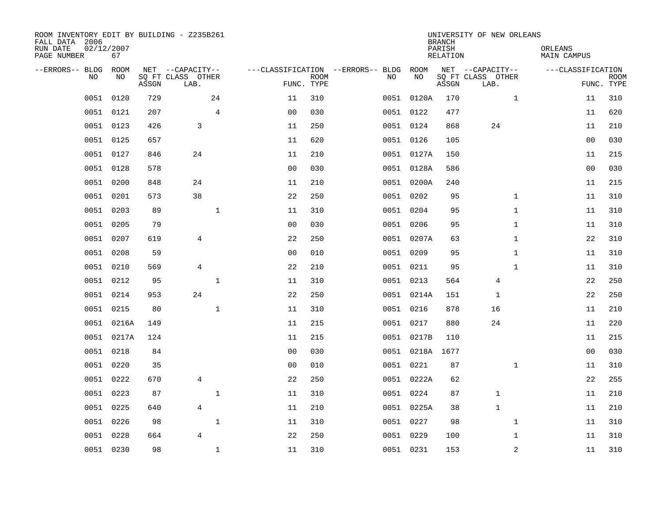| ROOM INVENTORY EDIT BY BUILDING - Z235B261<br>FALL DATA 2006<br>RUN DATE<br>PAGE NUMBER | 02/12/2007<br>67 |       |                           |                |                |                           |                                   |                 | <b>BRANCH</b><br>PARISH<br><b>RELATION</b> | UNIVERSITY OF NEW ORLEANS |                | ORLEANS<br><b>MAIN CAMPUS</b> |             |
|-----------------------------------------------------------------------------------------|------------------|-------|---------------------------|----------------|----------------|---------------------------|-----------------------------------|-----------------|--------------------------------------------|---------------------------|----------------|-------------------------------|-------------|
| --ERRORS-- BLDG                                                                         | ROOM             |       | NET --CAPACITY--          |                |                |                           | ---CLASSIFICATION --ERRORS-- BLDG | ROOM            |                                            | NET --CAPACITY--          |                | ---CLASSIFICATION             |             |
| NO                                                                                      | NO               | ASSGN | SQ FT CLASS OTHER<br>LAB. |                |                | <b>ROOM</b><br>FUNC. TYPE | NO                                | NO              | ASSGN                                      | SQ FT CLASS OTHER<br>LAB. |                | FUNC. TYPE                    | <b>ROOM</b> |
| 0051                                                                                    | 0120             | 729   |                           | 24             | 11             | 310                       |                                   | 0051 0120A      | 170                                        |                           | $\mathbf{1}$   | 11                            | 310         |
|                                                                                         | 0051 0121        | 207   |                           | $\overline{4}$ | 0 <sub>0</sub> | 030                       |                                   | 0051 0122       | 477                                        |                           |                | 11                            | 620         |
|                                                                                         | 0051 0123        | 426   | 3                         |                | 11             | 250                       |                                   | 0051 0124       | 868                                        | 24                        |                | 11                            | 210         |
|                                                                                         | 0051 0125        | 657   |                           |                | 11             | 620                       |                                   | 0051 0126       | 105                                        |                           |                | 0 <sub>0</sub>                | 030         |
| 0051                                                                                    | 0127             | 846   | 24                        |                | 11             | 210                       |                                   | 0051 0127A      | 150                                        |                           |                | 11                            | 215         |
|                                                                                         | 0051 0128        | 578   |                           |                | 0 <sub>0</sub> | 030                       |                                   | 0051 0128A      | 586                                        |                           |                | 0 <sub>0</sub>                | 030         |
| 0051                                                                                    | 0200             | 848   | 24                        |                | 11             | 210                       |                                   | 0051 0200A      | 240                                        |                           |                | 11                            | 215         |
|                                                                                         | 0051 0201        | 573   | 38                        |                | 22             | 250                       |                                   | 0051 0202       | 95                                         |                           | $\mathbf{1}$   | 11                            | 310         |
| 0051                                                                                    | 0203             | 89    |                           | $\mathbf{1}$   | 11             | 310                       |                                   | 0051 0204       | 95                                         |                           | $\mathbf{1}$   | 11                            | 310         |
|                                                                                         | 0051 0205        | 79    |                           |                | 0 <sub>0</sub> | 030                       |                                   | 0051 0206       | 95                                         |                           | $\mathbf{1}$   | 11                            | 310         |
| 0051                                                                                    | 0207             | 619   | $\overline{4}$            |                | 22             | 250                       |                                   | 0051 0207A      | 63                                         |                           | $\mathbf{1}$   | 22                            | 310         |
|                                                                                         | 0051 0208        | 59    |                           |                | 0 <sub>0</sub> | 010                       |                                   | 0051 0209       | 95                                         |                           | $\mathbf{1}$   | 11                            | 310         |
| 0051                                                                                    | 0210             | 569   | 4                         |                | 22             | 210                       |                                   | 0051 0211       | 95                                         |                           | $\mathbf{1}$   | 11                            | 310         |
| 0051                                                                                    | 0212             | 95    |                           | $\mathbf 1$    | 11             | 310                       |                                   | 0051 0213       | 564                                        | 4                         |                | 22                            | 250         |
| 0051                                                                                    | 0214             | 953   | 24                        |                | 22             | 250                       |                                   | 0051 0214A      | 151                                        | 1                         |                | 22                            | 250         |
| 0051                                                                                    | 0215             | 80    |                           | $\mathbf 1$    | 11             | 310                       |                                   | 0051 0216       | 878                                        | 16                        |                | 11                            | 210         |
| 0051                                                                                    | 0216A            | 149   |                           |                | 11             | 215                       |                                   | 0051 0217       | 880                                        | 24                        |                | 11                            | 220         |
| 0051                                                                                    | 0217A            | 124   |                           |                | 11             | 215                       |                                   | 0051 0217B      | 110                                        |                           |                | 11                            | 215         |
|                                                                                         | 0051 0218        | 84    |                           |                | 0 <sub>0</sub> | 030                       |                                   | 0051 0218A 1677 |                                            |                           |                | 0 <sub>0</sub>                | 030         |
| 0051                                                                                    | 0220             | 35    |                           |                | 0 <sub>0</sub> | 010                       |                                   | 0051 0221       | 87                                         |                           | $\mathbf{1}$   | 11                            | 310         |
| 0051                                                                                    | 0222             | 670   | 4                         |                | 22             | 250                       |                                   | 0051 0222A      | 62                                         |                           |                | 22                            | 255         |
| 0051                                                                                    | 0223             | 87    |                           | $\mathbf 1$    | 11             | 310                       |                                   | 0051 0224       | 87                                         | $\mathbf 1$               |                | 11                            | 210         |
|                                                                                         | 0051 0225        | 640   | $\overline{4}$            |                | 11             | 210                       |                                   | 0051 0225A      | 38                                         | $\mathbf{1}$              |                | 11                            | 210         |
| 0051                                                                                    | 0226             | 98    |                           | $\mathbf{1}$   | 11             | 310                       |                                   | 0051 0227       | 98                                         |                           | $\mathbf{1}$   | 11                            | 310         |
| 0051                                                                                    | 0228             | 664   | $\overline{4}$            |                | 22             | 250                       |                                   | 0051 0229       | 100                                        |                           | $\mathbf{1}$   | 11                            | 310         |
|                                                                                         | 0051 0230        | 98    |                           | $\mathbf 1$    | 11             | 310                       |                                   | 0051 0231       | 153                                        |                           | $\overline{c}$ | 11                            | 310         |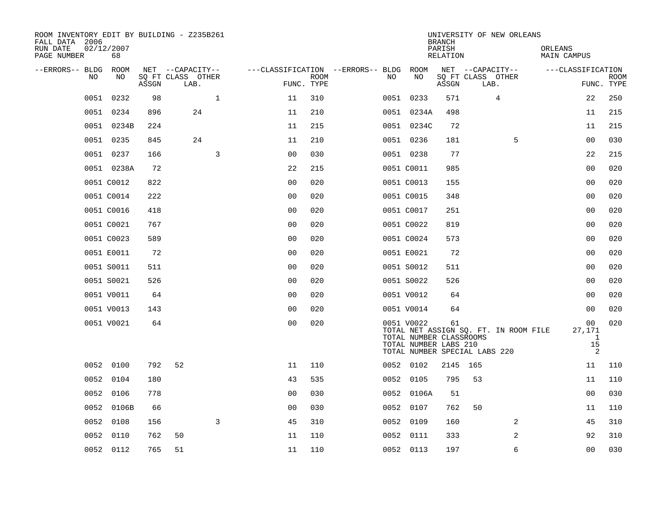| ROOM INVENTORY EDIT BY BUILDING - Z235B261<br>FALL DATA 2006<br>RUN DATE<br>PAGE NUMBER | 02/12/2007<br>68 |       |                           |                |                    |                                        |            | <b>BRANCH</b><br>PARISH<br>RELATION                    | UNIVERSITY OF NEW ORLEANS                                              | ORLEANS<br>MAIN CAMPUS |                            |
|-----------------------------------------------------------------------------------------|------------------|-------|---------------------------|----------------|--------------------|----------------------------------------|------------|--------------------------------------------------------|------------------------------------------------------------------------|------------------------|----------------------------|
| --ERRORS-- BLDG                                                                         | ROOM             |       | NET --CAPACITY--          |                |                    | ---CLASSIFICATION --ERRORS-- BLDG ROOM |            |                                                        | NET --CAPACITY--                                                       | ---CLASSIFICATION      |                            |
| NO.                                                                                     | NO.              | ASSGN | SO FT CLASS OTHER<br>LAB. |                | ROOM<br>FUNC. TYPE | NO.                                    | NO         | ASSGN                                                  | SQ FT CLASS OTHER<br>LAB.                                              |                        | <b>ROOM</b><br>FUNC. TYPE  |
| 0051                                                                                    | 0232             | 98    | $\mathbf{1}$              | 11             | 310                |                                        | 0051 0233  | 571                                                    | 4                                                                      |                        | 250<br>22                  |
|                                                                                         | 0051 0234        | 896   | 24                        | 11             | 210                |                                        | 0051 0234A | 498                                                    |                                                                        |                        | 215<br>11                  |
|                                                                                         | 0051 0234B       | 224   |                           | 11             | 215                |                                        | 0051 0234C | 72                                                     |                                                                        |                        | 11<br>215                  |
|                                                                                         | 0051 0235        | 845   | 24                        | 11             | 210                |                                        | 0051 0236  | 181                                                    |                                                                        | 5                      | 030<br>00                  |
|                                                                                         | 0051 0237        | 166   | 3                         | 0 <sub>0</sub> | 030                |                                        | 0051 0238  | 77                                                     |                                                                        |                        | 22<br>215                  |
|                                                                                         | 0051 0238A       | 72    |                           | 22             | 215                |                                        | 0051 C0011 | 985                                                    |                                                                        |                        | 0 <sub>0</sub><br>020      |
|                                                                                         | 0051 C0012       | 822   |                           | 0 <sub>0</sub> | 020                |                                        | 0051 C0013 | 155                                                    |                                                                        |                        | 020<br>00                  |
|                                                                                         | 0051 C0014       | 222   |                           | 0 <sub>0</sub> | 020                |                                        | 0051 C0015 | 348                                                    |                                                                        |                        | 0 <sub>0</sub><br>020      |
|                                                                                         | 0051 C0016       | 418   |                           | 0 <sub>0</sub> | 020                |                                        | 0051 C0017 | 251                                                    |                                                                        |                        | 0 <sub>0</sub><br>020      |
|                                                                                         | 0051 C0021       | 767   |                           | 0 <sub>0</sub> | 020                |                                        | 0051 C0022 | 819                                                    |                                                                        |                        | 0 <sub>0</sub><br>020      |
|                                                                                         | 0051 C0023       | 589   |                           | 0 <sub>0</sub> | 020                |                                        | 0051 C0024 | 573                                                    |                                                                        |                        | 0 <sub>0</sub><br>020      |
|                                                                                         | 0051 E0011       | 72    |                           | 0 <sub>0</sub> | 020                |                                        | 0051 E0021 | 72                                                     |                                                                        |                        | 0 <sub>0</sub><br>020      |
|                                                                                         | 0051 S0011       | 511   |                           | 0 <sub>0</sub> | 020                |                                        | 0051 S0012 | 511                                                    |                                                                        |                        | 020<br>0 <sub>0</sub>      |
|                                                                                         | 0051 S0021       | 526   |                           | 0 <sub>0</sub> | 020                |                                        | 0051 S0022 | 526                                                    |                                                                        |                        | 0 <sub>0</sub><br>020      |
|                                                                                         | 0051 V0011       | 64    |                           | 0 <sub>0</sub> | 020                |                                        | 0051 V0012 | 64                                                     |                                                                        |                        | 00<br>020                  |
|                                                                                         | 0051 V0013       | 143   |                           | 0 <sub>0</sub> | 020                |                                        | 0051 V0014 | 64                                                     |                                                                        |                        | 020<br>0 <sub>0</sub>      |
|                                                                                         | 0051 V0021       | 64    |                           | 0 <sub>0</sub> | 020                |                                        | 0051 V0022 | 61<br>TOTAL NUMBER CLASSROOMS<br>TOTAL NUMBER LABS 210 | TOTAL NET ASSIGN SQ. FT. IN ROOM FILE<br>TOTAL NUMBER SPECIAL LABS 220 | 27,171                 | 020<br>00<br>-1<br>15<br>2 |
|                                                                                         | 0052 0100        | 792   | 52                        | 11             | 110                |                                        | 0052 0102  |                                                        | 2145 165                                                               |                        | 110<br>11                  |
|                                                                                         | 0052 0104        | 180   |                           | 43             | 535                |                                        | 0052 0105  | 795                                                    | 53                                                                     |                        | 11<br>110                  |
| 0052                                                                                    | 0106             | 778   |                           | 0 <sub>0</sub> | 030                |                                        | 0052 0106A | 51                                                     |                                                                        |                        | 030<br>0 <sub>0</sub>      |
| 0052                                                                                    | 0106B            | 66    |                           | 0 <sub>0</sub> | 030                |                                        | 0052 0107  | 762                                                    | 50                                                                     |                        | 110<br>11                  |
| 0052                                                                                    | 0108             | 156   | 3                         | 45             | 310                |                                        | 0052 0109  | 160                                                    |                                                                        | 2                      | 310<br>45                  |
| 0052                                                                                    | 0110             | 762   | 50                        | 11             | 110                |                                        | 0052 0111  | 333                                                    |                                                                        | 2                      | 92<br>310                  |
|                                                                                         | 0052 0112        | 765   | 51                        | 11             | 110                |                                        | 0052 0113  | 197                                                    |                                                                        | 6                      | 0 <sub>0</sub><br>030      |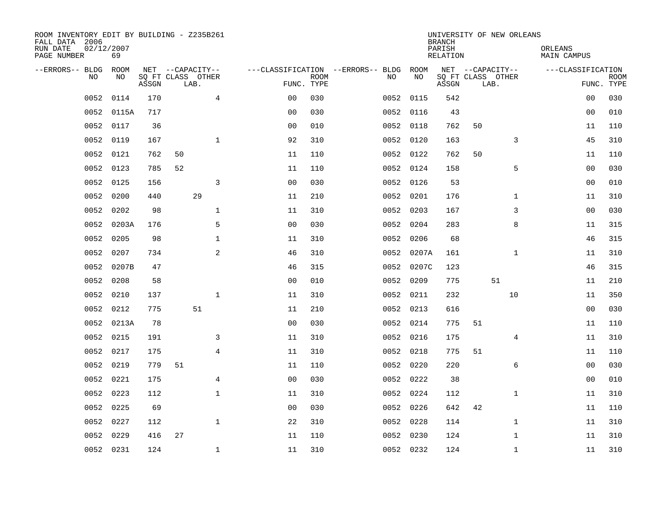| ROOM INVENTORY EDIT BY BUILDING - Z235B261<br>FALL DATA 2006<br>RUN DATE<br>PAGE NUMBER | 02/12/2007<br>69 |       |                           |                |                           |                                   |            | <b>BRANCH</b><br>PARISH<br>RELATION |      | UNIVERSITY OF NEW ORLEANS | ORLEANS<br>MAIN CAMPUS |                           |
|-----------------------------------------------------------------------------------------|------------------|-------|---------------------------|----------------|---------------------------|-----------------------------------|------------|-------------------------------------|------|---------------------------|------------------------|---------------------------|
| --ERRORS-- BLDG                                                                         | ROOM             |       | NET --CAPACITY--          |                |                           | ---CLASSIFICATION --ERRORS-- BLDG | ROOM       |                                     |      | NET --CAPACITY--          | ---CLASSIFICATION      |                           |
| N <sub>O</sub>                                                                          | NO.              | ASSGN | SO FT CLASS OTHER<br>LAB. |                | <b>ROOM</b><br>FUNC. TYPE | NO.                               | NO         | ASSGN                               | LAB. | SQ FT CLASS OTHER         |                        | <b>ROOM</b><br>FUNC. TYPE |
| 0052                                                                                    | 0114             | 170   | $\overline{4}$            | 0 <sub>0</sub> | 030                       | 0052                              | 0115       | 542                                 |      |                           | 00                     | 030                       |
| 0052                                                                                    | 0115A            | 717   |                           | 0 <sub>0</sub> | 030                       |                                   | 0052 0116  | 43                                  |      |                           | 0 <sub>0</sub>         | 010                       |
| 0052                                                                                    | 0117             | 36    |                           | 0 <sub>0</sub> | 010                       |                                   | 0052 0118  | 762                                 | 50   |                           | 11                     | 110                       |
| 0052                                                                                    | 0119             | 167   | $\mathbf{1}$              | 92             | 310                       |                                   | 0052 0120  | 163                                 |      | 3                         | 45                     | 310                       |
| 0052                                                                                    | 0121             | 762   | 50                        | 11             | 110                       | 0052                              | 0122       | 762                                 | 50   |                           | 11                     | 110                       |
| 0052                                                                                    | 0123             | 785   | 52                        | 11             | 110                       |                                   | 0052 0124  | 158                                 |      | 5                         | 00                     | 030                       |
| 0052                                                                                    | 0125             | 156   | 3                         | 0 <sub>0</sub> | 030                       |                                   | 0052 0126  | 53                                  |      |                           | 00                     | 010                       |
| 0052                                                                                    | 0200             | 440   | 29                        | 11             | 210                       |                                   | 0052 0201  | 176                                 |      | $\mathbf{1}$              | 11                     | 310                       |
| 0052                                                                                    | 0202             | 98    | $\mathbf{1}$              | 11             | 310                       | 0052                              | 0203       | 167                                 |      | 3                         | 0 <sub>0</sub>         | 030                       |
| 0052                                                                                    | 0203A            | 176   | 5                         | 0 <sub>0</sub> | 030                       | 0052                              | 0204       | 283                                 |      | 8                         | 11                     | 315                       |
| 0052                                                                                    | 0205             | 98    | $\mathbf 1$               | 11             | 310                       | 0052                              | 0206       | 68                                  |      |                           | 46                     | 315                       |
| 0052                                                                                    | 0207             | 734   | 2                         | 46             | 310                       |                                   | 0052 0207A | 161                                 |      | $\mathbf{1}$              | 11                     | 310                       |
| 0052                                                                                    | 0207B            | 47    |                           | 46             | 315                       | 0052                              | 0207C      | 123                                 |      |                           | 46                     | 315                       |
| 0052                                                                                    | 0208             | 58    |                           | 0 <sub>0</sub> | 010                       |                                   | 0052 0209  | 775                                 |      | 51                        | 11                     | 210                       |
| 0052                                                                                    | 0210             | 137   | $\mathbf{1}$              | 11             | 310                       | 0052                              | 0211       | 232                                 |      | 10                        | 11                     | 350                       |
| 0052                                                                                    | 0212             | 775   | 51                        | 11             | 210                       |                                   | 0052 0213  | 616                                 |      |                           | 00                     | 030                       |
| 0052                                                                                    | 0213A            | 78    |                           | 0 <sub>0</sub> | 030                       | 0052                              | 0214       | 775                                 | 51   |                           | 11                     | 110                       |
| 0052                                                                                    | 0215             | 191   | 3                         | 11             | 310                       |                                   | 0052 0216  | 175                                 |      | 4                         | 11                     | 310                       |
| 0052                                                                                    | 0217             | 175   | $\overline{4}$            | 11             | 310                       |                                   | 0052 0218  | 775                                 | 51   |                           | 11                     | 110                       |
| 0052                                                                                    | 0219             | 779   | 51                        | 11             | 110                       |                                   | 0052 0220  | 220                                 |      | 6                         | 0 <sub>0</sub>         | 030                       |
| 0052                                                                                    | 0221             | 175   | 4                         | 0 <sub>0</sub> | 030                       |                                   | 0052 0222  | 38                                  |      |                           | 00                     | 010                       |
| 0052                                                                                    | 0223             | 112   | $\mathbf 1$               | 11             | 310                       |                                   | 0052 0224  | 112                                 |      | $\mathbf{1}$              | 11                     | 310                       |
| 0052                                                                                    | 0225             | 69    |                           | 0 <sub>0</sub> | 030                       |                                   | 0052 0226  | 642                                 | 42   |                           | 11                     | 110                       |
| 0052                                                                                    | 0227             | 112   | $\mathbf{1}$              | 22             | 310                       |                                   | 0052 0228  | 114                                 |      | $\mathbf{1}$              | 11                     | 310                       |
| 0052                                                                                    | 0229             | 416   | 27                        | 11             | 110                       |                                   | 0052 0230  | 124                                 |      | $\mathbf{1}$              | 11                     | 310                       |
|                                                                                         | 0052 0231        | 124   | $\mathbf{1}$              | 11             | 310                       |                                   | 0052 0232  | 124                                 |      | $\mathbf{1}$              | 11                     | 310                       |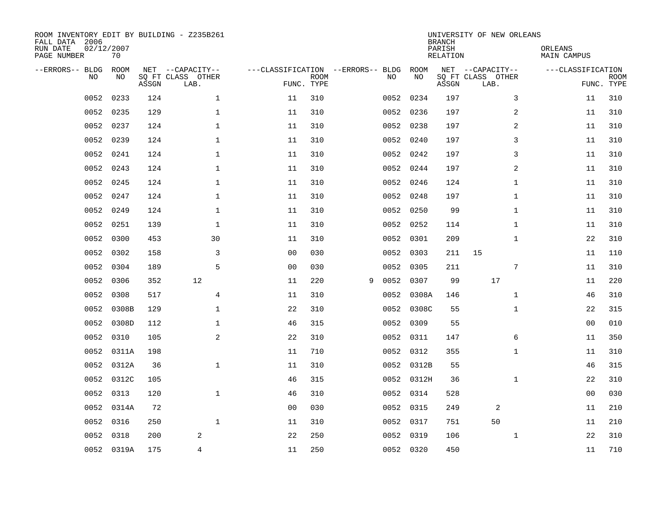| ROOM INVENTORY EDIT BY BUILDING - Z235B261<br>FALL DATA 2006<br>RUN DATE<br>PAGE NUMBER | 02/12/2007<br>70 |       |                                               |                |                           |                                         |            | <b>BRANCH</b><br>PARISH<br><b>RELATION</b> | UNIVERSITY OF NEW ORLEANS                     |              | ORLEANS<br><b>MAIN CAMPUS</b>   |             |
|-----------------------------------------------------------------------------------------|------------------|-------|-----------------------------------------------|----------------|---------------------------|-----------------------------------------|------------|--------------------------------------------|-----------------------------------------------|--------------|---------------------------------|-------------|
| --ERRORS-- BLDG<br>NO                                                                   | ROOM<br>NO       | ASSGN | NET --CAPACITY--<br>SQ FT CLASS OTHER<br>LAB. |                | <b>ROOM</b><br>FUNC. TYPE | ---CLASSIFICATION --ERRORS-- BLDG<br>NO |            | ROOM<br>NO<br>ASSGN                        | NET --CAPACITY--<br>SQ FT CLASS OTHER<br>LAB. |              | ---CLASSIFICATION<br>FUNC. TYPE | <b>ROOM</b> |
| 0052                                                                                    | 0233             | 124   | $\mathbf 1$                                   | 11             | 310                       |                                         | 0052 0234  | 197                                        |                                               | 3            | 11                              | 310         |
| 0052                                                                                    | 0235             | 129   | $\mathbf 1$                                   | 11             | 310                       |                                         | 0052 0236  | 197                                        |                                               | 2            | 11                              | 310         |
| 0052                                                                                    | 0237             | 124   | $\mathbf 1$                                   | 11             | 310                       |                                         | 0052 0238  | 197                                        |                                               | 2            | 11                              | 310         |
| 0052                                                                                    | 0239             | 124   | $\mathbf 1$                                   | 11             | 310                       |                                         | 0052 0240  | 197                                        |                                               | 3            | 11                              | 310         |
| 0052                                                                                    | 0241             | 124   | $\mathbf{1}$                                  | 11             | 310                       |                                         | 0052 0242  | 197                                        |                                               | 3            | 11                              | 310         |
| 0052                                                                                    | 0243             | 124   | $\mathbf 1$                                   | 11             | 310                       |                                         | 0052 0244  | 197                                        |                                               | 2            | 11                              | 310         |
| 0052                                                                                    | 0245             | 124   | $\mathbf{1}$                                  | 11             | 310                       |                                         | 0052 0246  | 124                                        |                                               | $\mathbf{1}$ | 11                              | 310         |
| 0052                                                                                    | 0247             | 124   | $\mathbf{1}$                                  | 11             | 310                       |                                         | 0052 0248  | 197                                        |                                               | $\mathbf{1}$ | 11                              | 310         |
| 0052                                                                                    | 0249             | 124   | $\mathbf{1}$                                  | 11             | 310                       |                                         | 0052       | 0250                                       | 99                                            | $\mathbf{1}$ | 11                              | 310         |
| 0052                                                                                    | 0251             | 139   | $\mathbf 1$                                   | 11             | 310                       |                                         | 0052 0252  | 114                                        |                                               | $\mathbf{1}$ | 11                              | 310         |
| 0052                                                                                    | 0300             | 453   | 30                                            | 11             | 310                       |                                         | 0052       | 0301<br>209                                |                                               | $\mathbf{1}$ | 22                              | 310         |
| 0052                                                                                    | 0302             | 158   | 3                                             | 0 <sub>0</sub> | 030                       |                                         | 0052 0303  | 211                                        | 15                                            |              | 11                              | 110         |
| 0052                                                                                    | 0304             | 189   | 5                                             | 0 <sub>0</sub> | 030                       |                                         | 0052       | 0305<br>211                                |                                               | 7            | 11                              | 310         |
| 0052                                                                                    | 0306             | 352   | 12                                            | 11             | 220                       | 0052<br>9                               |            | 0307                                       | 17<br>99                                      |              | 11                              | 220         |
| 0052                                                                                    | 0308             | 517   | $\overline{4}$                                | 11             | 310                       |                                         | 0052       | 0308A<br>146                               |                                               | $\mathbf{1}$ | 46                              | 310         |
| 0052                                                                                    | 0308B            | 129   | $\mathbf 1$                                   | 22             | 310                       |                                         | 0052       | 0308C                                      | 55                                            | $\mathbf{1}$ | 22                              | 315         |
| 0052                                                                                    | 0308D            | 112   | $\mathbf 1$                                   | 46             | 315                       | 0052                                    |            | 0309                                       | 55                                            |              | 0 <sub>0</sub>                  | 010         |
| 0052                                                                                    | 0310             | 105   | 2                                             | 22             | 310                       |                                         | 0052 0311  | 147                                        |                                               | 6            | 11                              | 350         |
| 0052                                                                                    | 0311A            | 198   |                                               | 11             | 710                       |                                         | 0052 0312  | 355                                        |                                               | $\mathbf{1}$ | 11                              | 310         |
| 0052                                                                                    | 0312A            | 36    | $\mathbf{1}$                                  | 11             | 310                       |                                         | 0052 0312B |                                            | 55                                            |              | 46                              | 315         |
| 0052                                                                                    | 0312C            | 105   |                                               | 46             | 315                       |                                         | 0052 0312H |                                            | 36                                            | $\mathbf{1}$ | 22                              | 310         |
| 0052                                                                                    | 0313             | 120   | $\mathbf{1}$                                  | 46             | 310                       |                                         | 0052 0314  | 528                                        |                                               |              | 0 <sub>0</sub>                  | 030         |
| 0052                                                                                    | 0314A            | 72    |                                               | 0 <sub>0</sub> | 030                       |                                         | 0052 0315  | 249                                        | 2                                             |              | 11                              | 210         |
| 0052                                                                                    | 0316             | 250   | $\mathbf 1$                                   | 11             | 310                       |                                         | 0052 0317  | 751                                        | 50                                            |              | 11                              | 210         |
| 0052                                                                                    | 0318             | 200   | $\overline{2}$                                | 22             | 250                       |                                         | 0052 0319  | 106                                        |                                               | $\mathbf{1}$ | 22                              | 310         |
|                                                                                         | 0052 0319A       | 175   | 4                                             | 11             | 250                       |                                         | 0052 0320  | 450                                        |                                               |              | 11                              | 710         |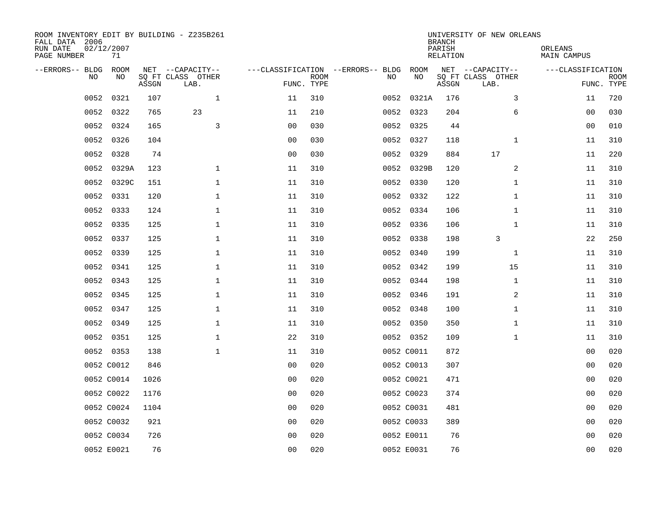| ROOM INVENTORY EDIT BY BUILDING - Z235B261<br>FALL DATA 2006<br>RUN DATE<br>PAGE NUMBER | 02/12/2007<br>71 |       |                                               |                |             |                                         |            | <b>BRANCH</b><br>PARISH<br><b>RELATION</b> | UNIVERSITY OF NEW ORLEANS                     | ORLEANS<br><b>MAIN CAMPUS</b> |                           |
|-----------------------------------------------------------------------------------------|------------------|-------|-----------------------------------------------|----------------|-------------|-----------------------------------------|------------|--------------------------------------------|-----------------------------------------------|-------------------------------|---------------------------|
| --ERRORS-- BLDG<br>NO                                                                   | ROOM<br>NO       | ASSGN | NET --CAPACITY--<br>SQ FT CLASS OTHER<br>LAB. | FUNC. TYPE     | <b>ROOM</b> | ---CLASSIFICATION --ERRORS-- BLDG<br>NO | ROOM<br>NO | ASSGN                                      | NET --CAPACITY--<br>SQ FT CLASS OTHER<br>LAB. | ---CLASSIFICATION             | <b>ROOM</b><br>FUNC. TYPE |
| 0052                                                                                    | 0321             | 107   | $\mathbf 1$                                   | 11             | 310         | 0052                                    | 0321A      | 176                                        | 3                                             | 11                            | 720                       |
| 0052                                                                                    | 0322             | 765   | 23                                            | 11             | 210         |                                         | 0052 0323  | 204                                        | 6                                             | 00                            | 030                       |
| 0052                                                                                    | 0324             | 165   | 3                                             | 0 <sub>0</sub> | 030         |                                         | 0052 0325  | 44                                         |                                               | 00                            | 010                       |
| 0052                                                                                    | 0326             | 104   |                                               | 0 <sub>0</sub> | 030         |                                         | 0052 0327  | 118                                        | $\mathbf{1}$                                  | 11                            | 310                       |
| 0052                                                                                    | 0328             | 74    |                                               | 0 <sub>0</sub> | 030         |                                         | 0052 0329  | 884                                        | 17                                            | 11                            | 220                       |
| 0052                                                                                    | 0329A            | 123   | $\mathbf 1$                                   | 11             | 310         |                                         | 0052 0329B | 120                                        | 2                                             | 11                            | 310                       |
| 0052                                                                                    | 0329C            | 151   | $\mathbf{1}$                                  | 11             | 310         |                                         | 0052 0330  | 120                                        | $\mathbf{1}$                                  | 11                            | 310                       |
|                                                                                         | 0052 0331        | 120   | $\mathbf 1$                                   | 11             | 310         |                                         | 0052 0332  | 122                                        | $\mathbf{1}$                                  | 11                            | 310                       |
| 0052                                                                                    | 0333             | 124   | $\mathbf 1$                                   | 11             | 310         |                                         | 0052 0334  | 106                                        | $\mathbf{1}$                                  | 11                            | 310                       |
| 0052                                                                                    | 0335             | 125   | $\mathbf 1$                                   | 11             | 310         |                                         | 0052 0336  | 106                                        | $\mathbf{1}$                                  | 11                            | 310                       |
| 0052                                                                                    | 0337             | 125   | $\mathbf 1$                                   | 11             | 310         |                                         | 0052 0338  | 198                                        | 3                                             | 22                            | 250                       |
|                                                                                         | 0052 0339        | 125   | $\mathbf{1}$                                  | 11             | 310         |                                         | 0052 0340  | 199                                        | $\mathbf{1}$                                  | 11                            | 310                       |
| 0052                                                                                    | 0341             | 125   | $\mathbf{1}$                                  | 11             | 310         |                                         | 0052 0342  | 199                                        | 15                                            | 11                            | 310                       |
| 0052                                                                                    | 0343             | 125   | $\mathbf 1$                                   | 11             | 310         |                                         | 0052 0344  | 198                                        | $\mathbf{1}$                                  | 11                            | 310                       |
| 0052                                                                                    | 0345             | 125   | $\mathbf 1$                                   | 11             | 310         |                                         | 0052 0346  | 191                                        | 2                                             | 11                            | 310                       |
| 0052                                                                                    | 0347             | 125   | $\mathbf 1$                                   | 11             | 310         |                                         | 0052 0348  | 100                                        | $\mathbf{1}$                                  | 11                            | 310                       |
| 0052                                                                                    | 0349             | 125   | $\mathbf 1$                                   | 11             | 310         |                                         | 0052 0350  | 350                                        | $\mathbf{1}$                                  | 11                            | 310                       |
| 0052                                                                                    | 0351             | 125   | $\mathbf{1}$                                  | 22             | 310         |                                         | 0052 0352  | 109                                        | $\mathbf{1}$                                  | 11                            | 310                       |
|                                                                                         | 0052 0353        | 138   | $\mathbf{1}$                                  | 11             | 310         |                                         | 0052 C0011 | 872                                        |                                               | 0 <sub>0</sub>                | 020                       |
|                                                                                         | 0052 C0012       | 846   |                                               | 0 <sub>0</sub> | 020         |                                         | 0052 C0013 | 307                                        |                                               | 00                            | 020                       |
|                                                                                         | 0052 C0014       | 1026  |                                               | 0 <sub>0</sub> | 020         |                                         | 0052 C0021 | 471                                        |                                               | 00                            | 020                       |
|                                                                                         | 0052 C0022       | 1176  |                                               | 0 <sub>0</sub> | 020         |                                         | 0052 C0023 | 374                                        |                                               | 00                            | 020                       |
|                                                                                         | 0052 C0024       | 1104  |                                               | 0 <sub>0</sub> | 020         |                                         | 0052 C0031 | 481                                        |                                               | 0 <sub>0</sub>                | 020                       |
|                                                                                         | 0052 C0032       | 921   |                                               | 0 <sub>0</sub> | 020         |                                         | 0052 C0033 | 389                                        |                                               | 0 <sub>0</sub>                | 020                       |
|                                                                                         | 0052 C0034       | 726   |                                               | 0 <sub>0</sub> | 020         |                                         | 0052 E0011 | 76                                         |                                               | 00                            | 020                       |
|                                                                                         | 0052 E0021       | 76    |                                               | 0 <sub>0</sub> | 020         |                                         | 0052 E0031 | 76                                         |                                               | 0 <sub>0</sub>                | 020                       |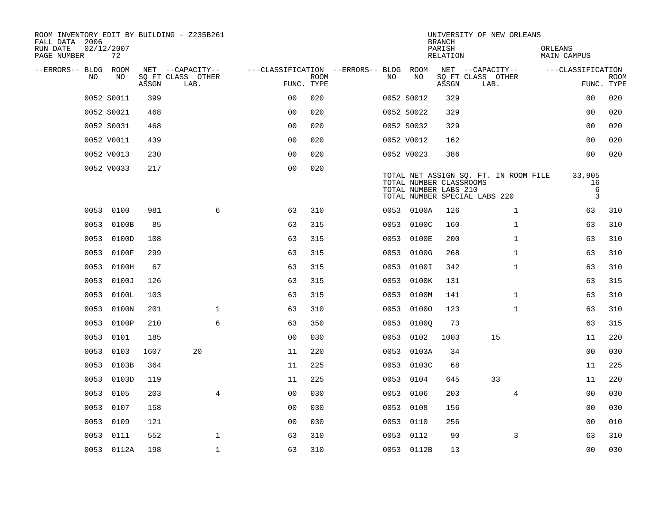| ROOM INVENTORY EDIT BY BUILDING - Z235B261<br>FALL DATA 2006 |                  |       |                           |                                        |             |      |                                                  | <b>BRANCH</b>      | UNIVERSITY OF NEW ORLEANS                                              |                        |                           |
|--------------------------------------------------------------|------------------|-------|---------------------------|----------------------------------------|-------------|------|--------------------------------------------------|--------------------|------------------------------------------------------------------------|------------------------|---------------------------|
| RUN DATE<br>PAGE NUMBER                                      | 02/12/2007<br>72 |       |                           |                                        |             |      |                                                  | PARISH<br>RELATION |                                                                        | ORLEANS<br>MAIN CAMPUS |                           |
| --ERRORS-- BLDG ROOM                                         |                  |       | NET --CAPACITY--          | ---CLASSIFICATION --ERRORS-- BLDG ROOM |             |      |                                                  |                    | NET --CAPACITY--                                                       | ---CLASSIFICATION      |                           |
| NO.                                                          | NO.              | ASSGN | SQ FT CLASS OTHER<br>LAB. | FUNC. TYPE                             | <b>ROOM</b> | NO.  | NO                                               | ASSGN              | SQ FT CLASS OTHER<br>LAB.                                              |                        | <b>ROOM</b><br>FUNC. TYPE |
|                                                              | 0052 S0011       | 399   |                           | 0 <sup>0</sup>                         | 020         |      | 0052 S0012                                       | 329                |                                                                        | 0 <sub>0</sub>         | 020                       |
|                                                              | 0052 S0021       | 468   |                           | 0 <sub>0</sub>                         | 020         |      | 0052 S0022                                       | 329                |                                                                        | 0 <sub>0</sub>         | 020                       |
|                                                              | 0052 S0031       | 468   |                           | 0 <sub>0</sub>                         | 020         |      | 0052 S0032                                       | 329                |                                                                        | 0 <sub>0</sub>         | 020                       |
|                                                              | 0052 V0011       | 439   |                           | 0 <sub>0</sub>                         | 020         |      | 0052 V0012                                       | 162                |                                                                        | 0 <sub>0</sub>         | 020                       |
|                                                              | 0052 V0013       | 230   |                           | 00                                     | 020         |      | 0052 V0023                                       | 386                |                                                                        | 0 <sub>0</sub>         | 020                       |
|                                                              | 0052 V0033       | 217   |                           | 0 <sub>0</sub>                         | 020         |      | TOTAL NUMBER CLASSROOMS<br>TOTAL NUMBER LABS 210 |                    | TOTAL NET ASSIGN SQ. FT. IN ROOM FILE<br>TOTAL NUMBER SPECIAL LABS 220 | 33,905<br>16<br>6<br>3 |                           |
|                                                              | 0053 0100        | 981   | 6                         | 63                                     | 310         |      | 0053 0100A                                       | 126                | $\mathbf{1}$                                                           | 63                     | 310                       |
|                                                              | 0053 0100B       | 85    |                           | 63                                     | 315         |      | 0053 0100C                                       | 160                | $\mathbf{1}$                                                           | 63                     | 310                       |
|                                                              | 0053 0100D       | 108   |                           | 63                                     | 315         |      | 0053 0100E                                       | 200                | $\mathbf{1}$                                                           | 63                     | 310                       |
|                                                              | 0053 0100F       | 299   |                           | 63                                     | 315         |      | 0053 0100G                                       | 268                | $\mathbf{1}$                                                           | 63                     | 310                       |
| 0053                                                         | 0100H            | 67    |                           | 63                                     | 315         | 0053 | 0100I                                            | 342                | $\mathbf{1}$                                                           | 63                     | 310                       |
| 0053                                                         | 0100J            | 126   |                           | 63                                     | 315         |      | 0053 0100K                                       | 131                |                                                                        | 63                     | 315                       |
|                                                              | 0053 0100L       | 103   |                           | 63                                     | 315         | 0053 | 0100M                                            | 141                | $\mathbf{1}$                                                           | 63                     | 310                       |
|                                                              | 0053 0100N       | 201   | $\mathbf 1$               | 63                                     | 310         |      | 0053 01000                                       | 123                | $\mathbf{1}$                                                           | 63                     | 310                       |
| 0053                                                         | 0100P            | 210   | 6                         | 63                                     | 350         | 0053 | 01000                                            | 73                 |                                                                        | 63                     | 315                       |
|                                                              | 0053 0101        | 185   |                           | 0 <sub>0</sub>                         | 030         |      | 0053 0102                                        | 1003               | 15                                                                     | 11                     | 220                       |
|                                                              | 0053 0103        | 1607  | 20                        | 11                                     | 220         |      | 0053 0103A                                       | 34                 |                                                                        | 0 <sub>0</sub>         | 030                       |
|                                                              | 0053 0103B       | 364   |                           | 11                                     | 225         |      | 0053 0103C                                       | 68                 |                                                                        | 11                     | 225                       |
|                                                              | 0053 0103D       | 119   |                           | 11                                     | 225         |      | 0053 0104                                        | 645                | 33                                                                     | 11                     | 220                       |
|                                                              | 0053 0105        | 203   | $\overline{4}$            | 0 <sub>0</sub>                         | 030         |      | 0053 0106                                        | 203                | 4                                                                      | 00                     | 030                       |
|                                                              | 0053 0107        | 158   |                           | 0 <sub>0</sub>                         | 030         |      | 0053 0108                                        | 156                |                                                                        | 00                     | 030                       |
| 0053                                                         | 0109             | 121   |                           | 00                                     | 030         |      | 0053 0110                                        | 256                |                                                                        | 00                     | 010                       |
|                                                              | 0053 0111        | 552   | $\mathbf{1}$              | 63                                     | 310         |      | 0053 0112                                        | 90                 | 3                                                                      | 63                     | 310                       |
|                                                              | 0053 0112A       | 198   | $\mathbf 1$               | 63                                     | 310         |      | 0053 0112B                                       | 13                 |                                                                        | 0 <sub>0</sub>         | 030                       |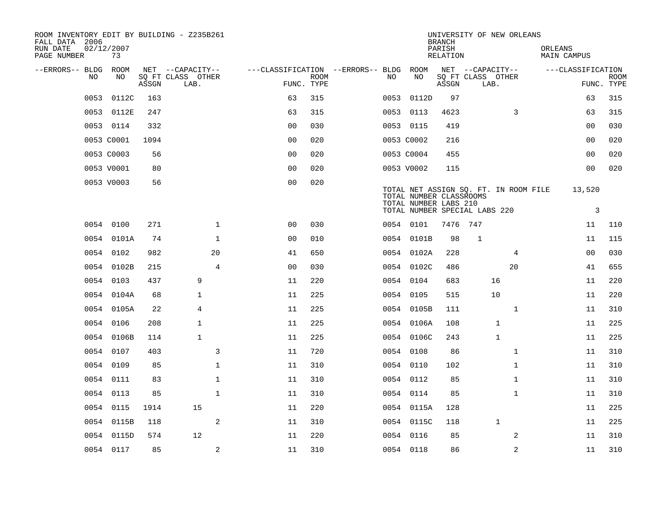| ROOM INVENTORY EDIT BY BUILDING - Z235B261<br>FALL DATA 2006 |                  |       |                           |                                        |             |      |                                                  | <b>BRANCH</b>      | UNIVERSITY OF NEW ORLEANS                                              |                |         |                   |             |
|--------------------------------------------------------------|------------------|-------|---------------------------|----------------------------------------|-------------|------|--------------------------------------------------|--------------------|------------------------------------------------------------------------|----------------|---------|-------------------|-------------|
| RUN DATE<br>PAGE NUMBER                                      | 02/12/2007<br>73 |       |                           |                                        |             |      |                                                  | PARISH<br>RELATION |                                                                        |                | ORLEANS | MAIN CAMPUS       |             |
| --ERRORS-- BLDG ROOM                                         |                  |       | NET --CAPACITY--          | ---CLASSIFICATION --ERRORS-- BLDG ROOM |             |      |                                                  |                    | NET --CAPACITY--                                                       |                |         | ---CLASSIFICATION |             |
| NO.                                                          | NO.              | ASSGN | SQ FT CLASS OTHER<br>LAB. | FUNC. TYPE                             | <b>ROOM</b> | NO.  | NO                                               | ASSGN              | SQ FT CLASS OTHER<br>LAB.                                              |                |         | FUNC. TYPE        | <b>ROOM</b> |
| 0053                                                         | 0112C            | 163   |                           | 63                                     | 315         | 0053 | 0112D                                            | 97                 |                                                                        |                |         | 63                | 315         |
|                                                              | 0053 0112E       | 247   |                           | 63                                     | 315         |      | 0053 0113                                        | 4623               |                                                                        | 3              |         | 63                | 315         |
|                                                              | 0053 0114        | 332   |                           | 0 <sub>0</sub>                         | 030         |      | 0053 0115                                        | 419                |                                                                        |                |         | 00                | 030         |
|                                                              | 0053 C0001       | 1094  |                           | 0 <sub>0</sub>                         | 020         |      | 0053 C0002                                       | 216                |                                                                        |                |         | 00                | 020         |
|                                                              | 0053 C0003       | 56    |                           | 00                                     | 020         |      | 0053 C0004                                       | 455                |                                                                        |                |         | 0 <sub>0</sub>    | 020         |
|                                                              | 0053 V0001       | 80    |                           | 0 <sub>0</sub>                         | 020         |      | 0053 V0002                                       | 115                |                                                                        |                |         | 00                | 020         |
|                                                              | 0053 V0003       | 56    |                           | 0 <sub>0</sub>                         | 020         |      | TOTAL NUMBER CLASSROOMS<br>TOTAL NUMBER LABS 210 |                    | TOTAL NET ASSIGN SQ. FT. IN ROOM FILE<br>TOTAL NUMBER SPECIAL LABS 220 |                |         | 13,520<br>3       |             |
|                                                              | 0054 0100        | 271   | $\mathbf{1}$              | 00                                     | 030         |      | 0054 0101                                        | 7476 747           |                                                                        |                |         | 11                | 110         |
|                                                              | 0054 0101A       | 74    | $\mathbf 1$               | 0 <sub>0</sub>                         | 010         |      | 0054 0101B                                       | 98                 | $\mathbf 1$                                                            |                |         | 11                | 115         |
|                                                              | 0054 0102        | 982   | 20                        | 41                                     | 650         |      | 0054 0102A                                       | 228                |                                                                        | 4              |         | 00                | 030         |
|                                                              | 0054 0102B       | 215   | $\overline{4}$            | 0 <sub>0</sub>                         | 030         |      | 0054 0102C                                       | 486                |                                                                        | 20             |         | 41                | 655         |
|                                                              | 0054 0103        | 437   | 9                         | 11                                     | 220         |      | 0054 0104                                        | 683                | 16                                                                     |                |         | 11                | 220         |
|                                                              | 0054 0104A       | 68    | $\mathbf{1}$              | 11                                     | 225         |      | 0054 0105                                        | 515                | 10                                                                     |                |         | 11                | 220         |
|                                                              | 0054 0105A       | 22    | 4                         | 11                                     | 225         |      | 0054 0105B                                       | 111                |                                                                        | $\mathbf{1}$   |         | 11                | 310         |
|                                                              | 0054 0106        | 208   | $\mathbf 1$               | 11                                     | 225         |      | 0054 0106A                                       | 108                | $\mathbf{1}$                                                           |                |         | 11                | 225         |
|                                                              | 0054 0106B       | 114   | $\mathbf{1}$              | 11                                     | 225         |      | 0054 0106C                                       | 243                | $\mathbf{1}$                                                           |                |         | 11                | 225         |
|                                                              | 0054 0107        | 403   | 3                         | 11                                     | 720         |      | 0054 0108                                        | 86                 |                                                                        | $\mathbf{1}$   |         | 11                | 310         |
|                                                              | 0054 0109        | 85    | 1                         | 11                                     | 310         |      | 0054 0110                                        | 102                |                                                                        | $\mathbf{1}$   |         | 11                | 310         |
|                                                              | 0054 0111        | 83    | $\mathbf{1}$              | 11                                     | 310         |      | 0054 0112                                        | 85                 |                                                                        | $\mathbf{1}$   |         | 11                | 310         |
|                                                              | 0054 0113        | 85    | $\mathbf{1}$              | 11                                     | 310         |      | 0054 0114                                        | 85                 |                                                                        | $\mathbf{1}$   |         | 11                | 310         |
|                                                              | 0054 0115        | 1914  | 15                        | 11                                     | 220         |      | 0054 0115A                                       | 128                |                                                                        |                |         | 11                | 225         |
| 0054                                                         | 0115B            | 118   | 2                         | 11                                     | 310         |      | 0054 0115C                                       | 118                | $\mathbf 1$                                                            |                |         | 11                | 225         |
|                                                              | 0054 0115D       | 574   | 12                        | 11                                     | 220         |      | 0054 0116                                        | 85                 |                                                                        | 2              |         | 11                | 310         |
|                                                              | 0054 0117        | 85    | 2                         | 11                                     | 310         |      | 0054 0118                                        | 86                 |                                                                        | $\overline{a}$ |         | 11                | 310         |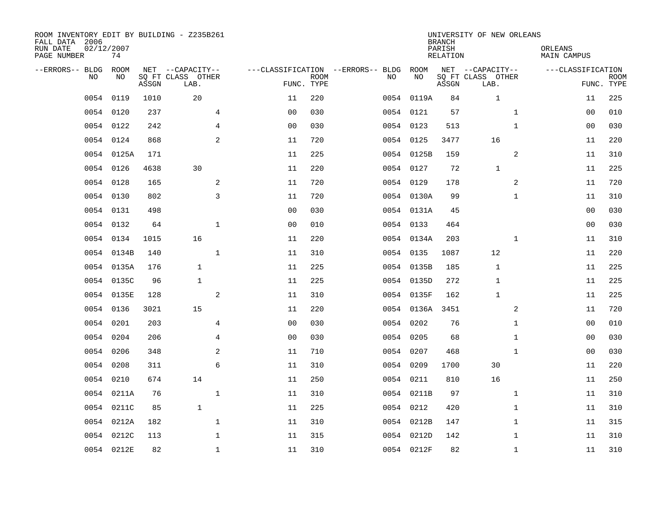| ROOM INVENTORY EDIT BY BUILDING - Z235B261<br>FALL DATA 2006<br>RUN DATE<br>PAGE NUMBER | 02/12/2007<br>74 |       |                                               |                                                 |             |           |            | <b>BRANCH</b><br>PARISH<br><b>RELATION</b> | UNIVERSITY OF NEW ORLEANS                     | ORLEANS<br><b>MAIN CAMPUS</b> |                           |
|-----------------------------------------------------------------------------------------|------------------|-------|-----------------------------------------------|-------------------------------------------------|-------------|-----------|------------|--------------------------------------------|-----------------------------------------------|-------------------------------|---------------------------|
| --ERRORS-- BLDG<br>NO.                                                                  | ROOM<br>NO       | ASSGN | NET --CAPACITY--<br>SQ FT CLASS OTHER<br>LAB. | ---CLASSIFICATION --ERRORS-- BLDG<br>FUNC. TYPE | <b>ROOM</b> | NO        | ROOM<br>NO | ASSGN                                      | NET --CAPACITY--<br>SQ FT CLASS OTHER<br>LAB. | ---CLASSIFICATION             | <b>ROOM</b><br>FUNC. TYPE |
| 0054                                                                                    | 0119             | 1010  | 20                                            | 11                                              | 220         |           | 0054 0119A | 84                                         | $\mathbf 1$                                   | 11                            | 225                       |
| 0054                                                                                    | 0120             | 237   | 4                                             | 0 <sub>0</sub>                                  | 030         | 0054 0121 |            | 57                                         | $\mathbf{1}$                                  | 00                            | 010                       |
| 0054                                                                                    | 0122             | 242   | 4                                             | 0 <sub>0</sub>                                  | 030         | 0054 0123 |            | 513                                        | $\mathbf{1}$                                  | 00                            | 030                       |
| 0054                                                                                    | 0124             | 868   | 2                                             | 11                                              | 720         | 0054 0125 |            | 3477                                       | 16                                            | 11                            | 220                       |
| 0054                                                                                    | 0125A            | 171   |                                               | 11                                              | 225         |           | 0054 0125B | 159                                        | 2                                             | 11                            | 310                       |
|                                                                                         | 0054 0126        | 4638  | 30                                            | 11                                              | 220         | 0054 0127 |            | 72                                         | $\mathbf{1}$                                  | 11                            | 225                       |
| 0054                                                                                    | 0128             | 165   | $\mathbf{2}$                                  | 11                                              | 720         | 0054 0129 |            | 178                                        | $\overline{a}$                                | 11                            | 720                       |
|                                                                                         | 0054 0130        | 802   | 3                                             | 11                                              | 720         |           | 0054 0130A | 99                                         | $\mathbf{1}$                                  | 11                            | 310                       |
|                                                                                         | 0054 0131        | 498   |                                               | 0 <sub>0</sub>                                  | 030         |           | 0054 0131A | 45                                         |                                               | 0 <sub>0</sub>                | 030                       |
|                                                                                         | 0054 0132        | 64    | $\mathbf{1}$                                  | 0 <sub>0</sub>                                  | 010         | 0054 0133 |            | 464                                        |                                               | 0 <sub>0</sub>                | 030                       |
|                                                                                         | 0054 0134        | 1015  | 16                                            | 11                                              | 220         |           | 0054 0134A | 203                                        | $\mathbf{1}$                                  | 11                            | 310                       |
|                                                                                         | 0054 0134B       | 140   | $\mathbf{1}$                                  | 11                                              | 310         | 0054 0135 |            | 1087                                       | 12                                            | 11                            | 220                       |
| 0054                                                                                    | 0135A            | 176   | $\mathbf{1}$                                  | 11                                              | 225         |           | 0054 0135B | 185                                        | 1                                             | 11                            | 225                       |
| 0054                                                                                    | 0135C            | 96    | $\mathbf{1}$                                  | 11                                              | 225         |           | 0054 0135D | 272                                        | 1                                             | 11                            | 225                       |
| 0054                                                                                    | 0135E            | 128   | 2                                             | 11                                              | 310         |           | 0054 0135F | 162                                        | $\mathbf{1}$                                  | 11                            | 225                       |
| 0054                                                                                    | 0136             | 3021  | 15                                            | 11                                              | 220         |           | 0054 0136A | 3451                                       | 2                                             | 11                            | 720                       |
| 0054                                                                                    | 0201             | 203   | $\overline{4}$                                | 0 <sub>0</sub>                                  | 030         | 0054      | 0202       | 76                                         | $\mathbf{1}$                                  | 00                            | 010                       |
| 0054                                                                                    | 0204             | 206   | $\overline{4}$                                | 0 <sub>0</sub>                                  | 030         | 0054      | 0205       | 68                                         | $\mathbf{1}$                                  | 00                            | 030                       |
| 0054                                                                                    | 0206             | 348   | 2                                             | 11                                              | 710         | 0054 0207 |            | 468                                        | $\mathbf{1}$                                  | 0 <sub>0</sub>                | 030                       |
| 0054                                                                                    | 0208             | 311   | 6                                             | 11                                              | 310         | 0054 0209 |            | 1700                                       | 30                                            | 11                            | 220                       |
| 0054                                                                                    | 0210             | 674   | 14                                            | 11                                              | 250         | 0054 0211 |            | 810                                        | 16                                            | 11                            | 250                       |
| 0054                                                                                    | 0211A            | 76    | $\mathbf 1$                                   | 11                                              | 310         |           | 0054 0211B | 97                                         | $\mathbf{1}$                                  | 11                            | 310                       |
| 0054                                                                                    | 0211C            | 85    | $\mathbf{1}$                                  | 11                                              | 225         | 0054 0212 |            | 420                                        | $\mathbf{1}$                                  | 11                            | 310                       |
| 0054                                                                                    | 0212A            | 182   | $\mathbf 1$                                   | 11                                              | 310         |           | 0054 0212B | 147                                        | $\mathbf{1}$                                  | 11                            | 315                       |
| 0054                                                                                    | 0212C            | 113   | $\mathbf 1$                                   | 11                                              | 315         |           | 0054 0212D | 142                                        | $\mathbf{1}$                                  | 11                            | 310                       |
|                                                                                         | 0054 0212E       | 82    | $\mathbf{1}$                                  | 11                                              | 310         |           | 0054 0212F | 82                                         | $\mathbf{1}$                                  | 11                            | 310                       |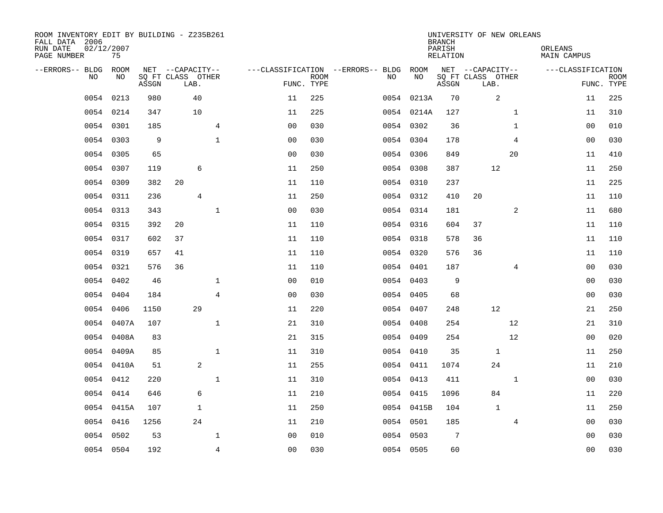| ROOM INVENTORY EDIT BY BUILDING - Z235B261<br>FALL DATA 2006<br>RUN DATE<br>PAGE NUMBER | 02/12/2007<br>75 |       |                           |                |                                   |             |           |            | <b>BRANCH</b><br>PARISH<br>RELATION | UNIVERSITY OF NEW ORLEANS |                | ORLEANS<br>MAIN CAMPUS |                           |
|-----------------------------------------------------------------------------------------|------------------|-------|---------------------------|----------------|-----------------------------------|-------------|-----------|------------|-------------------------------------|---------------------------|----------------|------------------------|---------------------------|
| --ERRORS-- BLDG ROOM                                                                    |                  |       | NET --CAPACITY--          |                | ---CLASSIFICATION --ERRORS-- BLDG |             |           | ROOM       |                                     | NET --CAPACITY--          |                | ---CLASSIFICATION      |                           |
| NO.                                                                                     | NO.              | ASSGN | SQ FT CLASS OTHER<br>LAB. |                | FUNC. TYPE                        | <b>ROOM</b> | NO.       | NO         | ASSGN                               | SQ FT CLASS OTHER<br>LAB. |                |                        | <b>ROOM</b><br>FUNC. TYPE |
| 0054                                                                                    | 0213             | 980   | 40                        |                | 11                                | 225         |           | 0054 0213A | 70                                  | 2                         |                | 11                     | 225                       |
| 0054                                                                                    | 0214             | 347   | 10                        |                | 11                                | 225         |           | 0054 0214A | 127                                 |                           | $\mathbf{1}$   | 11                     | 310                       |
|                                                                                         | 0054 0301        | 185   |                           | $\overline{4}$ | 0 <sub>0</sub>                    | 030         |           | 0054 0302  | 36                                  |                           | $\mathbf{1}$   | 0 <sub>0</sub>         | 010                       |
| 0054                                                                                    | 0303             | 9     |                           | $\mathbf 1$    | 00                                | 030         | 0054 0304 |            | 178                                 |                           | 4              | 00                     | 030                       |
| 0054                                                                                    | 0305             | 65    |                           |                | 00                                | 030         |           | 0054 0306  | 849                                 |                           | 20             | 11                     | 410                       |
| 0054                                                                                    | 0307             | 119   | 6                         |                | 11                                | 250         | 0054 0308 |            | 387                                 | 12                        |                | 11                     | 250                       |
| 0054                                                                                    | 0309             | 382   | 20                        |                | 11                                | 110         |           | 0054 0310  | 237                                 |                           |                | 11                     | 225                       |
| 0054                                                                                    | 0311             | 236   | 4                         |                | 11                                | 250         | 0054 0312 |            | 410                                 | 20                        |                | 11                     | 110                       |
| 0054                                                                                    | 0313             | 343   |                           | $\mathbf 1$    | 0 <sub>0</sub>                    | 030         | 0054 0314 |            | 181                                 |                           | 2              | 11                     | 680                       |
|                                                                                         | 0054 0315        | 392   | 20                        |                | 11                                | 110         | 0054 0316 |            | 604                                 | 37                        |                | 11                     | 110                       |
|                                                                                         | 0054 0317        | 602   | 37                        |                | 11                                | 110         | 0054 0318 |            | 578                                 | 36                        |                | 11                     | 110                       |
|                                                                                         | 0054 0319        | 657   | 41                        |                | 11                                | 110         | 0054 0320 |            | 576                                 | 36                        |                | 11                     | 110                       |
| 0054                                                                                    | 0321             | 576   | 36                        |                | 11                                | 110         | 0054 0401 |            | 187                                 |                           | 4              | 00                     | 030                       |
|                                                                                         | 0054 0402        | 46    |                           | $\mathbf 1$    | 0 <sub>0</sub>                    | 010         |           | 0054 0403  | 9                                   |                           |                | 00                     | 030                       |
| 0054                                                                                    | 0404             | 184   |                           | 4              | 0 <sub>0</sub>                    | 030         | 0054 0405 |            | 68                                  |                           |                | 00                     | 030                       |
| 0054                                                                                    | 0406             | 1150  | 29                        |                | 11                                | 220         | 0054 0407 |            | 248                                 | 12                        |                | 21                     | 250                       |
| 0054                                                                                    | 0407A            | 107   |                           | $\mathbf{1}$   | 21                                | 310         | 0054      | 0408       | 254                                 |                           | 12             | 21                     | 310                       |
| 0054                                                                                    | 0408A            | 83    |                           |                | 21                                | 315         | 0054 0409 |            | 254                                 |                           | 12             | 00                     | 020                       |
|                                                                                         | 0054 0409A       | 85    |                           | $\mathbf{1}$   | 11                                | 310         |           | 0054 0410  | 35                                  | $\mathbf 1$               |                | 11                     | 250                       |
|                                                                                         | 0054 0410A       | 51    | 2                         |                | 11                                | 255         |           | 0054 0411  | 1074                                | 24                        |                | 11                     | 210                       |
|                                                                                         | 0054 0412        | 220   |                           | $\mathbf{1}$   | 11                                | 310         | 0054 0413 |            | 411                                 |                           | $\mathbf{1}$   | 0 <sub>0</sub>         | 030                       |
| 0054                                                                                    | 0414             | 646   | 6                         |                | 11                                | 210         | 0054 0415 |            | 1096                                | 84                        |                | 11                     | 220                       |
|                                                                                         | 0054 0415A       | 107   | $\mathbf{1}$              |                | 11                                | 250         |           | 0054 0415B | 104                                 | $\mathbf{1}$              |                | 11                     | 250                       |
|                                                                                         | 0054 0416        | 1256  | 24                        |                | 11                                | 210         |           | 0054 0501  | 185                                 |                           | $\overline{4}$ | 00                     | 030                       |
| 0054                                                                                    | 0502             | 53    |                           | $\mathbf 1$    | 0 <sub>0</sub>                    | 010         | 0054 0503 |            | $7\overline{ }$                     |                           |                | 00                     | 030                       |
|                                                                                         | 0054 0504        | 192   |                           | $\overline{4}$ | 0 <sub>0</sub>                    | 030         | 0054 0505 |            | 60                                  |                           |                | 0 <sub>0</sub>         | 030                       |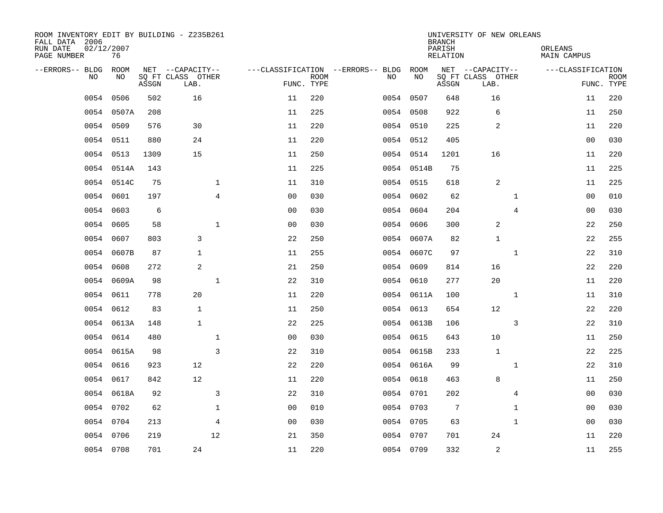| ROOM INVENTORY EDIT BY BUILDING - Z235B261<br>FALL DATA 2006<br>RUN DATE<br>PAGE NUMBER | 02/12/2007<br>76 |       |                           |                |                           |                                   |            | <b>BRANCH</b><br>PARISH<br><b>RELATION</b> | UNIVERSITY OF NEW ORLEANS | ORLEANS<br><b>MAIN CAMPUS</b> |                           |
|-----------------------------------------------------------------------------------------|------------------|-------|---------------------------|----------------|---------------------------|-----------------------------------|------------|--------------------------------------------|---------------------------|-------------------------------|---------------------------|
| --ERRORS-- BLDG                                                                         | ROOM             |       | NET --CAPACITY--          |                |                           | ---CLASSIFICATION --ERRORS-- BLDG | ROOM       |                                            | NET --CAPACITY--          | ---CLASSIFICATION             |                           |
| N <sub>O</sub>                                                                          | NO.              | ASSGN | SO FT CLASS OTHER<br>LAB. |                | <b>ROOM</b><br>FUNC. TYPE | NO.                               | NO         | ASSGN                                      | SQ FT CLASS OTHER<br>LAB. |                               | <b>ROOM</b><br>FUNC. TYPE |
| 0054                                                                                    | 0506             | 502   | 16                        | 11             | 220                       |                                   | 0054 0507  | 648                                        | 16                        | 11                            | 220                       |
|                                                                                         | 0054 0507A       | 208   |                           | 11             | 225                       |                                   | 0054 0508  | 922                                        | 6                         | 11                            | 250                       |
|                                                                                         | 0054 0509        | 576   | 30                        | 11             | 220                       |                                   | 0054 0510  | 225                                        | 2                         | 11                            | 220                       |
| 0054                                                                                    | 0511             | 880   | 24                        | 11             | 220                       |                                   | 0054 0512  | 405                                        |                           | 0 <sub>0</sub>                | 030                       |
| 0054                                                                                    | 0513             | 1309  | 15                        | 11             | 250                       |                                   | 0054 0514  | 1201                                       | 16                        | 11                            | 220                       |
| 0054                                                                                    | 0514A            | 143   |                           | 11             | 225                       |                                   | 0054 0514B | 75                                         |                           | 11                            | 225                       |
| 0054                                                                                    | 0514C            | 75    | $\mathbf 1$               | 11             | 310                       |                                   | 0054 0515  | 618                                        | 2                         | 11                            | 225                       |
| 0054                                                                                    | 0601             | 197   | $\overline{4}$            | 0 <sub>0</sub> | 030                       |                                   | 0054 0602  | 62                                         | $\mathbf{1}$              | 00                            | 010                       |
| 0054                                                                                    | 0603             | 6     |                           | 0 <sub>0</sub> | 030                       |                                   | 0054 0604  | 204                                        | $\overline{4}$            | 00                            | 030                       |
| 0054                                                                                    | 0605             | 58    | $\mathbf{1}$              | 0 <sub>0</sub> | 030                       |                                   | 0054 0606  | 300                                        | 2                         | 22                            | 250                       |
| 0054                                                                                    | 0607             | 803   | 3                         | 22             | 250                       |                                   | 0054 0607A | 82                                         | $\mathbf{1}$              | 22                            | 255                       |
|                                                                                         | 0054 0607B       | 87    | $\mathbf{1}$              | 11             | 255                       |                                   | 0054 0607C | 97                                         | $\mathbf{1}$              | 22                            | 310                       |
| 0054                                                                                    | 0608             | 272   | 2                         | 21             | 250                       | 0054                              | 0609       | 814                                        | 16                        | 22                            | 220                       |
|                                                                                         | 0054 0609A       | 98    | $\mathbf 1$               | 22             | 310                       |                                   | 0054 0610  | 277                                        | 20                        | 11                            | 220                       |
| 0054                                                                                    | 0611             | 778   | 20                        | 11             | 220                       |                                   | 0054 0611A | 100                                        | $\mathbf{1}$              | 11                            | 310                       |
|                                                                                         | 0054 0612        | 83    | $\mathbf{1}$              | 11             | 250                       |                                   | 0054 0613  | 654                                        | 12                        | 22                            | 220                       |
| 0054                                                                                    | 0613A            | 148   | $\mathbf{1}$              | 22             | 225                       |                                   | 0054 0613B | 106                                        | 3                         | 22                            | 310                       |
| 0054                                                                                    | 0614             | 480   | $\mathbf 1$               | 00             | 030                       |                                   | 0054 0615  | 643                                        | 10                        | 11                            | 250                       |
|                                                                                         | 0054 0615A       | 98    | $\overline{3}$            | 22             | 310                       |                                   | 0054 0615B | 233                                        | $\mathbf{1}$              | 22                            | 225                       |
| 0054                                                                                    | 0616             | 923   | 12                        | 22             | 220                       |                                   | 0054 0616A | 99                                         | $\mathbf{1}$              | 22                            | 310                       |
| 0054                                                                                    | 0617             | 842   | 12                        | 11             | 220                       |                                   | 0054 0618  | 463                                        | 8                         | 11                            | 250                       |
| 0054                                                                                    | 0618A            | 92    | 3                         | 22             | 310                       |                                   | 0054 0701  | 202                                        | $\overline{4}$            | 00                            | 030                       |
|                                                                                         | 0054 0702        | 62    | $\mathbf{1}$              | 0 <sub>0</sub> | 010                       |                                   | 0054 0703  | 7                                          | $\mathbf{1}$              | 0 <sub>0</sub>                | 030                       |
|                                                                                         | 0054 0704        | 213   | $\overline{4}$            | 0 <sub>0</sub> | 030                       |                                   | 0054 0705  | 63                                         | $\mathbf{1}$              | 00                            | 030                       |
|                                                                                         | 0054 0706        | 219   | 12                        | 21             | 350                       |                                   | 0054 0707  | 701                                        | 24                        | 11                            | 220                       |
|                                                                                         | 0054 0708        | 701   | 24                        | 11             | 220                       |                                   | 0054 0709  | 332                                        | 2                         | 11                            | 255                       |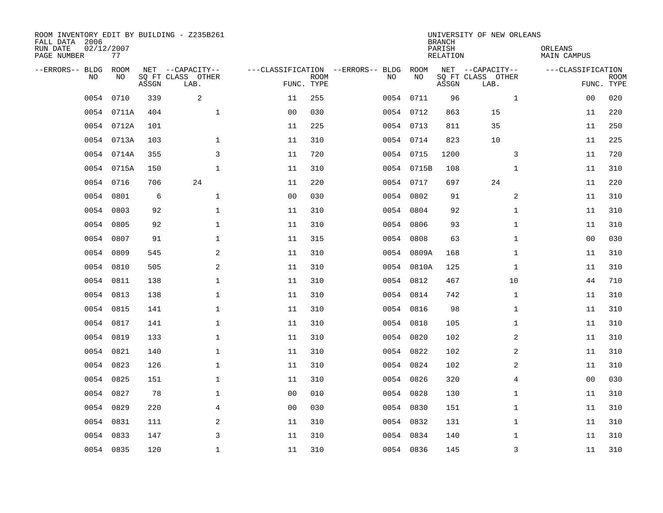| ROOM INVENTORY EDIT BY BUILDING - Z235B261<br>FALL DATA 2006<br>RUN DATE<br>PAGE NUMBER | 02/12/2007<br>77 |       |                                               |                |             |                                         |            | <b>BRANCH</b><br>PARISH<br><b>RELATION</b> | UNIVERSITY OF NEW ORLEANS                     | ORLEANS<br><b>MAIN CAMPUS</b> |                           |
|-----------------------------------------------------------------------------------------|------------------|-------|-----------------------------------------------|----------------|-------------|-----------------------------------------|------------|--------------------------------------------|-----------------------------------------------|-------------------------------|---------------------------|
| --ERRORS-- BLDG<br>NO.                                                                  | ROOM<br>NO       | ASSGN | NET --CAPACITY--<br>SQ FT CLASS OTHER<br>LAB. | FUNC. TYPE     | <b>ROOM</b> | ---CLASSIFICATION --ERRORS-- BLDG<br>NO | ROOM<br>NO | ASSGN                                      | NET --CAPACITY--<br>SQ FT CLASS OTHER<br>LAB. | ---CLASSIFICATION             | <b>ROOM</b><br>FUNC. TYPE |
| 0054                                                                                    | 0710             | 339   | $\overline{a}$                                | 11             | 255         |                                         | 0054 0711  | 96                                         | $\mathbf{1}$                                  | 0 <sub>0</sub>                | 020                       |
|                                                                                         | 0054 0711A       | 404   | $\mathbf 1$                                   | 0 <sub>0</sub> | 030         |                                         | 0054 0712  | 863                                        | 15                                            | 11                            | 220                       |
|                                                                                         | 0054 0712A       | 101   |                                               | 11             | 225         |                                         | 0054 0713  | 811                                        | 35                                            | 11                            | 250                       |
|                                                                                         | 0054 0713A       | 103   | $\mathbf{1}$                                  | 11             | 310         |                                         | 0054 0714  | 823                                        | 10                                            | 11                            | 225                       |
|                                                                                         | 0054 0714A       | 355   | 3                                             | 11             | 720         |                                         | 0054 0715  | 1200                                       | 3                                             | 11                            | 720                       |
|                                                                                         | 0054 0715A       | 150   | $\mathbf 1$                                   | 11             | 310         |                                         | 0054 0715B | 108                                        | $\mathbf{1}$                                  | 11                            | 310                       |
| 0054                                                                                    | 0716             | 706   | 24                                            | 11             | 220         |                                         | 0054 0717  | 697                                        | 24                                            | 11                            | 220                       |
| 0054                                                                                    | 0801             | 6     | $\mathbf{1}$                                  | 0 <sub>0</sub> | 030         |                                         | 0054 0802  | 91                                         | 2                                             | 11                            | 310                       |
| 0054                                                                                    | 0803             | 92    | $\mathbf{1}$                                  | 11             | 310         | 0054                                    | 0804       | 92                                         | $\mathbf{1}$                                  | 11                            | 310                       |
|                                                                                         | 0054 0805        | 92    | $\mathbf{1}$                                  | 11             | 310         |                                         | 0054 0806  | 93                                         | $\mathbf{1}$                                  | 11                            | 310                       |
| 0054                                                                                    | 0807             | 91    | $\mathbf 1$                                   | 11             | 315         | 0054                                    | 0808       | 63                                         | $\mathbf{1}$                                  | 0 <sub>0</sub>                | 030                       |
|                                                                                         | 0054 0809        | 545   | 2                                             | 11             | 310         |                                         | 0054 0809A | 168                                        | $\mathbf{1}$                                  | 11                            | 310                       |
| 0054                                                                                    | 0810             | 505   | 2                                             | 11             | 310         |                                         | 0054 0810A | 125                                        | $\mathbf{1}$                                  | 11                            | 310                       |
| 0054                                                                                    | 0811             | 138   | $\mathbf 1$                                   | 11             | 310         |                                         | 0054 0812  | 467                                        | 10                                            | 44                            | 710                       |
| 0054                                                                                    | 0813             | 138   | $\mathbf{1}$                                  | 11             | 310         |                                         | 0054 0814  | 742                                        | $\mathbf{1}$                                  | 11                            | 310                       |
|                                                                                         | 0054 0815        | 141   | 1                                             | 11             | 310         |                                         | 0054 0816  | 98                                         | $\mathbf{1}$                                  | 11                            | 310                       |
| 0054                                                                                    | 0817             | 141   | $\mathbf{1}$                                  | 11             | 310         | 0054                                    | 0818       | 105                                        | $\mathbf{1}$                                  | 11                            | 310                       |
| 0054                                                                                    | 0819             | 133   | $\mathbf 1$                                   | 11             | 310         |                                         | 0054 0820  | 102                                        | 2                                             | 11                            | 310                       |
| 0054                                                                                    | 0821             | 140   | $\mathbf 1$                                   | 11             | 310         |                                         | 0054 0822  | 102                                        | 2                                             | 11                            | 310                       |
| 0054                                                                                    | 0823             | 126   | $\mathbf 1$                                   | 11             | 310         |                                         | 0054 0824  | 102                                        | 2                                             | 11                            | 310                       |
| 0054                                                                                    | 0825             | 151   | $\mathbf{1}$                                  | 11             | 310         |                                         | 0054 0826  | 320                                        | 4                                             | 0 <sub>0</sub>                | 030                       |
| 0054                                                                                    | 0827             | 78    | $\mathbf{1}$                                  | 0 <sub>0</sub> | 010         |                                         | 0054 0828  | 130                                        | $\mathbf{1}$                                  | 11                            | 310                       |
| 0054                                                                                    | 0829             | 220   | $\overline{4}$                                | 0 <sub>0</sub> | 030         |                                         | 0054 0830  | 151                                        | $\mathbf{1}$                                  | 11                            | 310                       |
|                                                                                         | 0054 0831        | 111   | 2                                             | 11             | 310         |                                         | 0054 0832  | 131                                        | $\mathbf{1}$                                  | 11                            | 310                       |
| 0054                                                                                    | 0833             | 147   | 3                                             | 11             | 310         |                                         | 0054 0834  | 140                                        | 1                                             | 11                            | 310                       |
|                                                                                         | 0054 0835        | 120   | $\mathbf 1$                                   | 11             | 310         |                                         | 0054 0836  | 145                                        | 3                                             | 11                            | 310                       |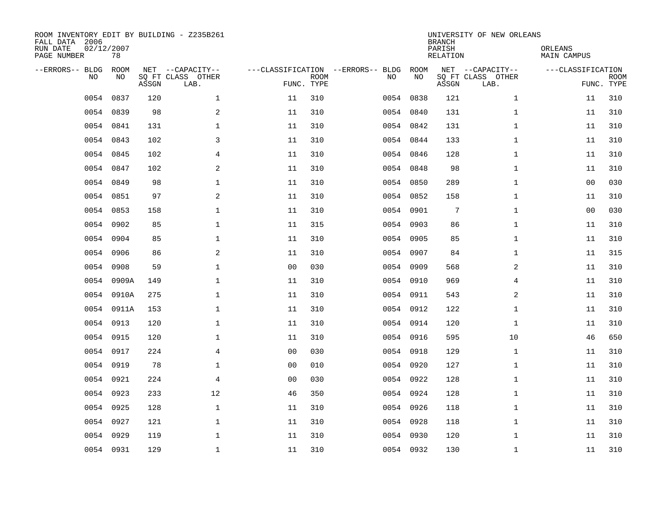| ROOM INVENTORY EDIT BY BUILDING - Z235B261<br>FALL DATA 2006<br>RUN DATE<br>PAGE NUMBER | 02/12/2007<br>78 |       |                                               |                |                           |                                         |            | <b>BRANCH</b><br>PARISH<br><b>RELATION</b> | UNIVERSITY OF NEW ORLEANS                     | ORLEANS<br><b>MAIN CAMPUS</b> |                           |
|-----------------------------------------------------------------------------------------|------------------|-------|-----------------------------------------------|----------------|---------------------------|-----------------------------------------|------------|--------------------------------------------|-----------------------------------------------|-------------------------------|---------------------------|
| --ERRORS-- BLDG<br>NO                                                                   | ROOM<br>NO       | ASSGN | NET --CAPACITY--<br>SQ FT CLASS OTHER<br>LAB. |                | <b>ROOM</b><br>FUNC. TYPE | ---CLASSIFICATION --ERRORS-- BLDG<br>NO | ROOM<br>NO | ASSGN                                      | NET --CAPACITY--<br>SQ FT CLASS OTHER<br>LAB. | ---CLASSIFICATION             | <b>ROOM</b><br>FUNC. TYPE |
| 0054                                                                                    | 0837             | 120   | $\mathbf{1}$                                  | 11             | 310                       | 0054                                    | 0838       | 121                                        | $\mathbf{1}$                                  | 11                            | 310                       |
| 0054                                                                                    | 0839             | 98    | $\overline{a}$                                | 11             | 310                       | 0054                                    | 0840       | 131                                        | $\mathbf{1}$                                  | 11                            | 310                       |
| 0054                                                                                    | 0841             | 131   | $\mathbf 1$                                   | 11             | 310                       |                                         | 0054 0842  | 131                                        | $\mathbf{1}$                                  | 11                            | 310                       |
|                                                                                         | 0054 0843        | 102   | 3                                             | 11             | 310                       |                                         | 0054 0844  | 133                                        | $\mathbf{1}$                                  | 11                            | 310                       |
| 0054                                                                                    | 0845             | 102   | 4                                             | 11             | 310                       |                                         | 0054 0846  | 128                                        | $\mathbf{1}$                                  | 11                            | 310                       |
|                                                                                         | 0054 0847        | 102   | 2                                             | 11             | 310                       |                                         | 0054 0848  | 98                                         | $\mathbf{1}$                                  | 11                            | 310                       |
| 0054                                                                                    | 0849             | 98    | $\mathbf{1}$                                  | 11             | 310                       |                                         | 0054 0850  | 289                                        | $\mathbf{1}$                                  | 00                            | 030                       |
|                                                                                         | 0054 0851        | 97    | 2                                             | 11             | 310                       |                                         | 0054 0852  | 158                                        | $\mathbf{1}$                                  | 11                            | 310                       |
| 0054                                                                                    | 0853             | 158   | $\mathbf{1}$                                  | 11             | 310                       | 0054                                    | 0901       | $7\phantom{.0}$                            | $\mathbf{1}$                                  | 0 <sub>0</sub>                | 030                       |
|                                                                                         | 0054 0902        | 85    | $\mathbf 1$                                   | 11             | 315                       |                                         | 0054 0903  | 86                                         | $\mathbf{1}$                                  | 11                            | 310                       |
| 0054                                                                                    | 0904             | 85    | $\mathbf{1}$                                  | 11             | 310                       |                                         | 0054 0905  | 85                                         | $\mathbf{1}$                                  | 11                            | 310                       |
|                                                                                         | 0054 0906        | 86    | 2                                             | 11             | 310                       |                                         | 0054 0907  | 84                                         | $\mathbf{1}$                                  | 11                            | 315                       |
| 0054                                                                                    | 0908             | 59    | $\mathbf{1}$                                  | 00             | 030                       | 0054                                    | 0909       | 568                                        | 2                                             | 11                            | 310                       |
| 0054                                                                                    | 0909A            | 149   | $\mathbf 1$                                   | 11             | 310                       |                                         | 0054 0910  | 969                                        | 4                                             | 11                            | 310                       |
| 0054                                                                                    | 0910A            | 275   | 1                                             | 11             | 310                       | 0054                                    | 0911       | 543                                        | 2                                             | 11                            | 310                       |
| 0054                                                                                    | 0911A            | 153   | $\mathbf 1$                                   | 11             | 310                       |                                         | 0054 0912  | 122                                        | $\mathbf{1}$                                  | 11                            | 310                       |
| 0054                                                                                    | 0913             | 120   | $\mathbf 1$                                   | 11             | 310                       | 0054                                    | 0914       | 120                                        | $\mathbf{1}$                                  | 11                            | 310                       |
| 0054                                                                                    | 0915             | 120   | $\mathbf 1$                                   | 11             | 310                       |                                         | 0054 0916  | 595                                        | 10                                            | 46                            | 650                       |
| 0054                                                                                    | 0917             | 224   | $\overline{4}$                                | 0 <sub>0</sub> | 030                       |                                         | 0054 0918  | 129                                        | $\mathbf{1}$                                  | 11                            | 310                       |
| 0054                                                                                    | 0919             | 78    | $\mathbf 1$                                   | 0 <sub>0</sub> | 010                       |                                         | 0054 0920  | 127                                        | $\mathbf{1}$                                  | 11                            | 310                       |
| 0054                                                                                    | 0921             | 224   | 4                                             | 0 <sub>0</sub> | 030                       |                                         | 0054 0922  | 128                                        | $\mathbf{1}$                                  | 11                            | 310                       |
| 0054                                                                                    | 0923             | 233   | 12                                            | 46             | 350                       |                                         | 0054 0924  | 128                                        | $\mathbf{1}$                                  | 11                            | 310                       |
| 0054                                                                                    | 0925             | 128   | $\mathbf{1}$                                  | 11             | 310                       |                                         | 0054 0926  | 118                                        | $\mathbf{1}$                                  | 11                            | 310                       |
| 0054                                                                                    | 0927             | 121   | $\mathbf 1$                                   | 11             | 310                       |                                         | 0054 0928  | 118                                        | $\mathbf{1}$                                  | 11                            | 310                       |
| 0054                                                                                    | 0929             | 119   | $\mathbf 1$                                   | 11             | 310                       |                                         | 0054 0930  | 120                                        | $\mathbf{1}$                                  | 11                            | 310                       |
|                                                                                         | 0054 0931        | 129   | $\mathbf 1$                                   | 11             | 310                       |                                         | 0054 0932  | 130                                        | $\mathbf{1}$                                  | 11                            | 310                       |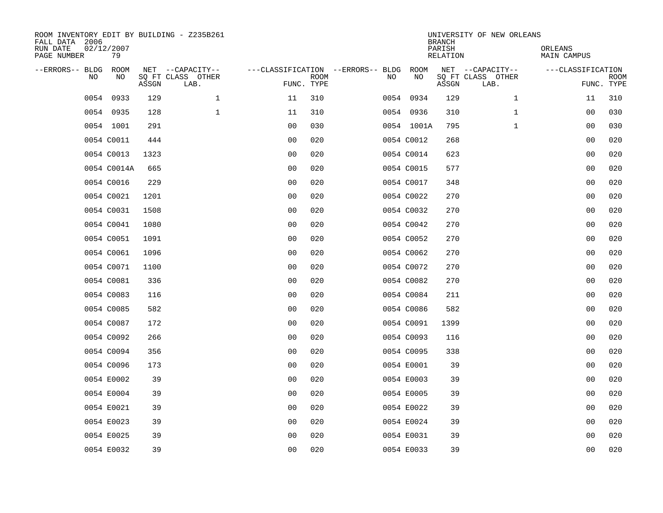| ROOM INVENTORY EDIT BY BUILDING - Z235B261<br>FALL DATA 2006<br>RUN DATE<br>PAGE NUMBER | 02/12/2007<br>79 |       |                                               |                                        |                           |    |            | <b>BRANCH</b><br>PARISH<br><b>RELATION</b> | UNIVERSITY OF NEW ORLEANS                     | ORLEANS<br><b>MAIN CAMPUS</b> |                           |
|-----------------------------------------------------------------------------------------|------------------|-------|-----------------------------------------------|----------------------------------------|---------------------------|----|------------|--------------------------------------------|-----------------------------------------------|-------------------------------|---------------------------|
| --ERRORS-- BLDG<br>NO.                                                                  | ROOM<br>NO       | ASSGN | NET --CAPACITY--<br>SQ FT CLASS OTHER<br>LAB. | ---CLASSIFICATION --ERRORS-- BLDG ROOM | <b>ROOM</b><br>FUNC. TYPE | NO | NO         | ASSGN                                      | NET --CAPACITY--<br>SQ FT CLASS OTHER<br>LAB. | ---CLASSIFICATION             | <b>ROOM</b><br>FUNC. TYPE |
| 0054                                                                                    | 0933             | 129   | $\mathbf 1$                                   | 11                                     | 310                       |    | 0054 0934  | 129                                        | $\mathbf{1}$                                  | 11                            | 310                       |
|                                                                                         | 0054 0935        | 128   | $\mathbf{1}$                                  | 11                                     | 310                       |    | 0054 0936  | 310                                        | $\mathbf{1}$                                  | 00                            | 030                       |
|                                                                                         | 0054 1001        | 291   |                                               | 0 <sub>0</sub>                         | 030                       |    | 0054 1001A | 795                                        | $\mathbf{1}$                                  | 00                            | 030                       |
|                                                                                         | 0054 C0011       | 444   |                                               | 0 <sub>0</sub>                         | 020                       |    | 0054 C0012 | 268                                        |                                               | 00                            | 020                       |
|                                                                                         | 0054 C0013       | 1323  |                                               | 0 <sub>0</sub>                         | 020                       |    | 0054 C0014 | 623                                        |                                               | 0 <sub>0</sub>                | 020                       |
|                                                                                         | 0054 C0014A      | 665   |                                               | 0 <sub>0</sub>                         | 020                       |    | 0054 C0015 | 577                                        |                                               | 0 <sub>0</sub>                | 020                       |
|                                                                                         | 0054 C0016       | 229   |                                               | 0 <sub>0</sub>                         | 020                       |    | 0054 C0017 | 348                                        |                                               | 00                            | 020                       |
|                                                                                         | 0054 C0021       | 1201  |                                               | 0 <sub>0</sub>                         | 020                       |    | 0054 C0022 | 270                                        |                                               | 0 <sub>0</sub>                | 020                       |
|                                                                                         | 0054 C0031       | 1508  |                                               | 0 <sub>0</sub>                         | 020                       |    | 0054 C0032 | 270                                        |                                               | 0 <sub>0</sub>                | 020                       |
|                                                                                         | 0054 C0041       | 1080  |                                               | 0 <sub>0</sub>                         | 020                       |    | 0054 C0042 | 270                                        |                                               | 00                            | 020                       |
|                                                                                         | 0054 C0051       | 1091  |                                               | 0 <sub>0</sub>                         | 020                       |    | 0054 C0052 | 270                                        |                                               | 0 <sub>0</sub>                | 020                       |
|                                                                                         | 0054 C0061       | 1096  |                                               | 0 <sub>0</sub>                         | 020                       |    | 0054 C0062 | 270                                        |                                               | 0 <sub>0</sub>                | 020                       |
|                                                                                         | 0054 C0071       | 1100  |                                               | 0 <sub>0</sub>                         | 020                       |    | 0054 C0072 | 270                                        |                                               | 0 <sub>0</sub>                | 020                       |
|                                                                                         | 0054 C0081       | 336   |                                               | 0 <sub>0</sub>                         | 020                       |    | 0054 C0082 | 270                                        |                                               | 00                            | 020                       |
|                                                                                         | 0054 C0083       | 116   |                                               | 00                                     | 020                       |    | 0054 C0084 | 211                                        |                                               | 0 <sub>0</sub>                | 020                       |
|                                                                                         | 0054 C0085       | 582   |                                               | 0 <sub>0</sub>                         | 020                       |    | 0054 C0086 | 582                                        |                                               | 0 <sub>0</sub>                | 020                       |
|                                                                                         | 0054 C0087       | 172   |                                               | 0 <sub>0</sub>                         | 020                       |    | 0054 C0091 | 1399                                       |                                               | 00                            | 020                       |
|                                                                                         | 0054 C0092       | 266   |                                               | 0 <sub>0</sub>                         | 020                       |    | 0054 C0093 | 116                                        |                                               | 0 <sub>0</sub>                | 020                       |
|                                                                                         | 0054 C0094       | 356   |                                               | 0 <sub>0</sub>                         | 020                       |    | 0054 C0095 | 338                                        |                                               | 0 <sub>0</sub>                | 020                       |
|                                                                                         | 0054 C0096       | 173   |                                               | 0 <sub>0</sub>                         | 020                       |    | 0054 E0001 | 39                                         |                                               | 0 <sub>0</sub>                | 020                       |
|                                                                                         | 0054 E0002       | 39    |                                               | 0 <sub>0</sub>                         | 020                       |    | 0054 E0003 | 39                                         |                                               | 00                            | 020                       |
|                                                                                         | 0054 E0004       | 39    |                                               | 0 <sub>0</sub>                         | 020                       |    | 0054 E0005 | 39                                         |                                               | 00                            | 020                       |
|                                                                                         | 0054 E0021       | 39    |                                               | 0 <sub>0</sub>                         | 020                       |    | 0054 E0022 | 39                                         |                                               | 00                            | 020                       |
|                                                                                         | 0054 E0023       | 39    |                                               | 0 <sub>0</sub>                         | 020                       |    | 0054 E0024 | 39                                         |                                               | 00                            | 020                       |
|                                                                                         | 0054 E0025       | 39    |                                               | 0 <sub>0</sub>                         | 020                       |    | 0054 E0031 | 39                                         |                                               | 00                            | 020                       |
|                                                                                         | 0054 E0032       | 39    |                                               | 0 <sub>0</sub>                         | 020                       |    | 0054 E0033 | 39                                         |                                               | 0 <sub>0</sub>                | 020                       |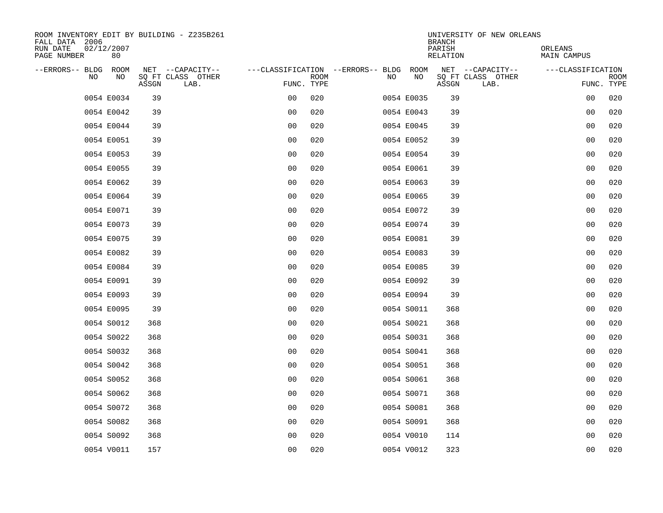| ROOM INVENTORY EDIT BY BUILDING - Z235B261<br>FALL DATA 2006 |                                    |                           |                                        | UNIVERSITY OF NEW ORLEANS<br><b>BRANCH</b> |                               |
|--------------------------------------------------------------|------------------------------------|---------------------------|----------------------------------------|--------------------------------------------|-------------------------------|
| RUN DATE<br>02/12/2007<br>PAGE NUMBER<br>80                  |                                    |                           |                                        | PARISH<br><b>RELATION</b>                  | ORLEANS<br><b>MAIN CAMPUS</b> |
| --ERRORS-- BLDG ROOM                                         | NET --CAPACITY--                   |                           | ---CLASSIFICATION --ERRORS-- BLDG ROOM | NET --CAPACITY--                           | ---CLASSIFICATION             |
| NO.<br>NO                                                    | SQ FT CLASS OTHER<br>ASSGN<br>LAB. | <b>ROOM</b><br>FUNC. TYPE | NO<br>NO                               | SQ FT CLASS OTHER<br>ASSGN<br>LAB.         | <b>ROOM</b><br>FUNC. TYPE     |
| 0054 E0034                                                   | 39                                 | 020<br>00                 | 0054 E0035                             | 39                                         | 00<br>020                     |
| 0054 E0042                                                   | 39                                 | 0 <sub>0</sub><br>020     | 0054 E0043                             | 39                                         | 00<br>020                     |
| 0054 E0044                                                   | 39                                 | 0 <sub>0</sub><br>020     | 0054 E0045                             | 39                                         | 00<br>020                     |
| 0054 E0051                                                   | 39                                 | 0 <sub>0</sub><br>020     | 0054 E0052                             | 39                                         | 020<br>00                     |
| 0054 E0053                                                   | 39                                 | 0 <sub>0</sub><br>020     | 0054 E0054                             | 39                                         | 0 <sub>0</sub><br>020         |
| 0054 E0055                                                   | 39                                 | 0 <sub>0</sub><br>020     | 0054 E0061                             | 39                                         | 0 <sub>0</sub><br>020         |
| 0054 E0062                                                   | 39                                 | 0 <sub>0</sub><br>020     | 0054 E0063                             | 39                                         | 00<br>020                     |
| 0054 E0064                                                   | 39                                 | 0 <sub>0</sub><br>020     | 0054 E0065                             | 39                                         | 0 <sub>0</sub><br>020         |
| 0054 E0071                                                   | 39                                 | 0 <sub>0</sub><br>020     | 0054 E0072                             | 39                                         | 020<br>0 <sub>0</sub>         |
| 0054 E0073                                                   | 39                                 | 0 <sub>0</sub><br>020     | 0054 E0074                             | 39                                         | 020<br>00                     |
| 0054 E0075                                                   | 39                                 | 0 <sub>0</sub><br>020     | 0054 E0081                             | 39                                         | 020<br>0 <sub>0</sub>         |
| 0054 E0082                                                   | 39                                 | 0 <sub>0</sub><br>020     | 0054 E0083                             | 39                                         | 0 <sub>0</sub><br>020         |
| 0054 E0084                                                   | 39                                 | 0 <sub>0</sub><br>020     | 0054 E0085                             | 39                                         | 0 <sub>0</sub><br>020         |
| 0054 E0091                                                   | 39                                 | 00<br>020                 | 0054 E0092                             | 39                                         | 020<br>00                     |
| 0054 E0093                                                   | 39                                 | 00<br>020                 | 0054 E0094                             | 39                                         | 0 <sub>0</sub><br>020         |
| 0054 E0095                                                   | 39                                 | 0 <sub>0</sub><br>020     | 0054 S0011                             | 368                                        | 0 <sub>0</sub><br>020         |
| 0054 S0012                                                   | 368                                | 0 <sub>0</sub><br>020     | 0054 S0021                             | 368                                        | 020<br>0 <sub>0</sub>         |
| 0054 S0022                                                   | 368                                | 020<br>0 <sub>0</sub>     | 0054 S0031                             | 368                                        | 020<br>0 <sub>0</sub>         |
| 0054 S0032                                                   | 368                                | 0 <sub>0</sub><br>020     | 0054 S0041                             | 368                                        | 0 <sub>0</sub><br>020         |
| 0054 S0042                                                   | 368                                | 0 <sub>0</sub><br>020     | 0054 S0051                             | 368                                        | 0 <sub>0</sub><br>020         |
| 0054 S0052                                                   | 368                                | 0 <sub>0</sub><br>020     | 0054 S0061                             | 368                                        | 0 <sub>0</sub><br>020         |
| 0054 S0062                                                   | 368                                | 0 <sub>0</sub><br>020     | 0054 S0071                             | 368                                        | 020<br>00                     |
| 0054 S0072                                                   | 368                                | 0 <sub>0</sub><br>020     | 0054 S0081                             | 368                                        | 020<br>00                     |
| 0054 S0082                                                   | 368                                | 0 <sub>0</sub><br>020     | 0054 S0091                             | 368                                        | 00<br>020                     |
| 0054 S0092                                                   | 368                                | 0 <sub>0</sub><br>020     | 0054 V0010                             | 114                                        | 00<br>020                     |
| 0054 V0011                                                   | 157                                | 0 <sub>0</sub><br>020     | 0054 V0012                             | 323                                        | 0 <sub>0</sub><br>020         |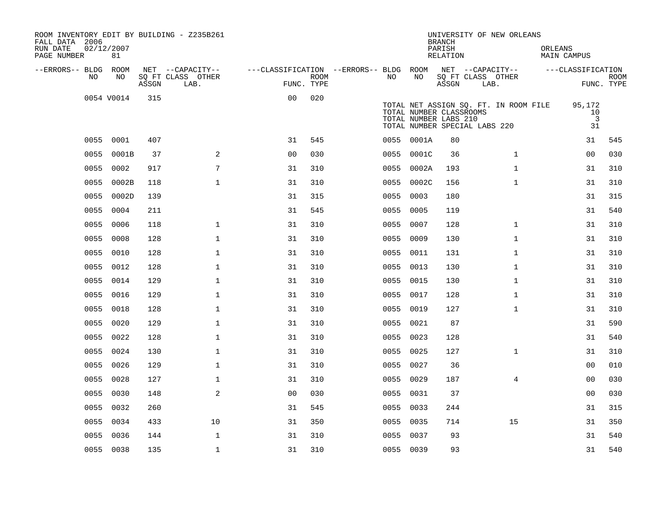| ROOM INVENTORY EDIT BY BUILDING - Z235B261<br>FALL DATA 2006<br>RUN DATE<br>PAGE NUMBER | 02/12/2007<br>81 |       |                           |                                        |      |           |            | <b>BRANCH</b><br>PARISH<br>RELATION                                               |      | UNIVERSITY OF NEW ORLEANS             | ORLEANS | MAIN CAMPUS                          |                           |
|-----------------------------------------------------------------------------------------|------------------|-------|---------------------------|----------------------------------------|------|-----------|------------|-----------------------------------------------------------------------------------|------|---------------------------------------|---------|--------------------------------------|---------------------------|
| --ERRORS-- BLDG ROOM                                                                    |                  |       | NET --CAPACITY--          | ---CLASSIFICATION --ERRORS-- BLDG ROOM |      |           |            | NET --CAPACITY--                                                                  |      |                                       |         | ---CLASSIFICATION                    |                           |
| NO.                                                                                     | NO               | ASSGN | SQ FT CLASS OTHER<br>LAB. | FUNC. TYPE                             | ROOM | NO.       | NO         | ASSGN                                                                             | LAB. | SQ FT CLASS OTHER                     |         |                                      | <b>ROOM</b><br>FUNC. TYPE |
|                                                                                         | 0054 V0014       | 315   |                           | 0 <sub>0</sub>                         | 020  |           |            | TOTAL NUMBER CLASSROOMS<br>TOTAL NUMBER LABS 210<br>TOTAL NUMBER SPECIAL LABS 220 |      | TOTAL NET ASSIGN SQ. FT. IN ROOM FILE |         | 95,172<br>10<br>$\overline{3}$<br>31 |                           |
|                                                                                         | 0055 0001        | 407   |                           | 31                                     | 545  |           | 0055 0001A | 80                                                                                |      |                                       |         | 31                                   | 545                       |
| 0055                                                                                    | 0001B            | 37    | $\mathbf{2}$              | 0 <sub>0</sub>                         | 030  | 0055      | 0001C      | 36                                                                                |      | $\mathbf{1}$                          |         | 00                                   | 030                       |
| 0055                                                                                    | 0002             | 917   | 7                         | 31                                     | 310  |           | 0055 0002A | 193                                                                               |      | $\mathbf{1}$                          |         | 31                                   | 310                       |
| 0055                                                                                    | 0002B            | 118   | $\mathbf{1}$              | 31                                     | 310  |           | 0055 0002C | 156                                                                               |      | $\mathbf{1}$                          |         | 31                                   | 310                       |
| 0055                                                                                    | 0002D            | 139   |                           | 31                                     | 315  | 0055 0003 |            | 180                                                                               |      |                                       |         | 31                                   | 315                       |
| 0055                                                                                    | 0004             | 211   |                           | 31                                     | 545  | 0055      | 0005       | 119                                                                               |      |                                       |         | 31                                   | 540                       |
|                                                                                         | 0055 0006        | 118   | $\mathbf 1$               | 31                                     | 310  | 0055 0007 |            | 128                                                                               |      | $\mathbf{1}$                          |         | 31                                   | 310                       |
| 0055                                                                                    | 0008             | 128   | $\mathbf{1}$              | 31                                     | 310  | 0055      | 0009       | 130                                                                               |      | $\mathbf{1}$                          |         | 31                                   | 310                       |
|                                                                                         | 0055 0010        | 128   | $\mathbf{1}$              | 31                                     | 310  | 0055 0011 |            | 131                                                                               |      | $\mathbf{1}$                          |         | 31                                   | 310                       |
| 0055                                                                                    | 0012             | 128   | $\mathbf 1$               | 31                                     | 310  | 0055      | 0013       | 130                                                                               |      | $\mathbf{1}$                          |         | 31                                   | 310                       |
|                                                                                         | 0055 0014        | 129   | $\mathbf 1$               | 31                                     | 310  | 0055 0015 |            | 130                                                                               |      | $\mathbf{1}$                          |         | 31                                   | 310                       |
|                                                                                         | 0055 0016        | 129   | $\mathbf{1}$              | 31                                     | 310  | 0055 0017 |            | 128                                                                               |      | $\mathbf{1}$                          |         | 31                                   | 310                       |
|                                                                                         | 0055 0018        | 128   | $\mathbf 1$               | 31                                     | 310  | 0055 0019 |            | 127                                                                               |      | $\mathbf{1}$                          |         | 31                                   | 310                       |
|                                                                                         | 0055 0020        | 129   | $\mathbf{1}$              | 31                                     | 310  | 0055 0021 |            | 87                                                                                |      |                                       |         | 31                                   | 590                       |
|                                                                                         | 0055 0022        | 128   | $\mathbf{1}$              | 31                                     | 310  | 0055 0023 |            | 128                                                                               |      |                                       |         | 31                                   | 540                       |
|                                                                                         | 0055 0024        | 130   | $\mathbf{1}$              | 31                                     | 310  | 0055 0025 |            | 127                                                                               |      | $\mathbf{1}$                          |         | 31                                   | 310                       |
| 0055                                                                                    | 0026             | 129   | $\mathbf 1$               | 31                                     | 310  | 0055 0027 |            | 36                                                                                |      |                                       |         | 00                                   | 010                       |
| 0055                                                                                    | 0028             | 127   | $\mathbf 1$               | 31                                     | 310  | 0055 0029 |            | 187                                                                               |      | 4                                     |         | 00                                   | 030                       |
| 0055                                                                                    | 0030             | 148   | $\mathbf{2}$              | 0 <sub>0</sub>                         | 030  | 0055      | 0031       | 37                                                                                |      |                                       |         | 0 <sub>0</sub>                       | 030                       |
| 0055                                                                                    | 0032             | 260   |                           | 31                                     | 545  | 0055 0033 |            | 244                                                                               |      |                                       |         | 31                                   | 315                       |
| 0055                                                                                    | 0034             | 433   | 10                        | 31                                     | 350  | 0055 0035 |            | 714                                                                               |      | 15                                    |         | 31                                   | 350                       |
| 0055                                                                                    | 0036             | 144   | $\mathbf{1}$              | 31                                     | 310  | 0055 0037 |            | 93                                                                                |      |                                       |         | 31                                   | 540                       |
|                                                                                         | 0055 0038        | 135   | $\mathbf{1}$              | 31                                     | 310  | 0055 0039 |            | 93                                                                                |      |                                       |         | 31                                   | 540                       |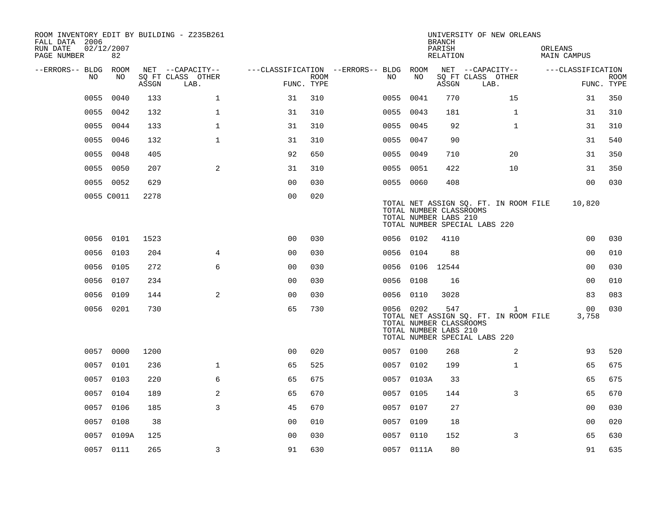| ROOM INVENTORY EDIT BY BUILDING - Z235B261<br>FALL DATA 2006<br>RUN DATE<br>PAGE NUMBER | 02/12/2007<br>82 |       |                                       |                                   |             |           |            | <b>BRANCH</b><br>PARISH<br>RELATION                     | UNIVERSITY OF NEW ORLEANS                                              |              | ORLEANS<br><b>MAIN CAMPUS</b> |                           |
|-----------------------------------------------------------------------------------------|------------------|-------|---------------------------------------|-----------------------------------|-------------|-----------|------------|---------------------------------------------------------|------------------------------------------------------------------------|--------------|-------------------------------|---------------------------|
| --ERRORS-- BLDG<br>NO.                                                                  | ROOM<br>NO.      |       | NET --CAPACITY--<br>SO FT CLASS OTHER | ---CLASSIFICATION --ERRORS-- BLDG | <b>ROOM</b> | NO.       | ROOM<br>NO |                                                         | NET --CAPACITY--                                                       |              | ---CLASSIFICATION             |                           |
|                                                                                         |                  | ASSGN | LAB.                                  | FUNC. TYPE                        |             |           |            | ASSGN                                                   | SQ FT CLASS OTHER<br>LAB.                                              |              |                               | <b>ROOM</b><br>FUNC. TYPE |
| 0055                                                                                    | 0040             | 133   | $\mathbf 1$                           | 31                                | 310         | 0055      | 0041       | 770                                                     | 15                                                                     |              | 31                            | 350                       |
| 0055                                                                                    | 0042             | 132   | $\mathbf 1$                           | 31                                | 310         | 0055 0043 |            | 181                                                     |                                                                        | $\mathbf{1}$ | 31                            | 310                       |
| 0055                                                                                    | 0044             | 133   | $\mathbf{1}$                          | 31                                | 310         | 0055 0045 |            | 92                                                      |                                                                        | $\mathbf{1}$ | 31                            | 310                       |
| 0055                                                                                    | 0046             | 132   | $\mathbf 1$                           | 31                                | 310         | 0055 0047 |            | 90                                                      |                                                                        |              | 31                            | 540                       |
| 0055                                                                                    | 0048             | 405   |                                       | 92                                | 650         | 0055      | 0049       | 710                                                     | 20                                                                     |              | 31                            | 350                       |
| 0055                                                                                    | 0050             | 207   | $\mathbf{2}$                          | 31                                | 310         | 0055 0051 |            | 422                                                     | 10                                                                     |              | 31                            | 350                       |
|                                                                                         | 0055 0052        | 629   |                                       | 0 <sub>0</sub>                    | 030         | 0055 0060 |            | 408                                                     |                                                                        |              | 0 <sub>0</sub>                | 030                       |
|                                                                                         | 0055 C0011       | 2278  |                                       | 0 <sub>0</sub>                    | 020         |           |            | TOTAL NUMBER CLASSROOMS<br>TOTAL NUMBER LABS 210        | TOTAL NET ASSIGN SQ. FT. IN ROOM FILE<br>TOTAL NUMBER SPECIAL LABS 220 |              | 10,820                        |                           |
|                                                                                         | 0056 0101        | 1523  |                                       | 0 <sub>0</sub>                    | 030         | 0056 0102 |            | 4110                                                    |                                                                        |              | 00                            | 030                       |
|                                                                                         | 0056 0103        | 204   | 4                                     | 0 <sub>0</sub>                    | 030         | 0056 0104 |            | 88                                                      |                                                                        |              | 00                            | 010                       |
| 0056                                                                                    | 0105             | 272   | 6                                     | 00                                | 030         | 0056      | 0106       | 12544                                                   |                                                                        |              | 0 <sub>0</sub>                | 030                       |
| 0056                                                                                    | 0107             | 234   |                                       | 0 <sub>0</sub>                    | 030         | 0056 0108 |            | 16                                                      |                                                                        |              | 00                            | 010                       |
| 0056                                                                                    | 0109             | 144   | 2                                     | 0 <sub>0</sub>                    | 030         | 0056 0110 |            | 3028                                                    |                                                                        |              | 83                            | 083                       |
|                                                                                         | 0056 0201        | 730   |                                       | 65                                | 730         | 0056 0202 |            | 547<br>TOTAL NUMBER CLASSROOMS<br>TOTAL NUMBER LABS 210 | TOTAL NET ASSIGN SQ. FT. IN ROOM FILE<br>TOTAL NUMBER SPECIAL LABS 220 | $\mathbf{1}$ | 00<br>3,758                   | 030                       |
|                                                                                         | 0057 0000        | 1200  |                                       | 0 <sub>0</sub>                    | 020         | 0057 0100 |            | 268                                                     |                                                                        | 2            | 93                            | 520                       |
| 0057                                                                                    | 0101             | 236   | $\mathbf{1}$                          | 65                                | 525         | 0057 0102 |            | 199                                                     |                                                                        | $\mathbf{1}$ | 65                            | 675                       |
|                                                                                         | 0057 0103        | 220   | 6                                     | 65                                | 675         |           | 0057 0103A | 33                                                      |                                                                        |              | 65                            | 675                       |
|                                                                                         | 0057 0104        | 189   | 2                                     | 65                                | 670         | 0057 0105 |            | 144                                                     |                                                                        | 3            | 65                            | 670                       |
|                                                                                         | 0057 0106        | 185   | 3                                     | 45                                | 670         | 0057 0107 |            | 27                                                      |                                                                        |              | 00                            | 030                       |
|                                                                                         | 0057 0108        | 38    |                                       | 0 <sub>0</sub>                    | 010         | 0057      | 0109       | 18                                                      |                                                                        |              | 00                            | 020                       |
|                                                                                         | 0057 0109A       | 125   |                                       | 0 <sub>0</sub>                    | 030         | 0057 0110 |            | 152                                                     |                                                                        | 3            | 65                            | 630                       |
|                                                                                         | 0057 0111        | 265   | 3                                     | 91                                | 630         |           | 0057 0111A | 80                                                      |                                                                        |              | 91                            | 635                       |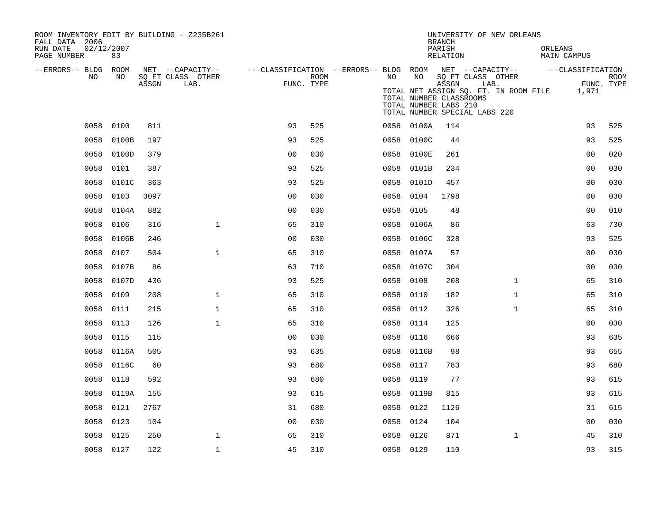| ROOM INVENTORY EDIT BY BUILDING - Z235B261<br>FALL DATA 2006 |            |       |                           |                                                                              |                    |           | UNIVERSITY OF NEW ORLEANS<br><b>BRANCH</b> |                                                                                                                            |              |                        |                           |
|--------------------------------------------------------------|------------|-------|---------------------------|------------------------------------------------------------------------------|--------------------|-----------|--------------------------------------------|----------------------------------------------------------------------------------------------------------------------------|--------------|------------------------|---------------------------|
| 02/12/2007<br>RUN DATE<br>PAGE NUMBER                        | 83         |       |                           |                                                                              |                    |           |                                            | PARISH<br>RELATION                                                                                                         |              | ORLEANS<br>MAIN CAMPUS |                           |
| --ERRORS-- BLDG ROOM                                         |            |       | NET --CAPACITY--          | ---CLASSIFICATION --ERRORS-- BLDG ROOM NET --CAPACITY--    ---CLASSIFICATION |                    |           |                                            |                                                                                                                            |              |                        |                           |
| NO.                                                          | NO         | ASSGN | SQ FT CLASS OTHER<br>LAB. |                                                                              | ROOM<br>FUNC. TYPE | NO        | NO                                         | SQ FT CLASS OTHER<br>ASSGN                                                                                                 | LAB.         |                        | <b>ROOM</b><br>FUNC. TYPE |
|                                                              |            |       |                           |                                                                              |                    |           |                                            | TOTAL NET ASSIGN SQ. FT. IN ROOM FILE<br>TOTAL NUMBER CLASSROOMS<br>TOTAL NUMBER LABS 210<br>TOTAL NUMBER SPECIAL LABS 220 |              | 1,971                  |                           |
| 0058                                                         | 0100       | 811   |                           | 93                                                                           | 525                |           | 0058 0100A                                 | 114                                                                                                                        |              | 93                     | 525                       |
| 0058                                                         | 0100B      | 197   |                           | 93                                                                           | 525                |           | 0058 0100C                                 | 44                                                                                                                         |              | 93                     | 525                       |
| 0058                                                         | 0100D      | 379   |                           | 0 <sub>0</sub>                                                               | 030                |           | 0058 0100E                                 | 261                                                                                                                        |              | 0 <sub>0</sub>         | 020                       |
| 0058                                                         | 0101       | 387   |                           | 93                                                                           | 525                |           | 0058 0101B                                 | 234                                                                                                                        |              | 0 <sub>0</sub>         | 030                       |
| 0058                                                         | 0101C      | 363   |                           | 93                                                                           | 525                | 0058      | 0101D                                      | 457                                                                                                                        |              | 0 <sub>0</sub>         | 030                       |
| 0058                                                         | 0103       | 3097  |                           | 0 <sub>0</sub>                                                               | 030                | 0058      | 0104                                       | 1798                                                                                                                       |              | 0 <sub>0</sub>         | 030                       |
| 0058                                                         | 0104A      | 882   |                           | 0 <sub>0</sub>                                                               | 030                | 0058      | 0105                                       | 48                                                                                                                         |              | 0 <sub>0</sub>         | 010                       |
| 0058                                                         | 0106       | 316   | $\mathbf{1}$              | 65                                                                           | 310                |           | 0058 0106A                                 | 86                                                                                                                         |              | 63                     | 730                       |
|                                                              | 0058 0106B | 246   |                           | 0 <sub>0</sub>                                                               | 030                |           | 0058 0106C                                 | 328                                                                                                                        |              | 93                     | 525                       |
|                                                              | 0058 0107  | 504   | $\mathbf{1}$              | 65                                                                           | 310                |           | 0058 0107A                                 | 57                                                                                                                         |              | 0 <sub>0</sub>         | 030                       |
| 0058                                                         | 0107B      | 86    |                           | 63                                                                           | 710                |           | 0058 0107C                                 | 304                                                                                                                        |              | 0 <sub>0</sub>         | 030                       |
| 0058                                                         | 0107D      | 436   |                           | 93                                                                           | 525                | 0058      | 0108                                       | 208                                                                                                                        | $\mathbf{1}$ | 65                     | 310                       |
| 0058                                                         | 0109       | 208   | $\mathbf{1}$              | 65                                                                           | 310                | 0058      | 0110                                       | 182                                                                                                                        | $\mathbf{1}$ | 65                     | 310                       |
| 0058                                                         | 0111       | 215   | $\mathbf{1}$              | 65                                                                           | 310                |           | 0058 0112                                  | 326                                                                                                                        | $\mathbf{1}$ | 65                     | 310                       |
| 0058                                                         | 0113       | 126   | $\mathbf 1$               | 65                                                                           | 310                | 0058 0114 |                                            | 125                                                                                                                        |              | 00                     | 030                       |
| 0058                                                         | 0115       | 115   |                           | 0 <sub>0</sub>                                                               | 030                | 0058      | 0116                                       | 666                                                                                                                        |              | 93                     | 635                       |
|                                                              | 0058 0116A | 505   |                           | 93                                                                           | 635                |           | 0058 0116B                                 | 98                                                                                                                         |              | 93                     | 655                       |
| 0058                                                         | 0116C      | 60    |                           | 93                                                                           | 680                |           | 0058 0117                                  | 783                                                                                                                        |              | 93                     | 680                       |
| 0058                                                         | 0118       | 592   |                           | 93                                                                           | 680                |           | 0058 0119                                  | 77                                                                                                                         |              | 93                     | 615                       |
| 0058                                                         | 0119A      | 155   |                           | 93                                                                           | 615                | 0058      | 0119B                                      | 815                                                                                                                        |              | 93                     | 615                       |
| 0058                                                         | 0121       | 2767  |                           | 31                                                                           | 680                |           | 0058 0122                                  | 1126                                                                                                                       |              | 31                     | 615                       |
| 0058                                                         | 0123       | 104   |                           | 0 <sub>0</sub>                                                               | 030                |           | 0058 0124                                  | 104                                                                                                                        |              | 00                     | 030                       |
| 0058                                                         | 0125       | 250   | $\mathbf{1}$              | 65                                                                           | 310                | 0058 0126 |                                            | 871                                                                                                                        | $\mathbf{1}$ | 45                     | 310                       |
|                                                              | 0058 0127  | 122   | $\mathbf{1}$              | 45                                                                           | 310                |           | 0058 0129                                  | 110                                                                                                                        |              | 93                     | 315                       |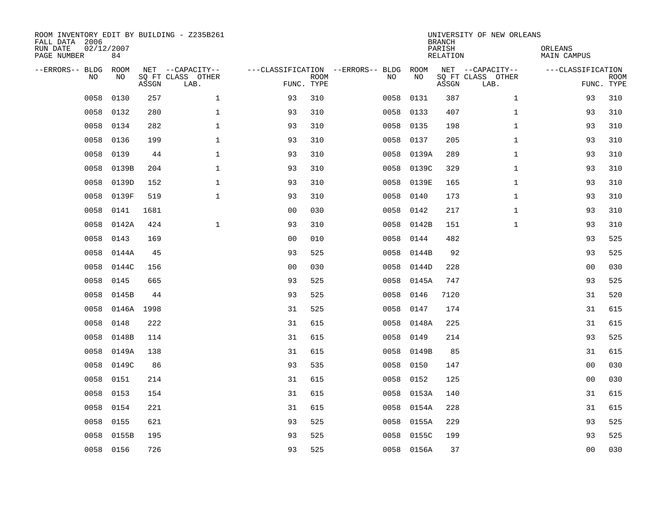| ROOM INVENTORY EDIT BY BUILDING - Z235B261<br>FALL DATA 2006<br>RUN DATE<br>PAGE NUMBER | 02/12/2007<br>84 |       |                                               |                                                      |             |           |            | <b>BRANCH</b><br>PARISH<br><b>RELATION</b> | UNIVERSITY OF NEW ORLEANS                     | ORLEANS<br><b>MAIN CAMPUS</b> |                           |
|-----------------------------------------------------------------------------------------|------------------|-------|-----------------------------------------------|------------------------------------------------------|-------------|-----------|------------|--------------------------------------------|-----------------------------------------------|-------------------------------|---------------------------|
| --ERRORS-- BLDG ROOM<br>NO                                                              | NO               | ASSGN | NET --CAPACITY--<br>SQ FT CLASS OTHER<br>LAB. | ---CLASSIFICATION --ERRORS-- BLDG ROOM<br>FUNC. TYPE | <b>ROOM</b> | NO        | NO         | ASSGN                                      | NET --CAPACITY--<br>SQ FT CLASS OTHER<br>LAB. | ---CLASSIFICATION             | <b>ROOM</b><br>FUNC. TYPE |
| 0058                                                                                    | 0130             | 257   | $\mathbf{1}$                                  | 93                                                   | 310         | 0058      | 0131       | 387                                        | $\mathbf{1}$                                  | 93                            | 310                       |
| 0058                                                                                    | 0132             | 280   | $\mathbf 1$                                   | 93                                                   | 310         | 0058      | 0133       | 407                                        | $\mathbf{1}$                                  | 93                            | 310                       |
| 0058                                                                                    | 0134             | 282   | $\mathbf 1$                                   | 93                                                   | 310         | 0058      | 0135       | 198                                        | $\mathbf{1}$                                  | 93                            | 310                       |
| 0058                                                                                    | 0136             | 199   | $\mathbf 1$                                   | 93                                                   | 310         | 0058 0137 |            | 205                                        | $\mathbf{1}$                                  | 93                            | 310                       |
| 0058                                                                                    | 0139             | 44    | $\mathbf{1}$                                  | 93                                                   | 310         | 0058      | 0139A      | 289                                        | $\mathbf{1}$                                  | 93                            | 310                       |
| 0058                                                                                    | 0139B            | 204   | $\mathbf 1$                                   | 93                                                   | 310         |           | 0058 0139C | 329                                        | $\mathbf{1}$                                  | 93                            | 310                       |
| 0058                                                                                    | 0139D            | 152   | $\mathbf{1}$                                  | 93                                                   | 310         | 0058      | 0139E      | 165                                        | $\mathbf{1}$                                  | 93                            | 310                       |
| 0058                                                                                    | 0139F            | 519   | $\mathbf{1}$                                  | 93                                                   | 310         | 0058      | 0140       | 173                                        | $\mathbf{1}$                                  | 93                            | 310                       |
| 0058                                                                                    | 0141             | 1681  |                                               | 0 <sub>0</sub>                                       | 030         | 0058      | 0142       | 217                                        | $\mathbf{1}$                                  | 93                            | 310                       |
| 0058                                                                                    | 0142A            | 424   | $\mathbf{1}$                                  | 93                                                   | 310         |           | 0058 0142B | 151                                        | $\mathbf{1}$                                  | 93                            | 310                       |
| 0058                                                                                    | 0143             | 169   |                                               | 0 <sub>0</sub>                                       | 010         | 0058      | 0144       | 482                                        |                                               | 93                            | 525                       |
| 0058                                                                                    | 0144A            | 45    |                                               | 93                                                   | 525         |           | 0058 0144B | 92                                         |                                               | 93                            | 525                       |
| 0058                                                                                    | 0144C            | 156   |                                               | 0 <sub>0</sub>                                       | 030         | 0058      | 0144D      | 228                                        |                                               | 0 <sub>0</sub>                | 030                       |
| 0058                                                                                    | 0145             | 665   |                                               | 93                                                   | 525         | 0058      | 0145A      | 747                                        |                                               | 93                            | 525                       |
| 0058                                                                                    | 0145B            | 44    |                                               | 93                                                   | 525         | 0058      | 0146       | 7120                                       |                                               | 31                            | 520                       |
| 0058                                                                                    | 0146A 1998       |       |                                               | 31                                                   | 525         | 0058      | 0147       | 174                                        |                                               | 31                            | 615                       |
| 0058                                                                                    | 0148             | 222   |                                               | 31                                                   | 615         | 0058      | 0148A      | 225                                        |                                               | 31                            | 615                       |
| 0058                                                                                    | 0148B            | 114   |                                               | 31                                                   | 615         | 0058      | 0149       | 214                                        |                                               | 93                            | 525                       |
| 0058                                                                                    | 0149A            | 138   |                                               | 31                                                   | 615         |           | 0058 0149B | 85                                         |                                               | 31                            | 615                       |
| 0058                                                                                    | 0149C            | 86    |                                               | 93                                                   | 535         | 0058      | 0150       | 147                                        |                                               | 00                            | 030                       |
| 0058                                                                                    | 0151             | 214   |                                               | 31                                                   | 615         | 0058      | 0152       | 125                                        |                                               | 0 <sub>0</sub>                | 030                       |
| 0058                                                                                    | 0153             | 154   |                                               | 31                                                   | 615         | 0058      | 0153A      | 140                                        |                                               | 31                            | 615                       |
| 0058                                                                                    | 0154             | 221   |                                               | 31                                                   | 615         |           | 0058 0154A | 228                                        |                                               | 31                            | 615                       |
| 0058                                                                                    | 0155             | 621   |                                               | 93                                                   | 525         | 0058      | 0155A      | 229                                        |                                               | 93                            | 525                       |
| 0058                                                                                    | 0155B            | 195   |                                               | 93                                                   | 525         |           | 0058 0155C | 199                                        |                                               | 93                            | 525                       |
|                                                                                         | 0058 0156        | 726   |                                               | 93                                                   | 525         |           | 0058 0156A | 37                                         |                                               | 0 <sub>0</sub>                | 030                       |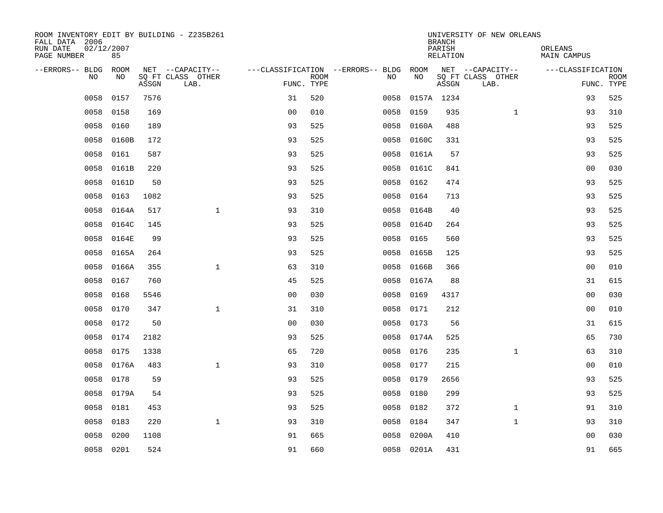| ROOM INVENTORY EDIT BY BUILDING - Z235B261<br>FALL DATA 2006 |                  |       |                           |                                        |             |      |            | <b>BRANCH</b>      | UNIVERSITY OF NEW ORLEANS |                        |                           |
|--------------------------------------------------------------|------------------|-------|---------------------------|----------------------------------------|-------------|------|------------|--------------------|---------------------------|------------------------|---------------------------|
| RUN DATE<br>PAGE NUMBER                                      | 02/12/2007<br>85 |       |                           |                                        |             |      |            | PARISH<br>RELATION |                           | ORLEANS<br>MAIN CAMPUS |                           |
| --ERRORS-- BLDG ROOM                                         |                  |       | NET --CAPACITY--          | ---CLASSIFICATION --ERRORS-- BLDG ROOM |             |      |            |                    | NET --CAPACITY--          | ---CLASSIFICATION      |                           |
| NO.                                                          | NO.              | ASSGN | SQ FT CLASS OTHER<br>LAB. | FUNC. TYPE                             | <b>ROOM</b> | NO.  | <b>NO</b>  | ASSGN              | SQ FT CLASS OTHER<br>LAB. |                        | <b>ROOM</b><br>FUNC. TYPE |
| 0058                                                         | 0157             | 7576  |                           | 31                                     | 520         | 0058 | 0157A 1234 |                    |                           | 93                     | 525                       |
| 0058                                                         | 0158             | 169   |                           | 0 <sub>0</sub>                         | 010         | 0058 | 0159       | 935                | $\mathbf{1}$              | 93                     | 310                       |
| 0058                                                         | 0160             | 189   |                           | 93                                     | 525         | 0058 | 0160A      | 488                |                           | 93                     | 525                       |
| 0058                                                         | 0160B            | 172   |                           | 93                                     | 525         |      | 0058 0160C | 331                |                           | 93                     | 525                       |
| 0058                                                         | 0161             | 587   |                           | 93                                     | 525         | 0058 | 0161A      | 57                 |                           | 93                     | 525                       |
| 0058                                                         | 0161B            | 220   |                           | 93                                     | 525         |      | 0058 0161C | 841                |                           | 0 <sub>0</sub>         | 030                       |
| 0058                                                         | 0161D            | 50    |                           | 93                                     | 525         | 0058 | 0162       | 474                |                           | 93                     | 525                       |
| 0058                                                         | 0163             | 1082  |                           | 93                                     | 525         | 0058 | 0164       | 713                |                           | 93                     | 525                       |
| 0058                                                         | 0164A            | 517   | $\mathbf{1}$              | 93                                     | 310         | 0058 | 0164B      | 40                 |                           | 93                     | 525                       |
| 0058                                                         | 0164C            | 145   |                           | 93                                     | 525         |      | 0058 0164D | 264                |                           | 93                     | 525                       |
| 0058                                                         | 0164E            | 99    |                           | 93                                     | 525         | 0058 | 0165       | 560                |                           | 93                     | 525                       |
| 0058                                                         | 0165A            | 264   |                           | 93                                     | 525         | 0058 | 0165B      | 125                |                           | 93                     | 525                       |
| 0058                                                         | 0166A            | 355   | $\mathbf{1}$              | 63                                     | 310         | 0058 | 0166B      | 366                |                           | 0 <sub>0</sub>         | 010                       |
| 0058                                                         | 0167             | 760   |                           | 45                                     | 525         |      | 0058 0167A | 88                 |                           | 31                     | 615                       |
| 0058                                                         | 0168             | 5546  |                           | 0 <sub>0</sub>                         | 030         | 0058 | 0169       | 4317               |                           | 0 <sub>0</sub>         | 030                       |
| 0058                                                         | 0170             | 347   | $\mathbf{1}$              | 31                                     | 310         | 0058 | 0171       | 212                |                           | 0 <sub>0</sub>         | 010                       |
| 0058                                                         | 0172             | 50    |                           | 0 <sub>0</sub>                         | 030         | 0058 | 0173       | 56                 |                           | 31                     | 615                       |
| 0058                                                         | 0174             | 2182  |                           | 93                                     | 525         | 0058 | 0174A      | 525                |                           | 65                     | 730                       |
| 0058                                                         | 0175             | 1338  |                           | 65                                     | 720         | 0058 | 0176       | 235                | $\mathbf{1}$              | 63                     | 310                       |
| 0058                                                         | 0176A            | 483   | $\mathbf{1}$              | 93                                     | 310         | 0058 | 0177       | 215                |                           | 0 <sub>0</sub>         | 010                       |
| 0058                                                         | 0178             | 59    |                           | 93                                     | 525         | 0058 | 0179       | 2656               |                           | 93                     | 525                       |
| 0058                                                         | 0179A            | 54    |                           | 93                                     | 525         | 0058 | 0180       | 299                |                           | 93                     | 525                       |
| 0058                                                         | 0181             | 453   |                           | 93                                     | 525         | 0058 | 0182       | 372                | $\mathbf{1}$              | 91                     | 310                       |
| 0058                                                         | 0183             | 220   | $\mathbf{1}$              | 93                                     | 310         | 0058 | 0184       | 347                | $\mathbf{1}$              | 93                     | 310                       |
| 0058                                                         | 0200             | 1108  |                           | 91                                     | 665         | 0058 | 0200A      | 410                |                           | 00                     | 030                       |
|                                                              | 0058 0201        | 524   |                           | 91                                     | 660         |      | 0058 0201A | 431                |                           | 91                     | 665                       |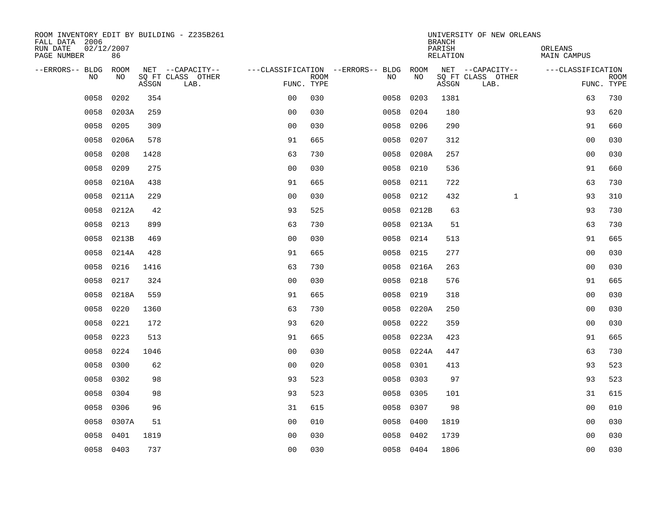|                                       | ROOM INVENTORY EDIT BY BUILDING - Z235B261<br>FALL DATA 2006 |       |                           |                                        |      |  |           |            | <b>BRANCH</b>      | UNIVERSITY OF NEW ORLEANS |                        |                           |
|---------------------------------------|--------------------------------------------------------------|-------|---------------------------|----------------------------------------|------|--|-----------|------------|--------------------|---------------------------|------------------------|---------------------------|
| RUN DATE<br>02/12/2007<br>PAGE NUMBER | 86                                                           |       |                           |                                        |      |  |           |            | PARISH<br>RELATION |                           | ORLEANS<br>MAIN CAMPUS |                           |
| --ERRORS-- BLDG ROOM                  |                                                              |       | NET --CAPACITY--          | ---CLASSIFICATION --ERRORS-- BLDG ROOM |      |  |           |            |                    | NET --CAPACITY--          | ---CLASSIFICATION      |                           |
| NO.                                   | NO.                                                          | ASSGN | SQ FT CLASS OTHER<br>LAB. | FUNC. TYPE                             | ROOM |  | NO.       | NO         | ASSGN              | SQ FT CLASS OTHER<br>LAB. |                        | <b>ROOM</b><br>FUNC. TYPE |
| 0058                                  | 0202                                                         | 354   |                           | 0 <sub>0</sub>                         | 030  |  | 0058      | 0203       | 1381               |                           | 63                     | 730                       |
| 0058                                  | 0203A                                                        | 259   |                           | 0 <sub>0</sub>                         | 030  |  | 0058      | 0204       | 180                |                           | 93                     | 620                       |
| 0058                                  | 0205                                                         | 309   |                           | 0 <sub>0</sub>                         | 030  |  | 0058      | 0206       | 290                |                           | 91                     | 660                       |
| 0058                                  | 0206A                                                        | 578   |                           | 91                                     | 665  |  | 0058      | 0207       | 312                |                           | 0 <sub>0</sub>         | 030                       |
| 0058                                  | 0208                                                         | 1428  |                           | 63                                     | 730  |  | 0058      | 0208A      | 257                |                           | 0 <sub>0</sub>         | 030                       |
| 0058                                  | 0209                                                         | 275   |                           | 0 <sub>0</sub>                         | 030  |  | 0058      | 0210       | 536                |                           | 91                     | 660                       |
| 0058                                  | 0210A                                                        | 438   |                           | 91                                     | 665  |  | 0058      | 0211       | 722                |                           | 63                     | 730                       |
| 0058                                  | 0211A                                                        | 229   |                           | 0 <sub>0</sub>                         | 030  |  | 0058      | 0212       | 432                | $\mathbf{1}$              | 93                     | 310                       |
| 0058                                  | 0212A                                                        | 42    |                           | 93                                     | 525  |  | 0058      | 0212B      | 63                 |                           | 93                     | 730                       |
| 0058                                  | 0213                                                         | 899   |                           | 63                                     | 730  |  |           | 0058 0213A | 51                 |                           | 63                     | 730                       |
| 0058                                  | 0213B                                                        | 469   |                           | 0 <sub>0</sub>                         | 030  |  | 0058      | 0214       | 513                |                           | 91                     | 665                       |
| 0058                                  | 0214A                                                        | 428   |                           | 91                                     | 665  |  | 0058 0215 |            | 277                |                           | 0 <sub>0</sub>         | 030                       |
| 0058                                  | 0216                                                         | 1416  |                           | 63                                     | 730  |  | 0058      | 0216A      | 263                |                           | 0 <sub>0</sub>         | 030                       |
| 0058                                  | 0217                                                         | 324   |                           | 0 <sub>0</sub>                         | 030  |  | 0058      | 0218       | 576                |                           | 91                     | 665                       |
| 0058                                  | 0218A                                                        | 559   |                           | 91                                     | 665  |  | 0058      | 0219       | 318                |                           | 0 <sub>0</sub>         | 030                       |
| 0058                                  | 0220                                                         | 1360  |                           | 63                                     | 730  |  | 0058      | 0220A      | 250                |                           | 0 <sub>0</sub>         | 030                       |
| 0058                                  | 0221                                                         | 172   |                           | 93                                     | 620  |  | 0058      | 0222       | 359                |                           | 0 <sub>0</sub>         | 030                       |
| 0058                                  | 0223                                                         | 513   |                           | 91                                     | 665  |  | 0058      | 0223A      | 423                |                           | 91                     | 665                       |
| 0058                                  | 0224                                                         | 1046  |                           | 0 <sup>0</sup>                         | 030  |  |           | 0058 0224A | 447                |                           | 63                     | 730                       |
| 0058                                  | 0300                                                         | 62    |                           | 0 <sub>0</sub>                         | 020  |  | 0058      | 0301       | 413                |                           | 93                     | 523                       |
| 0058                                  | 0302                                                         | 98    |                           | 93                                     | 523  |  | 0058      | 0303       | 97                 |                           | 93                     | 523                       |
| 0058                                  | 0304                                                         | 98    |                           | 93                                     | 523  |  | 0058      | 0305       | 101                |                           | 31                     | 615                       |
| 0058                                  | 0306                                                         | 96    |                           | 31                                     | 615  |  | 0058      | 0307       | 98                 |                           | 00                     | 010                       |
| 0058                                  | 0307A                                                        | 51    |                           | 0 <sub>0</sub>                         | 010  |  | 0058      | 0400       | 1819               |                           | 00                     | 030                       |
| 0058                                  | 0401                                                         | 1819  |                           | 0 <sub>0</sub>                         | 030  |  | 0058      | 0402       | 1739               |                           | 00                     | 030                       |
|                                       | 0058 0403                                                    | 737   |                           | 0 <sub>0</sub>                         | 030  |  | 0058 0404 |            | 1806               |                           | 0 <sub>0</sub>         | 030                       |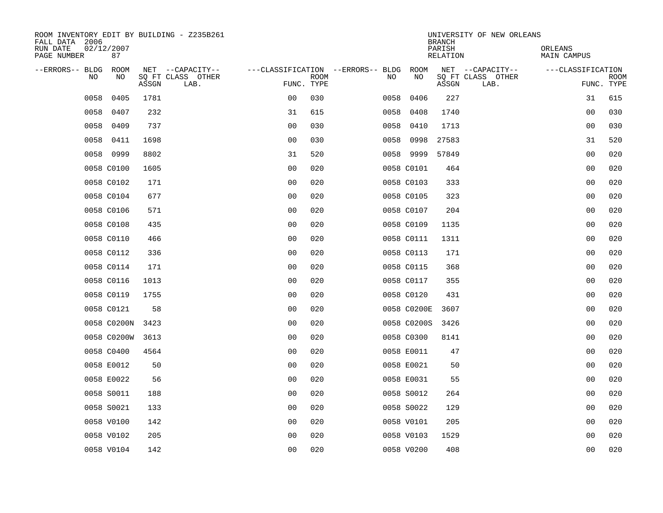| ROOM INVENTORY EDIT BY BUILDING - Z235B261<br>FALL DATA 2006 |                                    |                           |                                        | UNIVERSITY OF NEW ORLEANS<br><b>BRANCH</b> |                        |
|--------------------------------------------------------------|------------------------------------|---------------------------|----------------------------------------|--------------------------------------------|------------------------|
| RUN DATE<br>02/12/2007<br>PAGE NUMBER<br>87                  |                                    |                           |                                        | PARISH<br>RELATION                         | ORLEANS<br>MAIN CAMPUS |
| --ERRORS-- BLDG ROOM                                         | NET --CAPACITY--                   |                           | ---CLASSIFICATION --ERRORS-- BLDG ROOM | NET --CAPACITY--                           | ---CLASSIFICATION      |
| NO<br>NO.                                                    | SQ FT CLASS OTHER<br>ASSGN<br>LAB. | <b>ROOM</b><br>FUNC. TYPE | NO.                                    | NO<br>SQ FT CLASS OTHER<br>ASSGN<br>LAB.   | ROOM<br>FUNC. TYPE     |
| 0058<br>0405                                                 | 1781                               | 0 <sub>0</sub><br>030     | 0058                                   | 0406<br>227                                | 31<br>615              |
| 0058<br>0407                                                 | 232                                | 615<br>31                 | 0058                                   | 0408<br>1740                               | 00<br>030              |
| 0058<br>0409                                                 | 737                                | 0 <sub>0</sub><br>030     | 0058                                   | 0410<br>1713                               | 00<br>030              |
| 0058<br>0411                                                 | 1698                               | 0 <sub>0</sub><br>030     | 0058                                   | 0998<br>27583                              | 31<br>520              |
| 0058<br>0999                                                 | 8802                               | 31<br>520                 | 0058 9999                              | 57849                                      | 0 <sub>0</sub><br>020  |
| 0058 C0100                                                   | 1605                               | 0 <sub>0</sub><br>020     | 0058 C0101                             | 464                                        | 0 <sub>0</sub><br>020  |
| 0058 C0102                                                   | 171                                | 0 <sub>0</sub><br>020     | 0058 C0103                             | 333                                        | 00<br>020              |
| 0058 C0104                                                   | 677                                | 0 <sub>0</sub><br>020     | 0058 C0105                             | 323                                        | 0 <sub>0</sub><br>020  |
| 0058 C0106                                                   | 571                                | 0 <sub>0</sub><br>020     | 0058 C0107                             | 204                                        | 0 <sub>0</sub><br>020  |
| 0058 C0108                                                   | 435                                | 0 <sub>0</sub><br>020     | 0058 C0109                             | 1135                                       | 0 <sub>0</sub><br>020  |
| 0058 C0110                                                   | 466                                | 0 <sub>0</sub><br>020     | 0058 C0111                             | 1311                                       | 0 <sub>0</sub><br>020  |
| 0058 C0112                                                   | 336                                | 0 <sub>0</sub><br>020     | 0058 C0113                             | 171                                        | 020<br>0 <sub>0</sub>  |
| 0058 C0114                                                   | 171                                | 0 <sub>0</sub><br>020     | 0058 C0115                             | 368                                        | 0 <sub>0</sub><br>020  |
| 0058 C0116                                                   | 1013                               | 00<br>020                 | 0058 C0117                             | 355                                        | 020<br>00              |
| 0058 C0119                                                   | 1755                               | 0 <sub>0</sub><br>020     | 0058 C0120                             | 431                                        | 0 <sub>0</sub><br>020  |
| 0058 C0121                                                   | 58                                 | 0 <sub>0</sub><br>020     | 0058 C0200E                            | 3607                                       | 00<br>020              |
| 0058 C0200N                                                  | 3423                               | 0 <sub>0</sub><br>020     | 0058 C0200S                            | 3426                                       | 020<br>0 <sub>0</sub>  |
| 0058 C0200W                                                  | 3613                               | 0 <sub>0</sub><br>020     | 0058 C0300                             | 8141                                       | 0 <sub>0</sub><br>020  |
| 0058 C0400                                                   | 4564                               | 0 <sub>0</sub><br>020     | 0058 E0011                             | 47                                         | 0 <sub>0</sub><br>020  |
| 0058 E0012                                                   | 50                                 | 0 <sub>0</sub><br>020     | 0058 E0021                             | 50                                         | 00<br>020              |
| 0058 E0022                                                   | 56                                 | 0 <sub>0</sub><br>020     | 0058 E0031                             | 55                                         | 020<br>00              |
| 0058 S0011                                                   | 188                                | 020<br>00                 | 0058 S0012                             | 264                                        | 0 <sub>0</sub><br>020  |
| 0058 S0021                                                   | 133                                | 0 <sub>0</sub><br>020     | 0058 S0022                             | 129                                        | 00<br>020              |
| 0058 V0100                                                   | 142                                | 0 <sub>0</sub><br>020     | 0058 V0101                             | 205                                        | 00<br>020              |
| 0058 V0102                                                   | 205                                | 0 <sub>0</sub><br>020     | 0058 V0103                             | 1529                                       | 00<br>020              |
| 0058 V0104                                                   | 142                                | 0 <sub>0</sub><br>020     | 0058 V0200                             | 408                                        | 0 <sub>0</sub><br>020  |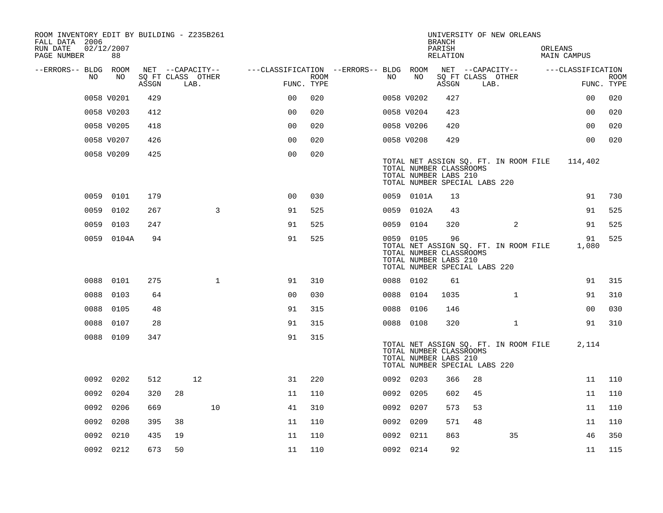| ROOM INVENTORY EDIT BY BUILDING - Z235B261<br>FALL DATA 2006 |                  |       |                           |              |                                        |      |    |                                                                                                | <b>BRANCH</b>      |    | UNIVERSITY OF NEW ORLEANS             |         |                   |             |
|--------------------------------------------------------------|------------------|-------|---------------------------|--------------|----------------------------------------|------|----|------------------------------------------------------------------------------------------------|--------------------|----|---------------------------------------|---------|-------------------|-------------|
| RUN DATE<br>PAGE NUMBER                                      | 02/12/2007<br>88 |       |                           |              |                                        |      |    |                                                                                                | PARISH<br>RELATION |    |                                       | ORLEANS | MAIN CAMPUS       |             |
| --ERRORS-- BLDG ROOM                                         |                  |       | NET --CAPACITY--          |              | ---CLASSIFICATION --ERRORS-- BLDG ROOM |      |    |                                                                                                |                    |    | NET --CAPACITY--                      |         | ---CLASSIFICATION |             |
| NO.                                                          | NO               | ASSGN | SQ FT CLASS OTHER<br>LAB. |              | FUNC. TYPE                             | ROOM | NO | NO                                                                                             | ASSGN              |    | SQ FT CLASS OTHER<br>LAB.             |         | FUNC. TYPE        | <b>ROOM</b> |
|                                                              | 0058 V0201       | 429   |                           |              | 0 <sup>0</sup>                         | 020  |    | 0058 V0202                                                                                     | 427                |    |                                       |         | 0 <sub>0</sub>    | 020         |
|                                                              | 0058 V0203       | 412   |                           |              | 0 <sub>0</sub>                         | 020  |    | 0058 V0204                                                                                     | 423                |    |                                       |         | 0 <sub>0</sub>    | 020         |
|                                                              | 0058 V0205       | 418   |                           |              | 0 <sub>0</sub>                         | 020  |    | 0058 V0206                                                                                     | 420                |    |                                       |         | 0 <sub>0</sub>    | 020         |
|                                                              | 0058 V0207       | 426   |                           |              | 0 <sub>0</sub>                         | 020  |    | 0058 V0208                                                                                     | 429                |    |                                       |         | 0 <sub>0</sub>    | 020         |
|                                                              | 0058 V0209       | 425   |                           |              | 0 <sub>0</sub>                         | 020  |    | TOTAL NUMBER CLASSROOMS<br>TOTAL NUMBER LABS 210<br>TOTAL NUMBER SPECIAL LABS 220              |                    |    | TOTAL NET ASSIGN SQ. FT. IN ROOM FILE |         | 114,402           |             |
|                                                              | 0059 0101        | 179   |                           |              | 0 <sub>0</sub>                         | 030  |    | 0059 0101A                                                                                     | 13                 |    |                                       |         | 91                | 730         |
| 0059                                                         | 0102             | 267   |                           | $\mathbf{3}$ | 91                                     | 525  |    | 0059 0102A                                                                                     | 43                 |    |                                       |         | 91                | 525         |
| 0059                                                         | 0103             | 247   |                           |              | 91                                     | 525  |    | 0059 0104                                                                                      | 320                |    | 2                                     |         | 91                | 525         |
|                                                              | 0059 0104A       | 94    |                           |              | 91                                     | 525  |    | 0059 0105<br>TOTAL NUMBER CLASSROOMS<br>TOTAL NUMBER LABS 210<br>TOTAL NUMBER SPECIAL LABS 220 | 96                 |    | TOTAL NET ASSIGN SQ. FT. IN ROOM FILE |         | 91<br>1,080       | 525         |
| 0088                                                         | 0101             | 275   |                           | $\mathbf{1}$ | 91                                     | 310  |    | 0088 0102                                                                                      | 61                 |    |                                       |         | 91                | 315         |
| 0088                                                         | 0103             | 64    |                           |              | 0 <sub>0</sub>                         | 030  |    | 0088 0104                                                                                      | 1035               |    | $\mathbf{1}$                          |         | 91                | 310         |
|                                                              | 0088 0105        | 48    |                           |              | 91                                     | 315  |    | 0088 0106                                                                                      | 146                |    |                                       |         | 0 <sub>0</sub>    | 030         |
| 0088                                                         | 0107             | 28    |                           |              | 91                                     | 315  |    | 0088 0108                                                                                      | 320                |    | $\mathbf{1}$                          |         | 91                | 310         |
|                                                              | 0088 0109        | 347   |                           |              | 91                                     | 315  |    | TOTAL NUMBER CLASSROOMS<br>TOTAL NUMBER LABS 210<br>TOTAL NUMBER SPECIAL LABS 220              |                    |    | TOTAL NET ASSIGN SQ. FT. IN ROOM FILE |         | 2,114             |             |
|                                                              | 0092 0202        | 512   | 12                        |              | 31                                     | 220  |    | 0092 0203                                                                                      | 366                | 28 |                                       |         | 11                | 110         |
| 0092                                                         | 0204             | 320   | 28                        |              | 11                                     | 110  |    | 0092 0205                                                                                      | 602                | 45 |                                       |         | 11                | 110         |
|                                                              | 0092 0206        | 669   |                           | 10           | 41                                     | 310  |    | 0092 0207                                                                                      | 573                | 53 |                                       |         | 11                | 110         |
|                                                              | 0092 0208        | 395   | 38                        |              | 11                                     | 110  |    | 0092 0209                                                                                      | 571                | 48 |                                       |         | 11                | 110         |
| 0092                                                         | 0210             | 435   | 19                        |              | 11                                     | 110  |    | 0092 0211                                                                                      | 863                |    | 35                                    |         | 46                | 350         |
|                                                              | 0092 0212        | 673   | 50                        |              | 11                                     | 110  |    | 0092 0214                                                                                      | 92                 |    |                                       |         | 11                | 115         |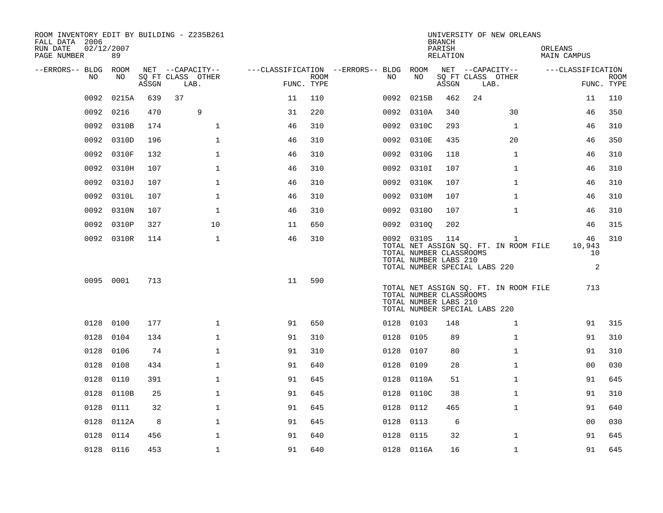| ROOM INVENTORY EDIT BY BUILDING - Z235B261<br>FALL DATA 2006<br>RUN DATE<br>PAGE NUMBER | 02/12/2007<br>89 |       |                           |                                        |      |           |                                                                | <b>BRANCH</b><br>PARISH<br>RELATION |                               | UNIVERSITY OF NEW ORLEANS                             | ORLEANS<br>MAIN CAMPUS |                         |                           |
|-----------------------------------------------------------------------------------------|------------------|-------|---------------------------|----------------------------------------|------|-----------|----------------------------------------------------------------|-------------------------------------|-------------------------------|-------------------------------------------------------|------------------------|-------------------------|---------------------------|
| --ERRORS-- BLDG ROOM                                                                    |                  |       | NET --CAPACITY--          | ---CLASSIFICATION --ERRORS-- BLDG ROOM |      |           |                                                                |                                     | NET --CAPACITY--              |                                                       | ---CLASSIFICATION      |                         |                           |
| NO.                                                                                     | NO.              | ASSGN | SQ FT CLASS OTHER<br>LAB. | FUNC. TYPE                             | ROOM | NO.       | NO                                                             | ASSGN                               | SQ FT CLASS OTHER<br>LAB.     |                                                       |                        |                         | <b>ROOM</b><br>FUNC. TYPE |
| 0092                                                                                    | 0215A            | 639   | 37                        | 11                                     | 110  | 0092      | 0215B                                                          | 462                                 | 24                            |                                                       |                        | 11                      | 110                       |
| 0092                                                                                    | 0216             | 470   | 9                         | 31                                     | 220  |           | 0092 0310A                                                     | 340                                 |                               | 30                                                    |                        | 46                      | 350                       |
|                                                                                         | 0092 0310B       | 174   | $\mathbf 1$               | 46                                     | 310  |           | 0092 0310C                                                     | 293                                 |                               | $\mathbf{1}$                                          |                        | 46                      | 310                       |
| 0092                                                                                    | 0310D            | 196   | $\mathbf{1}$              | 46                                     | 310  |           | 0092 0310E                                                     | 435                                 |                               | 20                                                    |                        | 46                      | 350                       |
| 0092                                                                                    | 0310F            | 132   | $\mathbf 1$               | 46                                     | 310  |           | 0092 0310G                                                     | 118                                 |                               | $\mathbf{1}$                                          |                        | 46                      | 310                       |
| 0092                                                                                    | 0310H            | 107   | $\mathbf{1}$              | 46                                     | 310  |           | 0092 0310I                                                     | 107                                 |                               | $\mathbf{1}$                                          |                        | 46                      | 310                       |
| 0092                                                                                    | 0310J            | 107   | $\mathbf{1}$              | 46                                     | 310  |           | 0092 0310K                                                     | 107                                 |                               | $\mathbf{1}$                                          |                        | 46                      | 310                       |
| 0092                                                                                    | 0310L            | 107   | $\mathbf{1}$              | 46                                     | 310  |           | 0092 0310M                                                     | 107                                 |                               | $\mathbf{1}$                                          |                        | 46                      | 310                       |
| 0092                                                                                    | 0310N            | 107   | $\mathbf{1}$              | 46                                     | 310  |           | 0092 03100                                                     | 107                                 |                               | $\mathbf{1}$                                          |                        | 46                      | 310                       |
| 0092                                                                                    | 0310P            | 327   | 10                        | 11                                     | 650  |           | 0092 03100                                                     | 202                                 |                               |                                                       |                        | 46                      | 315                       |
|                                                                                         | 0092 0310R       | 114   | $\mathbf 1$               | 46                                     | 310  |           | 0092 0310S<br>TOTAL NUMBER CLASSROOMS<br>TOTAL NUMBER LABS 210 | 114                                 | TOTAL NUMBER SPECIAL LABS 220 | $\mathbf{1}$<br>TOTAL NET ASSIGN SQ. FT. IN ROOM FILE |                        | 46<br>10,943<br>10<br>2 | 310                       |
|                                                                                         | 0095 0001        | 713   |                           | 11                                     | 590  |           | TOTAL NUMBER CLASSROOMS<br>TOTAL NUMBER LABS 210               |                                     | TOTAL NUMBER SPECIAL LABS 220 | TOTAL NET ASSIGN SQ. FT. IN ROOM FILE                 |                        | 713                     |                           |
|                                                                                         | 0128 0100        | 177   | $\mathbf{1}$              | 91                                     | 650  | 0128 0103 |                                                                | 148                                 |                               | $\mathbf{1}$                                          |                        | 91                      | 315                       |
| 0128                                                                                    | 0104             | 134   | $\mathbf 1$               | 91                                     | 310  | 0128      | 0105                                                           | 89                                  |                               | $\mathbf{1}$                                          |                        | 91                      | 310                       |
| 0128                                                                                    | 0106             | 74    | 1                         | 91                                     | 310  | 0128      | 0107                                                           | 80                                  |                               | $\mathbf{1}$                                          |                        | 91                      | 310                       |
| 0128                                                                                    | 0108             | 434   | $\mathbf{1}$              | 91                                     | 640  | 0128      | 0109                                                           | 28                                  |                               | $\mathbf{1}$                                          |                        | 0 <sub>0</sub>          | 030                       |
| 0128                                                                                    | 0110             | 391   | $\mathbf{1}$              | 91                                     | 645  |           | 0128 0110A                                                     | 51                                  |                               | $\mathbf{1}$                                          |                        | 91                      | 645                       |
| 0128                                                                                    | 0110B            | 25    | $\mathbf{1}$              | 91                                     | 645  | 0128      | 0110C                                                          | 38                                  |                               | $\mathbf{1}$                                          |                        | 91                      | 310                       |
| 0128                                                                                    | 0111             | 32    | $\mathbf 1$               | 91                                     | 645  | 0128      | 0112                                                           | 465                                 |                               | $\mathbf{1}$                                          |                        | 91                      | 640                       |
| 0128                                                                                    | 0112A            | 8     | $\mathbf 1$               | 91                                     | 645  | 0128      | 0113                                                           | 6                                   |                               |                                                       |                        | 0 <sub>0</sub>          | 030                       |
| 0128                                                                                    | 0114             | 456   | $\mathbf 1$               | 91                                     | 640  | 0128      | 0115                                                           | 32                                  |                               | $\mathbf{1}$                                          |                        | 91                      | 645                       |
|                                                                                         | 0128 0116        | 453   | $\mathbf 1$               | 91                                     | 640  |           | 0128 0116A                                                     | 16                                  |                               | $\mathbf{1}$                                          |                        | 91                      | 645                       |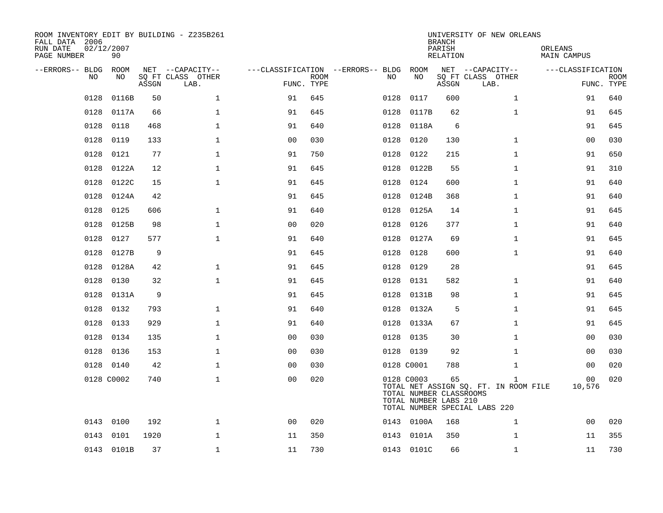| ROOM INVENTORY EDIT BY BUILDING - Z235B261<br>FALL DATA 2006<br>RUN DATE<br>PAGE NUMBER | 02/12/2007<br>90 |       |                           |                |             |                                        |                                                                | <b>BRANCH</b><br>PARISH<br><b>RELATION</b> | UNIVERSITY OF NEW ORLEANS                                                              | ORLEANS<br><b>MAIN CAMPUS</b> |                           |
|-----------------------------------------------------------------------------------------|------------------|-------|---------------------------|----------------|-------------|----------------------------------------|----------------------------------------------------------------|--------------------------------------------|----------------------------------------------------------------------------------------|-------------------------------|---------------------------|
| --ERRORS-- BLDG ROOM                                                                    |                  |       | NET --CAPACITY--          |                |             | ---CLASSIFICATION --ERRORS-- BLDG ROOM |                                                                |                                            | NET --CAPACITY--                                                                       | ---CLASSIFICATION             |                           |
| NO.                                                                                     | NO.              | ASSGN | SQ FT CLASS OTHER<br>LAB. | FUNC. TYPE     | <b>ROOM</b> | NO.                                    | NO                                                             | ASSGN                                      | SQ FT CLASS OTHER<br>LAB.                                                              |                               | <b>ROOM</b><br>FUNC. TYPE |
| 0128                                                                                    | 0116B            | 50    | $\mathbf 1$               | 91             | 645         | 0128                                   | 0117                                                           | 600                                        | $\mathbf{1}$                                                                           | 91                            | 640                       |
| 0128                                                                                    | 0117A            | 66    | $\mathbf 1$               | 91             | 645         | 0128                                   | 0117B                                                          | 62                                         | $\mathbf{1}$                                                                           | 91                            | 645                       |
| 0128                                                                                    | 0118             | 468   | $\mathbf 1$               | 91             | 640         | 0128                                   | 0118A                                                          | 6                                          |                                                                                        | 91                            | 645                       |
| 0128                                                                                    | 0119             | 133   | $\mathbf 1$               | 0 <sub>0</sub> | 030         | 0128                                   | 0120                                                           | 130                                        | $\mathbf{1}$                                                                           | 00                            | 030                       |
| 0128                                                                                    | 0121             | 77    | $\mathbf{1}$              | 91             | 750         | 0128                                   | 0122                                                           | 215                                        | $\mathbf{1}$                                                                           | 91                            | 650                       |
| 0128                                                                                    | 0122A            | 12    | $\mathbf 1$               | 91             | 645         |                                        | 0128 0122B                                                     | 55                                         | $\mathbf{1}$                                                                           | 91                            | 310                       |
| 0128                                                                                    | 0122C            | 15    | $\mathbf{1}$              | 91             | 645         | 0128                                   | 0124                                                           | 600                                        | $\mathbf{1}$                                                                           | 91                            | 640                       |
| 0128                                                                                    | 0124A            | 42    |                           | 91             | 645         |                                        | 0128 0124B                                                     | 368                                        | $\mathbf{1}$                                                                           | 91                            | 640                       |
| 0128                                                                                    | 0125             | 606   | $\mathbf{1}$              | 91             | 640         | 0128                                   | 0125A                                                          | 14                                         | $\mathbf{1}$                                                                           | 91                            | 645                       |
| 0128                                                                                    | 0125B            | 98    | $\mathbf 1$               | 0 <sub>0</sub> | 020         | 0128                                   | 0126                                                           | 377                                        | $\mathbf{1}$                                                                           | 91                            | 640                       |
| 0128                                                                                    | 0127             | 577   | $\mathbf{1}$              | 91             | 640         | 0128                                   | 0127A                                                          | 69                                         | $\mathbf{1}$                                                                           | 91                            | 645                       |
| 0128                                                                                    | 0127B            | 9     |                           | 91             | 645         | 0128                                   | 0128                                                           | 600                                        | $\mathbf{1}$                                                                           | 91                            | 640                       |
| 0128                                                                                    | 0128A            | 42    | $\mathbf{1}$              | 91             | 645         | 0128                                   | 0129                                                           | 28                                         |                                                                                        | 91                            | 645                       |
| 0128                                                                                    | 0130             | 32    | $\mathbf{1}$              | 91             | 645         | 0128                                   | 0131                                                           | 582                                        | $\mathbf{1}$                                                                           | 91                            | 640                       |
| 0128                                                                                    | 0131A            | 9     |                           | 91             | 645         |                                        | 0128 0131B                                                     | 98                                         | $\mathbf{1}$                                                                           | 91                            | 645                       |
| 0128                                                                                    | 0132             | 793   | $\mathbf{1}$              | 91             | 640         |                                        | 0128 0132A                                                     | 5                                          | $\mathbf{1}$                                                                           | 91                            | 645                       |
| 0128                                                                                    | 0133             | 929   | $\mathbf{1}$              | 91             | 640         | 0128                                   | 0133A                                                          | 67                                         | $\mathbf{1}$                                                                           | 91                            | 645                       |
| 0128                                                                                    | 0134             | 135   | $\mathbf{1}$              | 0 <sub>0</sub> | 030         |                                        | 0128 0135                                                      | 30                                         | $\mathbf{1}$                                                                           | 0 <sub>0</sub>                | 030                       |
| 0128                                                                                    | 0136             | 153   | $\mathbf{1}$              | 0 <sub>0</sub> | 030         |                                        | 0128 0139                                                      | 92                                         | $\mathbf{1}$                                                                           | 0 <sub>0</sub>                | 030                       |
|                                                                                         | 0128 0140        | 42    | $\mathbf{1}$              | 0 <sub>0</sub> | 030         |                                        | 0128 C0001                                                     | 788                                        | $\mathbf{1}$                                                                           | 00                            | 020                       |
|                                                                                         | 0128 C0002       | 740   | $\mathbf{1}$              | 0 <sub>0</sub> | 020         |                                        | 0128 C0003<br>TOTAL NUMBER CLASSROOMS<br>TOTAL NUMBER LABS 210 | 65                                         | $\mathbf{1}$<br>TOTAL NET ASSIGN SQ. FT. IN ROOM FILE<br>TOTAL NUMBER SPECIAL LABS 220 | 00<br>10,576                  | 020                       |
|                                                                                         | 0143 0100        | 192   | $\mathbf 1$               | 00             | 020         |                                        | 0143 0100A                                                     | 168                                        | $\mathbf{1}$                                                                           | 0 <sub>0</sub>                | 020                       |
|                                                                                         | 0143 0101        | 1920  | $\mathbf 1$               | 11             | 350         |                                        | 0143 0101A                                                     | 350                                        | $\mathbf{1}$                                                                           | 11                            | 355                       |
|                                                                                         | 0143 0101B       | 37    | $\mathbf{1}$              | 11             | 730         |                                        | 0143 0101C                                                     | 66                                         | $\mathbf{1}$                                                                           | 11                            | 730                       |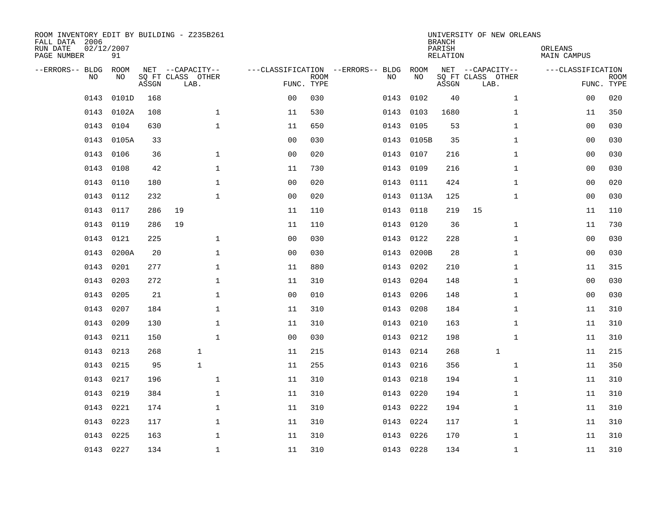| ROOM INVENTORY EDIT BY BUILDING - Z235B261<br>FALL DATA 2006<br>RUN DATE<br>PAGE NUMBER | 02/12/2007<br>91 |       |                                               |                |             |                                         |            | <b>BRANCH</b><br>PARISH<br><b>RELATION</b> | UNIVERSITY OF NEW ORLEANS                     | ORLEANS<br><b>MAIN CAMPUS</b> |                           |
|-----------------------------------------------------------------------------------------|------------------|-------|-----------------------------------------------|----------------|-------------|-----------------------------------------|------------|--------------------------------------------|-----------------------------------------------|-------------------------------|---------------------------|
| --ERRORS-- BLDG<br>NO                                                                   | ROOM<br>NO       | ASSGN | NET --CAPACITY--<br>SQ FT CLASS OTHER<br>LAB. | FUNC. TYPE     | <b>ROOM</b> | ---CLASSIFICATION --ERRORS-- BLDG<br>NO | ROOM<br>NO | ASSGN                                      | NET --CAPACITY--<br>SQ FT CLASS OTHER<br>LAB. | ---CLASSIFICATION             | <b>ROOM</b><br>FUNC. TYPE |
| 0143                                                                                    | 0101D            | 168   |                                               | 0 <sub>0</sub> | 030         | 0143                                    | 0102       | 40                                         | $\mathbf{1}$                                  | 00                            | 020                       |
| 0143                                                                                    | 0102A            | 108   | $\mathbf 1$                                   | 11             | 530         | 0143                                    | 0103       | 1680                                       | $\mathbf{1}$                                  | 11                            | 350                       |
| 0143                                                                                    | 0104             | 630   | $\mathbf 1$                                   | 11             | 650         | 0143                                    | 0105       | 53                                         | $\mathbf{1}$                                  | 00                            | 030                       |
| 0143                                                                                    | 0105A            | 33    |                                               | 0 <sub>0</sub> | 030         | 0143                                    | 0105B      | 35                                         | $\mathbf{1}$                                  | 00                            | 030                       |
| 0143                                                                                    | 0106             | 36    | $\mathbf{1}$                                  | 0 <sub>0</sub> | 020         | 0143                                    | 0107       | 216                                        | $\mathbf{1}$                                  | 0 <sub>0</sub>                | 030                       |
| 0143                                                                                    | 0108             | 42    | $\mathbf 1$                                   | 11             | 730         | 0143                                    | 0109       | 216                                        | $\mathbf{1}$                                  | 0 <sub>0</sub>                | 030                       |
| 0143                                                                                    | 0110             | 180   | $\mathbf{1}$                                  | 0 <sub>0</sub> | 020         | 0143                                    | 0111       | 424                                        | $\mathbf{1}$                                  | 00                            | 020                       |
| 0143                                                                                    | 0112             | 232   | $\mathbf{1}$                                  | 0 <sub>0</sub> | 020         |                                         | 0143 0113A | 125                                        | $\mathbf{1}$                                  | 0 <sub>0</sub>                | 030                       |
| 0143                                                                                    | 0117             | 286   | 19                                            | 11             | 110         | 0143                                    | 0118       | 219                                        | 15                                            | 11                            | 110                       |
| 0143                                                                                    | 0119             | 286   | 19                                            | 11             | 110         | 0143                                    | 0120       | 36                                         | $\mathbf{1}$                                  | 11                            | 730                       |
| 0143                                                                                    | 0121             | 225   | $\mathbf{1}$                                  | 0 <sub>0</sub> | 030         | 0143                                    | 0122       | 228                                        | $\mathbf{1}$                                  | 0 <sub>0</sub>                | 030                       |
| 0143                                                                                    | 0200A            | 20    | $\mathbf{1}$                                  | 0 <sub>0</sub> | 030         | 0143                                    | 0200B      | 28                                         | $\mathbf{1}$                                  | 0 <sub>0</sub>                | 030                       |
| 0143                                                                                    | 0201             | 277   | $\mathbf 1$                                   | 11             | 880         | 0143                                    | 0202       | 210                                        | $\mathbf{1}$                                  | 11                            | 315                       |
| 0143                                                                                    | 0203             | 272   | $\mathbf 1$                                   | 11             | 310         | 0143                                    | 0204       | 148                                        | $\mathbf{1}$                                  | 00                            | 030                       |
| 0143                                                                                    | 0205             | 21    | $\mathbf 1$                                   | 0 <sub>0</sub> | 010         | 0143                                    | 0206       | 148                                        | $\mathbf{1}$                                  | 0 <sub>0</sub>                | 030                       |
| 0143                                                                                    | 0207             | 184   | $\mathbf{1}$                                  | 11             | 310         | 0143                                    | 0208       | 184                                        | $\mathbf{1}$                                  | 11                            | 310                       |
| 0143                                                                                    | 0209             | 130   | $\mathbf 1$                                   | 11             | 310         | 0143                                    | 0210       | 163                                        | $\mathbf{1}$                                  | 11                            | 310                       |
| 0143                                                                                    | 0211             | 150   | $\mathbf{1}$                                  | 0 <sub>0</sub> | 030         | 0143                                    | 0212       | 198                                        | $\mathbf{1}$                                  | 11                            | 310                       |
| 0143                                                                                    | 0213             | 268   | $\mathbf{1}$                                  | 11             | 215         | 0143                                    | 0214       | 268                                        | $\mathbf{1}$                                  | 11                            | 215                       |
| 0143                                                                                    | 0215             | 95    | $\mathbf{1}$                                  | 11             | 255         | 0143                                    | 0216       | 356                                        | $\mathbf{1}$                                  | 11                            | 350                       |
| 0143                                                                                    | 0217             | 196   | $\mathbf{1}$                                  | 11             | 310         | 0143                                    | 0218       | 194                                        | $\mathbf{1}$                                  | 11                            | 310                       |
| 0143                                                                                    | 0219             | 384   | $\mathbf{1}$                                  | 11             | 310         | 0143                                    | 0220       | 194                                        | $\mathbf{1}$                                  | 11                            | 310                       |
| 0143                                                                                    | 0221             | 174   | $\mathbf 1$                                   | 11             | 310         | 0143                                    | 0222       | 194                                        | $\mathbf{1}$                                  | 11                            | 310                       |
| 0143                                                                                    | 0223             | 117   | $\mathbf 1$                                   | 11             | 310         | 0143                                    | 0224       | 117                                        | $\mathbf{1}$                                  | 11                            | 310                       |
| 0143                                                                                    | 0225             | 163   | $\mathbf 1$                                   | 11             | 310         | 0143                                    | 0226       | 170                                        | $\mathbf{1}$                                  | 11                            | 310                       |
|                                                                                         | 0143 0227        | 134   | $\mathbf{1}$                                  | 11             | 310         |                                         | 0143 0228  | 134                                        | $\mathbf{1}$                                  | 11                            | 310                       |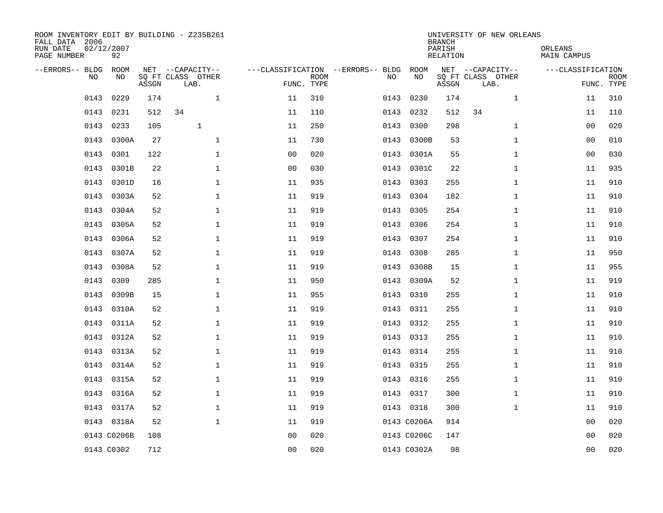| ROOM INVENTORY EDIT BY BUILDING - Z235B261<br>FALL DATA 2006<br>RUN DATE<br>PAGE NUMBER | 02/12/2007<br>92 |       |                                               |                |             |                                         |             | <b>BRANCH</b><br>PARISH<br><b>RELATION</b> | UNIVERSITY OF NEW ORLEANS                     | ORLEANS<br><b>MAIN CAMPUS</b> |                           |
|-----------------------------------------------------------------------------------------|------------------|-------|-----------------------------------------------|----------------|-------------|-----------------------------------------|-------------|--------------------------------------------|-----------------------------------------------|-------------------------------|---------------------------|
| --ERRORS-- BLDG<br>NO.                                                                  | ROOM<br>NO       | ASSGN | NET --CAPACITY--<br>SQ FT CLASS OTHER<br>LAB. | FUNC. TYPE     | <b>ROOM</b> | ---CLASSIFICATION --ERRORS-- BLDG<br>NO | ROOM<br>NO  | ASSGN                                      | NET --CAPACITY--<br>SQ FT CLASS OTHER<br>LAB. | ---CLASSIFICATION             | <b>ROOM</b><br>FUNC. TYPE |
| 0143                                                                                    | 0229             | 174   | $\mathbf 1$                                   | 11             | 310         | 0143                                    | 0230        | 174                                        | $\mathbf{1}$                                  | 11                            | 310                       |
| 0143                                                                                    | 0231             | 512   | 34                                            | 11             | 110         | 0143                                    | 0232        | 512                                        | 34                                            | 11                            | 110                       |
| 0143                                                                                    | 0233             | 105   | $\mathbf{1}$                                  | 11             | 250         | 0143                                    | 0300        | 298                                        | $\mathbf{1}$                                  | 00                            | 020                       |
| 0143                                                                                    | 0300A            | 27    | $\mathbf 1$                                   | 11             | 730         | 0143                                    | 0300B       | 53                                         | $\mathbf{1}$                                  | 00                            | 010                       |
| 0143                                                                                    | 0301             | 122   | $\mathbf{1}$                                  | 0 <sub>0</sub> | 020         | 0143                                    | 0301A       | 55                                         | $\mathbf{1}$                                  | 0 <sub>0</sub>                | 030                       |
| 0143                                                                                    | 0301B            | 22    | $\mathbf{1}$                                  | 0 <sub>0</sub> | 030         |                                         | 0143 0301C  | 22                                         | $\mathbf{1}$                                  | 11                            | 935                       |
| 0143                                                                                    | 0301D            | 16    | $\mathbf{1}$                                  | 11             | 935         | 0143                                    | 0303        | 255                                        | $\mathbf{1}$                                  | 11                            | 910                       |
| 0143                                                                                    | 0303A            | 52    | $\mathbf{1}$                                  | 11             | 919         | 0143                                    | 0304        | 182                                        | $\mathbf{1}$                                  | 11                            | 910                       |
| 0143                                                                                    | 0304A            | 52    | $\mathbf{1}$                                  | 11             | 919         | 0143                                    | 0305        | 254                                        | $\mathbf{1}$                                  | 11                            | 910                       |
| 0143                                                                                    | 0305A            | 52    | $\mathbf 1$                                   | 11             | 919         | 0143                                    | 0306        | 254                                        | $\mathbf{1}$                                  | 11                            | 910                       |
| 0143                                                                                    | 0306A            | 52    | $\mathbf 1$                                   | 11             | 919         | 0143                                    | 0307        | 254                                        | $\mathbf{1}$                                  | 11                            | 910                       |
| 0143                                                                                    | 0307A            | 52    | $\mathbf{1}$                                  | 11             | 919         | 0143                                    | 0308        | 285                                        | $\mathbf{1}$                                  | 11                            | 950                       |
| 0143                                                                                    | 0308A            | 52    | $\mathbf 1$                                   | 11             | 919         | 0143                                    | 0308B       | 15                                         | $\mathbf{1}$                                  | 11                            | 955                       |
| 0143                                                                                    | 0309             | 285   | $\mathbf 1$                                   | 11             | 950         | 0143                                    | 0309A       | 52                                         | $\mathbf{1}$                                  | 11                            | 919                       |
| 0143                                                                                    | 0309B            | 15    | $\mathbf 1$                                   | 11             | 955         | 0143                                    | 0310        | 255                                        | $\mathbf{1}$                                  | 11                            | 910                       |
| 0143                                                                                    | 0310A            | 52    | $\mathbf 1$                                   | 11             | 919         | 0143                                    | 0311        | 255                                        | $\mathbf{1}$                                  | 11                            | 910                       |
| 0143                                                                                    | 0311A            | 52    | $\mathbf 1$                                   | 11             | 919         | 0143                                    | 0312        | 255                                        | $\mathbf{1}$                                  | 11                            | 910                       |
| 0143                                                                                    | 0312A            | 52    | $\mathbf{1}$                                  | 11             | 919         | 0143                                    | 0313        | 255                                        | $\mathbf{1}$                                  | 11                            | 910                       |
|                                                                                         | 0143 0313A       | 52    | $\mathbf{1}$                                  | 11             | 919         |                                         | 0143 0314   | 255                                        | $\mathbf{1}$                                  | 11                            | 910                       |
|                                                                                         | 0143 0314A       | 52    | $\mathbf 1$                                   | 11             | 919         |                                         | 0143 0315   | 255                                        | $\mathbf{1}$                                  | 11                            | 910                       |
|                                                                                         | 0143 0315A       | 52    | $\mathbf 1$                                   | 11             | 919         |                                         | 0143 0316   | 255                                        | $\mathbf{1}$                                  | 11                            | 910                       |
| 0143                                                                                    | 0316A            | 52    | $\mathbf 1$                                   | 11             | 919         |                                         | 0143 0317   | 300                                        | $\mathbf{1}$                                  | 11                            | 910                       |
|                                                                                         | 0143 0317A       | 52    | $\mathbf 1$                                   | 11             | 919         |                                         | 0143 0318   | 300                                        | $\mathbf{1}$                                  | 11                            | 910                       |
|                                                                                         | 0143 0318A       | 52    | $\mathbf{1}$                                  | 11             | 919         |                                         | 0143 C0206A | 914                                        |                                               | 0 <sub>0</sub>                | 020                       |
|                                                                                         | 0143 C0206B      | 108   |                                               | 0 <sub>0</sub> | 020         |                                         | 0143 C0206C | 147                                        |                                               | 00                            | 020                       |
|                                                                                         | 0143 C0302       | 712   |                                               | 0 <sub>0</sub> | 020         |                                         | 0143 C0302A | 98                                         |                                               | 0 <sub>0</sub>                | 020                       |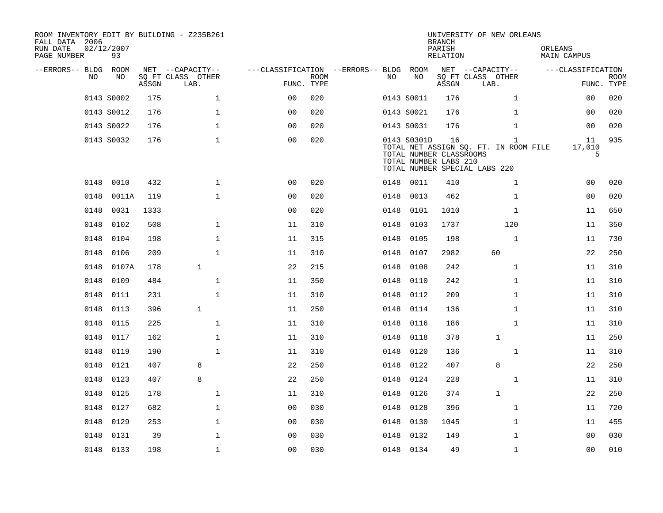| ROOM INVENTORY EDIT BY BUILDING - Z235B261<br>FALL DATA 2006<br>RUN DATE<br>PAGE NUMBER | 02/12/2007<br>93 |       |                           |                                        |             |      |                                                                 | <b>BRANCH</b><br>PARISH<br>RELATION | UNIVERSITY OF NEW ORLEANS                                                              | ORLEANS<br>MAIN CAMPUS |                           |
|-----------------------------------------------------------------------------------------|------------------|-------|---------------------------|----------------------------------------|-------------|------|-----------------------------------------------------------------|-------------------------------------|----------------------------------------------------------------------------------------|------------------------|---------------------------|
| --ERRORS-- BLDG ROOM                                                                    |                  |       | NET --CAPACITY--          | ---CLASSIFICATION --ERRORS-- BLDG ROOM |             |      |                                                                 |                                     | NET --CAPACITY--                                                                       | ---CLASSIFICATION      |                           |
| NO.                                                                                     | NO               | ASSGN | SQ FT CLASS OTHER<br>LAB. | FUNC. TYPE                             | <b>ROOM</b> | NO.  | NO                                                              | ASSGN                               | SQ FT CLASS OTHER<br>LAB.                                                              |                        | <b>ROOM</b><br>FUNC. TYPE |
|                                                                                         | 0143 S0002       | 175   | $\mathbf{1}$              | 0 <sup>0</sup>                         | 020         |      | 0143 S0011                                                      | 176                                 | $\mathbf{1}$                                                                           | 0 <sub>0</sub>         | 020                       |
|                                                                                         | 0143 S0012       | 176   | $\mathbf{1}$              | 0 <sub>0</sub>                         | 020         |      | 0143 S0021                                                      | 176                                 | $\mathbf{1}$                                                                           | 00                     | 020                       |
|                                                                                         | 0143 S0022       | 176   | $\mathbf 1$               | 0 <sub>0</sub>                         | 020         |      | 0143 S0031                                                      | 176                                 | $\mathbf{1}$                                                                           | 0 <sub>0</sub>         | 020                       |
|                                                                                         | 0143 S0032       | 176   | $\mathbf 1$               | 0 <sub>0</sub>                         | 020         |      | 0143 S0301D<br>TOTAL NUMBER CLASSROOMS<br>TOTAL NUMBER LABS 210 | 16                                  | $\mathbf{1}$<br>TOTAL NET ASSIGN SQ. FT. IN ROOM FILE<br>TOTAL NUMBER SPECIAL LABS 220 | 11<br>17,010<br>5      | 935                       |
| 0148                                                                                    | 0010             | 432   | $\mathbf{1}$              | 00                                     | 020         |      | 0148 0011                                                       | 410                                 | $\mathbf{1}$                                                                           | 0 <sub>0</sub>         | 020                       |
| 0148                                                                                    | 0011A            | 119   | $\mathbf 1$               | 0 <sub>0</sub>                         | 020         | 0148 | 0013                                                            | 462                                 | $\mathbf{1}$                                                                           | 00                     | 020                       |
| 0148                                                                                    | 0031             | 1333  |                           | 0 <sub>0</sub>                         | 020         | 0148 | 0101                                                            | 1010                                | $\mathbf{1}$                                                                           | 11                     | 650                       |
| 0148                                                                                    | 0102             | 508   | $\mathbf{1}$              | 11                                     | 310         |      | 0148 0103                                                       | 1737                                | 120                                                                                    | 11                     | 350                       |
| 0148                                                                                    | 0104             | 198   | $\mathbf{1}$              | 11                                     | 315         | 0148 | 0105                                                            | 198                                 | $\mathbf{1}$                                                                           | 11                     | 730                       |
| 0148                                                                                    | 0106             | 209   | $\mathbf{1}$              | 11                                     | 310         | 0148 | 0107                                                            | 2982                                | 60                                                                                     | 22                     | 250                       |
| 0148                                                                                    | 0107A            | 178   | $\mathbf{1}$              | 22                                     | 215         | 0148 | 0108                                                            | 242                                 | $\mathbf{1}$                                                                           | 11                     | 310                       |
| 0148                                                                                    | 0109             | 484   | $\mathbf 1$               | 11                                     | 350         | 0148 | 0110                                                            | 242                                 | $\mathbf{1}$                                                                           | 11                     | 310                       |
| 0148                                                                                    | 0111             | 231   | $\mathbf{1}$              | 11                                     | 310         | 0148 | 0112                                                            | 209                                 | $\mathbf{1}$                                                                           | 11                     | 310                       |
| 0148                                                                                    | 0113             | 396   | $\mathbf{1}$              | 11                                     | 250         | 0148 | 0114                                                            | 136                                 | $\mathbf{1}$                                                                           | 11                     | 310                       |
| 0148                                                                                    | 0115             | 225   | $\mathbf 1$               | 11                                     | 310         | 0148 | 0116                                                            | 186                                 | $\mathbf{1}$                                                                           | 11                     | 310                       |
| 0148                                                                                    | 0117             | 162   | 1                         | 11                                     | 310         | 0148 | 0118                                                            | 378                                 | 1                                                                                      | 11                     | 250                       |
| 0148                                                                                    | 0119             | 190   | $\mathbf{1}$              | 11                                     | 310         | 0148 | 0120                                                            | 136                                 | $\mathbf{1}$                                                                           | 11                     | 310                       |
| 0148                                                                                    | 0121             | 407   | 8                         | 22                                     | 250         | 0148 | 0122                                                            | 407                                 | 8                                                                                      | 22                     | 250                       |
| 0148                                                                                    | 0123             | 407   | 8                         | 22                                     | 250         | 0148 | 0124                                                            | 228                                 | $\mathbf{1}$                                                                           | 11                     | 310                       |
| 0148                                                                                    | 0125             | 178   | $\mathbf 1$               | 11                                     | 310         | 0148 | 0126                                                            | 374                                 | $\mathbf 1$                                                                            | 22                     | 250                       |
| 0148                                                                                    | 0127             | 682   | $\mathbf 1$               | 0 <sub>0</sub>                         | 030         | 0148 | 0128                                                            | 396                                 | $\mathbf{1}$                                                                           | 11                     | 720                       |
| 0148                                                                                    | 0129             | 253   | $\mathbf 1$               | 0 <sub>0</sub>                         | 030         | 0148 | 0130                                                            | 1045                                | $\mathbf{1}$                                                                           | 11                     | 455                       |
| 0148                                                                                    | 0131             | 39    | $\mathbf{1}$              | 0 <sub>0</sub>                         | 030         | 0148 | 0132                                                            | 149                                 | $\mathbf{1}$                                                                           | 00                     | 030                       |
|                                                                                         | 0148 0133        | 198   | $\mathbf{1}$              | 0 <sub>0</sub>                         | 030         |      | 0148 0134                                                       | 49                                  | $\mathbf{1}$                                                                           | 0 <sub>0</sub>         | 010                       |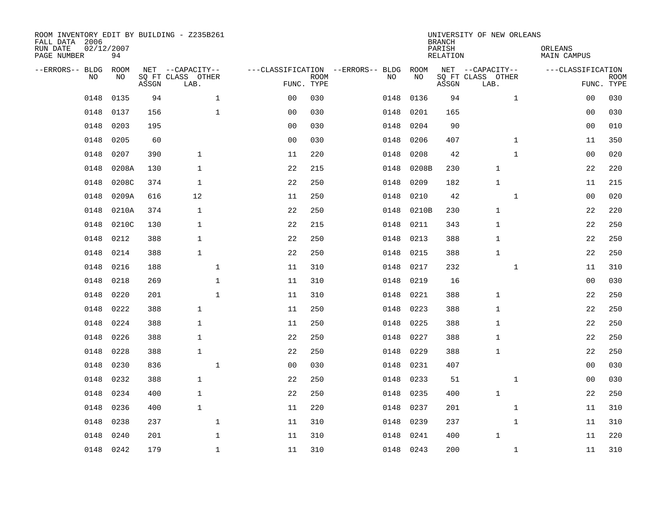| ROOM INVENTORY EDIT BY BUILDING - Z235B261<br>FALL DATA 2006<br>RUN DATE<br>PAGE NUMBER | 02/12/2007<br>94 |       |                           |                |                           |                                   |           | <b>BRANCH</b><br>PARISH<br><b>RELATION</b> | UNIVERSITY OF NEW ORLEANS | ORLEANS<br><b>MAIN CAMPUS</b> |                           |
|-----------------------------------------------------------------------------------------|------------------|-------|---------------------------|----------------|---------------------------|-----------------------------------|-----------|--------------------------------------------|---------------------------|-------------------------------|---------------------------|
| --ERRORS-- BLDG                                                                         | ROOM             |       | NET --CAPACITY--          |                |                           | ---CLASSIFICATION --ERRORS-- BLDG | ROOM      |                                            | NET --CAPACITY--          | ---CLASSIFICATION             |                           |
| NO.                                                                                     | NO               | ASSGN | SQ FT CLASS OTHER<br>LAB. |                | <b>ROOM</b><br>FUNC. TYPE | NO                                | NO        | ASSGN                                      | SQ FT CLASS OTHER<br>LAB. |                               | <b>ROOM</b><br>FUNC. TYPE |
| 0148                                                                                    | 0135             | 94    | $\mathbf{1}$              | 00             | 030                       | 0148                              | 0136      | 94                                         | $\mathbf{1}$              | 00                            | 030                       |
| 0148                                                                                    | 0137             | 156   | $\mathbf{1}$              | 0 <sub>0</sub> | 030                       | 0148                              | 0201      | 165                                        |                           | 00                            | 030                       |
| 0148                                                                                    | 0203             | 195   |                           | 0 <sub>0</sub> | 030                       | 0148                              | 0204      | 90                                         |                           | 00                            | 010                       |
| 0148                                                                                    | 0205             | 60    |                           | 0 <sub>0</sub> | 030                       | 0148                              | 0206      | 407                                        | $\mathbf{1}$              | 11                            | 350                       |
| 0148                                                                                    | 0207             | 390   | $\mathbf{1}$              | 11             | 220                       | 0148                              | 0208      | 42                                         | $\mathbf{1}$              | 00                            | 020                       |
| 0148                                                                                    | 0208A            | 130   | $\mathbf{1}$              | 22             | 215                       | 0148                              | 0208B     | 230                                        | $\mathbf 1$               | 22                            | 220                       |
| 0148                                                                                    | 0208C            | 374   | $\mathbf{1}$              | 22             | 250                       | 0148                              | 0209      | 182                                        | $\mathbf{1}$              | 11                            | 215                       |
| 0148                                                                                    | 0209A            | 616   | 12                        | 11             | 250                       | 0148                              | 0210      | 42                                         | $\mathbf{1}$              | 0 <sub>0</sub>                | 020                       |
| 0148                                                                                    | 0210A            | 374   | $\mathbf{1}$              | 22             | 250                       | 0148                              | 0210B     | 230                                        | $\mathbf{1}$              | 22                            | 220                       |
| 0148                                                                                    | 0210C            | 130   | $\mathbf{1}$              | 22             | 215                       | 0148                              | 0211      | 343                                        | 1                         | 22                            | 250                       |
| 0148                                                                                    | 0212             | 388   | $\mathbf{1}$              | 22             | 250                       | 0148                              | 0213      | 388                                        | 1                         | 22                            | 250                       |
| 0148                                                                                    | 0214             | 388   | $\mathbf{1}$              | 22             | 250                       | 0148                              | 0215      | 388                                        | 1                         | 22                            | 250                       |
| 0148                                                                                    | 0216             | 188   | $\mathbf 1$               | 11             | 310                       | 0148                              | 0217      | 232                                        | $\mathbf{1}$              | 11                            | 310                       |
| 0148                                                                                    | 0218             | 269   | $\mathbf 1$               | 11             | 310                       | 0148                              | 0219      | 16                                         |                           | 00                            | 030                       |
| 0148                                                                                    | 0220             | 201   | $\mathbf{1}$              | 11             | 310                       | 0148                              | 0221      | 388                                        | 1                         | 22                            | 250                       |
| 0148                                                                                    | 0222             | 388   | $\mathbf{1}$              | 11             | 250                       | 0148                              | 0223      | 388                                        | $\mathbf{1}$              | 22                            | 250                       |
| 0148                                                                                    | 0224             | 388   | $\mathbf{1}$              | 11             | 250                       | 0148                              | 0225      | 388                                        | $\mathbf{1}$              | 22                            | 250                       |
| 0148                                                                                    | 0226             | 388   | 1                         | 22             | 250                       | 0148                              | 0227      | 388                                        | 1                         | 22                            | 250                       |
| 0148                                                                                    | 0228             | 388   | $\mathbf{1}$              | 22             | 250                       | 0148                              | 0229      | 388                                        | 1                         | 22                            | 250                       |
| 0148                                                                                    | 0230             | 836   | $\mathbf 1$               | 0 <sub>0</sub> | 030                       | 0148                              | 0231      | 407                                        |                           | 00                            | 030                       |
| 0148                                                                                    | 0232             | 388   | $\mathbf{1}$              | 22             | 250                       | 0148                              | 0233      | 51                                         | $\mathbf{1}$              | 00                            | 030                       |
| 0148                                                                                    | 0234             | 400   | $\mathbf{1}$              | 22             | 250                       | 0148                              | 0235      | 400                                        | $\mathbf 1$               | 22                            | 250                       |
| 0148                                                                                    | 0236             | 400   | $\mathbf{1}$              | 11             | 220                       | 0148                              | 0237      | 201                                        | $\mathbf{1}$              | 11                            | 310                       |
| 0148                                                                                    | 0238             | 237   | $\mathbf{1}$              | 11             | 310                       | 0148                              | 0239      | 237                                        | $\mathbf{1}$              | 11                            | 310                       |
| 0148                                                                                    | 0240             | 201   | $\mathbf 1$               | 11             | 310                       | 0148                              | 0241      | 400                                        | $\mathbf{1}$              | 11                            | 220                       |
| 0148                                                                                    | 0242             | 179   | $\mathbf{1}$              | 11             | 310                       |                                   | 0148 0243 | 200                                        | $\mathbf{1}$              | 11                            | 310                       |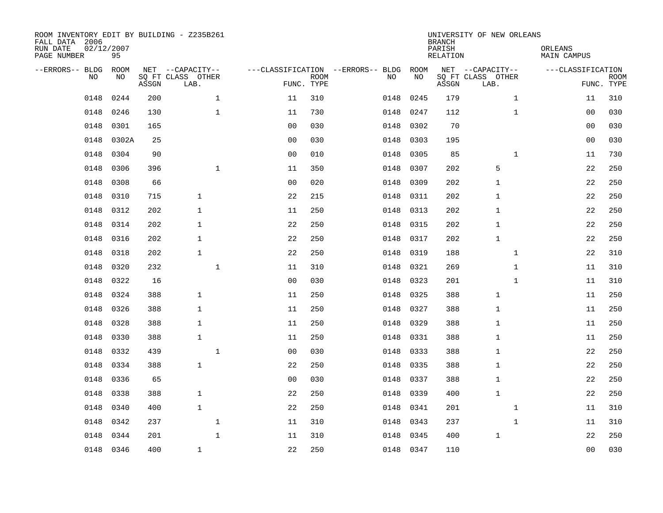| ROOM INVENTORY EDIT BY BUILDING - Z235B261<br>FALL DATA 2006<br>RUN DATE<br>PAGE NUMBER | 02/12/2007<br>95 |       |                                               |                |                           |                                         |            | <b>BRANCH</b><br>PARISH<br><b>RELATION</b> | UNIVERSITY OF NEW ORLEANS                     | ORLEANS<br><b>MAIN CAMPUS</b> |                           |
|-----------------------------------------------------------------------------------------|------------------|-------|-----------------------------------------------|----------------|---------------------------|-----------------------------------------|------------|--------------------------------------------|-----------------------------------------------|-------------------------------|---------------------------|
| --ERRORS-- BLDG<br>NO.                                                                  | ROOM<br>NO       | ASSGN | NET --CAPACITY--<br>SQ FT CLASS OTHER<br>LAB. |                | <b>ROOM</b><br>FUNC. TYPE | ---CLASSIFICATION --ERRORS-- BLDG<br>NO | ROOM<br>NO | ASSGN                                      | NET --CAPACITY--<br>SQ FT CLASS OTHER<br>LAB. | ---CLASSIFICATION             | <b>ROOM</b><br>FUNC. TYPE |
| 0148                                                                                    | 0244             | 200   | $\mathbf{1}$                                  | 11             | 310                       | 0148                                    | 0245       | 179                                        | $\mathbf{1}$                                  | 11                            | 310                       |
| 0148                                                                                    | 0246             | 130   | $\mathbf 1$                                   | 11             | 730                       | 0148                                    | 0247       | 112                                        | $\mathbf{1}$                                  | 00                            | 030                       |
| 0148                                                                                    | 0301             | 165   |                                               | 0 <sub>0</sub> | 030                       | 0148                                    | 0302       | 70                                         |                                               | 00                            | 030                       |
| 0148                                                                                    | 0302A            | 25    |                                               | 0 <sub>0</sub> | 030                       | 0148                                    | 0303       | 195                                        |                                               | 00                            | 030                       |
| 0148                                                                                    | 0304             | 90    |                                               | 0 <sub>0</sub> | 010                       | 0148                                    | 0305       | 85                                         | $\mathbf{1}$                                  | 11                            | 730                       |
| 0148                                                                                    | 0306             | 396   | $\mathbf 1$                                   | 11             | 350                       | 0148                                    | 0307       | 202                                        | 5                                             | 22                            | 250                       |
| 0148                                                                                    | 0308             | 66    |                                               | 0 <sub>0</sub> | 020                       | 0148                                    | 0309       | 202                                        | $\mathbf{1}$                                  | 22                            | 250                       |
| 0148                                                                                    | 0310             | 715   | $\mathbf{1}$                                  | 22             | 215                       | 0148                                    | 0311       | 202                                        | $\mathbf{1}$                                  | 22                            | 250                       |
| 0148                                                                                    | 0312             | 202   | $\mathbf{1}$                                  | 11             | 250                       | 0148                                    | 0313       | 202                                        | $\mathbf{1}$                                  | 22                            | 250                       |
| 0148                                                                                    | 0314             | 202   | $\mathbf{1}$                                  | 22             | 250                       | 0148                                    | 0315       | 202                                        | 1                                             | 22                            | 250                       |
| 0148                                                                                    | 0316             | 202   | $\mathbf{1}$                                  | 22             | 250                       | 0148                                    | 0317       | 202                                        | $\mathbf{1}$                                  | 22                            | 250                       |
| 0148                                                                                    | 0318             | 202   | $\mathbf{1}$                                  | 22             | 250                       | 0148                                    | 0319       | 188                                        | $\mathbf{1}$                                  | 22                            | 310                       |
| 0148                                                                                    | 0320             | 232   | $\mathbf 1$                                   | 11             | 310                       | 0148                                    | 0321       | 269                                        | $\mathbf{1}$                                  | 11                            | 310                       |
| 0148                                                                                    | 0322             | 16    |                                               | 0 <sub>0</sub> | 030                       | 0148                                    | 0323       | 201                                        | $\mathbf{1}$                                  | 11                            | 310                       |
| 0148                                                                                    | 0324             | 388   | $\mathbf{1}$                                  | 11             | 250                       | 0148                                    | 0325       | 388                                        | $\mathbf{1}$                                  | 11                            | 250                       |
| 0148                                                                                    | 0326             | 388   | 1                                             | 11             | 250                       | 0148                                    | 0327       | 388                                        | 1                                             | 11                            | 250                       |
| 0148                                                                                    | 0328             | 388   | $\mathbf{1}$                                  | 11             | 250                       | 0148                                    | 0329       | 388                                        | 1                                             | 11                            | 250                       |
| 0148                                                                                    | 0330             | 388   | $\mathbf{1}$                                  | 11             | 250                       | 0148                                    | 0331       | 388                                        | 1                                             | 11                            | 250                       |
| 0148                                                                                    | 0332             | 439   | $\mathbf 1$                                   | 0 <sub>0</sub> | 030                       | 0148                                    | 0333       | 388                                        | 1                                             | 22                            | 250                       |
| 0148                                                                                    | 0334             | 388   | $\mathbf{1}$                                  | 22             | 250                       | 0148                                    | 0335       | 388                                        | 1                                             | 22                            | 250                       |
| 0148                                                                                    | 0336             | 65    |                                               | 0 <sub>0</sub> | 030                       | 0148                                    | 0337       | 388                                        | $\mathbf{1}$                                  | 22                            | 250                       |
| 0148                                                                                    | 0338             | 388   | $\mathbf{1}$                                  | 22             | 250                       | 0148                                    | 0339       | 400                                        | $\mathbf{1}$                                  | 22                            | 250                       |
| 0148                                                                                    | 0340             | 400   | $\mathbf{1}$                                  | 22             | 250                       | 0148                                    | 0341       | 201                                        | $\mathbf{1}$                                  | 11                            | 310                       |
| 0148                                                                                    | 0342             | 237   | $\mathbf{1}$                                  | 11             | 310                       | 0148                                    | 0343       | 237                                        | $\mathbf{1}$                                  | 11                            | 310                       |
| 0148                                                                                    | 0344             | 201   | $\mathbf{1}$                                  | 11             | 310                       | 0148                                    | 0345       | 400                                        | $\mathbf{1}$                                  | 22                            | 250                       |
|                                                                                         | 0148 0346        | 400   | $\mathbf{1}$                                  | 22             | 250                       |                                         | 0148 0347  | 110                                        |                                               | 00                            | 030                       |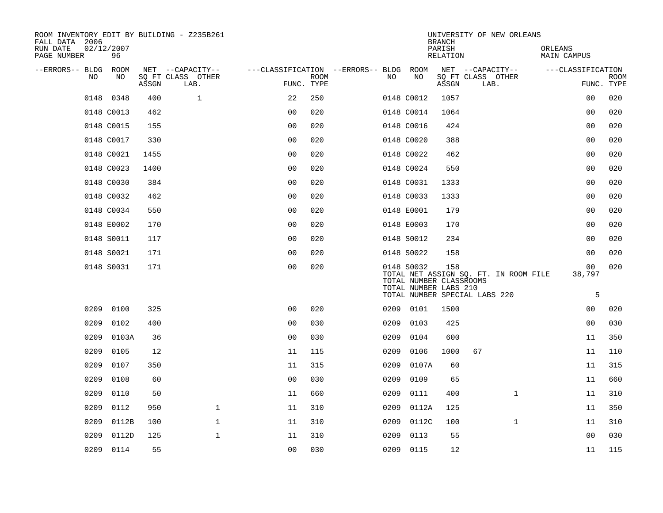| ROOM INVENTORY EDIT BY BUILDING - Z235B261<br>FALL DATA 2006 |                  |       |                           |                                        | <b>BRANCH</b> | UNIVERSITY OF NEW ORLEANS |                                                                |                    |                                                                        |                        |                           |
|--------------------------------------------------------------|------------------|-------|---------------------------|----------------------------------------|---------------|---------------------------|----------------------------------------------------------------|--------------------|------------------------------------------------------------------------|------------------------|---------------------------|
| RUN DATE<br>PAGE NUMBER                                      | 02/12/2007<br>96 |       |                           |                                        |               |                           |                                                                | PARISH<br>RELATION |                                                                        | ORLEANS<br>MAIN CAMPUS |                           |
| --ERRORS-- BLDG ROOM                                         |                  |       | NET --CAPACITY--          | ---CLASSIFICATION --ERRORS-- BLDG ROOM |               |                           |                                                                |                    | NET --CAPACITY--                                                       | ---CLASSIFICATION      |                           |
| NO                                                           | NO               | ASSGN | SQ FT CLASS OTHER<br>LAB. | FUNC. TYPE                             | <b>ROOM</b>   | NO                        | NO                                                             | ASSGN              | SQ FT CLASS OTHER<br>LAB.                                              |                        | <b>ROOM</b><br>FUNC. TYPE |
|                                                              | 0148 0348        | 400   | $\mathbf{1}$              | 22                                     | 250           |                           | 0148 C0012                                                     | 1057               |                                                                        | 0 <sub>0</sub>         | 020                       |
|                                                              | 0148 C0013       | 462   |                           | 0 <sub>0</sub>                         | 020           |                           | 0148 C0014                                                     | 1064               |                                                                        | 00                     | 020                       |
|                                                              | 0148 C0015       | 155   |                           | 0 <sub>0</sub>                         | 020           |                           | 0148 C0016                                                     | 424                |                                                                        | 00                     | 020                       |
|                                                              | 0148 C0017       | 330   |                           | 0 <sub>0</sub>                         | 020           |                           | 0148 C0020                                                     | 388                |                                                                        | 0 <sub>0</sub>         | 020                       |
|                                                              | 0148 C0021       | 1455  |                           | 0 <sub>0</sub>                         | 020           |                           | 0148 C0022                                                     | 462                |                                                                        | 00                     | 020                       |
|                                                              | 0148 C0023       | 1400  |                           | 0 <sub>0</sub>                         | 020           |                           | 0148 C0024                                                     | 550                |                                                                        | 00                     | 020                       |
|                                                              | 0148 C0030       | 384   |                           | 0 <sub>0</sub>                         | 020           |                           | 0148 C0031                                                     | 1333               |                                                                        | 0 <sub>0</sub>         | 020                       |
|                                                              | 0148 C0032       | 462   |                           | 0 <sub>0</sub>                         | 020           |                           | 0148 C0033                                                     | 1333               |                                                                        | 0 <sub>0</sub>         | 020                       |
|                                                              | 0148 C0034       | 550   |                           | 0 <sub>0</sub>                         | 020           |                           | 0148 E0001                                                     | 179                |                                                                        | 0 <sub>0</sub>         | 020                       |
|                                                              | 0148 E0002       | 170   |                           | 0 <sub>0</sub>                         | 020           |                           | 0148 E0003                                                     | 170                |                                                                        | 0 <sub>0</sub>         | 020                       |
|                                                              | 0148 S0011       | 117   |                           | 0 <sub>0</sub>                         | 020           |                           | 0148 S0012                                                     | 234                |                                                                        | 0 <sub>0</sub>         | 020                       |
|                                                              | 0148 S0021       | 171   |                           | 0 <sub>0</sub>                         | 020           |                           | 0148 S0022                                                     | 158                |                                                                        | 0 <sub>0</sub>         | 020                       |
|                                                              | 0148 S0031       | 171   |                           | 0 <sub>0</sub>                         | 020           |                           | 0148 S0032<br>TOTAL NUMBER CLASSROOMS<br>TOTAL NUMBER LABS 210 | 158                | TOTAL NET ASSIGN SQ. FT. IN ROOM FILE<br>TOTAL NUMBER SPECIAL LABS 220 | 00<br>38,797<br>5      | 020                       |
| 0209                                                         | 0100             | 325   |                           | 0 <sub>0</sub>                         | 020           |                           | 0209 0101                                                      | 1500               |                                                                        | 00                     | 020                       |
| 0209                                                         | 0102             | 400   |                           | 0 <sub>0</sub>                         | 030           | 0209                      | 0103                                                           | 425                |                                                                        | 0 <sub>0</sub>         | 030                       |
| 0209                                                         | 0103A            | 36    |                           | 0 <sub>0</sub>                         | 030           | 0209                      | 0104                                                           | 600                |                                                                        | 11                     | 350                       |
| 0209                                                         | 0105             | 12    |                           | 11                                     | 115           | 0209                      | 0106                                                           | 1000               | 67                                                                     | 11                     | 110                       |
| 0209                                                         | 0107             | 350   |                           | 11                                     | 315           | 0209                      | 0107A                                                          | 60                 |                                                                        | 11                     | 315                       |
| 0209                                                         | 0108             | 60    |                           | 00                                     | 030           | 0209                      | 0109                                                           | 65                 |                                                                        | 11                     | 660                       |
| 0209                                                         | 0110             | 50    |                           | 11                                     | 660           | 0209                      | 0111                                                           | 400                | $\mathbf{1}$                                                           | 11                     | 310                       |
| 0209                                                         | 0112             | 950   | $\mathbf{1}$              | 11                                     | 310           | 0209                      | 0112A                                                          | 125                |                                                                        | 11                     | 350                       |
| 0209                                                         | 0112B            | 100   | $\mathbf{1}$              | 11                                     | 310           | 0209                      | 0112C                                                          | 100                | $\mathbf{1}$                                                           | 11                     | 310                       |
| 0209                                                         | 0112D            | 125   | $\mathbf{1}$              | 11                                     | 310           | 0209                      | 0113                                                           | 55                 |                                                                        | 0 <sub>0</sub>         | 030                       |
|                                                              | 0209 0114        | 55    |                           | 0 <sub>0</sub>                         | 030           |                           | 0209 0115                                                      | 12                 |                                                                        | 11                     | 115                       |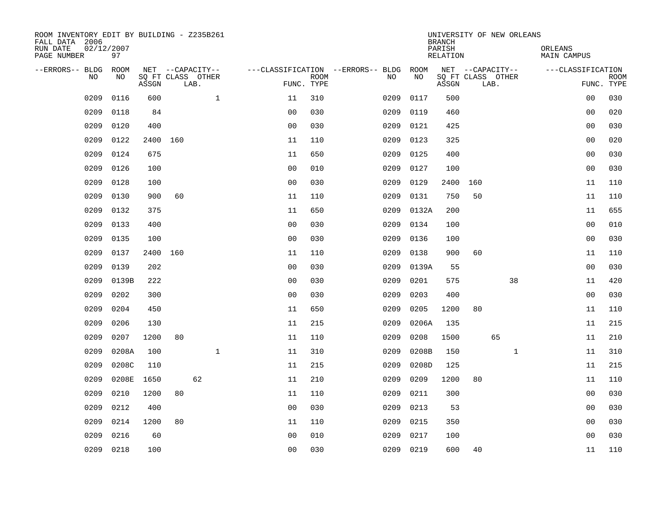| ROOM INVENTORY EDIT BY BUILDING - Z235B261<br>FALL DATA 2006 |                  |          |    |                           |              |                                   |             |           |                   | UNIVERSITY OF NEW ORLEANS<br><b>BRANCH</b> |                  |      |              |                               |                |             |
|--------------------------------------------------------------|------------------|----------|----|---------------------------|--------------|-----------------------------------|-------------|-----------|-------------------|--------------------------------------------|------------------|------|--------------|-------------------------------|----------------|-------------|
| RUN DATE<br>PAGE NUMBER                                      | 02/12/2007<br>97 |          |    |                           |              |                                   |             |           |                   | PARISH<br>RELATION                         |                  |      |              | ORLEANS<br><b>MAIN CAMPUS</b> |                |             |
| --ERRORS-- BLDG                                              | ROOM             |          |    | NET --CAPACITY--          |              | ---CLASSIFICATION --ERRORS-- BLDG |             |           | ROOM<br><b>NO</b> |                                            | NET --CAPACITY-- |      |              | ---CLASSIFICATION             |                |             |
| N <sub>O</sub>                                               | NO.              | ASSGN    |    | SO FT CLASS OTHER<br>LAB. |              | FUNC. TYPE                        | <b>ROOM</b> | NO.       |                   | SQ FT CLASS OTHER<br>ASSGN                 |                  | LAB. |              |                               | FUNC. TYPE     | <b>ROOM</b> |
| 0209                                                         | 0116             | 600      |    |                           | $\mathbf{1}$ | 11                                | 310         | 0209      | 0117              | 500                                        |                  |      |              |                               | 0 <sub>0</sub> | 030         |
| 0209                                                         | 0118             | 84       |    |                           |              | 0 <sub>0</sub>                    | 030         | 0209      | 0119              | 460                                        |                  |      |              |                               | 0 <sub>0</sub> | 020         |
| 0209                                                         | 0120             | 400      |    |                           |              | 0 <sub>0</sub>                    | 030         | 0209      | 0121              | 425                                        |                  |      |              |                               | 00             | 030         |
| 0209                                                         | 0122             | 2400 160 |    |                           |              | 11                                | 110         | 0209      | 0123              | 325                                        |                  |      |              |                               | 0 <sub>0</sub> | 020         |
| 0209                                                         | 0124             | 675      |    |                           |              | 11                                | 650         | 0209      | 0125              | 400                                        |                  |      |              |                               | 0 <sub>0</sub> | 030         |
| 0209                                                         | 0126             | 100      |    |                           |              | 0 <sub>0</sub>                    | 010         | 0209      | 0127              | 100                                        |                  |      |              |                               | 0 <sub>0</sub> | 030         |
| 0209                                                         | 0128             | 100      |    |                           |              | 0 <sub>0</sub>                    | 030         | 0209      | 0129              | 2400                                       | 160              |      |              |                               | 11             | 110         |
| 0209                                                         | 0130             | 900      | 60 |                           |              | 11                                | 110         | 0209      | 0131              | 750                                        | 50               |      |              |                               | 11             | 110         |
| 0209                                                         | 0132             | 375      |    |                           |              | 11                                | 650         | 0209      | 0132A             | 200                                        |                  |      |              |                               | 11             | 655         |
| 0209                                                         | 0133             | 400      |    |                           |              | 0 <sub>0</sub>                    | 030         | 0209      | 0134              | 100                                        |                  |      |              |                               | 0 <sub>0</sub> | 010         |
| 0209                                                         | 0135             | 100      |    |                           |              | 0 <sub>0</sub>                    | 030         | 0209      | 0136              | 100                                        |                  |      |              |                               | 00             | 030         |
| 0209                                                         | 0137             | 2400 160 |    |                           |              | 11                                | 110         | 0209      | 0138              | 900                                        | 60               |      |              |                               | 11             | 110         |
| 0209                                                         | 0139             | 202      |    |                           |              | 0 <sub>0</sub>                    | 030         | 0209      | 0139A             | 55                                         |                  |      |              |                               | 0 <sub>0</sub> | 030         |
| 0209                                                         | 0139B            | 222      |    |                           |              | 0 <sub>0</sub>                    | 030         | 0209      | 0201              | 575                                        |                  |      | 38           |                               | 11             | 420         |
| 0209                                                         | 0202             | 300      |    |                           |              | 0 <sub>0</sub>                    | 030         | 0209      | 0203              | 400                                        |                  |      |              |                               | 00             | 030         |
| 0209                                                         | 0204             | 450      |    |                           |              | 11                                | 650         | 0209      | 0205              | 1200                                       | 80               |      |              |                               | 11             | 110         |
| 0209                                                         | 0206             | 130      |    |                           |              | 11                                | 215         | 0209      | 0206A             | 135                                        |                  |      |              |                               | 11             | 215         |
| 0209                                                         | 0207             | 1200     | 80 |                           |              | 11                                | 110         | 0209      | 0208              | 1500                                       |                  | 65   |              |                               | 11             | 210         |
| 0209                                                         | 0208A            | 100      |    |                           | $\mathbf{1}$ | 11                                | 310         | 0209      | 0208B             | 150                                        |                  |      | $\mathbf{1}$ |                               | 11             | 310         |
| 0209                                                         | 0208C            | 110      |    |                           |              | 11                                | 215         | 0209      | 0208D             | 125                                        |                  |      |              |                               | 11             | 215         |
| 0209                                                         | 0208E            | 1650     |    | 62                        |              | 11                                | 210         | 0209      | 0209              | 1200                                       | 80               |      |              |                               | 11             | 110         |
| 0209                                                         | 0210             | 1200     | 80 |                           |              | 11                                | 110         | 0209      | 0211              | 300                                        |                  |      |              |                               | 0 <sub>0</sub> | 030         |
| 0209                                                         | 0212             | 400      |    |                           |              | 0 <sub>0</sub>                    | 030         | 0209      | 0213              | 53                                         |                  |      |              |                               | 00             | 030         |
| 0209                                                         | 0214             | 1200     | 80 |                           |              | 11                                | 110         | 0209      | 0215              | 350                                        |                  |      |              |                               | 00             | 030         |
| 0209                                                         | 0216             | 60       |    |                           |              | 0 <sub>0</sub>                    | 010         | 0209      | 0217              | 100                                        |                  |      |              |                               | 0 <sub>0</sub> | 030         |
| 0209                                                         | 0218             | 100      |    |                           |              | 0 <sub>0</sub>                    | 030         | 0209 0219 |                   | 600                                        | 40               |      |              |                               | 11             | 110         |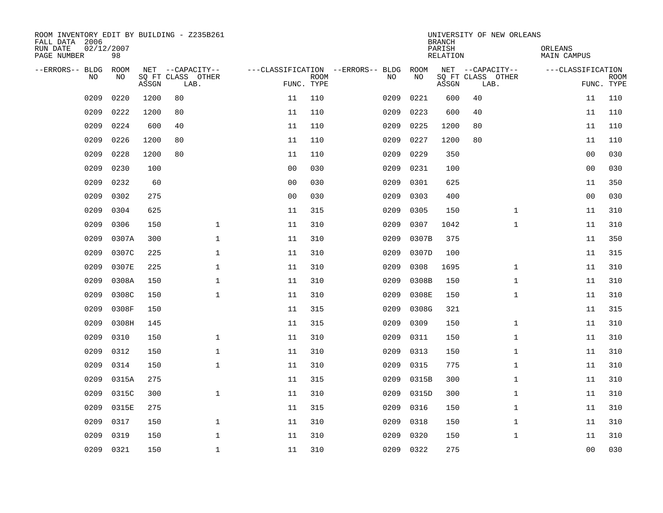| ROOM INVENTORY EDIT BY BUILDING - Z235B261<br>FALL DATA 2006 |                  |       |                                       |                |             | UNIVERSITY OF NEW ORLEANS<br><b>BRANCH</b><br>PARISH<br>ORLEANS |            |          |                                       |                   |             |  |  |  |  |  |
|--------------------------------------------------------------|------------------|-------|---------------------------------------|----------------|-------------|-----------------------------------------------------------------|------------|----------|---------------------------------------|-------------------|-------------|--|--|--|--|--|
| RUN DATE<br>PAGE NUMBER                                      | 02/12/2007<br>98 |       |                                       |                |             |                                                                 |            | RELATION |                                       | MAIN CAMPUS       |             |  |  |  |  |  |
| --ERRORS-- BLDG<br>N <sub>O</sub>                            | ROOM<br>NO.      |       | NET --CAPACITY--<br>SO FT CLASS OTHER |                | <b>ROOM</b> | ---CLASSIFICATION --ERRORS-- BLDG<br>NO.                        | ROOM<br>NO |          | NET --CAPACITY--<br>SQ FT CLASS OTHER | ---CLASSIFICATION | <b>ROOM</b> |  |  |  |  |  |
|                                                              |                  | ASSGN | LAB.                                  |                | FUNC. TYPE  |                                                                 |            | ASSGN    | LAB.                                  |                   | FUNC. TYPE  |  |  |  |  |  |
| 0209                                                         | 0220             | 1200  | 80                                    | 11             | 110         | 0209                                                            | 0221       | 600      | 40                                    | 11                | 110         |  |  |  |  |  |
| 0209                                                         | 0222             | 1200  | 80                                    | 11             | 110         | 0209                                                            | 0223       | 600      | 40                                    | 11                | 110         |  |  |  |  |  |
| 0209                                                         | 0224             | 600   | 40                                    | 11             | 110         | 0209                                                            | 0225       | 1200     | 80                                    | 11                | 110         |  |  |  |  |  |
| 0209                                                         | 0226             | 1200  | 80                                    | 11             | 110         | 0209                                                            | 0227       | 1200     | 80                                    | 11                | 110         |  |  |  |  |  |
| 0209                                                         | 0228             | 1200  | 80                                    | 11             | 110         | 0209                                                            | 0229       | 350      |                                       | 00                | 030         |  |  |  |  |  |
| 0209                                                         | 0230             | 100   |                                       | 0 <sub>0</sub> | 030         | 0209                                                            | 0231       | 100      |                                       | 0 <sub>0</sub>    | 030         |  |  |  |  |  |
| 0209                                                         | 0232             | 60    |                                       | 00             | 030         | 0209                                                            | 0301       | 625      |                                       | 11                | 350         |  |  |  |  |  |
| 0209                                                         | 0302             | 275   |                                       | 0 <sub>0</sub> | 030         | 0209                                                            | 0303       | 400      |                                       | 0 <sub>0</sub>    | 030         |  |  |  |  |  |
| 0209                                                         | 0304             | 625   |                                       | 11             | 315         | 0209                                                            | 0305       | 150      | $\mathbf{1}$                          | 11                | 310         |  |  |  |  |  |
| 0209                                                         | 0306             | 150   | $\mathbf 1$                           | 11             | 310         | 0209                                                            | 0307       | 1042     | $\mathbf{1}$                          | 11                | 310         |  |  |  |  |  |
| 0209                                                         | 0307A            | 300   | $\mathbf 1$                           | 11             | 310         | 0209                                                            | 0307B      | 375      |                                       | 11                | 350         |  |  |  |  |  |
| 0209                                                         | 0307C            | 225   | $\mathbf{1}$                          | 11             | 310         | 0209                                                            | 0307D      | 100      |                                       | 11                | 315         |  |  |  |  |  |
| 0209                                                         | 0307E            | 225   | $\mathbf{1}$                          | 11             | 310         | 0209                                                            | 0308       | 1695     | $\mathbf{1}$                          | 11                | 310         |  |  |  |  |  |
| 0209                                                         | 0308A            | 150   | $\mathbf{1}$                          | 11             | 310         | 0209                                                            | 0308B      | 150      | $\mathbf{1}$                          | 11                | 310         |  |  |  |  |  |
| 0209                                                         | 0308C            | 150   | $\mathbf{1}$                          | 11             | 310         | 0209                                                            | 0308E      | 150      | $\mathbf{1}$                          | 11                | 310         |  |  |  |  |  |
| 0209                                                         | 0308F            | 150   |                                       | 11             | 315         | 0209                                                            | 0308G      | 321      |                                       | 11                | 315         |  |  |  |  |  |
| 0209                                                         | 0308H            | 145   |                                       | 11             | 315         | 0209                                                            | 0309       | 150      | $\mathbf{1}$                          | 11                | 310         |  |  |  |  |  |
| 0209                                                         | 0310             | 150   | $\mathbf 1$                           | 11             | 310         | 0209                                                            | 0311       | 150      | $\mathbf{1}$                          | 11                | 310         |  |  |  |  |  |
| 0209                                                         | 0312             | 150   | $\mathbf{1}$                          | 11             | 310         | 0209                                                            | 0313       | 150      | $\mathbf{1}$                          | 11                | 310         |  |  |  |  |  |
| 0209                                                         | 0314             | 150   | $\mathbf{1}$                          | 11             | 310         | 0209                                                            | 0315       | 775      | $\mathbf{1}$                          | 11                | 310         |  |  |  |  |  |
| 0209                                                         | 0315A            | 275   |                                       | 11             | 315         | 0209                                                            | 0315B      | 300      | $\mathbf{1}$                          | 11                | 310         |  |  |  |  |  |
| 0209                                                         | 0315C            | 300   | $\mathbf{1}$                          | 11             | 310         | 0209                                                            | 0315D      | 300      | $\mathbf{1}$                          | 11                | 310         |  |  |  |  |  |
| 0209                                                         | 0315E            | 275   |                                       | 11             | 315         | 0209                                                            | 0316       | 150      | $\mathbf{1}$                          | 11                | 310         |  |  |  |  |  |
| 0209                                                         | 0317             | 150   | $\mathbf 1$                           | 11             | 310         | 0209                                                            | 0318       | 150      | $\mathbf{1}$                          | 11                | 310         |  |  |  |  |  |
| 0209                                                         | 0319             | 150   | $\mathbf 1$                           | 11             | 310         | 0209                                                            | 0320       | 150      | $\mathbf{1}$                          | 11                | 310         |  |  |  |  |  |
| 0209                                                         | 0321             | 150   | $\mathbf{1}$                          | 11             | 310         |                                                                 | 0209 0322  | 275      |                                       | 0 <sub>0</sub>    | 030         |  |  |  |  |  |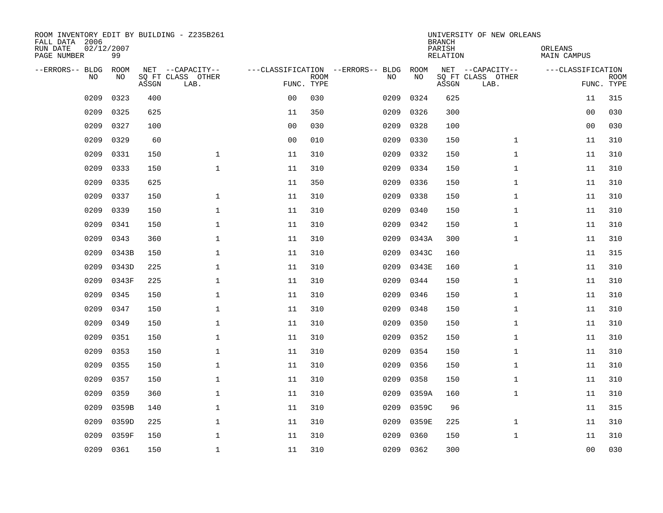| ROOM INVENTORY EDIT BY BUILDING - Z235B261<br>FALL DATA 2006<br>RUN DATE<br>PAGE NUMBER | 02/12/2007<br>99 |       |                                               |                |             |                                         | <b>BRANCH</b><br>PARISH<br><b>RELATION</b> | UNIVERSITY OF NEW ORLEANS | ORLEANS<br><b>MAIN CAMPUS</b>                 |                   |                           |  |
|-----------------------------------------------------------------------------------------|------------------|-------|-----------------------------------------------|----------------|-------------|-----------------------------------------|--------------------------------------------|---------------------------|-----------------------------------------------|-------------------|---------------------------|--|
| --ERRORS-- BLDG<br>NO                                                                   | ROOM<br>NO       | ASSGN | NET --CAPACITY--<br>SQ FT CLASS OTHER<br>LAB. | FUNC. TYPE     | <b>ROOM</b> | ---CLASSIFICATION --ERRORS-- BLDG<br>NO | ROOM<br>NO                                 | ASSGN                     | NET --CAPACITY--<br>SQ FT CLASS OTHER<br>LAB. | ---CLASSIFICATION | <b>ROOM</b><br>FUNC. TYPE |  |
| 0209                                                                                    | 0323             | 400   |                                               | 0 <sub>0</sub> | 030         | 0209                                    | 0324                                       | 625                       |                                               | 11                | 315                       |  |
| 0209                                                                                    | 0325             | 625   |                                               | 11             | 350         | 0209                                    | 0326                                       | 300                       |                                               | 00                | 030                       |  |
| 0209                                                                                    | 0327             | 100   |                                               | 0 <sub>0</sub> | 030         | 0209                                    | 0328                                       | 100                       |                                               | 00                | 030                       |  |
| 0209                                                                                    | 0329             | 60    |                                               | 0 <sub>0</sub> | 010         | 0209                                    | 0330                                       | 150                       | $\mathbf{1}$                                  | 11                | 310                       |  |
| 0209                                                                                    | 0331             | 150   | $\mathbf{1}$                                  | 11             | 310         | 0209                                    | 0332                                       | 150                       | $\mathbf{1}$                                  | 11                | 310                       |  |
| 0209                                                                                    | 0333             | 150   | $\mathbf{1}$                                  | 11             | 310         | 0209                                    | 0334                                       | 150                       | $\mathbf{1}$                                  | 11                | 310                       |  |
| 0209                                                                                    | 0335             | 625   |                                               | 11             | 350         | 0209                                    | 0336                                       | 150                       | $\mathbf{1}$                                  | 11                | 310                       |  |
| 0209                                                                                    | 0337             | 150   | $\mathbf{1}$                                  | 11             | 310         | 0209                                    | 0338                                       | 150                       | $\mathbf{1}$                                  | 11                | 310                       |  |
| 0209                                                                                    | 0339             | 150   | $\mathbf{1}$                                  | 11             | 310         | 0209                                    | 0340                                       | 150                       | $\mathbf{1}$                                  | 11                | 310                       |  |
| 0209                                                                                    | 0341             | 150   | 1                                             | 11             | 310         | 0209                                    | 0342                                       | 150                       | $\mathbf{1}$                                  | 11                | 310                       |  |
| 0209                                                                                    | 0343             | 360   | $\mathbf 1$                                   | 11             | 310         | 0209                                    | 0343A                                      | 300                       | $\mathbf{1}$                                  | 11                | 310                       |  |
| 0209                                                                                    | 0343B            | 150   | $\mathbf{1}$                                  | 11             | 310         | 0209                                    | 0343C                                      | 160                       |                                               | 11                | 315                       |  |
| 0209                                                                                    | 0343D            | 225   | $\mathbf{1}$                                  | 11             | 310         | 0209                                    | 0343E                                      | 160                       | $\mathbf{1}$                                  | 11                | 310                       |  |
| 0209                                                                                    | 0343F            | 225   | $\mathbf 1$                                   | 11             | 310         | 0209                                    | 0344                                       | 150                       | $\mathbf{1}$                                  | 11                | 310                       |  |
| 0209                                                                                    | 0345             | 150   | $\mathbf{1}$                                  | 11             | 310         | 0209                                    | 0346                                       | 150                       | $\mathbf{1}$                                  | 11                | 310                       |  |
| 0209                                                                                    | 0347             | 150   | $\mathbf 1$                                   | 11             | 310         | 0209                                    | 0348                                       | 150                       | $\mathbf{1}$                                  | 11                | 310                       |  |
| 0209                                                                                    | 0349             | 150   | $\mathbf{1}$                                  | 11             | 310         | 0209                                    | 0350                                       | 150                       | $\mathbf{1}$                                  | 11                | 310                       |  |
| 0209                                                                                    | 0351             | 150   | $\mathbf 1$                                   | 11             | 310         | 0209                                    | 0352                                       | 150                       | $\mathbf{1}$                                  | 11                | 310                       |  |
| 0209                                                                                    | 0353             | 150   | $\mathbf 1$                                   | 11             | 310         | 0209                                    | 0354                                       | 150                       | $\mathbf{1}$                                  | 11                | 310                       |  |
| 0209                                                                                    | 0355             | 150   | $\mathbf 1$                                   | 11             | 310         | 0209                                    | 0356                                       | 150                       | $\mathbf{1}$                                  | 11                | 310                       |  |
| 0209                                                                                    | 0357             | 150   | $\mathbf{1}$                                  | 11             | 310         | 0209                                    | 0358                                       | 150                       | $\mathbf{1}$                                  | 11                | 310                       |  |
| 0209                                                                                    | 0359             | 360   | $\mathbf{1}$                                  | 11             | 310         | 0209                                    | 0359A                                      | 160                       | $\mathbf{1}$                                  | 11                | 310                       |  |
| 0209                                                                                    | 0359B            | 140   | $\mathbf{1}$                                  | 11             | 310         | 0209                                    | 0359C                                      | 96                        |                                               | 11                | 315                       |  |
| 0209                                                                                    | 0359D            | 225   | $\mathbf 1$                                   | 11             | 310         | 0209                                    | 0359E                                      | 225                       | $\mathbf{1}$                                  | 11                | 310                       |  |
| 0209                                                                                    | 0359F            | 150   | $\mathbf{1}$                                  | 11             | 310         | 0209                                    | 0360                                       | 150                       | $\mathbf{1}$                                  | 11                | 310                       |  |
| 0209                                                                                    | 0361             | 150   | $\mathbf 1$                                   | 11             | 310         |                                         | 0209 0362                                  | 300                       |                                               | 00                | 030                       |  |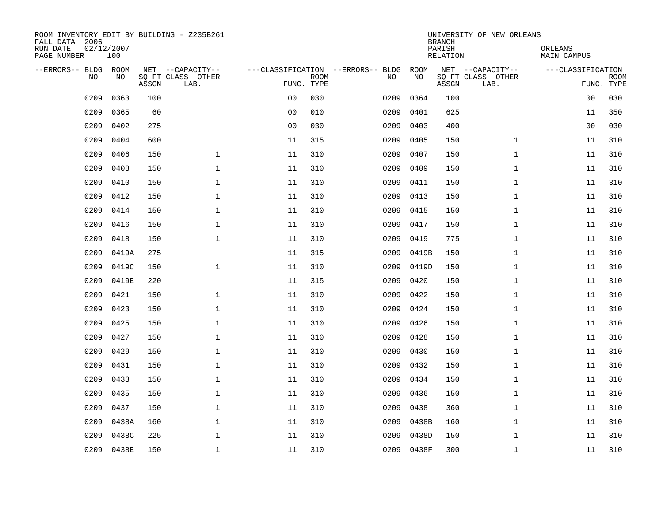| ROOM INVENTORY EDIT BY BUILDING - Z235B261<br>FALL DATA 2006<br>RUN DATE<br>PAGE NUMBER | 02/12/2007<br>100 |       |                                               |                |             |                                         | <b>BRANCH</b><br>PARISH<br><b>RELATION</b> | UNIVERSITY OF NEW ORLEANS | ORLEANS<br><b>MAIN CAMPUS</b>                 |                   |                           |  |
|-----------------------------------------------------------------------------------------|-------------------|-------|-----------------------------------------------|----------------|-------------|-----------------------------------------|--------------------------------------------|---------------------------|-----------------------------------------------|-------------------|---------------------------|--|
| --ERRORS-- BLDG ROOM<br>NO                                                              | NO                | ASSGN | NET --CAPACITY--<br>SQ FT CLASS OTHER<br>LAB. | FUNC. TYPE     | <b>ROOM</b> | ---CLASSIFICATION --ERRORS-- BLDG<br>NO | ROOM<br>NO                                 | ASSGN                     | NET --CAPACITY--<br>SQ FT CLASS OTHER<br>LAB. | ---CLASSIFICATION | <b>ROOM</b><br>FUNC. TYPE |  |
| 0209                                                                                    | 0363              | 100   |                                               | 0 <sub>0</sub> | 030         | 0209                                    | 0364                                       | 100                       |                                               | 0 <sub>0</sub>    | 030                       |  |
| 0209                                                                                    | 0365              | 60    |                                               | 0 <sub>0</sub> | 010         | 0209                                    | 0401                                       | 625                       |                                               | 11                | 350                       |  |
| 0209                                                                                    | 0402              | 275   |                                               | 0 <sub>0</sub> | 030         | 0209                                    | 0403                                       | 400                       |                                               | 00                | 030                       |  |
| 0209                                                                                    | 0404              | 600   |                                               | 11             | 315         | 0209                                    | 0405                                       | 150                       | $\mathbf{1}$                                  | 11                | 310                       |  |
| 0209                                                                                    | 0406              | 150   | $\mathbf{1}$                                  | 11             | 310         | 0209                                    | 0407                                       | 150                       | $\mathbf{1}$                                  | 11                | 310                       |  |
| 0209                                                                                    | 0408              | 150   | $\mathbf 1$                                   | 11             | 310         | 0209                                    | 0409                                       | 150                       | $\mathbf{1}$                                  | 11                | 310                       |  |
| 0209                                                                                    | 0410              | 150   | $\mathbf{1}$                                  | 11             | 310         | 0209                                    | 0411                                       | 150                       | $\mathbf{1}$                                  | 11                | 310                       |  |
| 0209                                                                                    | 0412              | 150   | $\mathbf{1}$                                  | 11             | 310         | 0209                                    | 0413                                       | 150                       | $\mathbf{1}$                                  | 11                | 310                       |  |
| 0209                                                                                    | 0414              | 150   | $\mathbf{1}$                                  | 11             | 310         | 0209                                    | 0415                                       | 150                       | $\mathbf{1}$                                  | 11                | 310                       |  |
| 0209                                                                                    | 0416              | 150   | $\mathbf{1}$                                  | 11             | 310         | 0209                                    | 0417                                       | 150                       | $\mathbf{1}$                                  | 11                | 310                       |  |
| 0209                                                                                    | 0418              | 150   | $\mathbf{1}$                                  | 11             | 310         | 0209                                    | 0419                                       | 775                       | $\mathbf{1}$                                  | 11                | 310                       |  |
| 0209                                                                                    | 0419A             | 275   |                                               | 11             | 315         | 0209                                    | 0419B                                      | 150                       | $\mathbf{1}$                                  | 11                | 310                       |  |
| 0209                                                                                    | 0419C             | 150   | $\mathbf{1}$                                  | 11             | 310         | 0209                                    | 0419D                                      | 150                       | $\mathbf{1}$                                  | 11                | 310                       |  |
| 0209                                                                                    | 0419E             | 220   |                                               | 11             | 315         | 0209                                    | 0420                                       | 150                       | $\mathbf{1}$                                  | 11                | 310                       |  |
| 0209                                                                                    | 0421              | 150   | $\mathbf 1$                                   | 11             | 310         | 0209                                    | 0422                                       | 150                       | $\mathbf{1}$                                  | 11                | 310                       |  |
| 0209                                                                                    | 0423              | 150   | $\mathbf{1}$                                  | 11             | 310         | 0209                                    | 0424                                       | 150                       | $\mathbf{1}$                                  | 11                | 310                       |  |
| 0209                                                                                    | 0425              | 150   | $\mathbf{1}$                                  | 11             | 310         | 0209                                    | 0426                                       | 150                       | $\mathbf{1}$                                  | 11                | 310                       |  |
| 0209                                                                                    | 0427              | 150   | $\mathbf 1$                                   | 11             | 310         | 0209                                    | 0428                                       | 150                       | $\mathbf{1}$                                  | 11                | 310                       |  |
| 0209                                                                                    | 0429              | 150   | $\mathbf 1$                                   | 11             | 310         | 0209                                    | 0430                                       | 150                       | $\mathbf{1}$                                  | 11                | 310                       |  |
| 0209                                                                                    | 0431              | 150   | $\mathbf{1}$                                  | 11             | 310         | 0209                                    | 0432                                       | 150                       | $\mathbf{1}$                                  | 11                | 310                       |  |
| 0209                                                                                    | 0433              | 150   | $\mathbf{1}$                                  | 11             | 310         | 0209                                    | 0434                                       | 150                       | $\mathbf{1}$                                  | 11                | 310                       |  |
| 0209                                                                                    | 0435              | 150   | $\mathbf{1}$                                  | 11             | 310         | 0209                                    | 0436                                       | 150                       | $\mathbf{1}$                                  | 11                | 310                       |  |
| 0209                                                                                    | 0437              | 150   | $\mathbf{1}$                                  | 11             | 310         | 0209                                    | 0438                                       | 360                       | $\mathbf{1}$                                  | 11                | 310                       |  |
| 0209                                                                                    | 0438A             | 160   | $\mathbf 1$                                   | 11             | 310         | 0209                                    | 0438B                                      | 160                       | $\mathbf{1}$                                  | 11                | 310                       |  |
| 0209                                                                                    | 0438C             | 225   | $\mathbf{1}$                                  | 11             | 310         | 0209                                    | 0438D                                      | 150                       | $\mathbf{1}$                                  | 11                | 310                       |  |
|                                                                                         | 0209 0438E        | 150   | $\mathbf 1$                                   | 11             | 310         |                                         | 0209 0438F                                 | 300                       | $\mathbf{1}$                                  | 11                | 310                       |  |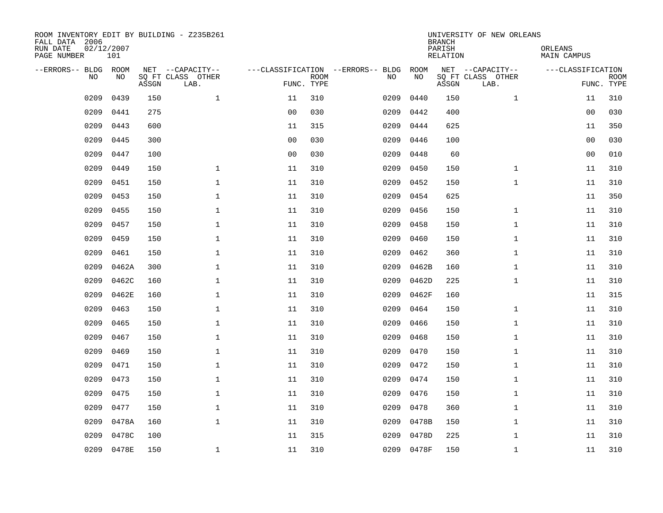| ROOM INVENTORY EDIT BY BUILDING - Z235B261<br>FALL DATA 2006<br>RUN DATE<br>PAGE NUMBER | 02/12/2007<br>101 |       |                                               |                |             |                                         |            | <b>BRANCH</b><br>PARISH<br><b>RELATION</b> | UNIVERSITY OF NEW ORLEANS                     | ORLEANS<br><b>MAIN CAMPUS</b> |                           |  |  |  |
|-----------------------------------------------------------------------------------------|-------------------|-------|-----------------------------------------------|----------------|-------------|-----------------------------------------|------------|--------------------------------------------|-----------------------------------------------|-------------------------------|---------------------------|--|--|--|
| --ERRORS-- BLDG ROOM<br>NO                                                              | NO                | ASSGN | NET --CAPACITY--<br>SQ FT CLASS OTHER<br>LAB. | FUNC. TYPE     | <b>ROOM</b> | ---CLASSIFICATION --ERRORS-- BLDG<br>NO | ROOM<br>NO | ASSGN                                      | NET --CAPACITY--<br>SQ FT CLASS OTHER<br>LAB. | ---CLASSIFICATION             | <b>ROOM</b><br>FUNC. TYPE |  |  |  |
| 0209                                                                                    | 0439              | 150   | $\mathbf{1}$                                  | 11             | 310         | 0209                                    | 0440       | 150                                        | $\mathbf{1}$                                  | 11                            | 310                       |  |  |  |
| 0209                                                                                    | 0441              | 275   |                                               | 0 <sub>0</sub> | 030         | 0209                                    | 0442       | 400                                        |                                               | 0 <sub>0</sub>                | 030                       |  |  |  |
| 0209                                                                                    | 0443              | 600   |                                               | 11             | 315         | 0209                                    | 0444       | 625                                        |                                               | 11                            | 350                       |  |  |  |
| 0209                                                                                    | 0445              | 300   |                                               | 0 <sub>0</sub> | 030         | 0209                                    | 0446       | 100                                        |                                               | 0 <sub>0</sub>                | 030                       |  |  |  |
| 0209                                                                                    | 0447              | 100   |                                               | 0 <sub>0</sub> | 030         | 0209                                    | 0448       | 60                                         |                                               | 0 <sub>0</sub>                | 010                       |  |  |  |
| 0209                                                                                    | 0449              | 150   | $\mathbf{1}$                                  | 11             | 310         | 0209                                    | 0450       | 150                                        | $\mathbf{1}$                                  | 11                            | 310                       |  |  |  |
| 0209                                                                                    | 0451              | 150   | $\mathbf{1}$                                  | 11             | 310         | 0209                                    | 0452       | 150                                        | $\mathbf{1}$                                  | 11                            | 310                       |  |  |  |
| 0209                                                                                    | 0453              | 150   | $\mathbf{1}$                                  | 11             | 310         | 0209                                    | 0454       | 625                                        |                                               | 11                            | 350                       |  |  |  |
| 0209                                                                                    | 0455              | 150   | $\mathbf{1}$                                  | 11             | 310         | 0209                                    | 0456       | 150                                        | $\mathbf{1}$                                  | 11                            | 310                       |  |  |  |
| 0209                                                                                    | 0457              | 150   | $\mathbf 1$                                   | 11             | 310         | 0209                                    | 0458       | 150                                        | $\mathbf{1}$                                  | 11                            | 310                       |  |  |  |
| 0209                                                                                    | 0459              | 150   | $\mathbf{1}$                                  | 11             | 310         | 0209                                    | 0460       | 150                                        | $\mathbf{1}$                                  | 11                            | 310                       |  |  |  |
| 0209                                                                                    | 0461              | 150   | $\mathbf{1}$                                  | 11             | 310         | 0209                                    | 0462       | 360                                        | $\mathbf{1}$                                  | 11                            | 310                       |  |  |  |
| 0209                                                                                    | 0462A             | 300   | $\mathbf{1}$                                  | 11             | 310         | 0209                                    | 0462B      | 160                                        | $\mathbf{1}$                                  | 11                            | 310                       |  |  |  |
| 0209                                                                                    | 0462C             | 160   | $\mathbf{1}$                                  | 11             | 310         | 0209                                    | 0462D      | 225                                        | $\mathbf{1}$                                  | 11                            | 310                       |  |  |  |
| 0209                                                                                    | 0462E             | 160   | 1                                             | 11             | 310         | 0209                                    | 0462F      | 160                                        |                                               | 11                            | 315                       |  |  |  |
| 0209                                                                                    | 0463              | 150   | $\mathbf 1$                                   | 11             | 310         | 0209                                    | 0464       | 150                                        | $\mathbf{1}$                                  | 11                            | 310                       |  |  |  |
| 0209                                                                                    | 0465              | 150   | $\mathbf 1$                                   | 11             | 310         | 0209                                    | 0466       | 150                                        | $\mathbf{1}$                                  | 11                            | 310                       |  |  |  |
| 0209                                                                                    | 0467              | 150   | $\mathbf 1$                                   | 11             | 310         | 0209                                    | 0468       | 150                                        | $\mathbf{1}$                                  | 11                            | 310                       |  |  |  |
| 0209                                                                                    | 0469              | 150   | $\mathbf 1$                                   | 11             | 310         | 0209                                    | 0470       | 150                                        | $\mathbf{1}$                                  | 11                            | 310                       |  |  |  |
| 0209                                                                                    | 0471              | 150   | $\mathbf{1}$                                  | 11             | 310         | 0209                                    | 0472       | 150                                        | $\mathbf{1}$                                  | 11                            | 310                       |  |  |  |
| 0209                                                                                    | 0473              | 150   | $\mathbf{1}$                                  | 11             | 310         | 0209                                    | 0474       | 150                                        | $\mathbf{1}$                                  | 11                            | 310                       |  |  |  |
| 0209                                                                                    | 0475              | 150   | $\mathbf{1}$                                  | 11             | 310         | 0209                                    | 0476       | 150                                        | $\mathbf{1}$                                  | 11                            | 310                       |  |  |  |
| 0209                                                                                    | 0477              | 150   | $\mathbf{1}$                                  | 11             | 310         | 0209                                    | 0478       | 360                                        | $\mathbf{1}$                                  | 11                            | 310                       |  |  |  |
| 0209                                                                                    | 0478A             | 160   | $\mathbf{1}$                                  | 11             | 310         | 0209                                    | 0478B      | 150                                        | $\mathbf{1}$                                  | 11                            | 310                       |  |  |  |
| 0209                                                                                    | 0478C             | 100   |                                               | 11             | 315         | 0209                                    | 0478D      | 225                                        | $\mathbf{1}$                                  | 11                            | 310                       |  |  |  |
|                                                                                         | 0209 0478E        | 150   | 1                                             | 11             | 310         |                                         | 0209 0478F | 150                                        | $\mathbf{1}$                                  | 11                            | 310                       |  |  |  |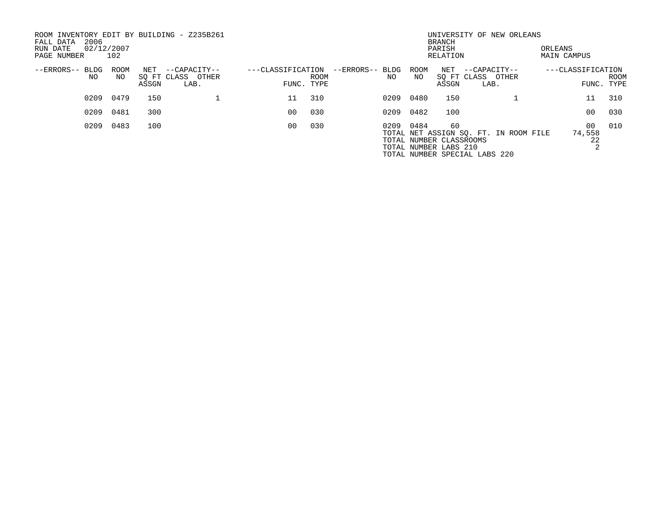| ROOM INVENTORY EDIT BY BUILDING - Z235B261<br>2006<br>FALL DATA<br>02/12/2007<br>RUN DATE<br>PAGE NUMBER | 102         |              |                                           |                                 |      |                        |            | <b>BRANCH</b><br>PARISH<br>RELATION                    | UNIVERSITY OF NEW ORLEANS                                              | ORLEANS<br>MAIN CAMPUS          |      |
|----------------------------------------------------------------------------------------------------------|-------------|--------------|-------------------------------------------|---------------------------------|------|------------------------|------------|--------------------------------------------------------|------------------------------------------------------------------------|---------------------------------|------|
| $--ERRORS--$<br>BLDG<br>NO                                                                               | ROOM<br>NO. | NET<br>ASSGN | --CAPACITY--<br>SQ FT CLASS OTHER<br>LAB. | ---CLASSIFICATION<br>FUNC. TYPE | ROOM | --ERRORS-- BLDG<br>NO. | ROOM<br>NO | NET<br>ASSGN                                           | --CAPACITY--<br>SO FT CLASS OTHER<br>LAB.                              | ---CLASSIFICATION<br>FUNC. TYPE | ROOM |
| 0209                                                                                                     | 0479        | 150          |                                           | 11                              | 310  | 0209                   | 0480       | 150                                                    |                                                                        | 11                              | 310  |
| 0209                                                                                                     | 0481        | 300          |                                           | 00                              | 030  | 0209                   | 0482       | 100                                                    |                                                                        | 0 <sub>0</sub>                  | 030  |
| 0209                                                                                                     | 0483        | 100          |                                           | 0 <sub>0</sub>                  | 030  | 0209                   | 0484       | 60<br>TOTAL NUMBER CLASSROOMS<br>TOTAL NUMBER LABS 210 | TOTAL NET ASSIGN SQ. FT. IN ROOM FILE<br>TOTAL NUMBER SPECIAL LABS 220 | 00<br>74,558<br>22              | 010  |